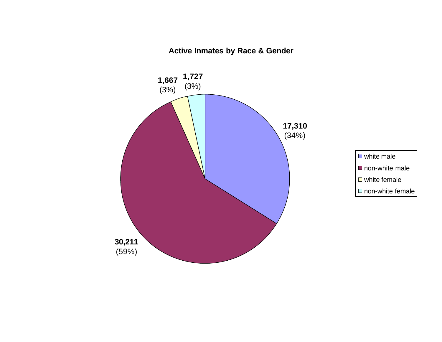**Active Inmates by Race & Gender**

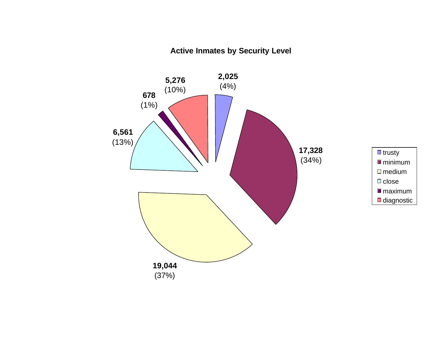# **Active Inmates by Security Level**

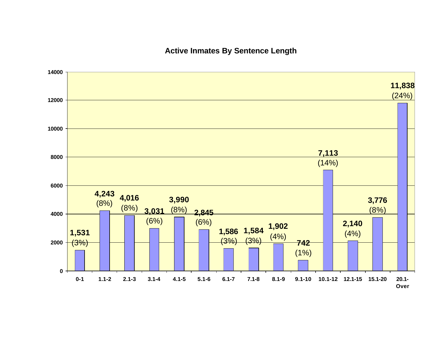### **Active Inmates By Sentence Length**

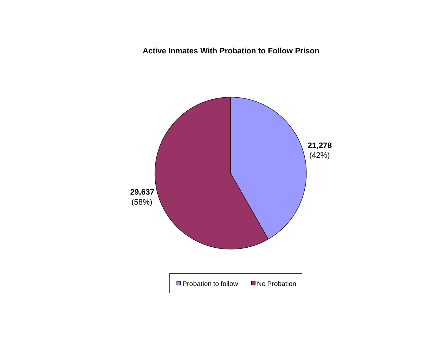**Active Inmates With Probation to Follow Prison**

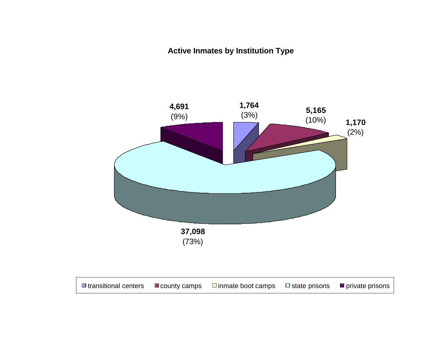**Active Inmates by Institution Type**

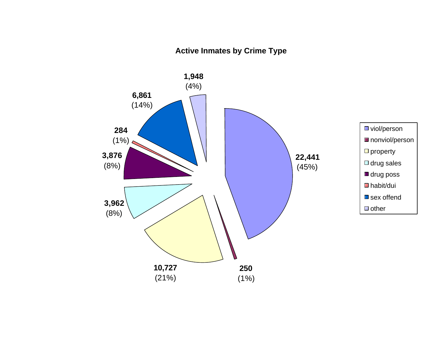## **Active Inmates by Crime Type**

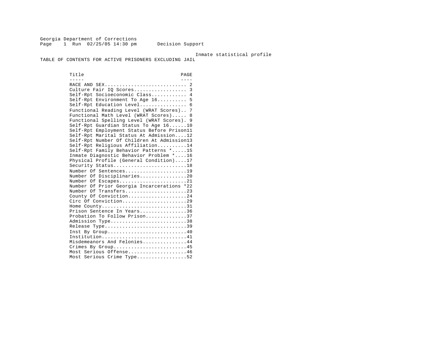Georgia Department of Corrections Page 1 Run 02/25/05 14:30 pm Decision Support

Inmate statistical profile

TABLE OF CONTENTS FOR ACTIVE PRISONERS EXCLUDING JAIL

Title PAGE ----- ---- RACE AND SEX............................ 2 Culture Fair IQ Scores.................. 3 Self-Rpt Socioeconomic Class............ 4 Self-Rpt Environment To Age 16.......... 5 Self-Rpt Education Level................... 6 Functional Reading Level (WRAT Scores).. 7 Functional Math Level (WRAT Scores)..... 8 Functional Spelling Level (WRAT Scores). 9 Self-Rpt Guardian Status To Age 16......10 Self-Rpt Employment Status Before Prison11 Self-Rpt Marital Status At Admission....12 Self-Rpt Number Of Children At Admission13 Self-Rpt Religious Affiliation..........14 Self-Rpt Family Behavior Patterns \*.....15 Inmate Diagnostic Behavior Problem \*....16 Physical Profile (General Condition)....17 Security Status............................18 Number Of Sentences......................19 Number Of Disciplinaries................20 Number Of Escapes.........................21 Number Of Prior Georgia Incarcerations \*22 Number Of Transfers.......................23 County Of Conviction....................24 Circ Of Conviction.........................29 Home County.............................31 Prison Sentence In Years................36 Probation To Follow Prison..............37 Admission Type.............................38 Release Type...............................39 Inst By Group.............................40 Institution.............................41 Misdemeanors And Felonies...............44 Crimes By Group...........................45 Most Serious Offense....................46 Most Serious Crime Type..................52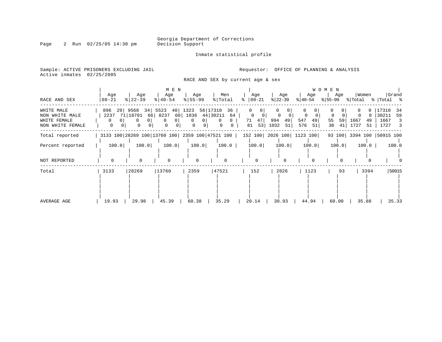Inmate statistical profile

Sample: ACTIVE PRISONERS EXCLUDING JAIL **Requestor:** OFFICE OF PLANNING & ANALYSIS Active inmates 02/25/2005

RACE AND SEX by current age & sex

| RACE AND SEX                                                     | Age<br>  00-21                                | Age<br>$ 22-39 $                                                                        | M E N<br>Age<br>$ 40-54 $                                                       | Age<br>$8 55-99$                                    | Men<br>% Total                                                | Age<br>$\approx$   00-21                           | Age<br>$ 22-39$                                | W O M E N<br>Age<br>$ 40-54 $                | Women<br>Age<br>$ \$ 55-99 \$ \[Total \; \] Total \; \; | Grand                                                 |
|------------------------------------------------------------------|-----------------------------------------------|-----------------------------------------------------------------------------------------|---------------------------------------------------------------------------------|-----------------------------------------------------|---------------------------------------------------------------|----------------------------------------------------|------------------------------------------------|----------------------------------------------|---------------------------------------------------------|-------------------------------------------------------|
| WHITE MALE<br>NON WHITE MALE<br>WHITE FEMALE<br>NON WHITE FEMALE | 896 29 9568<br>2237 71 18701<br>$\Omega$<br>0 | 0<br>$\Omega$<br>$\mathbf{0}$<br>0 <sup>1</sup>                                         | 34 5523 40 1323<br>66 8237<br>0 <sup>1</sup><br>$\Omega$<br>0<br>0 <sup>1</sup> | 60 1036 44 30211<br>0 <sup>1</sup><br>0<br>$\Omega$ | 56 17310 36<br>64<br>$\mathbf{0}$<br>0<br>0<br>$\overline{0}$ | $\Omega$<br>0 <sup>1</sup><br>47<br>71<br>53<br>81 | $\Omega$<br>$\circ$<br>994<br>49<br>1032<br>51 | 0<br>0<br>547<br>49<br>55<br>576<br>51<br>38 | 1667<br>59<br>49<br>41  <br>1727<br>51                  | 17310<br>-34<br>30211<br>59<br>1667<br>3<br>1727<br>3 |
| Total reported                                                   |                                               | 3133 100   28269 100   13760 100   2359 100   47521 100   152 100   2026 100   1123 100 |                                                                                 |                                                     |                                                               |                                                    |                                                |                                              | 93 100 3394 100 50915 100                               |                                                       |
| Percent reported                                                 | 100.0                                         | 100.0                                                                                   | 100.0                                                                           | 100.0                                               | 100.0                                                         | 100.0                                              | 100.0                                          | 100.0                                        | 100.0<br>$100.0$                                        | 100.0                                                 |
| NOT REPORTED                                                     | $\Omega$                                      | $\Omega$                                                                                | $\Omega$                                                                        | $\Omega$                                            |                                                               | $\Omega$                                           |                                                |                                              |                                                         |                                                       |
| Total                                                            | 3133                                          | 28269                                                                                   | 13760                                                                           | 2359                                                | 47521                                                         | 152                                                | 2026                                           | 1123                                         | 3394<br>93                                              | 50915                                                 |
| AVERAGE AGE                                                      | 19.93                                         | 29.98                                                                                   | 45.39                                                                           | 60.38                                               | 35.29                                                         | 20.14                                              | 30.93                                          | 44.94                                        | 35.88<br>60.00                                          | 35.33                                                 |

Page 2 Run 02/25/05 14:30 pm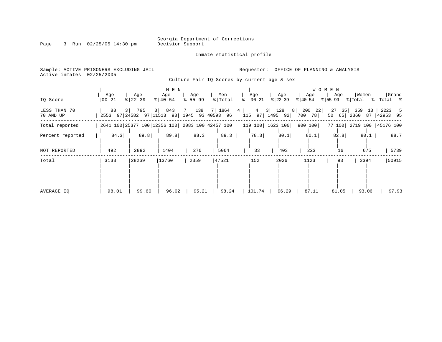Inmate statistical profile

Page 3 Run 02/25/05 14:30 pm

Active inmates 02/25/2005

Sample: ACTIVE PRISONERS EXCLUDING JAIL **Requestor:** OFFICE OF PLANNING & ANALYSIS

Culture Fair IQ Scores by current age & sex

|                           |                                                  |                    | M E N                        |                        |                  |                               |                               | W O M E N              |                      |                           |                         |
|---------------------------|--------------------------------------------------|--------------------|------------------------------|------------------------|------------------|-------------------------------|-------------------------------|------------------------|----------------------|---------------------------|-------------------------|
| IQ Score                  | Age<br>$00 - 21$                                 | Age<br>$8$   22-39 | Age<br>$\frac{1}{6}$   40-54 | Age<br>$8 55-99$       | Men<br>%   Total | Age<br>$ 00-21 $<br>$\approx$ | Age<br>$ 22-39 $              | Age<br>$ 40-54 $       | Age<br>% 55-99       | Women<br>% Total          | Grand<br>%   Total %    |
| LESS THAN 70<br>70 AND UP | 88<br>2553 97 24582 97 11513 93 1945 93 40593 96 | 3 795              | 843<br>$3 \mid$              | 138 7 1864<br>$7 \mid$ |                  | $4\overline{ }$<br>4          | 3   128 8  <br>115 97 1495 92 | 200<br>22<br>700<br>78 | 27<br>35<br>50<br>65 | 359<br>13<br>2360<br>87   | 2223<br>- 5<br>42953 95 |
| Total reported            | 2641 100 25377 100 12356 100 2083 100 42457 100  |                    |                              |                        |                  |                               | 119 100   1623 100            | 900 100                |                      | 77 100 2719 100 45176 100 |                         |
| Percent reported          | 84.3                                             | 89.8               | 89.8                         | 88.3                   | 89.3             | 78.3                          | 80.1                          | 80.1                   | 82.8                 | 80.1                      | 88.7                    |
| NOT REPORTED              | 492                                              | 2892               | 1404                         | 276                    | 5064             | 33                            | 403                           | 223                    | 16                   | 675                       | 5739                    |
| Total                     | 3133                                             | 28269              | 13760                        | 2359                   | 47521            | 152                           | 2026                          | 1123                   | 93                   | 3394                      | 50915                   |
| AVERAGE IO                | 98.01                                            | 99.60              | 96.02                        | 95.21                  | 98.24            | 101.74                        | 96.29                         | 87.11                  | 81.05                | 93.06                     | 97.93                   |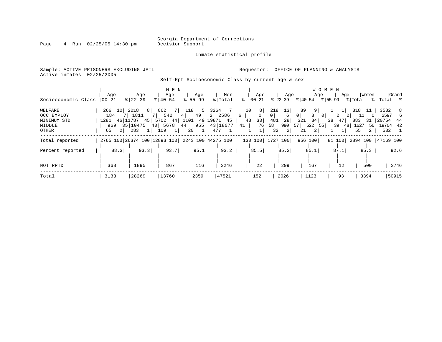Inmate statistical profile

Page 4 Run 02/25/05 14:30 pm

Sample: ACTIVE PRISONERS EXCLUDING JAIL **Requestor:** OFFICE OF PLANNING & ANALYSIS Active inmates 02/25/2005

Self-Rpt Socioeconomic Class by current age & sex

|                                     | Aqe                  | Age                                                         | M E N<br>Age                             | Age             | Men     | Age                             | Age                         | Age                                          | W O M E N<br>Age | Women              | Grand                                 |
|-------------------------------------|----------------------|-------------------------------------------------------------|------------------------------------------|-----------------|---------|---------------------------------|-----------------------------|----------------------------------------------|------------------|--------------------|---------------------------------------|
| Socioeconomic Class                 | 00-21                | $8$   22-39                                                 | $8 40-54$                                | $8155 - 99$     | % Total | $\frac{1}{6}$   00-21           | % 22−39                     | $ 40-54 \t  55-99 \t  Total \t  Total \t  5$ |                  |                    |                                       |
| WELFARE                             | 266 10 2018          |                                                             | 8 862 7 118 5 3264 7                     | 4 49            |         | 10<br>$8 \mid$<br>6<br>$\Omega$ | 13<br>218<br>0 <sup>1</sup> | 89<br>9 <br>3<br>0 <sup>1</sup>              | $\circ$<br>2     | 318 11<br>$\Omega$ | 3582 8<br>-6                          |
| OCC EMPLOY<br>MINIMUM STD<br>MIDDLE | 184<br>1281 46 11787 | 7   1811<br>969 35   10475 40   5678 44   955 43   18077 41 | 542<br>45   5702 44   1101 49   19871 45 |                 | 2 2586  | 33<br>43<br>76                  | 6<br>28<br>481<br>58<br>990 | 321<br>34<br>57 522 55                       | 38 47<br>39 48   | 883<br>1627        | 2597<br>31   20754 44<br>56 119704 42 |
| OTHER                               | 2 <sup>1</sup><br>65 | 283<br>$\frac{1}{2}$                                        | 109<br>$1 \vert$                         | 20<br>$1 \vert$ | 477     | 1                               | 32<br>2                     | $\overline{2}$<br>21                         |                  | 55<br>$\mathbf{2}$ | 532 1                                 |
| Total reported                      |                      | 2765 100 26374 100 12893 100 2243 100 44275 100             |                                          |                 |         |                                 | 130 100  1727 100           | 956 100                                      | 81 100           |                    | 2894 100  47169 100                   |
| Percent reported                    | 88.3                 | 93.3                                                        | 93.7                                     | 95.1            | 93.2    | 85.5                            | 85.2                        | 85.1                                         | 87.1             | $85.3$             | 92.6                                  |
| NOT RPTD                            | 368                  | 1895                                                        | 867                                      | 116             | 3246    | 22                              | 299                         | 167                                          | 12               | 500                | 3746                                  |
| Total                               | 3133                 | 28269                                                       | 13760                                    | 2359            | 47521   | 152                             | 2026                        | 1123                                         | 93               | 3394               | 50915                                 |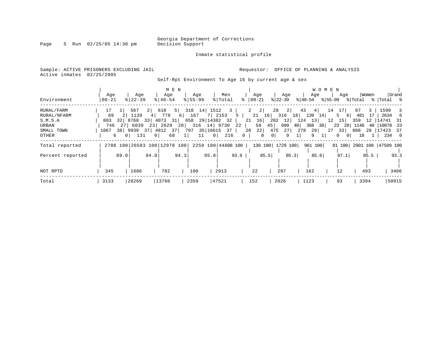Page 5 Run 02/25/05 14:30 pm

#### Inmate statistical profile

Sample: ACTIVE PRISONERS EXCLUDING JAIL **Requestor:** OFFICE OF PLANNING & ANALYSIS Active inmates 02/25/2005

Self-Rpt Environment To Age 16 by current age & sex

| Environment                                                          | Age<br>$00 - 21$            |                       | Aqe<br>$8122 - 39$                                 |                     | Age<br>$8140 - 54$                                         | M E N                  | Age<br>$8155 - 99$                                                           |                      | Men<br>% Total                 |                           | Age<br>$ 00 - 21$                                           |                                              | Age<br>$ 22-39 $                                            |                                     | Age<br>% 40-54                   | <b>WOMEN</b><br>% 55-99 | Aqe                                                                               | % Total                               | Women                    | %   Total %                                                 | Grand                                         |
|----------------------------------------------------------------------|-----------------------------|-----------------------|----------------------------------------------------|---------------------|------------------------------------------------------------|------------------------|------------------------------------------------------------------------------|----------------------|--------------------------------|---------------------------|-------------------------------------------------------------|----------------------------------------------|-------------------------------------------------------------|-------------------------------------|----------------------------------|-------------------------|-----------------------------------------------------------------------------------|---------------------------------------|--------------------------|-------------------------------------------------------------|-----------------------------------------------|
| RURAL/FARM<br>RURAL/NFARM<br>S.M.S.A<br>URBAN<br>SMALL TOWN<br>OTHER | 17<br>69<br>883<br>746<br>6 | 32<br>271<br>$\Omega$ | 567<br>1139<br>8768<br>6039<br>1067 38 9939<br>131 | $2 \mid$<br>4<br>23 | 618<br>778<br>33 4073<br>2629<br>37 4812<br>0 <sup>1</sup> | 5  <br>31 <br>37<br>68 | 310 14 1512<br>6 167<br>658 29 14382 32<br>20 316 14 9730<br>797<br>$1\vert$ | $\overline{0}$<br>11 | 7 2153<br>35   16615 37<br>216 | 3 <sup>1</sup><br>5<br>22 | $2 \mid 2 \mid$<br>21<br>$21 \quad 16$<br>58<br>28<br>$0-1$ | 16<br>45<br>22<br>0 <sup>1</sup><br>$\Omega$ | 2 <br>28<br>$316$ 18<br>202<br>12 <br>699<br>27<br>475<br>9 | 43<br>124<br>40 <sub>1</sub><br>278 | 4<br>139<br>13<br>368<br>29<br>9 | 14<br>14<br>12<br>38    | 17 <br>5.<br>61<br>15<br>23<br>28  <br>$27 \quad 33$<br>$\circ$<br>0 <sup>1</sup> | 87<br>481<br>359<br>1148<br>808<br>18 | 3<br>17<br>$12-1$<br>-40 | 1599<br>2634<br>14741<br>$ 10878$ 23<br>28   17423<br>234 0 | $\overline{\phantom{a}}$<br>- 6<br>- 31<br>37 |
| Total reported<br>Percent reported                                   |                             | 89.0                  |                                                    | 94.0                | 2788 100 26583 100 12978 100                               | 94.3                   |                                                                              | 95.8                 | 2259 100 44608 100             | 93.9                      |                                                             | 85.5                                         | 130 100 1729 100                                            | 85.3                                | 961 100<br>85.6                  |                         | 87.1                                                                              |                                       | $85.5$                   | 81 100 2901 100 47509 100                                   | 93.3                                          |
| NOT RPTD<br>Total                                                    | 345<br>3133                 |                       | 1686<br>28269                                      |                     | 782<br>13760                                               |                        | 100<br>2359                                                                  |                      | 2913<br>47521                  |                           | 22<br>152                                                   |                                              | 297<br>2026                                                 |                                     | 162<br>1123                      |                         | 12<br>93                                                                          |                                       | 493<br>3394              |                                                             | 3406<br>50915                                 |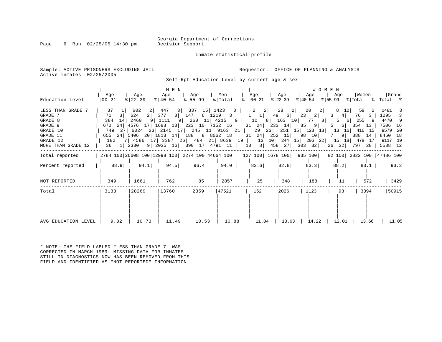Page 6 Run  $02/25/05$  14:30 pm

#### Inmate statistical profile

Sample: ACTIVE PRISONERS EXCLUDING JAIL **Requestor:** OFFICE OF PLANNING & ANALYSIS Active inmates 02/25/2005

Self-Rpt Education Level by current age & sex

| Education Level                                                                                              | Age<br>$ 00-21 $                                                   | Age<br>$ 22-39 $                                                                                                                                                                                                                      | M E N<br>Age<br>$\frac{1}{6}$   40-54                                     | Age<br>$8 55-99$                              | Men<br>% Total                                     | Age<br>$8   00 - 21$                                                                     | Age<br>$ 22-39 $                                                                   | Age<br>୫∣40-54                                                                                                                                          | <b>WOMEN</b><br>Age<br>%∣55-99                                       | Women                                                                             | Grand<br>% Total % Total %                                                                  |
|--------------------------------------------------------------------------------------------------------------|--------------------------------------------------------------------|---------------------------------------------------------------------------------------------------------------------------------------------------------------------------------------------------------------------------------------|---------------------------------------------------------------------------|-----------------------------------------------|----------------------------------------------------|------------------------------------------------------------------------------------------|------------------------------------------------------------------------------------|---------------------------------------------------------------------------------------------------------------------------------------------------------|----------------------------------------------------------------------|-----------------------------------------------------------------------------------|---------------------------------------------------------------------------------------------|
| LESS THAN GRADE 7<br>GRADE 7<br>GRADE 8<br>GRADE 9<br>GRADE 10<br>GRADE 11<br>GRADE 12<br>MORE THAN GRADE 12 | 37<br>71<br>3 <sup>1</sup><br>14<br>384<br>670<br>749<br>182<br>36 | 602<br>624<br>2 <br>9 <sup>1</sup><br>2460<br>24   4576 17   1683 13   223 10   7152 16  <br>27   6024 23   2145 17   245 11   9163 21  <br>655 24 5406 20 1813 14 188 8 8062 18<br>7 4586 17 3387 26 484 21 8639 19<br>$1 \mid 2330$ | 447<br>3 <sup>1</sup><br>3 147<br>377<br>1111<br>9 2035 16 390 17 4791 11 | 15 1423<br>337<br>6 1219<br>$9$ 260 11 4215 9 | $\overline{\mathbf{3}}$<br>$\overline{\mathbf{3}}$ | 2<br>$\left  \right $ 2<br> 1 <br>$\mathbf{1}$<br>29<br>24<br>31<br>13<br>10<br>$8 \mid$ | 28<br>49<br>3 <br>$31 \quad 24 \quad 233 \quad 14$<br>23<br>252<br>15<br>27<br>458 | 20<br>2 <br>2 <br>23<br>2 <br>10 8   163 10   77 8  <br>85<br>9<br>$251 \quad 15$<br>$123$ 13<br>10<br>98<br>10 244 15 206 22 15 18 478 17<br>32<br>303 | 8<br>10 <sup>1</sup><br>4 <br>3<br>5<br>5<br>13<br>$7^{\circ}$<br>26 | 58<br>76<br>3<br>6 255<br>-9<br>6 354 13<br>16 416 15<br>9 388<br>14<br>32 797 28 | 1481<br>1295<br>4470 9<br>7506<br>16<br>9579<br>20<br>8450<br>18<br>9117<br>- 19<br>5588 12 |
| Total reported                                                                                               |                                                                    |                                                                                                                                                                                                                                       |                                                                           |                                               |                                                    |                                                                                          |                                                                                    | 2784 100 26608 100 12998 100 2274 100 44664 100   127 100   1678 100   935 100                                                                          |                                                                      |                                                                                   | 82 100 2822 100 47486 100                                                                   |
| Percent reported                                                                                             | 88.9                                                               | 94.1                                                                                                                                                                                                                                  | 94.5                                                                      | 96.4                                          | 94.0                                               | 83.6                                                                                     | 82.8                                                                               | 83.3                                                                                                                                                    | 88.2                                                                 | $83.1$                                                                            | 93.3                                                                                        |
| NOT REPORTED                                                                                                 | 349                                                                | 1661                                                                                                                                                                                                                                  | 762                                                                       | 85                                            | 2857                                               | 25                                                                                       | 348                                                                                | 188                                                                                                                                                     | 11                                                                   | 572                                                                               | 3429                                                                                        |
| Total                                                                                                        | 3133                                                               | 28269                                                                                                                                                                                                                                 | 13760                                                                     | 2359                                          | 47521                                              | 152                                                                                      | 2026                                                                               | 1123                                                                                                                                                    | 93                                                                   | 3394                                                                              | 50915                                                                                       |
| AVG EDUCATION LEVEL                                                                                          | 9.82                                                               | 10.73                                                                                                                                                                                                                                 | 11.49                                                                     | 10.53                                         | 10.88                                              | 11.04                                                                                    | 13.63                                                                              | 14.22                                                                                                                                                   | 12.01                                                                | 13.66                                                                             | 11.05                                                                                       |

\* NOTE: THE FIELD LABLED "LESS THAN GRADE 7" WAS CORRECTED IN MARCH 1989: MISSING DATA FOR INMATES STILL IN DIAGNOSTICS NOW HAS BEEN REMOVED FROM THIS FIELD AND IDENTIFIED AS "NOT REPORTED" INFORMATION.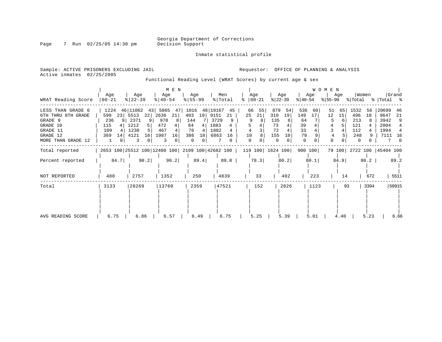Inmate statistical profile

Page 7 Run 02/25/05 14:30 pm

Active inmates 02/25/2005

Sample: ACTIVE PRISONERS EXCLUDING JAIL **Requestor:** OFFICE OF PLANNING & ANALYSIS

Functional Reading Level (WRAT Scores) by current age & sex

|                                         | Age                   | Age                                             | M E N<br>Age             | Age               | Men                          | Age                  | Age                    | Age                    | <b>WOMEN</b><br>Age  | Women                     | Grand                      |
|-----------------------------------------|-----------------------|-------------------------------------------------|--------------------------|-------------------|------------------------------|----------------------|------------------------|------------------------|----------------------|---------------------------|----------------------------|
| WRAT Reading Score                      | $00 - 21$             | $\frac{8}{22} - 39$                             | $8   40 - 54$            | $8 55-99$         | % Total                      | $ 00-21$<br>ႜ        | $ 22-39 $              | $ 40-54 $              | % 55−99              | % Total                   | %   Total %                |
| LESS THAN GRADE 6<br>6TH THRU 8TH GRADE | 1224<br>599<br>23     | 46 11062<br>43<br>5513<br>22                    | 5865<br>47<br>2636<br>21 | 1016<br>403<br>19 | 48 19167<br>45<br>9151<br>21 | 66<br>55<br>25<br>21 | 879<br>54<br>310<br>19 | 536<br>60<br>149<br>17 | 51<br>65<br>12<br>15 | 1532<br>56<br>496<br>18   | 20699<br>46<br>9647<br>-21 |
| GRADE 9                                 | 236<br>9 <sup>1</sup> | 2371<br>91                                      | 978<br>8                 | 144               | 3729<br>9                    | 9<br>8               | 135                    | 64                     | 6                    | 213                       | 3942<br>9                  |
| GRADE 10                                | 115<br>4              | 1212                                            | 472                      | 84<br>4           | 1883                         |                      | 73                     | 39                     |                      | 121                       | 2004                       |
| GRADE 11                                | 109                   | 1230                                            | 467                      | 76<br>4           | 1882                         |                      | 72                     | 33                     |                      | 112                       | 1994                       |
| GRADE 12                                | 369<br>14             | 4121<br>16                                      | 1987<br>16               | 386<br>18         | 6863<br>16                   | 10                   | 155<br>10              | 79                     |                      | 248                       | 7111<br>-16                |
| MORE THAN GRADE 12                      |                       |                                                 |                          | $\Omega$<br>0     |                              | $\Omega$             | $\Omega$               | 0                      |                      | $\Omega$                  |                            |
| Total reported                          |                       | 2653 100 25512 100 12408 100 2109 100 42682 100 |                          |                   |                              |                      | 119 100   1624 100     | 900 100                |                      | 79 100 2722 100 45404 100 |                            |
| Percent reported                        | 84.7                  | 90.2                                            | 90.2                     | 89.4              | 89.8                         | 78.3                 | 80.2                   | 80.1                   | 84.9                 | 80.2                      | 89.2                       |
| NOT REPORTED                            | 480                   | 2757                                            | 1352                     | 250               | 4839                         | 33                   | 402                    | 223                    | 14                   | 672                       | 5511                       |
| Total                                   | 3133                  | 28269                                           | 13760                    | 2359              | 47521                        | 152                  | 2026                   | 1123                   | 93                   | 3394                      | 50915                      |
|                                         |                       |                                                 |                          |                   |                              |                      |                        |                        |                      |                           |                            |
| AVG READING SCORE                       | 6.75                  | 6.86                                            | 6.57                     | 6.49              | 6.75                         | 5.25                 | 5.39                   | 5.01                   | 4.40                 | 5.23                      | 6.66                       |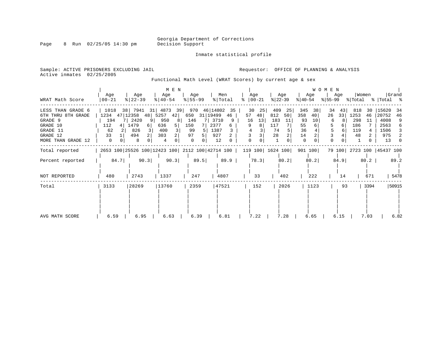Inmate statistical profile

Page 8 Run 02/25/05 14:30 pm

Active inmates 02/25/2005

Sample: ACTIVE PRISONERS EXCLUDING JAIL **Requestor:** OFFICE OF PLANNING & ANALYSIS

Functional Math Level (WRAT Scores) by current age & sex

|                                                                                                              |                                                         |                                                                                      | M E N                                                   |                                                                                       |                                                 |                                       |                                                                     | WOMEN                                                                 |                                                      |                                                          |                                                                                |
|--------------------------------------------------------------------------------------------------------------|---------------------------------------------------------|--------------------------------------------------------------------------------------|---------------------------------------------------------|---------------------------------------------------------------------------------------|-------------------------------------------------|---------------------------------------|---------------------------------------------------------------------|-----------------------------------------------------------------------|------------------------------------------------------|----------------------------------------------------------|--------------------------------------------------------------------------------|
| WRAT Math Score                                                                                              | Age<br>$00 - 21$                                        | Age<br>$ 22-39 $                                                                     | Age<br>$ 40-54 $                                        | Age<br>$8 55-99$                                                                      | Men<br>% Total                                  | Age<br>$ 00-21$<br>៖                  | Age<br>$ 22-39 $                                                    | Age<br>$ 40-54 $                                                      | Age<br>% 55−99                                       | Women<br>% Total                                         | Grand<br>%   Total %                                                           |
| LESS THAN GRADE 6<br>6TH THRU 8TH GRADE<br>GRADE 9<br>GRADE 10<br>GRADE 11<br>GRADE 12<br>MORE THAN GRADE 12 | 1018<br>1234<br>194<br>112<br>4  <br>62<br>2<br>33<br>0 | 38 7941<br>31 l<br>47 12358<br>48 5257<br>2420<br>1479<br>6 <br>826<br>3<br>494<br>8 | 4873<br>39<br>42 <br>950<br>8<br>636<br>400<br>303<br>4 | 970<br>46 14802<br>31 19499<br>650<br>146<br>150<br>2377<br>99<br>97<br>5<br>$\Omega$ | 35<br>46<br>3710<br>9<br>6<br>1387<br>927<br>12 | 30<br>25<br>57<br>48<br>16<br>13<br>9 | 409<br>25<br>812<br>50 <sub>1</sub><br>183<br>11<br>117<br>74<br>28 | 345<br>38<br>358<br>40<br>93<br>10<br>55<br>6<br>36<br>14<br>$\Omega$ | 34<br>43<br>26<br>33<br>8<br>6<br>6<br>6<br>$\Omega$ | 818<br>30<br>1253<br>46<br>298<br>11<br>186<br>119<br>48 | 15620<br>34<br>20752<br>46<br>4008<br>9<br>2563<br>6<br>1506<br>975<br>2<br>13 |
| Total reported                                                                                               |                                                         |                                                                                      |                                                         | 2653 100   25526 100   12423 100   2112 100   42714 100   119 100   1624 100          |                                                 |                                       |                                                                     | 901 100                                                               |                                                      | 79 100 2723 100 45437 100                                |                                                                                |
| Percent reported                                                                                             | 84.7                                                    | 90.3                                                                                 | 90.3                                                    | 89.5                                                                                  | 89.9                                            | 78.3                                  | 80.2                                                                | 80.2                                                                  | 84.9                                                 | 80.2                                                     | 89.2                                                                           |
| NOT REPORTED                                                                                                 | 480                                                     | 2743                                                                                 | 1337                                                    | 247                                                                                   | 4807                                            | 33                                    | 402                                                                 | 222                                                                   | 14                                                   | 671                                                      | 5478                                                                           |
| Total                                                                                                        | 3133                                                    | 28269                                                                                | 13760                                                   | 2359                                                                                  | 47521                                           | 152                                   | 2026                                                                | 1123                                                                  | 93                                                   | 3394                                                     | 50915                                                                          |
| AVG MATH SCORE                                                                                               | 6.59                                                    | 6.95                                                                                 | 6.63                                                    | 6.39                                                                                  | 6.81                                            | 7.22                                  | 7.28                                                                | 6.65                                                                  | 6.15                                                 | 7.03                                                     | 6.82                                                                           |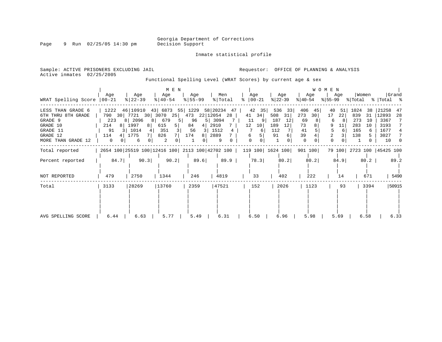Inmate statistical profile

Page 9 Run 02/25/05 14:30 pm

Active inmates 02/25/2005

Sample: ACTIVE PRISONERS EXCLUDING JAIL **Requestor:** OFFICE OF PLANNING & ANALYSIS

Functional Spelling Level (WRAT Scores) by current age & sex

|                                                                                                              |                                                                        |                                                                                                                                  | M E N                                               |                                              |                                                                    |                                                       |                                                                      |                                                     | WOMEN                                                    |                                                                 |                                                                                      |
|--------------------------------------------------------------------------------------------------------------|------------------------------------------------------------------------|----------------------------------------------------------------------------------------------------------------------------------|-----------------------------------------------------|----------------------------------------------|--------------------------------------------------------------------|-------------------------------------------------------|----------------------------------------------------------------------|-----------------------------------------------------|----------------------------------------------------------|-----------------------------------------------------------------|--------------------------------------------------------------------------------------|
| WRAT Spelling Score                                                                                          | Age<br>$00 - 21$                                                       | Age<br>$8   22 - 39$                                                                                                             | Age<br>$8   40 - 54$                                | Aqe<br>$8 55-99$                             | Men<br>% Total                                                     | Aqe<br>$ 00-21$<br>°                                  | Age<br>$ 22-39 $                                                     | Age<br>$ 40-54 $                                    | Age<br>$ 55-99 $                                         | Women<br>% Total                                                | Grand<br>%   Total %                                                                 |
| LESS THAN GRADE 6<br>6TH THRU 8TH GRADE<br>GRADE 9<br>GRADE 10<br>GRADE 11<br>GRADE 12<br>MORE THAN GRADE 12 | 1222<br>790<br>30<br>223<br>214<br>8  <br>91<br>3 I<br>114<br>$\Omega$ | 46   10910 43   6873 55   1229 58   20234<br>7721<br>30<br>8 2096<br>81<br>1997<br>8 <sup>1</sup><br>1014<br>4<br>1775<br>6<br>0 | 3070<br>25 <br>679<br>615<br>5  <br>351<br>826<br>2 | 473<br>96<br>84<br>4<br>56<br>3<br>174<br>81 | 47<br>22 12054<br>28<br>5   3094<br>2910<br>1512<br>4<br>2889<br>9 | 42<br>35<br>34<br>41<br>11<br>12<br>10<br>6<br>6<br>0 | 536<br>33 <br>508<br>31<br>187<br>12<br>189<br>12<br>112<br>91<br>б. | 406<br>45<br>273<br>30<br>69<br>73<br>41<br>39<br>0 | 40<br>51<br>17<br>22<br>8<br>6<br>9<br>11<br>6<br>2<br>0 | 1024<br>38<br>839<br>31<br>273<br>10<br>283<br>10<br>165<br>138 | 21258<br>47<br>12893<br>28<br>3367<br>7<br>3193<br>7<br>1677<br>4<br>3027<br>7<br>10 |
| Total reported                                                                                               |                                                                        | 2654 100 25519 100 12416 100 2113 100 42702 100                                                                                  |                                                     |                                              |                                                                    |                                                       | 119 100   1624 100                                                   | 901 100                                             |                                                          | 79 100 2723 100 45425 100                                       |                                                                                      |
| Percent reported                                                                                             | 84.7                                                                   | 90.3                                                                                                                             | 90.2                                                | 89.6                                         | 89.9                                                               | 78.3                                                  | 80.2                                                                 | 80.2                                                | 84.9                                                     | 80.2                                                            | 89.2                                                                                 |
| NOT REPORTED                                                                                                 | 479                                                                    | 2750                                                                                                                             | 1344                                                | 246                                          | 4819                                                               | 33                                                    | 402                                                                  | 222                                                 | 14                                                       | 671                                                             | 5490                                                                                 |
| Total                                                                                                        | 3133                                                                   | 28269                                                                                                                            | 13760                                               | 2359                                         | 47521                                                              | 152                                                   | 2026                                                                 | 1123                                                | 93                                                       | 3394                                                            | 50915                                                                                |
| AVG SPELLING SCORE                                                                                           | 6.44                                                                   | 6.63                                                                                                                             | 5.77                                                | 5.49                                         | 6.31                                                               | 6.50                                                  | 6.96                                                                 | 5.98                                                | 5.69                                                     | 6.58                                                            | 6.33                                                                                 |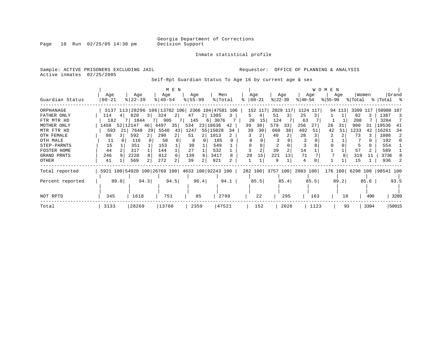Page 10 Run 02/25/05 14:30 pm

#### Inmate statistical profile

Sample: ACTIVE PRISONERS EXCLUDING JAIL **Requestor:** OFFICE OF PLANNING & ANALYSIS Active inmates 02/25/2005

Self-Rpt Guardian Status To Age 16 by current age & sex

|                  |                                                 |      |           |      |                              | M E N          |           |      |                    |      |          |         |           |                |                   |      | <b>WOMEN</b> |        |          |      |                     |       |
|------------------|-------------------------------------------------|------|-----------|------|------------------------------|----------------|-----------|------|--------------------|------|----------|---------|-----------|----------------|-------------------|------|--------------|--------|----------|------|---------------------|-------|
|                  | Age                                             |      | Age       |      | Age                          |                | Age       |      | Men                |      | Age      |         |           | Age            |                   | Age  |              | Age    | Women    |      |                     | Grand |
| Guardian Status  | $00 - 21$                                       |      | $ 22-39 $ |      | $8 40-54$                    |                | $8 55-99$ |      | % Total            |      | $ 00-21$ |         | $ 22-39 $ |                | $ 40-54 $         |      | $ 55-99 $    |        | % Total  |      | %   Total %         |       |
| ORPHANAGE        |                                                 |      |           |      | 3137 113 28296 106 13782 106 |                |           |      | 2366 104 47581 106 |      |          | 152 117 |           | 2029 117       | 1124              | 117  |              | 94 113 | 3399 117 |      | 50980 107           |       |
| FATHER ONLY      | 114                                             |      | 820       | 3    | 324                          | 2              | 47        |      | 2 1305             | 3    | 5.       | 4       | 51        | 3              | 25                |      |              |        | 82       |      | 1387                | -3    |
| FTR MTR HD       | 182                                             |      | 7   1844  |      | 905                          | 71             | 145       |      | 3076<br>6          |      | 20       | 15      | 124       |                | 63                |      |              |        | 208      |      | 3284                |       |
| MOTHER ONLY      | 1458                                            |      | 52 12147  | 46   | 4497                         | 35             | 534       |      | 23 18636           | 42   | 39       | 30      | 579       | 33             | 256               | 27   | 26           | 31     | 900      | 31   | 19536               | 41    |
| MTR FTR HD       | 593                                             | 21   | 7648      | 29   | 5540                         | 43             | 1247      |      | 55 15028           | 34   | 39       | 30      | 660       | 38             | 492               | 51   | 42           | 51     | 1233     | 42   | 16261               | 34    |
| OTH FEMALE       | 80                                              |      | 592       |      | 290                          | 2              | 51        |      | 1013               |      |          |         | 40        |                | 28                |      |              |        | 73       |      | 1086                | 2     |
| OTH MALE         | 11                                              |      | 116       |      | 50                           |                |           |      | 185                |      |          |         |           |                |                   |      |              |        |          |      | 192                 |       |
| STEP-PARNTS      | 15                                              |      | 351       |      | 153                          |                | 30        |      | 549                |      |          |         |           |                |                   |      |              |        |          |      | 554                 |       |
| FOSTER HOME      | 44                                              |      | 317       |      | 144                          |                | 27        |      | 532                |      |          |         | 39        | $\overline{2}$ | 14                |      |              |        | 57       |      | 589                 |       |
| GRAND PRNTS      | 246                                             |      | 2220      |      | 812                          | 6              | 139       | 6    | 3417               |      | 20       | 15      | 221       | 13             | 71                |      |              |        | 319      | 11   | 3736                |       |
| OTHER            | 41                                              |      | 569       |      | 272                          | $\overline{2}$ | 39        |      | 921                |      |          |         | 9         |                | 4                 |      |              |        | 15       |      | 936                 |       |
| Total reported   | 5921 100 54920 100 26769 100 4633 100 92243 100 |      |           |      |                              |                |           |      |                    |      | 282 100  |         |           |                | 3757 100 2083 100 |      | 176 100      |        |          |      | 6298 100  98541 100 |       |
| Percent reported |                                                 | 89.0 |           | 94.3 |                              | 94.5           |           | 96.4 |                    | 94.1 |          | 85.5    |           | 85.4           |                   | 85.5 |              | 89.2   |          | 85.6 |                     | 93.5  |
|                  |                                                 |      |           |      |                              |                |           |      |                    |      |          |         |           |                |                   |      |              |        |          |      |                     |       |
| NOT RPTD         | 345                                             |      | 1618      |      | 751                          |                |           | 85   | 2799               |      |          | 22      |           | 295            |                   | 163  |              | 10     |          | 490  |                     | 3289  |
| Total            | 3133                                            |      | 28269     |      | 13760                        |                | 2359      |      | 47521              |      |          | 152     |           | 2026           |                   | 1123 |              | 93     |          | 3394 |                     | 50915 |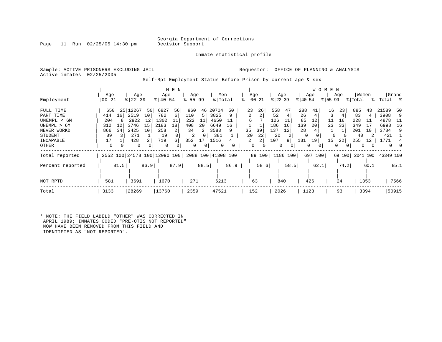Inmate statistical profile

Page 11 Run 02/25/05 14:30 pm

Sample: ACTIVE PRISONERS EXCLUDING JAIL **Requestor:** OFFICE OF PLANNING & ANALYSIS Active inmates 02/25/2005

Self-Rpt Employment Status Before Prison by current age & sex

| Employment                                                                                           | Age<br>$00 - 21$                                 | Age<br>$8   22 - 39$                                                                                 |                            | M E N<br>Age<br>$8 40-54$                                                        | Age<br>$\frac{8}{55}$ 55 - 99                                            |                                                                 | Men<br>% Total                     |                | Age<br>$ 00-21$                           | Age<br>$ 22-39 $                                                                         | Age<br>$ 40-54 $                                                 | <b>WOMEN</b><br>Age<br>$8155 - 99$                          | Women<br>% Total                                                                | Grand<br>%   Total %                                                                             |
|------------------------------------------------------------------------------------------------------|--------------------------------------------------|------------------------------------------------------------------------------------------------------|----------------------------|----------------------------------------------------------------------------------|--------------------------------------------------------------------------|-----------------------------------------------------------------|------------------------------------|----------------|-------------------------------------------|------------------------------------------------------------------------------------------|------------------------------------------------------------------|-------------------------------------------------------------|---------------------------------------------------------------------------------|--------------------------------------------------------------------------------------------------|
| FULL TIME<br>PART TIME<br>UNEMPL < 6M<br>UNEMPL > 6M<br>NEVER WORKD<br>STUDENT<br>INCAPABLE<br>OTHER | 650<br>414<br>204<br>312<br>866<br>89<br>17<br>0 | 25 12267<br>2519<br>16 <sup>1</sup><br>2922<br>3746<br>12<br>34<br>2425<br>271<br>428<br>$\mathbf 0$ | 50<br>10<br>12<br>15<br>10 | 6827<br>56<br>782<br>б.<br>1302<br>2183<br>18<br>258<br>2<br>19<br>719<br>6<br>0 | 960<br>110<br>222<br>11<br>408<br>20<br>34<br>2<br>352<br>17<br>$\Omega$ | 20704<br>46<br>3825<br>5<br>4650<br>6649<br>3583<br>381<br>1516 | 50<br>9<br>16<br>9<br>0            | 23<br>35<br>20 | 26<br>2<br>6<br>39<br>22<br>2<br>$\Omega$ | 558<br>47<br>52<br>4<br>126<br>186<br>16<br>137<br>12<br>20<br>2<br>107<br>9<br>$\Omega$ | 288<br>41<br>26<br>85<br>12<br>139<br>20<br>28<br>131<br>19<br>0 | 16<br>23<br>11<br>16<br>33<br>23<br>0<br>15<br>22<br>0<br>0 | 885<br>43<br>83<br>228<br>-11<br>349<br>17<br>201<br>10<br>40<br>255<br>12<br>0 | 21589<br>50<br>3908<br>9<br>4878<br>-11<br>6998<br>16<br>3784<br>q<br>421<br>771<br>$\mathbf{0}$ |
| Total reported<br>Percent reported<br>NOT RPTD                                                       | 581                                              | 81.5<br>3691                                                                                         | 86.9                       | 2552 100 24578 100 12090 100<br>87.9<br>1670                                     | 271                                                                      | 88.5                                                            | 2088 100 41308 100<br>86.9<br>6213 |                | 58.6<br>63                                | 89 100 1186 100<br>58.5<br>840                                                           | 697<br>62.1<br>426                                               | 69 100<br>100<br>74.2<br>24                                 | 60.1<br>1353                                                                    | 2041 100   43349 100<br>85.1<br>7566                                                             |
| Total                                                                                                | 3133                                             | 28269                                                                                                |                            | 13760                                                                            | 2359                                                                     | 47521                                                           |                                    |                | 152                                       | 2026                                                                                     | 1123                                                             | 93                                                          | 3394                                                                            | 50915                                                                                            |

\* NOTE: THE FIELD LABELD "OTHER" WAS CORRECTED IN APRIL 1989; INMATES CODED "PRE-OTIS NOT REPORTED" NOW HAVE BEEN REMOVED FROM THIS FIELD AND IDENTIFIED AS "NOT REPORTED".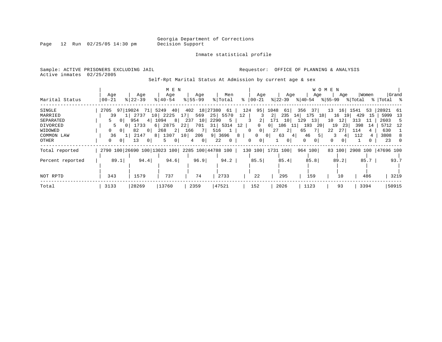Page 12 Run 02/25/05 14:30 pm

Inmate statistical profile

Sample: ACTIVE PRISONERS EXCLUDING JAIL **Requestor:** OFFICE OF PLANNING & ANALYSIS Active inmates 02/25/2005

Self-Rpt Marital Status At Admission by current age & sex

|                  |                                                 |                           | M E N                |                        |                        |                            |                        |                                 | W O M E N           |            |                     |
|------------------|-------------------------------------------------|---------------------------|----------------------|------------------------|------------------------|----------------------------|------------------------|---------------------------------|---------------------|------------|---------------------|
|                  | Age                                             | Age                       | Age                  | Age                    | Men                    | Age                        | Age                    | Age                             | Age                 | Women      | Grand               |
| Marital Status   | $00 - 21$                                       | $8122 - 39$               | $8140 - 54$          | $8 55-99$              | % Total                | %   00−21                  |                        | % 22-39 % 40-54 % 55-99 % Total |                     |            | %  Total %          |
| SINGLE           | 2705 97 19024 71                                |                           | 5249 40 402 18 27380 |                        | 61                     | 95 <br>124                 | 1048<br>61             | 356<br>37                       | 16<br>13            | 1541<br>53 | 28921 61            |
| MARRIED          | 39                                              | 1 2737<br>10 <sup>1</sup> | 2225                 | 569<br>17 <sup>1</sup> | 25<br>5570             | 12                         | 2 <sup>1</sup><br>235  | 14<br>175<br>18                 | 16<br>191           | 429<br>-15 | 5999<br>13          |
| SEPARATED        | 0 <sup>1</sup>                                  | 954<br>4                  | 8 <br>1094           | 237<br>10              | 2290<br>5              | 2                          | 171<br>10 <sup>1</sup> | 129<br>13                       | 10<br>12            | 313<br>11  | 2603<br>-5          |
| DIVORCED         | 0 <sup>1</sup>                                  | 1733                      | $6$   2875           | 701<br>221             | 5314<br>31             | 12<br>0                    | 186<br>0 I             | 193<br>20 l<br>-11              | 19<br>23            | 398<br>14  | 5712 12             |
| WIDOWED          | 0 <sup>1</sup>                                  | 82<br>$\overline{0}$      | 268<br>2             | 7 L<br>166             | 516<br>$1 \rightarrow$ | 0 <sup>1</sup><br>$\Omega$ | 2 <br>27               | 65<br>7 I                       | 22<br>27            | 114<br>4   | 630                 |
| COMMON LAW       | 36                                              | 2147                      | 8<br>1307            | 10 206                 | 9   3696               | 8<br>$\Omega$              | 63<br>0 <sup>1</sup>   | 46<br>5 <br>41                  |                     | 112<br>4   | 3808                |
| OTHER            | 0 <sup>1</sup><br>0                             | 13<br>- 0 I               | 5<br>$\circ$         | 0 <sup>1</sup><br>4    | 22<br>$\overline{0}$   | 0<br>$\mathbf{0}$          | 0 <sup>1</sup>         | 0<br>$\overline{0}$             | $\Omega$<br>$\circ$ |            | 23                  |
| Total reported   | 2790 100 26690 100 13023 100 2285 100 44788 100 |                           |                      |                        |                        |                            | 130 100 1731 100       | 964 100                         | 83 100              |            | 2908 100  47696 100 |
| Percent reported | 89.1                                            | 94.4                      | 94.6                 | 96.9                   | 94.2                   | 85.5                       | 85.4                   | 85.8                            | 89.2                | 85.7       | 93.7                |
|                  |                                                 |                           |                      |                        |                        |                            |                        |                                 |                     |            |                     |
| NOT RPTD         | 343                                             | 1579                      | 737                  | 74                     | 2733                   | 22                         | 295                    | 159                             | 10                  | 486        | 3219                |
| Total            | 3133                                            | 28269                     | 13760                | 2359                   | 47521                  | 152                        | 2026                   | 1123                            | 93                  | 3394       | 50915               |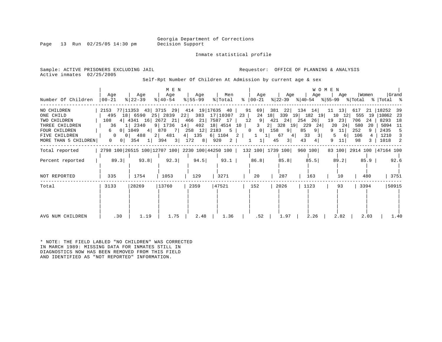Inmate statistical profile

Page 13 Run  $02/25/05$  14:30 pm

Sample: ACTIVE PRISONERS EXCLUDING JAIL **Requestor:** OFFICE OF PLANNING & ANALYSIS Active inmates 02/25/2005

Self-Rpt Number Of Children At Admission by current age & sex

|                                                                                                     |                                              |                                                                                                                                                                    | M E N                               |                                                 |                |                                                                                   |                                                 |                                                                                              | WOMEN                                                                      |                                                           |                                                                                      |
|-----------------------------------------------------------------------------------------------------|----------------------------------------------|--------------------------------------------------------------------------------------------------------------------------------------------------------------------|-------------------------------------|-------------------------------------------------|----------------|-----------------------------------------------------------------------------------|-------------------------------------------------|----------------------------------------------------------------------------------------------|----------------------------------------------------------------------------|-----------------------------------------------------------|--------------------------------------------------------------------------------------|
| Number Of Children                                                                                  | Aqe<br>$ 00 - 21 $                           | Aqe<br>$ 22-39 $                                                                                                                                                   | Age<br>$ 40-54 $                    | Age<br>$ 55 - 99 $                              | Men<br>% Total | Age<br>%   00−21                                                                  | Age                                             | Age<br>$ 22-39 $ $ 40-54 $ $ 55-99 $ $ Total$ $ Total$ $ 8 $                                 | Aqe                                                                        | Women                                                     | Grand                                                                                |
| NO CHILDREN<br>ONE CHILD<br>TWO CHILDREN<br>THREE CHILDREN<br><b>FOUR CHILDREN</b><br>FIVE CHILDREN | 108<br>36<br>6<br>0 <sup>1</sup><br>$\Omega$ | $2153$ 77 11353 43 3715 29 414 19 17635 40<br>495 18 6590 25 2839 22 383 17 10307<br>4 4341 16 2672 21 466 21 7587 17<br>1 2340<br>1049 4<br>488<br>0 <sup>1</sup> | 2 481                               | 9 1736 14 402 18 4514 10<br>870 7 258 12 2183 5 | 4 135 6 1104   | 91 69<br>23<br>24<br>$9 \mid$<br>12<br>$\overline{3}$<br>$\overline{0}$<br>2<br>1 | 421 24<br>2 328 19 229<br>$0$   158<br>9 <br>67 | 381 22 134 14<br>18 339 19 182 19<br>$254$ 26<br>24<br>9 <sup>1</sup><br>85<br>33<br>4<br>31 | $11 \quad 13$<br>10<br>12<br>19<br>23 <br>20<br>24<br>11<br>9<br>-61<br>5. | 617<br>555<br>19<br>706<br>24<br>580<br>-20<br>252<br>106 | 21   18252<br>-39<br> 10862 23<br>8293<br>18<br>5094<br>11<br>2435<br>5<br>1210<br>3 |
| MORE THAN 5 CHILDREN                                                                                | $\overline{0}$<br>0 <sup>1</sup>             | 354<br>1                                                                                                                                                           | 394<br>$\left  \frac{3}{2} \right $ | $172 \t 8$                                      | 920<br>2       | 11                                                                                | 45<br>3                                         | 43<br>4                                                                                      | 11                                                                         | 98                                                        | 1018<br>$\overline{2}$                                                               |
| Total reported                                                                                      |                                              |                                                                                                                                                                    |                                     |                                                 |                |                                                                                   |                                                 | 2798 100 26515 100 12707 100 2230 100 44250 100   132 100   1739 100   960 100               |                                                                            |                                                           | 83 100 2914 100 47164 100                                                            |
| Percent reported                                                                                    | 89.3                                         | 93.8                                                                                                                                                               | 92.3                                | 94.5                                            | 93.1           | 86.8                                                                              | 85.8                                            | 85.5                                                                                         | 89.2                                                                       | 85.9                                                      | 92.6                                                                                 |
| NOT REPORTED                                                                                        | 335                                          | 1754                                                                                                                                                               | 1053                                | 129                                             | 3271           | 20                                                                                | 287                                             | 163                                                                                          | 10                                                                         | 480                                                       | 3751                                                                                 |
| Total                                                                                               | 3133                                         | 28269                                                                                                                                                              | 13760                               | 2359                                            | 47521          | 152                                                                               | 2026                                            | 1123                                                                                         | 93                                                                         | 3394                                                      | 50915                                                                                |
| AVG NUM CHILDREN                                                                                    | .30                                          | 1.19                                                                                                                                                               | 1.75                                | 2.48                                            | 1.36           | .52                                                                               | 1.97                                            | 2.26                                                                                         | 2.82                                                                       | 2.03                                                      | 1.40                                                                                 |

\* NOTE: THE FIELD LABLED "NO CHILDREN" WAS CORRECTED IN MARCH 1989: MISSING DATA FOR INMATES STILL IN DIAGNOSTICS NOW HAS BEEN REMOVED FROM THIS FIELD AND IDENTIFIED AS "NOT REPORTED" INFORMATION.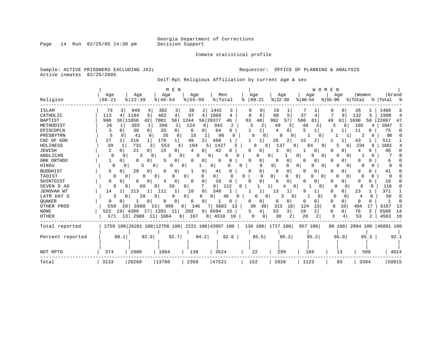Inmate statistical profile

Sample: ACTIVE PRISONERS EXCLUDING JAIL **Requestor:** OFFICE OF PLANNING & ANALYSIS Active inmates 02/25/2005

Self-Rpt Religious Affiliation by current age & sex

|                  | M E N<br>WOMEN                                                                                                                                                                 |              |
|------------------|--------------------------------------------------------------------------------------------------------------------------------------------------------------------------------|--------------|
|                  | Women<br>Age<br>Age<br>Age<br>Age<br>Men<br>Age<br>Age<br>Age<br>Age                                                                                                           | Grand        |
| Religion         | $8   22 - 39$<br>$ 22-39$<br>$8 55-99$<br>% Total<br>$ 00 - 21$<br>$00 - 21$<br>$ 40-54$<br>$ 40-54$<br>$ 55-99 $<br>% Total<br>%   Total<br>ႜ                                 | း            |
| ISLAM            | 949<br>382<br>38<br>1442<br>19<br>1468<br>73<br>4<br>3<br>26<br>2<br>3<br>0<br>3                                                                                               | 3            |
| CATHOLIC         | 1866<br>5<br>37<br>113<br>1194<br>5<br>462<br>4<br>97<br>8<br>80<br>9<br>132<br>1998<br>4<br>4<br>6<br>5<br>4                                                                  | 4            |
| <b>BAPTIST</b>   | 20377<br>992<br>57<br>996<br>36 11056<br>42 <br>7081<br>56<br>1244<br>63<br>48<br>586<br>49<br>1690<br>22067<br>56<br>61<br>61<br>46<br>58                                     | 47           |
| METHODIST        | 942<br>26<br>393<br>399<br>3<br>124<br>2<br>3<br>49<br>48<br>5<br>105<br>1047<br>1<br>6<br>2<br>3<br>5<br>6<br>4                                                               | 2            |
| EPISCOPLN        | 30<br>0  <br>25<br>64<br>75<br>0 <sup>1</sup><br>0<br>$\Omega$<br>4<br>11<br>3<br>6<br>0                                                                                       | $\Omega$     |
| PRESBYTRN        | $\Omega$<br>98<br>35<br>15<br>96<br>.5<br>41<br>$\Omega$<br>-1<br>U<br>$\Omega$<br>$\Omega$<br>0<br>2<br>U<br>0                                                                |              |
| CHC OF GOD       | 176<br>$\overline{2}$<br>468<br>27<br>216<br>49<br>26<br>2<br>511<br>15<br>2<br>43<br>11<br>$1\vert$                                                                           |              |
| HOLINESS         | 731<br>553<br>234<br>39<br>104<br>1427<br>137<br>1661<br>8<br>84<br>9<br>8<br>4<br>6<br>8<br>6                                                                                 |              |
| <b>JEWISH</b>    | $\overline{a}$<br>15<br>21<br>42<br>3<br>46<br>0  <br>4<br>0<br>0<br>4<br>0.<br>O<br>0<br>0<br>Ω<br>0                                                                          |              |
| ANGLICAN         | 0<br>3<br>3<br>0<br>O<br>0<br>0<br>0<br>0<br>0<br>0<br>6                                                                                                                       |              |
| GRK ORTHDX       | 0<br>0<br>0<br>0<br>6<br>0<br>0<br>0<br>O<br>0<br>0<br>0<br>0<br>0<br>6                                                                                                        |              |
| HINDU            | 0<br>5<br>$\Omega$<br>0<br>0<br>0<br>0<br>n<br>0<br>0 <sup>1</sup><br>0<br>0<br>6<br>0<br>0                                                                                    |              |
| <b>BUDDHIST</b>  | 29<br>0<br>0<br>5<br>0<br>6<br>0<br>0<br>0<br>0<br>0<br>O<br>41<br>0<br>41<br>0<br>U<br>0<br>Ω                                                                                 |              |
| TAOIST           | $\overline{0}$<br>$\circ$<br>0<br>$\Omega$<br>$\Omega$<br>$\Omega$<br>O<br>0<br>$\Omega$<br>01<br>0<br>0<br>$\Omega$<br>$\Omega$<br>U<br>O<br>0<br>O<br>U<br>0<br><sup>0</sup> |              |
| SHINTOIST        | 0<br>$\Omega$<br>$\Omega$<br>10<br>0<br>10<br>0<br>0<br>0<br>O<br>∩<br>$\Omega$<br>0<br>O<br>0<br><sup>0</sup><br><sup>n</sup><br>$\Omega$<br>6<br>4<br><sup>0</sup>           |              |
| SEVEN D AD       | 0<br>112<br>118<br>9<br>60<br>36<br>0<br>$\mathbf{1}$<br>$\Omega$<br>$\Omega$<br>0<br>0<br>$\Omega$<br>$\Omega$<br>6<br>$\Omega$                                               |              |
| JEHOVAH WT       | 371<br>23<br>14<br>213<br>111<br>10<br>0<br>348<br>1<br>13<br>q<br>N<br>$\Omega$                                                                                               |              |
| LATR DAY S       | 28<br>9<br>50<br>3<br>0<br>46<br>U<br>0<br>$\Omega$<br>4<br>0<br>6<br>0<br>0<br>0<br>0<br><sup>0</sup>                                                                         | $\Omega$     |
| <b>OUAKER</b>    | 0 <sup>1</sup><br>0<br>0<br>0<br>O<br>0<br>0<br>0<br>0<br>O<br>O<br>O<br>O<br>O.<br>0<br>0<br>0                                                                                | <sup>0</sup> |
| OTHER PROD       | 39<br>124<br>550<br>5683<br>313<br>13<br>8<br>10<br>484<br>17<br>6167<br>3988<br>999<br>146<br>13<br>30<br>18<br>201<br>15<br>8                                                | 13           |
| <b>NONE</b>      | 6580<br>4389<br>1391<br>9<br>6504<br>53<br>3<br>18<br>76<br>3<br>522<br>19<br>17<br>11<br>202<br>15<br>4<br>2<br>0<br>$\Omega$<br>5                                            | 14           |
| OTHER            | 13 2908<br>1064<br>167<br>20<br>3<br>53<br>2<br>4563<br>371<br>11<br>8 <sup>1</sup><br>4510<br>30<br>2<br>2<br>8 <br>10<br>0<br>0<br>4                                         | 10           |
| Total reported   | 2759 100 26261 100 12756 100 2221 100 43997 100<br>130 100 1727 100<br>957 100<br>80 100<br>2894 100   46891 100                                                               |              |
| Percent reported | 88.1<br>92.9<br>92.7<br>94.2<br>92.6<br>85.5<br>85.2<br>85.2<br>86.0<br>85.3                                                                                                   | 92.1         |
| NOT RPTD         | 374<br>2008<br>1004<br>138<br>3524<br>22<br>299<br>166<br>500<br>13                                                                                                            | 4024         |
| Total            | 28269<br>13760<br>47521<br>152<br>3133<br>2359<br>2026<br>1123<br>93<br>3394                                                                                                   | 50915        |

Page 14 Run 02/25/05 14:30 pm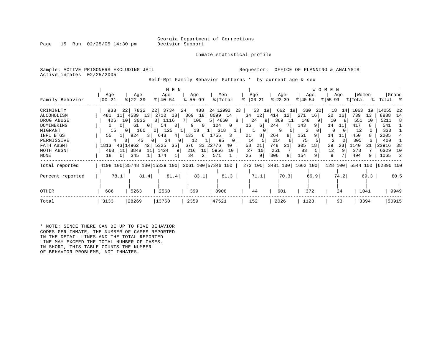Page 15 Run  $02/25/05$  14:30 pm

Inmate statistical profile

Sample: ACTIVE PRISONERS EXCLUDING JAIL **Requestor:** OFFICE OF PLANNING & ANALYSIS Active inmates 02/25/2005

Self-Rpt Family Behavior Patterns \* by current age & sex

|                  |                       |                       | M E N                       |                        |                                                 |               |                 |                           | W O M E N   |                  |              |
|------------------|-----------------------|-----------------------|-----------------------------|------------------------|-------------------------------------------------|---------------|-----------------|---------------------------|-------------|------------------|--------------|
|                  | Age                   | Age                   | Age                         | Age                    | Men                                             | Age           | Age             | Age                       | Age         | Women            | Grand        |
| Family Behavior  | $00 - 21$             | $ 22-39 $             | $8 40-54$                   | $8 55-99$              | % Total                                         | $8   00 - 21$ | $ 22-39 $       | $ 40-54 $                 | $8155 - 99$ | % Total          | %   Total %  |
| CRIMINLTY        | 938                   | 22 7832               | 22<br>3734                  | 488<br>24              | 24 12992                                        | 53 19<br>23   | 662<br>19       | 330<br>20 <sub>1</sub>    | 18<br>14    | 1063<br>19       | 14055<br>-22 |
| ALCOHOLISM       | 481                   | 11  4539<br>13        | 2710 18                     | 369                    | 18 8099 14                                      | $34 \quad 12$ | 12<br>414       | 271<br>16                 | 20<br>16    | 739<br>13        | 8838<br>14   |
| DRUG ABUSE       | 406                   | 10 3032               | 1116<br>8                   | 106<br>7 I             | 5   4660<br>8                                   | 24            | 369<br>9 <br>11 | 148                       | 10<br>8     | 551<br>10        | 5211<br>-8   |
| DOMINERING       | 0 <sup>1</sup><br>(1) | 61<br>0 I             | 54<br>$\circ$               | 9<br>0 <sup>1</sup>    | 124<br>$\mathbf{0}$                             | 16<br>6       | 244             | 143<br>91                 | 14<br>11    | 417              | 541          |
| MIGRANT          | 15                    | 160<br>0 <sup>1</sup> | 125<br>0 <sup>1</sup><br>11 | 18                     | 318<br><b>LI</b>                                |               | 9               | 2                         | 0           | 12               | 330          |
| INFL BTGS        | 55                    | 924<br>3 I            | 643<br>4                    | 133<br>6               | 1755<br>3                                       | 21<br>8       | 264<br>8        | 151                       | 14          | 450              | 2205         |
| PERMISSIVE       | 4                     | 45<br>0 I             | 34<br>0                     | 12                     | 95                                              | 14<br>5       | 214<br>6        | 75                        | 2           | 305<br>6         | 400          |
| FATH ABSNT       | 1813                  | 43 14962<br>42        | 35<br>5325                  | 676                    | 33 22776<br>40                                  | 58<br>21      | 748<br>21       | 305<br>18                 | 23<br>29    | 1140<br>21       | 23916<br>38  |
| MOTH ABSNT       | 468<br>11             | 3848<br>11            | 1424<br>91                  | 10 <sup>1</sup><br>216 | 5956<br>10                                      | 10<br>27      | 251             | 83                        | 12          | 373              | 6329<br>10   |
| NONE             | 18<br>$\Omega$        | 345                   | 174                         | 34<br>2                | 571                                             | 25<br>9       | 306<br>9        | 154                       | 9           | 494<br>9         | 1065<br>-2   |
| Total reported   |                       |                       |                             |                        | 4198 100 35748 100 15339 100 2061 100 57346 100 |               |                 | 273 100 3481 100 1662 100 |             | 128 100 5544 100 | 62890 100    |
| Percent reported | 78.1                  | 81.4                  | 81.4                        | 83.1                   | 81.3                                            | 71.1          | 70.3            | 66.9                      | 74.2        | 69.3             | 80.5         |
|                  |                       |                       |                             |                        |                                                 |               |                 |                           |             |                  |              |
| OTHER            | 686                   | 5263                  | 2560                        | 399                    | 8908                                            | 44            | 601             | 372                       | 24          | 1041             | 9949         |
| Total            | 3133                  | 28269                 | 13760                       | 2359                   | 47521                                           | 152           | 2026            | 1123                      | 93          | 3394             | 50915        |

\* NOTE: SINCE THERE CAN BE UP TO FIVE BEHAVIOR CODES PER INMATE, THE NUMBER OF CASES REPORTED IN THE DETAIL LINES AND THE TOTAL REPORTED LINE MAY EXCEED THE TOTAL NUMBER OF CASES. IN SHORT, THIS TABLE COUNTS THE NUMBER OF BEHAVIOR PROBLEMS, NOT INMATES.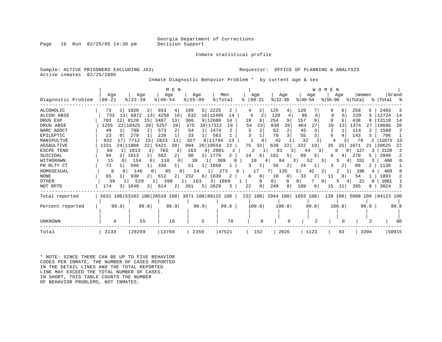Page 16 Run  $02/25/05$  14:30 pm

#### Inmate statistical profile

Sample: ACTIVE PRISONERS EXCLUDING JAIL **Requestor:** OFFICE OF PLANNING & ANALYSIS Active inmates 02/25/2005

Inmate Diagnostic Behavior Problem \* by current age & sex

|                    |                         |                         | M E N                 |                                                 |           |          |                      |                           | W O M<br>E<br>N |            |                     |
|--------------------|-------------------------|-------------------------|-----------------------|-------------------------------------------------|-----------|----------|----------------------|---------------------------|-----------------|------------|---------------------|
|                    | Age                     | Age                     | Age                   | Age                                             | Men       | Age      | Age                  | Age                       | Age             | Women      | Grand               |
| Diagnostic Problem | 00-21                   | $8$   22-39             | $8140 - 54$           | $8155 - 99$                                     | % Total   | $ 00-21$ | $ 22-39 $            | $ 40-54 $                 | $8155 - 99$     | % Total    | %   Total           |
| <b>ALCOHOLIC</b>   | 73                      | 1020                    | 933<br>4              | 199<br>2225<br>5                                | 2         | 2        | 125<br>4             | 120                       | 6               | 258<br>5   | 2483                |
| ALCOH ABSE         | 13<br>733               | 6872<br>13 <sup>1</sup> | 4258<br>16            | 632<br>16 12495                                 | 14        | 4        | 120                  | 96<br>6                   | 9<br>6          | 229<br>5   | 12724<br>14         |
| DRUG EXP           | 703<br>12               | 8120<br>15              | 13<br>3497            | 9 12680<br>360                                  | 14        | 18<br>8  | 254<br>9             | 157<br>9                  | 9<br>6          | 438        | 13118<br>14         |
| DRUG ABSE          | 1255                    | 22 10425<br>20          | 5257<br>20            | 10 17312<br>375                                 | 19        | 23<br>54 | 838<br>28            | 464                       | 18<br>13        | 1374<br>27 | 20<br>18686         |
| NARC ADDCT         | 49                      | 798                     | 573<br>2              | 1474<br>54                                      |           |          | $\overline{2}$<br>62 | 45                        | 2               | 114        | 1588                |
| EPILEPTIC          | 23                      | 279                     | 228                   | 33<br>563                                       |           |          | 3<br>79              | 55                        |                 | 143        | 706                 |
| MANIPULTVE         | 932                     | 7712<br>15              | 2823<br>11            | 327<br>8 11794                                  | 13        |          | 42                   | 32                        |                 | 79         | 11873<br>13         |
| <b>ASSAULTIVE</b>  | 1331<br>24 <sub>1</sub> | 22<br>11808             | 5421<br>20            | 26 19554<br>994                                 | 22        | 75<br>32 | 639<br>22            | 322<br>19                 | 35<br>25        | 1071<br>21 | 20625<br>22         |
| ESCPE TEND         | 60                      | 1013<br>2               | 765<br>3              | 163<br>41                                       | 2001<br>2 | 2        | 81<br>3.             | 44                        | 0<br>3.         | 127<br>3   | 2128                |
| SUICIDAL           | 94                      | 1013                    | 582<br>2              | 90<br>.779<br>2                                 |           | 14<br>6. | 161<br>5             | 89                        |                 | 270<br>5.  | 2049                |
| WITHDRAWN          | 15                      | 154                     | 110                   | 30                                              | 309       | 10       | 84                   | 52                        | 3<br>5          | 151        | 460                 |
| PR RLTY CT         | 73                      | 590                     | 336                   | 1050<br>51                                      |           |          | 56<br>2              | 24                        | 2<br>3          | 86         | 1136                |
| HOMOSEXUAL         | 8                       | 146                     | 95<br>$\Omega$        | 24                                              | 273       | 17       | 135                  | 5<br>42                   |                 | 196        | 469                 |
| <b>NONE</b>        | 65                      | 930                     | 612<br>$\overline{2}$ | 1839<br>232<br>6 I                              | 2         | 0<br>0   | 10<br>0              | 33<br>$\overline{2}$      | 8<br>11         | 54         | 1893                |
| OTHER              | 39                      | 528                     | 390                   | 103                                             | 3 1060    | 0        | 0 <sup>1</sup><br>9  | 01                        | 0<br>5.         | 21         | 1081                |
| NOT RPTD           | 174<br>3 I              | 1640<br>31              | 21<br>614             | 201<br>2629<br>5                                | 3         | 22<br>9  | 249<br>8             | 109<br>6.                 | 15<br>11        | 395<br>8   | 3024                |
| Total reported     |                         |                         |                       | 5631 100 53103 100 26510 100 3871 100 89115 100 |           |          |                      | 232 100 2944 100 1693 100 | 139 100         |            | 5008 100  94123 100 |
| Percent reported   | 99.9                    | 99.8                    | 99.9                  | 99.9                                            | 99.8      | 100.0    | 100.0                | 99.8                      | 100.0           | 99.9       | 99.8                |
|                    |                         |                         |                       |                                                 |           |          |                      |                           |                 |            |                     |
| <b>UNKNOWN</b>     | 4                       | 55                      | 16                    | 3                                               | 78        | $\Omega$ | $\Omega$             |                           | O               |            | 80                  |
| Total              | 3133                    | 28269                   | 13760                 | 2359                                            | 47521     | 152      | 2026                 | 1123                      | 93              | 3394       | 50915               |

\* NOTE: SINCE THERE CAN BE UP TO FIVE BEHAVIOR CODES PER INMATE, THE NUMBER OF CASES REPORTED IN THE DETAIL LINES AND THE TOTAL REPORTED LINE MAY EXCEED THE TOTAL NUMBER OF CASES. IN SHORT, THIS TABLE COUNTS THE NUMBER OF BEHAVIOR PROBLEMS, NOT INMATES.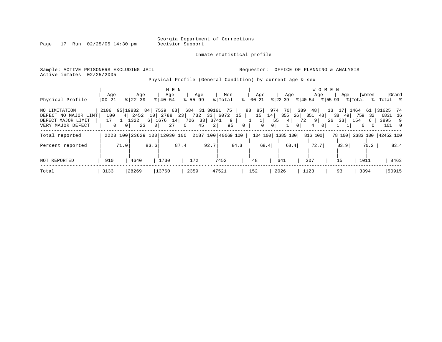Page 17 Run 02/25/05 14:30 pm

#### Inmate statistical profile

Sample: ACTIVE PRISONERS EXCLUDING JAIL **Requestor:** OFFICE OF PLANNING & ANALYSIS Active inmates 02/25/2005

Physical Profile (General Condition) by current age & sex

|                      |              |                |                              |      |             | M E N          |                         |      |         |                    |           |          |                |          |           |                | <b>WOMEN</b> |               |            |       |                           |       |
|----------------------|--------------|----------------|------------------------------|------|-------------|----------------|-------------------------|------|---------|--------------------|-----------|----------|----------------|----------|-----------|----------------|--------------|---------------|------------|-------|---------------------------|-------|
|                      | Age          |                | Age                          |      | Age         |                | Age                     |      | Men     |                    |           | Age      |                | Age      |           | Age            |              | Age           |            | Women |                           | Grand |
| Physical Profile     | $00 - 21$    |                | $8$   22-39                  |      | $8140 - 54$ |                | $8155 - 99$             |      | % Total | ႜ                  | $ 00-21 $ |          | $ 22 - 39 $    |          | $8 40-54$ |                | % 55-99      |               | % Total    |       | %  Total %                |       |
| NO LIMITATION        | 2106         |                | 95   19832 84                |      |             |                | 7539 63 684 31 30161 75 |      |         |                    | 88 85     |          | 974            | 70       | 389       | 48             |              |               | 13 17 1464 |       | 61 31625 74               |       |
| DEFECT NO MAJOR LIMT | 100          | 4              | 2452                         |      | 10 2788     | 23             | 732 33 6072 15          |      |         |                    |           | 15<br>14 | 355            |          |           | $26$ 351 43    |              | 38 49         | 759        | 32    | 6831 16                   |       |
| DEFECT MAJOR LIMIT   | 17           |                | 1322                         |      | 6 1676 14   |                | 726 33                  |      | 3741    | 9                  |           | $1\vert$ | 55             | 4        | 72        | 9 <sup>1</sup> |              | $26 \quad 33$ | 154        | 6     | 3895 9                    |       |
| VERY MAJOR DEFECT    | $\mathbf{0}$ | 0 <sup>1</sup> | 23                           | 01   | 27          | 0 <sup>1</sup> | 45                      | 2    |         | 95                 | $\Omega$  | $\Omega$ | 0 <sup>1</sup> | $\Omega$ |           | 4<br>$\Omega$  |              |               | 6          |       | 101 0                     |       |
| Total reported       |              |                | 2223 100 23629 100 12030 100 |      |             |                |                         |      |         | 2187 100 40069 100 |           | 104 100  |                | 1385 100 |           | 816 100        |              |               |            |       | 78 100 2383 100 42452 100 |       |
| Percent reported     |              | 71.0           |                              | 83.6 |             | 87.4           |                         | 92.7 |         | 84.3               |           | 68.4     |                | 68.4     |           | 72.7           |              | 83.9          |            | 70.2  |                           | 83.4  |
|                      |              |                |                              |      |             |                |                         |      |         |                    |           |          |                |          |           |                |              |               |            |       |                           |       |
| NOT REPORTED         | 910          |                | 4640                         |      | 1730        |                | 172                     |      | 7452    |                    | 48        |          | 641            |          | 307       |                |              | 15            | 1011       |       |                           | 8463  |
| Total                | 3133         |                | 28269                        |      | 13760       |                | 2359                    |      | 47521   |                    | 152       |          | 2026           |          | 1123      |                |              | 93            |            | 3394  | 50915                     |       |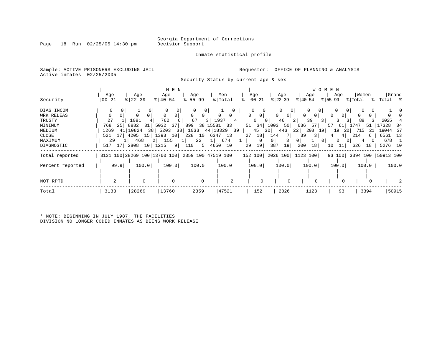Inmate statistical profile

Sample: ACTIVE PRISONERS EXCLUDING JAIL **Requestor:** OFFICE OF PLANNING & ANALYSIS Active inmates 02/25/2005

Security Status by current age & sex

| Security              | Age<br>$00 - 21$        | Age<br>$ 22-39$              | M E N<br>Age<br>$8   40 - 54$ | Age<br>$8 55-99$                                | Men<br>% Total       | Age<br>$ 00-21 $                   | Age<br>$ 22 - 39 $                                     | Age<br>$ 40-54 $                                   | W O M E N<br>Age<br>$ 55-99 $ | Women<br>% Total          | Grand<br>%   Total %          |
|-----------------------|-------------------------|------------------------------|-------------------------------|-------------------------------------------------|----------------------|------------------------------------|--------------------------------------------------------|----------------------------------------------------|-------------------------------|---------------------------|-------------------------------|
| DIAG INCOM            |                         |                              | 0 <sup>1</sup><br>0           |                                                 |                      | 0 <sup>1</sup>                     | 0<br>$\overline{0}$                                    | 0                                                  | $\mathbf{0}$                  | $\Omega$                  |                               |
| WRK RELEAS<br>TRUSTY  | 27                      | 1081                         | 762                           | $\Omega$<br>0 <sup>1</sup><br>67<br>3           | $\circ$<br>1937      | $\circ$<br>$\mathbf{0}$<br>$\circ$ | $\mathbf{0}$<br>0 <sup>1</sup><br>46<br>0 <sup>1</sup> | 0<br>0 I<br>39<br>3 <sup>1</sup><br>2 <sup>1</sup> | 0<br>$\Omega$<br>3            | 0<br>88                   | 2025                          |
| MINIMUM               | 768<br>251              | 8882<br>31                   | 5032<br>37 <sup>1</sup>       | 38 15581<br>899                                 | 33                   | $51 \quad 34$                      | 1003<br>50                                             | 636<br>57                                          | 57<br>61                      | 51<br>.747                | 17328<br>-34                  |
| MEDIUM<br>CLOSE       | 41<br>1269<br>17<br>521 | 10824<br>38<br>4205<br>15    | 5203<br>38<br>1393<br>10      | 1033<br>228<br>10 6347                          | 44 18329<br>39<br>13 | 45<br>18<br>27                     | 30<br>443<br>144<br>7 I                                | 22<br>208<br>19 I<br>3 <br>39                      | 19<br>-20  <br>4<br>4         | 715<br>21<br>214<br>6     | 19044<br>- 37<br>6561<br>- 13 |
| MAXIMUM<br>DIAGNOSTIC | 29<br>517 17            | 468<br>21<br>2808<br>10 1215 | 155<br>9                      | 22<br>110<br>5 4650                             | 674<br>10            | 0<br>19<br>29                      | 0 <sup>1</sup><br>3<br>387<br>19                       | 0 <sup>1</sup><br>0 I<br>200<br>18                 | $\overline{0}$<br>10<br>11    | 4<br>626<br>18            | 678<br>5276 10                |
| Total reported        |                         |                              |                               | 3131 100 28269 100 13760 100 2359 100 47519 100 |                      |                                    |                                                        | 152 100 2026 100 1123 100                          |                               | 93 100 3394 100 50913 100 |                               |
| Percent reported      | 99.9                    | 100.0                        | 100.0                         | 100.0                                           | 100.0                | 100.0                              | 100.0                                                  | 100.0                                              | 100.0                         | 100.0                     | 100.0                         |
| NOT RPTD              | 2                       |                              | $\mathbf 0$                   | $\mathbf 0$                                     | $\overline{c}$       |                                    |                                                        |                                                    |                               |                           |                               |
| Total                 | 3133                    | 28269                        | 13760                         | 2359                                            | 47521                | 152                                | 2026                                                   | 1123                                               | 93                            | 3394                      | 50915                         |

\* NOTE: BEGINNING IN JULY 1987, THE FACILITIES DIVISION NO LONGER CODED INMATES AS BEING WORK RELEASE

Page 18 Run 02/25/05 14:30 pm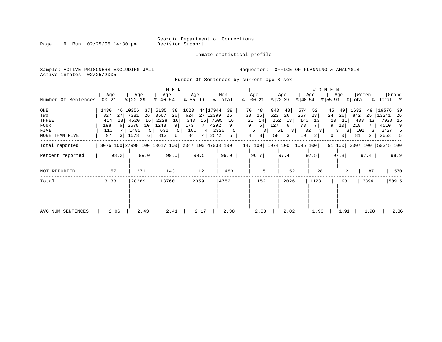Page 19 Run 02/25/05 14:30 pm

Inmate statistical profile

Sample: ACTIVE PRISONERS EXCLUDING JAIL **Requestor:** OFFICE OF PLANNING & ANALYSIS Active inmates 02/25/2005

Number Of Sentences by current age & sex

| Number Of Sentences                                                          | Age<br>$00 - 21$                                                   | Age<br>$8 22-39$                                                                                              | M E N<br>Age<br>$8 40-54$                                                    | Age<br>$8 55-99$                                                                                               | Men<br>% Total<br>°           | Age<br>$ 00-21 $                                                                                  | Age<br>$ 22-39 $<br>$ 40-54 $                                                   | W O M E N<br>Age<br>Age<br>$ 55-99 $                                          | Women<br>% Total                                                                                                 | Grand<br>%   Total %                                                              |
|------------------------------------------------------------------------------|--------------------------------------------------------------------|---------------------------------------------------------------------------------------------------------------|------------------------------------------------------------------------------|----------------------------------------------------------------------------------------------------------------|-------------------------------|---------------------------------------------------------------------------------------------------|---------------------------------------------------------------------------------|-------------------------------------------------------------------------------|------------------------------------------------------------------------------------------------------------------|-----------------------------------------------------------------------------------|
| $_{\rm ONE}$<br>TWO<br>THREE<br><b>FOUR</b><br><b>FIVE</b><br>MORE THAN FIVE | 1430<br>46<br>827<br>27<br>414<br>13<br>198<br>6<br>110<br>4<br>97 | 10356<br>37<br>7381<br>26<br>4520<br>16<br>2678<br>10 <sup>1</sup><br>1485<br>5 <sup>1</sup><br>3   1578<br>6 | 5135<br>38<br>26<br>3567<br>2228<br>16<br>1243<br>91<br>631<br>5<br>813<br>6 | 1023<br>44 17944<br>27 12399<br>624<br>15<br>7505<br>343<br>173<br>4292<br>100<br>4   2326<br>4 <br>2572<br>84 | 38<br>26<br>16<br>9<br>5<br>5 | 943<br>70<br>48<br>26<br>38<br>523<br>14<br>262<br>21<br>9<br>127<br>6<br>5<br>3<br>3 <br>58<br>4 | 574<br>48<br>26<br>257<br>140<br>13<br>73<br>6<br>32<br>61<br>3<br>19<br>3      | 52<br>45<br>23<br>24<br>13<br>10<br>9<br>3<br>3<br>$\overline{2}$<br>$\Omega$ | 1632<br>49<br>49<br>26<br>842<br>25<br>11  <br>433<br>-13<br>10<br>218<br>101<br>3 <br>3<br>0 <sup>1</sup><br>81 | 19576<br>-39<br> 13241<br>26<br>7938<br>16<br>4510<br>9<br>2427<br>5<br>2653<br>5 |
| Total reported                                                               |                                                                    |                                                                                                               |                                                                              |                                                                                                                |                               |                                                                                                   | 3076 100 27998 100 13617 100 2347 100 47038 100   147 100   1974 100   1095 100 |                                                                               | 91 100 3307 100 50345 100                                                                                        |                                                                                   |
| Percent reported                                                             | 98.2                                                               | 99.0                                                                                                          | 99.0                                                                         | 99.5                                                                                                           | 99.0                          | 96.7                                                                                              | 97.4                                                                            | 97.5<br>97.8                                                                  | 97.4                                                                                                             | 98.9                                                                              |
| NOT REPORTED                                                                 | 57                                                                 | 271                                                                                                           | 143                                                                          | 12                                                                                                             | 483                           | 5                                                                                                 | 52                                                                              | 28                                                                            | 87                                                                                                               | 570                                                                               |
| Total                                                                        | 3133                                                               | 28269                                                                                                         | 13760                                                                        | 2359                                                                                                           | 47521                         | 152                                                                                               | 2026                                                                            | 1123                                                                          | 3394<br>93                                                                                                       | 50915                                                                             |
| AVG NUM SENTENCES                                                            | 2.06                                                               | 2.43                                                                                                          | 2.41                                                                         | 2.17                                                                                                           | 2.38                          | 2.03                                                                                              | 2.02                                                                            | 1.90                                                                          | 1.98<br>1.91                                                                                                     | 2.36                                                                              |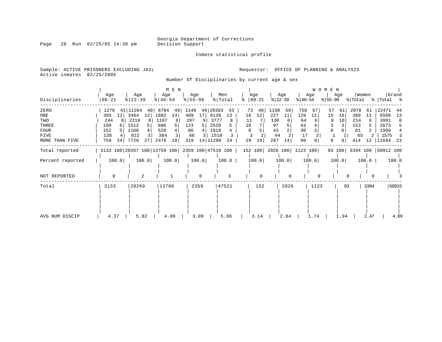Inmate statistical profile

Page 20 Run 02/25/05 14:30 pm

Sample: ACTIVE PRISONERS EXCLUDING JAIL **Requestor:** OFFICE OF PLANNING & ANALYSIS Active inmates 02/25/2005

Number Of Disciplinaries by current age & sex

| Disciplinaries                                                       | Age<br>$ 00-21$                                                 | Age<br>$ 22-39 $                                                                    | M E N<br>Age<br>$ 40-54 $                                            | Age<br>$8 55-99$                                         | Men<br>% Total                                                                   | Age<br>ႜ<br>$ 00-21$                              | Age<br>$ 22-39 $                                              | Age<br>$ 40-54 $                                          | <b>WOMEN</b><br>Age<br>$ 55-99 $          | Women<br>% Total                                               | Grand<br>%   Total %                                                           |
|----------------------------------------------------------------------|-----------------------------------------------------------------|-------------------------------------------------------------------------------------|----------------------------------------------------------------------|----------------------------------------------------------|----------------------------------------------------------------------------------|---------------------------------------------------|---------------------------------------------------------------|-----------------------------------------------------------|-------------------------------------------|----------------------------------------------------------------|--------------------------------------------------------------------------------|
| ZERO<br>ONE<br>TWO<br>THREE<br><b>FOUR</b><br>FIVE<br>MORE THAN FIVE | 1276<br>12<br>365<br>244<br>199<br>6<br>152<br>138<br>759<br>24 | 41 11264<br>40<br>3464<br>12<br>2219<br>8<br>1512<br>5<br>1160<br>922<br>7726<br>27 | 6704<br>-49<br>1882<br>14<br>1107<br>686<br>520<br>384<br>2476<br>18 | 1149<br>49<br>409<br>17<br>207<br>123<br>86<br>66<br>319 | 20393<br>43<br>6120<br>13<br>3777<br>8<br>2520<br>1918<br>1510<br>14 11280<br>24 | 73<br>48<br>12<br>18<br>11<br>10<br>8<br>29<br>19 | 1198<br>59<br>227<br>11<br>130<br>97<br>43<br>44<br>287<br>14 | 750<br>67<br>129<br>11<br>64<br>43<br>30<br>17<br>90<br>8 | 57<br>61<br>15<br>16<br>10<br>3<br>8<br>9 | 2078<br>61<br>389<br>11<br>214<br>153<br>81<br>65<br>414<br>12 | 22471<br>44<br>6509<br>13<br>3991<br>8<br>2673<br>1999<br>1575<br>11694<br>-23 |
| Total reported                                                       |                                                                 |                                                                                     |                                                                      |                                                          | 3133 100 28267 100 13759 100 2359 100 47518 100                                  |                                                   |                                                               | 152 100 2026 100 1123 100                                 |                                           | 93 100 3394 100 50912 100                                      |                                                                                |
| Percent reported                                                     | 100.0                                                           | 100.0                                                                               | 100.0                                                                | 100.0                                                    | 100.0                                                                            | 100.0                                             | 100.0                                                         | 100.0                                                     | 100.0                                     | 100.0                                                          | 100.0                                                                          |
| NOT REPORTED                                                         | 0                                                               | $\overline{2}$                                                                      |                                                                      |                                                          |                                                                                  | $\Omega$                                          |                                                               |                                                           |                                           |                                                                |                                                                                |
| Total                                                                | 3133                                                            | 28269                                                                               | 13760                                                                | 2359                                                     | 47521                                                                            | 152                                               | 2026                                                          | 1123                                                      | 93                                        | 3394                                                           | 50915                                                                          |
| AVG NUM DISCIP                                                       | 4.37                                                            | 5.82                                                                                | 4.00                                                                 | 3.09                                                     | 5.06                                                                             | 3.14                                              | 2.84                                                          | 1.74                                                      | 1.94                                      | 2.47                                                           | 4.89                                                                           |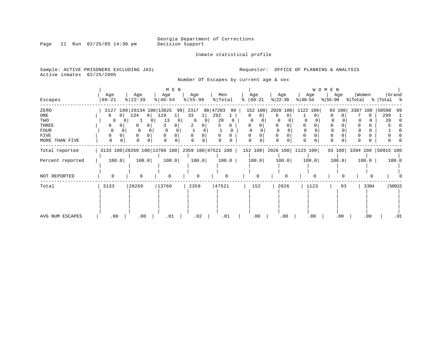Inmate statistical profile

Sample: ACTIVE PRISONERS EXCLUDING JAIL **Requestor:** OFFICE OF PLANNING & ANALYSIS Active inmates 02/25/2005

Number Of Escapes by current age & sex

|                  |                     |                                                                                 | M E N                 |           |                |               |           |           | WOMEN     |                           |                    |
|------------------|---------------------|---------------------------------------------------------------------------------|-----------------------|-----------|----------------|---------------|-----------|-----------|-----------|---------------------------|--------------------|
|                  | Age                 | Age                                                                             | Age                   | Age       | Men            | Age           | Age       | Age       | Age       | Women                     | Grand              |
| Escapes          | $00 - 21$           | $ 22-39 $                                                                       | $\frac{1}{6}$   40-54 | $8 55-99$ | % Total        | $8   00 - 21$ | $ 22-39 $ | $ 40-54 $ | $ 55-99 $ | % Total                   | %   Total %        |
| ZERO             |                     | 3127 100 28134 100 13625                                                        | 99                    | 2317      | 98 47203<br>99 | 152 100       | 2020 100  | 1122 100  | 93 100    | 3387 100                  | 50590<br>99        |
| ONE              | 0 <sup>1</sup><br>6 | 134<br>0 <sup>1</sup>                                                           | 119                   | 33        | 292            | 0<br>$\Omega$ | 6         |           | $\Omega$  | $\Omega$                  | 299                |
| TWO              |                     |                                                                                 | 13<br>U               | 6         | 20             |               |           |           |           |                           | 20<br><sup>0</sup> |
| THREE            |                     | 01                                                                              |                       |           |                |               |           |           |           |                           |                    |
| <b>FOUR</b>      | $\Omega$            | $\Omega$                                                                        |                       |           | 0              |               |           |           |           |                           |                    |
| <b>FIVE</b>      | 0                   |                                                                                 |                       | $\Omega$  | $\Omega$<br>0  | 0             |           | $\Omega$  |           |                           |                    |
| MORE THAN FIVE   | $\Omega$            |                                                                                 |                       |           |                | $\Omega$      | $\Omega$  | $\Omega$  |           |                           |                    |
| Total reported   |                     | 3133 100 28269 100 13760 100 2359 100 47521 100   152 100   2026 100   1123 100 |                       |           |                |               |           |           |           | 93 100 3394 100 50915 100 |                    |
| Percent reported | 100.0               | 100.0                                                                           | 100.0                 | 100.0     | 100.0          | 100.0         | 100.0     | 100.0     | 100.0     | 100.0                     | 100.0              |
| NOT REPORTED     | $\Omega$            | $\Omega$                                                                        | $\Omega$              | $\Omega$  |                | $\Omega$      | $\Omega$  |           | O         |                           |                    |
| Total            | 3133                | 28269                                                                           | 13760                 | 2359      | 47521          | 152           | 2026      | 1123      | 93        | 3394                      | 50915              |
|                  |                     |                                                                                 |                       |           |                |               |           |           |           |                           |                    |
| AVG NUM ESCAPES  | $.00 \,$            | .00                                                                             | .01                   | .02       | .01            | .00           | .00       | .00       | .00       | .00                       | .01                |

### Page 21 Run 02/25/05 14:30 pm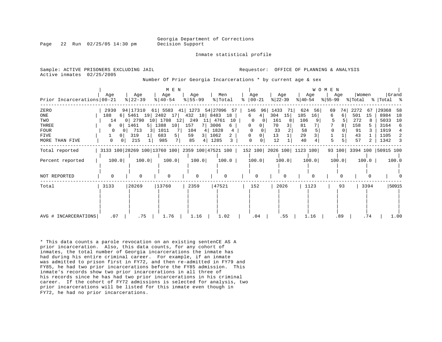Georgia Department of Corrections

Page 22 Run 02/25/05 14:30 pm Decision Support

Inmate statistical profile

Active inmates 02/25/2005

Sample: ACTIVE PRISONERS EXCLUDING JAIL **Analysis** Requestor: OFFICE OF PLANNING & ANALYSIS

Number Of Prior Georgia Incarcerations \* by current age & sex

|                            |                     |                     | M E N                                                                               |             |                     |                     |           |           | <b>WOMEN</b> |                           |             |
|----------------------------|---------------------|---------------------|-------------------------------------------------------------------------------------|-------------|---------------------|---------------------|-----------|-----------|--------------|---------------------------|-------------|
|                            | Age                 | Age                 | Age                                                                                 | Age         | Men                 | Age                 | Age       | Age       | Age          | Women                     | Grand       |
| Prior Incarcerations 00-21 |                     | $\frac{8}{22} - 39$ | $ 40-54 $                                                                           | $ 55 - 99 $ | % Total             | $\approx$ 00-21     | $ 22-39 $ | $ 40-54 $ | $ 55-99 $    | % Total                   | % Total %   |
| ZERO                       | 2930                | 94 17310            | 61 5583                                                                             |             | 41 1273 54 27096 57 | 146<br>96           | 1433 71   | 624<br>56 | 74<br>69     | 2272<br>67                | 29368<br>58 |
| ONE                        | 188                 | $6$   5461 19       | 2402 17                                                                             | 432 18 8483 | 18                  | 6<br>4              | 15<br>304 | 185<br>16 | 6<br>6.      | 501<br>15                 | 18<br>8984  |
| TWO                        | 14                  | 0 2790              | 10 1708<br>12                                                                       | 249         | 11 4761<br>10       | $\mathbf 0$         | 161       | 106       |              | 272                       | 10<br>5033  |
| THREE                      | 0 <sup>1</sup>      | 1461                | 5   1388<br>10                                                                      | 157         | 3006<br>6           | 0<br>0 <sup>1</sup> | 70        | 81        |              | 158                       | 3164<br>6   |
| <b>FOUR</b>                | 0 <sup>1</sup><br>0 | 713<br>31           | 1011<br>7                                                                           | 104<br>4    | 1828<br>4           |                     | 33        | 58        |              | 91                        | 1919<br>4   |
| FIVE                       | 0 <sup>1</sup>      | 319                 | 683<br>5                                                                            | 59<br>31    | 1062                | 0 <sup>1</sup>      | 13        | 29        |              | 43                        | 1105<br>2   |
| MORE THAN FIVE             | 0<br>0 <sup>1</sup> | 215                 | 7  <br>985                                                                          | 85          | 1285                | 0                   | 12        | 40        | 5            | 57                        | 1342<br>3   |
| Total reported             |                     |                     | 3133 100 28269 100 13760 100   2359 100   47521 100   152 100   2026 100   1123 100 |             |                     |                     |           |           |              | 93 100 3394 100 50915 100 |             |
| Percent reported           | 100.0               | 100.0               | 100.0                                                                               | 100.0       | 100.0               | 100.0               | 100.0     | 100.0     | 100.0        | 100.0                     | 100.0       |
|                            |                     |                     |                                                                                     |             |                     |                     |           |           |              |                           |             |
| NOT REPORTED               | $\Omega$            | $\Omega$            | $\Omega$                                                                            | $\Omega$    |                     | $\Omega$            | $\Omega$  |           |              |                           |             |
| Total                      | 3133                | 28269               | 13760                                                                               | 2359        | 47521               | 152                 | 2026      | 1123      | 93           | 3394                      | 50915       |
|                            |                     |                     |                                                                                     |             |                     |                     |           |           |              |                           |             |
|                            |                     |                     |                                                                                     |             |                     |                     |           |           |              |                           |             |
|                            |                     |                     |                                                                                     |             |                     |                     |           |           |              |                           |             |
|                            |                     |                     |                                                                                     |             |                     |                     |           |           |              |                           |             |
| AVG # INCARCERATIONS       | .07                 | .75                 | 1.76                                                                                | 1.16        | 1.02                | .04                 | .55       | 1.16      | .89          | .74                       | 1.00        |

\* This data counts a parole revocation on an existing sentenCE AS A prior incarceration. Also, this data counts, for any cohort of inmates, the total number of Georgia incarcerations the inmate has had during his entire criminal career. For example, if an inmate was admitted to prison first in FY72, and then re-admitted in FY79 and FY85, he had two prior incarcerations before the FY85 admission. This inmate's records show two prior incarcerations in all three of his records since he has had two prior incarcerations in his criminal career. If the cohort of FY72 admissions is selected for analysis, two prior incarcerations will be listed for this inmate even though in FY72, he had no prior incarcerations.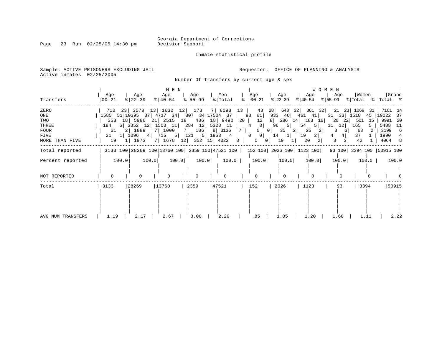Page 23 Run 02/25/05 14:30 pm

Inmate statistical profile

Sample: ACTIVE PRISONERS EXCLUDING JAIL **Requestor:** OFFICE OF PLANNING & ANALYSIS Active inmates 02/25/2005

Number Of Transfers by current age & sex

|                   | Age      | Age                                 | M E N<br>Age       | Age         | Men                                      | Age                                                                             | Age                        | Age                                        | WOMEN<br>Age | Women        | Grand                                                                                                 |
|-------------------|----------|-------------------------------------|--------------------|-------------|------------------------------------------|---------------------------------------------------------------------------------|----------------------------|--------------------------------------------|--------------|--------------|-------------------------------------------------------------------------------------------------------|
| Transfers         | 00-21    | $ 22-39 $                           | $ 40-54 $          | $ 55 - 99 $ | % Total                                  | $\frac{1}{6}$   00 - 21                                                         | % 22-39                    | ୫∣40-54                                    |              |              | $ \$ 55-99 \$ \total \total \total \total \total \total \total \total \total \total \total \total \to |
| ZERO              | 710      |                                     | 23 3578 13 1632 12 | 173         | 7 6093 13                                | 43                                                                              | 28<br>643                  | 32<br>$361$ 32                             | 21 23 1068   | 31           | 7161 14                                                                                               |
| ONE               |          |                                     |                    |             | 1585 51 10395 37 4717 34 807 34 17504 37 | 93<br>61                                                                        | 933                        | 46 461 41                                  | 31 33 1518   |              | 45 19022<br>37                                                                                        |
| TWO               |          |                                     |                    |             | 553 18 5986 21 2515 18 436 18 9490       | 12<br>20                                                                        | 8                          | 286 14 183 16                              | 20           | 22 501<br>15 | 9991 20                                                                                               |
| THREE             | 184      |                                     |                    |             | 6 3352 12 1503 11 284 12 5323 11         | 3 <br>4                                                                         | 96<br>5                    | $5 \mid$<br>54                             | 12<br>11     | 165          | 5488 11                                                                                               |
| FOUR              | 61 -     | 2 1889                              | 7 1000             |             | 7   186 8   3136                         | 7 <sup>1</sup><br>$\Omega$                                                      | 35<br>$\overline{0}$       | 25<br>$\left  \right $<br>$\left 2\right $ | 3            | 63           | 3199 6                                                                                                |
| FIVE              |          | $21 \quad 1 \mid 1096 \quad 4 \mid$ |                    |             | 715 5 121 5 1953 4                       | $\overline{0}$<br>$0$                                                           | 14<br>$\perp$              | 2 <br>19                                   | 4 <br>4      | 37           | 1990                                                                                                  |
| MORE THAN FIVE    | 19       | 1   1973                            |                    |             | 7   1678 12   352 15   4022              | 8<br>$\overline{0}$                                                             | 19<br>0 <sup>1</sup><br>11 | 20                                         | 3            | 42           | 4064 8                                                                                                |
| Total reported    |          |                                     |                    |             |                                          | 3133 100 28269 100 13760 100 2359 100 47521 100   152 100   2026 100   1123 100 |                            |                                            |              |              | 93 100 3394 100 50915 100                                                                             |
| Percent reported  | 100.0    | 100.0                               | 100.0              |             | 100.0<br>100.0                           | 100.0                                                                           | 100.0                      | 100.0                                      | 100.0        | $100.0$      | 100.0                                                                                                 |
|                   |          |                                     |                    |             |                                          |                                                                                 |                            |                                            |              |              |                                                                                                       |
| NOT REPORTED      | $\Omega$ | $\Omega$                            |                    |             |                                          | $\Omega$                                                                        |                            |                                            |              |              |                                                                                                       |
| Total             | 3133     | 28269                               | 13760              | 2359        | 47521                                    | 152                                                                             | 2026                       | 1123                                       | 93           | 3394         | 50915                                                                                                 |
|                   |          |                                     |                    |             |                                          |                                                                                 |                            |                                            |              |              |                                                                                                       |
| AVG NUM TRANSFERS | 1.19     | 2.17                                | 2.67               | 3.00        | 2.29                                     | .85                                                                             | 1.05                       | 1.20                                       | 1.68         | 1.11         | 2.22                                                                                                  |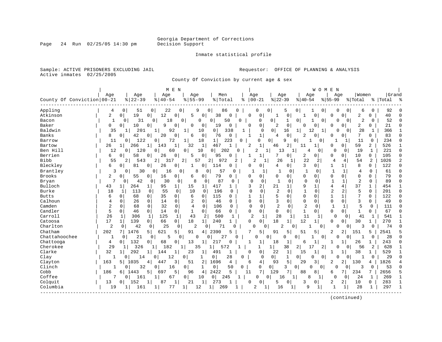Page 24 Run 02/25/05 14:30 pm

#### Inmate statistical profile

Sample: ACTIVE PRISONERS EXCLUDING JAIL **Requestor:** OFFICE OF PLANNING & ANALYSIS Active inmates 02/25/2005

County Of Conviction by current age & sex

| Grand<br>Women<br>Age<br>Age<br>Men<br>Age<br>Age<br>Age<br>Age<br>Age<br>Age<br>County Of Conviction 00-21<br>$8   22 - 39$<br>$8 55-99$<br>% Total<br>$ 00-21$<br>$ 22-39$<br>$8   40 - 54$<br>$ 40-54$<br>$8 55-99$<br>% Total<br>%   Total<br>ႜ<br>Appling<br>0<br>0<br>51<br>0<br>22<br>9<br>86<br>$\Omega$<br>5<br>0<br>92<br>4<br>0<br>0<br><sup>0</sup><br>0<br>0<br>0<br>6<br>Atkinson<br>19<br>12<br>2<br>0 <sup>1</sup><br>0<br>5<br>38<br>0<br>2<br>40<br>0<br>0<br>$\Omega$<br>$\Omega$<br>0<br>0<br>0<br>0<br>0<br><sup>0</sup><br>1<br>52<br>31<br>18<br>$\mathbf 0$<br>$\overline{2}$<br>$\Omega$<br>Bacon<br>$\mathbf{1}$<br>$\mathbf{0}$<br>0<br>$\Omega$<br>0<br>50<br>$\Omega$<br>0<br>$\mathbf{1}$<br>1<br>0<br>$\Omega$<br>$\Omega$<br>0<br>0<br>0<br>$\mathsf{Q}$<br>Baker<br>10<br>0<br>0<br>$\overline{2}$<br>0<br>$\mathbf 0$<br>2<br>21<br>0<br>0 <sup>1</sup><br>0<br>0<br>0<br>19<br>0<br>0<br>0<br>$\Omega$<br>$\Omega$<br>U<br>O<br>Baldwin<br>201<br>0<br>12<br>28<br>35<br>92<br>10<br>338<br>$\Omega$<br>$\Omega$<br>1<br>366<br>1<br>$\mathbf{1}$<br>1<br>16<br>O<br>$\Omega$<br>-1<br>$\mathbf{1}$<br>7<br>Banks<br>42<br>20<br>$\Omega$<br>0<br>76<br>$\Omega$<br>$\mathbf 0$<br>83<br>8<br>$\overline{0}$<br>6<br>$\overline{4}$<br>2<br>$\Omega$<br>0<br>$\Omega$<br>0<br>0<br>0<br>18<br>234<br>11<br>$\Omega$<br>122<br>$\Omega$<br>72<br>1 <br>223<br>$\Omega$<br>0<br>$\overline{0}$<br>9<br>0<br>11<br>$\Omega$<br>Barrow<br>1<br>$\circ$<br>1<br>0<br>1<br>32<br>$\mathbf{1}$<br>$\overline{2}$<br>$\mathbf 1$<br>59<br>2<br>526<br>26<br>266<br>1 <sup>1</sup><br>143<br>1<br>467<br>46<br>2<br>1<br>0<br>1<br>Bartow<br>$1\vert$<br>-1<br>11<br>0<br>$\overline{2}$<br>Ben Hill<br>12<br>120<br>202<br>19<br>221<br>$\Omega$<br>$\Omega$<br>60<br>$\Omega$<br>10<br>0<br>13<br>$\Omega$<br>1<br>$\Omega$<br>0<br>1<br>1<br>0<br>$\mathbf{0}$<br>Berrien<br>58<br>0<br>105<br>6<br>26<br>0<br>5<br>95<br>0<br>2<br>0<br>0<br>$\mathbf{0}$<br>10<br>$\Omega$<br>$\Omega$<br>0<br>0<br>$\Omega$<br>1<br><b>Bibb</b><br>55<br>$\overline{2}$<br>2 <br>57<br>2 <br>972<br>$\overline{c}$<br>22<br>2<br>54<br>2<br>1026<br>2<br>$\overline{2}$<br>543<br>317<br>26<br>4<br>4<br>Bleckley<br>3<br>8<br>122<br>$\Omega$<br>б<br>81<br>0<br>26<br>0<br>0<br>114<br>$\Omega$<br>$\Omega$<br>4<br>0<br>1<br>$\Omega$<br>0<br>0<br>0<br>1<br>1<br>Brantley<br>30<br>0<br>16<br>0<br>8<br>0<br>57<br>0<br>1<br>0<br>1<br>61<br>0<br>3<br>0<br>0<br>$\mathbf 1$<br>1<br>1<br>4<br>0<br>1<br><b>Brooks</b><br>16<br>0<br>$\mathbf 0$<br>$\Omega$<br>2<br>55<br>$\overline{0}$<br>0<br>79<br>0<br>0<br>0<br>0<br>0<br>0<br>0<br>79<br>$\mathbf 0$<br>0<br>6<br>$\Omega$<br>0<br>7<br>42<br>30<br>8<br>87<br>$\mathbf{1}$<br>2<br>89<br>$\Omega$<br>0<br>$\mathbf{1}$<br>1<br>0<br>Bryan<br>0<br>0<br>0<br>0<br>$\mathbf 0$<br>0<br>0<br>$\Omega$<br>U<br>9<br>4<br>37<br>Bulloch<br>264<br>95<br>$\mathbf{1}$<br>417<br>3<br>2<br>21<br>1<br>4<br>454<br>43<br>$\mathbf{1}$<br>$\mathbf{1}$<br>15<br>1<br>1<br>1<br>1<br>1<br>2<br>2<br>2<br>Burke<br>18<br>113<br>55<br>0<br>10<br>0<br>196<br>$\Omega$<br>$\Omega$<br>$\Omega$<br>0<br>5<br>$\Omega$<br>201<br>$\Omega$<br>1<br>0<br>O<br>35<br>115<br>5<br>$\mathbf{1}$<br>7<br>122<br>6<br>68<br>$\overline{0}$<br>6<br>0<br>1<br>0<br>0<br>0<br>1<br>0<br>$\Omega$<br><b>Butts</b><br>$\mathbf{0}$<br>0<br>$\Omega$<br>$\mathbf{1}$<br>3<br>Calhoun<br>$\mathbf 0$<br>$\mathbf 0$<br>0<br>$\mathbf 0$<br>0<br>$\mathbf 0$<br>3<br>0<br>26<br>0<br>14<br>0<br>2<br>46<br>0<br>0<br>0<br>49<br>0<br>4<br>0<br>32<br>2<br>$\overline{2}$<br>Camden<br>2<br>0<br>0<br>$\Omega$<br>$\mathbf 0$<br>$\mathbf 0$<br>$\mathbf{1}$<br>5<br>0<br>68<br>4<br>0<br>106<br>$\Omega$<br>$\mathbf 0$<br>1<br>0<br>111<br>$\Omega$<br>Candler<br>5<br>0<br>67<br>$\mathbf 0$<br>0<br>14<br>1<br>0<br>66<br>0<br>0<br>0<br>0<br>1<br>0<br>0<br>1<br>0<br>46<br>$\mathbf 0$<br>0<br>$\Omega$<br>Carroll<br>26<br>125<br>$\mathbf{1}$<br>43<br>500<br>2<br>28<br>11<br>306<br>1<br>2<br>1<br>$1\vert$<br>0<br>41<br>1<br>541<br>1<br>1<br>1<br>0<br>1<br>17<br>0 <sup>1</sup><br>18<br>18<br>12<br>Catoosa<br>139<br>66<br>1 <br>240<br>0<br>0<br>30<br>270<br>$\mathbf{1}$<br>0 I<br>0<br>1<br>1<br>0<br>$\mathbf{1}$<br>1<br>Charlton<br>$\overline{2}$<br>25<br>74<br>$\Omega$<br>0<br>42<br>$\overline{0}$<br>2<br>71<br>0<br>2<br>0<br>0<br><sup>0</sup><br>0<br>0<br>0<br>0<br>0<br>3<br>$\Omega$<br>Chatham<br>202<br>5  <br>5<br>2390<br>5<br>91<br>5<br>5<br>2<br>2541<br>5<br>1476<br>621<br>91<br>4<br>51<br>2<br>151<br>5<br>5<br>Chattahoochee<br>21<br>27<br>28<br>$\Omega$<br>1<br>0<br>5<br>$\Omega$<br>$\Omega$<br>O<br>U<br>$\Omega$<br>1<br>$\Omega$<br>$\Omega$<br>$\mathbf{1}$<br>$\Omega$<br>0<br><sup>0</sup><br>0<br>$\Omega$<br>132<br>68<br>13<br>21<br>243<br>Chattooga<br>4<br>0<br>0<br>1<br>$\Omega$<br>$\mathbf{1}$<br>18<br>1<br>1<br>26<br>0<br>$\mathbf{0}$<br>1<br>1<br>1<br>6<br>2<br>Cherokee<br>29<br>$\mathbf{1}$<br>2<br>628<br>326<br>182<br>35<br>1<br>572<br>$\mathbf{1}$<br>38<br>17<br>56<br>2<br>$\Omega$<br>-1<br>32<br>Clarke<br>292<br>23<br>0<br>22<br>$\mathbf{1}$<br>1<br>529<br>144<br>$\mathbf{1}$<br>491<br><sup>0</sup><br>15<br>38<br>$1\vert$<br>1 |
|------------------------------------------------------------------------------------------------------------------------------------------------------------------------------------------------------------------------------------------------------------------------------------------------------------------------------------------------------------------------------------------------------------------------------------------------------------------------------------------------------------------------------------------------------------------------------------------------------------------------------------------------------------------------------------------------------------------------------------------------------------------------------------------------------------------------------------------------------------------------------------------------------------------------------------------------------------------------------------------------------------------------------------------------------------------------------------------------------------------------------------------------------------------------------------------------------------------------------------------------------------------------------------------------------------------------------------------------------------------------------------------------------------------------------------------------------------------------------------------------------------------------------------------------------------------------------------------------------------------------------------------------------------------------------------------------------------------------------------------------------------------------------------------------------------------------------------------------------------------------------------------------------------------------------------------------------------------------------------------------------------------------------------------------------------------------------------------------------------------------------------------------------------------------------------------------------------------------------------------------------------------------------------------------------------------------------------------------------------------------------------------------------------------------------------------------------------------------------------------------------------------------------------------------------------------------------------------------------------------------------------------------------------------------------------------------------------------------------------------------------------------------------------------------------------------------------------------------------------------------------------------------------------------------------------------------------------------------------------------------------------------------------------------------------------------------------------------------------------------------------------------------------------------------------------------------------------------------------------------------------------------------------------------------------------------------------------------------------------------------------------------------------------------------------------------------------------------------------------------------------------------------------------------------------------------------------------------------------------------------------------------------------------------------------------------------------------------------------------------------------------------------------------------------------------------------------------------------------------------------------------------------------------------------------------------------------------------------------------------------------------------------------------------------------------------------------------------------------------------------------------------------------------------------------------------------------------------------------------------------------------------------------------------------------------------------------------------------------------------------------------------------------------------------------------------------------------------------------------------------------------------------------------------------------------------------------------------------------------------------------------------------------------------------------------------------------------------------------------------------------------------------------------------------------------------------------------------------------------------------------------------------------------------------------------------------------------------------------------------------------------------------------------------------------------------------------------------------------------------------------------------------------------------------------------------------------------------------------------------------------------------------------|
|                                                                                                                                                                                                                                                                                                                                                                                                                                                                                                                                                                                                                                                                                                                                                                                                                                                                                                                                                                                                                                                                                                                                                                                                                                                                                                                                                                                                                                                                                                                                                                                                                                                                                                                                                                                                                                                                                                                                                                                                                                                                                                                                                                                                                                                                                                                                                                                                                                                                                                                                                                                                                                                                                                                                                                                                                                                                                                                                                                                                                                                                                                                                                                                                                                                                                                                                                                                                                                                                                                                                                                                                                                                                                                                                                                                                                                                                                                                                                                                                                                                                                                                                                                                                                                                                                                                                                                                                                                                                                                                                                                                                                                                                                                                                                                                                                                                                                                                                                                                                                                                                                                                                                                                                                                                                              |
|                                                                                                                                                                                                                                                                                                                                                                                                                                                                                                                                                                                                                                                                                                                                                                                                                                                                                                                                                                                                                                                                                                                                                                                                                                                                                                                                                                                                                                                                                                                                                                                                                                                                                                                                                                                                                                                                                                                                                                                                                                                                                                                                                                                                                                                                                                                                                                                                                                                                                                                                                                                                                                                                                                                                                                                                                                                                                                                                                                                                                                                                                                                                                                                                                                                                                                                                                                                                                                                                                                                                                                                                                                                                                                                                                                                                                                                                                                                                                                                                                                                                                                                                                                                                                                                                                                                                                                                                                                                                                                                                                                                                                                                                                                                                                                                                                                                                                                                                                                                                                                                                                                                                                                                                                                                                              |
|                                                                                                                                                                                                                                                                                                                                                                                                                                                                                                                                                                                                                                                                                                                                                                                                                                                                                                                                                                                                                                                                                                                                                                                                                                                                                                                                                                                                                                                                                                                                                                                                                                                                                                                                                                                                                                                                                                                                                                                                                                                                                                                                                                                                                                                                                                                                                                                                                                                                                                                                                                                                                                                                                                                                                                                                                                                                                                                                                                                                                                                                                                                                                                                                                                                                                                                                                                                                                                                                                                                                                                                                                                                                                                                                                                                                                                                                                                                                                                                                                                                                                                                                                                                                                                                                                                                                                                                                                                                                                                                                                                                                                                                                                                                                                                                                                                                                                                                                                                                                                                                                                                                                                                                                                                                                              |
|                                                                                                                                                                                                                                                                                                                                                                                                                                                                                                                                                                                                                                                                                                                                                                                                                                                                                                                                                                                                                                                                                                                                                                                                                                                                                                                                                                                                                                                                                                                                                                                                                                                                                                                                                                                                                                                                                                                                                                                                                                                                                                                                                                                                                                                                                                                                                                                                                                                                                                                                                                                                                                                                                                                                                                                                                                                                                                                                                                                                                                                                                                                                                                                                                                                                                                                                                                                                                                                                                                                                                                                                                                                                                                                                                                                                                                                                                                                                                                                                                                                                                                                                                                                                                                                                                                                                                                                                                                                                                                                                                                                                                                                                                                                                                                                                                                                                                                                                                                                                                                                                                                                                                                                                                                                                              |
|                                                                                                                                                                                                                                                                                                                                                                                                                                                                                                                                                                                                                                                                                                                                                                                                                                                                                                                                                                                                                                                                                                                                                                                                                                                                                                                                                                                                                                                                                                                                                                                                                                                                                                                                                                                                                                                                                                                                                                                                                                                                                                                                                                                                                                                                                                                                                                                                                                                                                                                                                                                                                                                                                                                                                                                                                                                                                                                                                                                                                                                                                                                                                                                                                                                                                                                                                                                                                                                                                                                                                                                                                                                                                                                                                                                                                                                                                                                                                                                                                                                                                                                                                                                                                                                                                                                                                                                                                                                                                                                                                                                                                                                                                                                                                                                                                                                                                                                                                                                                                                                                                                                                                                                                                                                                              |
|                                                                                                                                                                                                                                                                                                                                                                                                                                                                                                                                                                                                                                                                                                                                                                                                                                                                                                                                                                                                                                                                                                                                                                                                                                                                                                                                                                                                                                                                                                                                                                                                                                                                                                                                                                                                                                                                                                                                                                                                                                                                                                                                                                                                                                                                                                                                                                                                                                                                                                                                                                                                                                                                                                                                                                                                                                                                                                                                                                                                                                                                                                                                                                                                                                                                                                                                                                                                                                                                                                                                                                                                                                                                                                                                                                                                                                                                                                                                                                                                                                                                                                                                                                                                                                                                                                                                                                                                                                                                                                                                                                                                                                                                                                                                                                                                                                                                                                                                                                                                                                                                                                                                                                                                                                                                              |
|                                                                                                                                                                                                                                                                                                                                                                                                                                                                                                                                                                                                                                                                                                                                                                                                                                                                                                                                                                                                                                                                                                                                                                                                                                                                                                                                                                                                                                                                                                                                                                                                                                                                                                                                                                                                                                                                                                                                                                                                                                                                                                                                                                                                                                                                                                                                                                                                                                                                                                                                                                                                                                                                                                                                                                                                                                                                                                                                                                                                                                                                                                                                                                                                                                                                                                                                                                                                                                                                                                                                                                                                                                                                                                                                                                                                                                                                                                                                                                                                                                                                                                                                                                                                                                                                                                                                                                                                                                                                                                                                                                                                                                                                                                                                                                                                                                                                                                                                                                                                                                                                                                                                                                                                                                                                              |
|                                                                                                                                                                                                                                                                                                                                                                                                                                                                                                                                                                                                                                                                                                                                                                                                                                                                                                                                                                                                                                                                                                                                                                                                                                                                                                                                                                                                                                                                                                                                                                                                                                                                                                                                                                                                                                                                                                                                                                                                                                                                                                                                                                                                                                                                                                                                                                                                                                                                                                                                                                                                                                                                                                                                                                                                                                                                                                                                                                                                                                                                                                                                                                                                                                                                                                                                                                                                                                                                                                                                                                                                                                                                                                                                                                                                                                                                                                                                                                                                                                                                                                                                                                                                                                                                                                                                                                                                                                                                                                                                                                                                                                                                                                                                                                                                                                                                                                                                                                                                                                                                                                                                                                                                                                                                              |
|                                                                                                                                                                                                                                                                                                                                                                                                                                                                                                                                                                                                                                                                                                                                                                                                                                                                                                                                                                                                                                                                                                                                                                                                                                                                                                                                                                                                                                                                                                                                                                                                                                                                                                                                                                                                                                                                                                                                                                                                                                                                                                                                                                                                                                                                                                                                                                                                                                                                                                                                                                                                                                                                                                                                                                                                                                                                                                                                                                                                                                                                                                                                                                                                                                                                                                                                                                                                                                                                                                                                                                                                                                                                                                                                                                                                                                                                                                                                                                                                                                                                                                                                                                                                                                                                                                                                                                                                                                                                                                                                                                                                                                                                                                                                                                                                                                                                                                                                                                                                                                                                                                                                                                                                                                                                              |
|                                                                                                                                                                                                                                                                                                                                                                                                                                                                                                                                                                                                                                                                                                                                                                                                                                                                                                                                                                                                                                                                                                                                                                                                                                                                                                                                                                                                                                                                                                                                                                                                                                                                                                                                                                                                                                                                                                                                                                                                                                                                                                                                                                                                                                                                                                                                                                                                                                                                                                                                                                                                                                                                                                                                                                                                                                                                                                                                                                                                                                                                                                                                                                                                                                                                                                                                                                                                                                                                                                                                                                                                                                                                                                                                                                                                                                                                                                                                                                                                                                                                                                                                                                                                                                                                                                                                                                                                                                                                                                                                                                                                                                                                                                                                                                                                                                                                                                                                                                                                                                                                                                                                                                                                                                                                              |
|                                                                                                                                                                                                                                                                                                                                                                                                                                                                                                                                                                                                                                                                                                                                                                                                                                                                                                                                                                                                                                                                                                                                                                                                                                                                                                                                                                                                                                                                                                                                                                                                                                                                                                                                                                                                                                                                                                                                                                                                                                                                                                                                                                                                                                                                                                                                                                                                                                                                                                                                                                                                                                                                                                                                                                                                                                                                                                                                                                                                                                                                                                                                                                                                                                                                                                                                                                                                                                                                                                                                                                                                                                                                                                                                                                                                                                                                                                                                                                                                                                                                                                                                                                                                                                                                                                                                                                                                                                                                                                                                                                                                                                                                                                                                                                                                                                                                                                                                                                                                                                                                                                                                                                                                                                                                              |
|                                                                                                                                                                                                                                                                                                                                                                                                                                                                                                                                                                                                                                                                                                                                                                                                                                                                                                                                                                                                                                                                                                                                                                                                                                                                                                                                                                                                                                                                                                                                                                                                                                                                                                                                                                                                                                                                                                                                                                                                                                                                                                                                                                                                                                                                                                                                                                                                                                                                                                                                                                                                                                                                                                                                                                                                                                                                                                                                                                                                                                                                                                                                                                                                                                                                                                                                                                                                                                                                                                                                                                                                                                                                                                                                                                                                                                                                                                                                                                                                                                                                                                                                                                                                                                                                                                                                                                                                                                                                                                                                                                                                                                                                                                                                                                                                                                                                                                                                                                                                                                                                                                                                                                                                                                                                              |
|                                                                                                                                                                                                                                                                                                                                                                                                                                                                                                                                                                                                                                                                                                                                                                                                                                                                                                                                                                                                                                                                                                                                                                                                                                                                                                                                                                                                                                                                                                                                                                                                                                                                                                                                                                                                                                                                                                                                                                                                                                                                                                                                                                                                                                                                                                                                                                                                                                                                                                                                                                                                                                                                                                                                                                                                                                                                                                                                                                                                                                                                                                                                                                                                                                                                                                                                                                                                                                                                                                                                                                                                                                                                                                                                                                                                                                                                                                                                                                                                                                                                                                                                                                                                                                                                                                                                                                                                                                                                                                                                                                                                                                                                                                                                                                                                                                                                                                                                                                                                                                                                                                                                                                                                                                                                              |
|                                                                                                                                                                                                                                                                                                                                                                                                                                                                                                                                                                                                                                                                                                                                                                                                                                                                                                                                                                                                                                                                                                                                                                                                                                                                                                                                                                                                                                                                                                                                                                                                                                                                                                                                                                                                                                                                                                                                                                                                                                                                                                                                                                                                                                                                                                                                                                                                                                                                                                                                                                                                                                                                                                                                                                                                                                                                                                                                                                                                                                                                                                                                                                                                                                                                                                                                                                                                                                                                                                                                                                                                                                                                                                                                                                                                                                                                                                                                                                                                                                                                                                                                                                                                                                                                                                                                                                                                                                                                                                                                                                                                                                                                                                                                                                                                                                                                                                                                                                                                                                                                                                                                                                                                                                                                              |
|                                                                                                                                                                                                                                                                                                                                                                                                                                                                                                                                                                                                                                                                                                                                                                                                                                                                                                                                                                                                                                                                                                                                                                                                                                                                                                                                                                                                                                                                                                                                                                                                                                                                                                                                                                                                                                                                                                                                                                                                                                                                                                                                                                                                                                                                                                                                                                                                                                                                                                                                                                                                                                                                                                                                                                                                                                                                                                                                                                                                                                                                                                                                                                                                                                                                                                                                                                                                                                                                                                                                                                                                                                                                                                                                                                                                                                                                                                                                                                                                                                                                                                                                                                                                                                                                                                                                                                                                                                                                                                                                                                                                                                                                                                                                                                                                                                                                                                                                                                                                                                                                                                                                                                                                                                                                              |
|                                                                                                                                                                                                                                                                                                                                                                                                                                                                                                                                                                                                                                                                                                                                                                                                                                                                                                                                                                                                                                                                                                                                                                                                                                                                                                                                                                                                                                                                                                                                                                                                                                                                                                                                                                                                                                                                                                                                                                                                                                                                                                                                                                                                                                                                                                                                                                                                                                                                                                                                                                                                                                                                                                                                                                                                                                                                                                                                                                                                                                                                                                                                                                                                                                                                                                                                                                                                                                                                                                                                                                                                                                                                                                                                                                                                                                                                                                                                                                                                                                                                                                                                                                                                                                                                                                                                                                                                                                                                                                                                                                                                                                                                                                                                                                                                                                                                                                                                                                                                                                                                                                                                                                                                                                                                              |
|                                                                                                                                                                                                                                                                                                                                                                                                                                                                                                                                                                                                                                                                                                                                                                                                                                                                                                                                                                                                                                                                                                                                                                                                                                                                                                                                                                                                                                                                                                                                                                                                                                                                                                                                                                                                                                                                                                                                                                                                                                                                                                                                                                                                                                                                                                                                                                                                                                                                                                                                                                                                                                                                                                                                                                                                                                                                                                                                                                                                                                                                                                                                                                                                                                                                                                                                                                                                                                                                                                                                                                                                                                                                                                                                                                                                                                                                                                                                                                                                                                                                                                                                                                                                                                                                                                                                                                                                                                                                                                                                                                                                                                                                                                                                                                                                                                                                                                                                                                                                                                                                                                                                                                                                                                                                              |
|                                                                                                                                                                                                                                                                                                                                                                                                                                                                                                                                                                                                                                                                                                                                                                                                                                                                                                                                                                                                                                                                                                                                                                                                                                                                                                                                                                                                                                                                                                                                                                                                                                                                                                                                                                                                                                                                                                                                                                                                                                                                                                                                                                                                                                                                                                                                                                                                                                                                                                                                                                                                                                                                                                                                                                                                                                                                                                                                                                                                                                                                                                                                                                                                                                                                                                                                                                                                                                                                                                                                                                                                                                                                                                                                                                                                                                                                                                                                                                                                                                                                                                                                                                                                                                                                                                                                                                                                                                                                                                                                                                                                                                                                                                                                                                                                                                                                                                                                                                                                                                                                                                                                                                                                                                                                              |
|                                                                                                                                                                                                                                                                                                                                                                                                                                                                                                                                                                                                                                                                                                                                                                                                                                                                                                                                                                                                                                                                                                                                                                                                                                                                                                                                                                                                                                                                                                                                                                                                                                                                                                                                                                                                                                                                                                                                                                                                                                                                                                                                                                                                                                                                                                                                                                                                                                                                                                                                                                                                                                                                                                                                                                                                                                                                                                                                                                                                                                                                                                                                                                                                                                                                                                                                                                                                                                                                                                                                                                                                                                                                                                                                                                                                                                                                                                                                                                                                                                                                                                                                                                                                                                                                                                                                                                                                                                                                                                                                                                                                                                                                                                                                                                                                                                                                                                                                                                                                                                                                                                                                                                                                                                                                              |
|                                                                                                                                                                                                                                                                                                                                                                                                                                                                                                                                                                                                                                                                                                                                                                                                                                                                                                                                                                                                                                                                                                                                                                                                                                                                                                                                                                                                                                                                                                                                                                                                                                                                                                                                                                                                                                                                                                                                                                                                                                                                                                                                                                                                                                                                                                                                                                                                                                                                                                                                                                                                                                                                                                                                                                                                                                                                                                                                                                                                                                                                                                                                                                                                                                                                                                                                                                                                                                                                                                                                                                                                                                                                                                                                                                                                                                                                                                                                                                                                                                                                                                                                                                                                                                                                                                                                                                                                                                                                                                                                                                                                                                                                                                                                                                                                                                                                                                                                                                                                                                                                                                                                                                                                                                                                              |
|                                                                                                                                                                                                                                                                                                                                                                                                                                                                                                                                                                                                                                                                                                                                                                                                                                                                                                                                                                                                                                                                                                                                                                                                                                                                                                                                                                                                                                                                                                                                                                                                                                                                                                                                                                                                                                                                                                                                                                                                                                                                                                                                                                                                                                                                                                                                                                                                                                                                                                                                                                                                                                                                                                                                                                                                                                                                                                                                                                                                                                                                                                                                                                                                                                                                                                                                                                                                                                                                                                                                                                                                                                                                                                                                                                                                                                                                                                                                                                                                                                                                                                                                                                                                                                                                                                                                                                                                                                                                                                                                                                                                                                                                                                                                                                                                                                                                                                                                                                                                                                                                                                                                                                                                                                                                              |
|                                                                                                                                                                                                                                                                                                                                                                                                                                                                                                                                                                                                                                                                                                                                                                                                                                                                                                                                                                                                                                                                                                                                                                                                                                                                                                                                                                                                                                                                                                                                                                                                                                                                                                                                                                                                                                                                                                                                                                                                                                                                                                                                                                                                                                                                                                                                                                                                                                                                                                                                                                                                                                                                                                                                                                                                                                                                                                                                                                                                                                                                                                                                                                                                                                                                                                                                                                                                                                                                                                                                                                                                                                                                                                                                                                                                                                                                                                                                                                                                                                                                                                                                                                                                                                                                                                                                                                                                                                                                                                                                                                                                                                                                                                                                                                                                                                                                                                                                                                                                                                                                                                                                                                                                                                                                              |
|                                                                                                                                                                                                                                                                                                                                                                                                                                                                                                                                                                                                                                                                                                                                                                                                                                                                                                                                                                                                                                                                                                                                                                                                                                                                                                                                                                                                                                                                                                                                                                                                                                                                                                                                                                                                                                                                                                                                                                                                                                                                                                                                                                                                                                                                                                                                                                                                                                                                                                                                                                                                                                                                                                                                                                                                                                                                                                                                                                                                                                                                                                                                                                                                                                                                                                                                                                                                                                                                                                                                                                                                                                                                                                                                                                                                                                                                                                                                                                                                                                                                                                                                                                                                                                                                                                                                                                                                                                                                                                                                                                                                                                                                                                                                                                                                                                                                                                                                                                                                                                                                                                                                                                                                                                                                              |
|                                                                                                                                                                                                                                                                                                                                                                                                                                                                                                                                                                                                                                                                                                                                                                                                                                                                                                                                                                                                                                                                                                                                                                                                                                                                                                                                                                                                                                                                                                                                                                                                                                                                                                                                                                                                                                                                                                                                                                                                                                                                                                                                                                                                                                                                                                                                                                                                                                                                                                                                                                                                                                                                                                                                                                                                                                                                                                                                                                                                                                                                                                                                                                                                                                                                                                                                                                                                                                                                                                                                                                                                                                                                                                                                                                                                                                                                                                                                                                                                                                                                                                                                                                                                                                                                                                                                                                                                                                                                                                                                                                                                                                                                                                                                                                                                                                                                                                                                                                                                                                                                                                                                                                                                                                                                              |
|                                                                                                                                                                                                                                                                                                                                                                                                                                                                                                                                                                                                                                                                                                                                                                                                                                                                                                                                                                                                                                                                                                                                                                                                                                                                                                                                                                                                                                                                                                                                                                                                                                                                                                                                                                                                                                                                                                                                                                                                                                                                                                                                                                                                                                                                                                                                                                                                                                                                                                                                                                                                                                                                                                                                                                                                                                                                                                                                                                                                                                                                                                                                                                                                                                                                                                                                                                                                                                                                                                                                                                                                                                                                                                                                                                                                                                                                                                                                                                                                                                                                                                                                                                                                                                                                                                                                                                                                                                                                                                                                                                                                                                                                                                                                                                                                                                                                                                                                                                                                                                                                                                                                                                                                                                                                              |
|                                                                                                                                                                                                                                                                                                                                                                                                                                                                                                                                                                                                                                                                                                                                                                                                                                                                                                                                                                                                                                                                                                                                                                                                                                                                                                                                                                                                                                                                                                                                                                                                                                                                                                                                                                                                                                                                                                                                                                                                                                                                                                                                                                                                                                                                                                                                                                                                                                                                                                                                                                                                                                                                                                                                                                                                                                                                                                                                                                                                                                                                                                                                                                                                                                                                                                                                                                                                                                                                                                                                                                                                                                                                                                                                                                                                                                                                                                                                                                                                                                                                                                                                                                                                                                                                                                                                                                                                                                                                                                                                                                                                                                                                                                                                                                                                                                                                                                                                                                                                                                                                                                                                                                                                                                                                              |
|                                                                                                                                                                                                                                                                                                                                                                                                                                                                                                                                                                                                                                                                                                                                                                                                                                                                                                                                                                                                                                                                                                                                                                                                                                                                                                                                                                                                                                                                                                                                                                                                                                                                                                                                                                                                                                                                                                                                                                                                                                                                                                                                                                                                                                                                                                                                                                                                                                                                                                                                                                                                                                                                                                                                                                                                                                                                                                                                                                                                                                                                                                                                                                                                                                                                                                                                                                                                                                                                                                                                                                                                                                                                                                                                                                                                                                                                                                                                                                                                                                                                                                                                                                                                                                                                                                                                                                                                                                                                                                                                                                                                                                                                                                                                                                                                                                                                                                                                                                                                                                                                                                                                                                                                                                                                              |
|                                                                                                                                                                                                                                                                                                                                                                                                                                                                                                                                                                                                                                                                                                                                                                                                                                                                                                                                                                                                                                                                                                                                                                                                                                                                                                                                                                                                                                                                                                                                                                                                                                                                                                                                                                                                                                                                                                                                                                                                                                                                                                                                                                                                                                                                                                                                                                                                                                                                                                                                                                                                                                                                                                                                                                                                                                                                                                                                                                                                                                                                                                                                                                                                                                                                                                                                                                                                                                                                                                                                                                                                                                                                                                                                                                                                                                                                                                                                                                                                                                                                                                                                                                                                                                                                                                                                                                                                                                                                                                                                                                                                                                                                                                                                                                                                                                                                                                                                                                                                                                                                                                                                                                                                                                                                              |
|                                                                                                                                                                                                                                                                                                                                                                                                                                                                                                                                                                                                                                                                                                                                                                                                                                                                                                                                                                                                                                                                                                                                                                                                                                                                                                                                                                                                                                                                                                                                                                                                                                                                                                                                                                                                                                                                                                                                                                                                                                                                                                                                                                                                                                                                                                                                                                                                                                                                                                                                                                                                                                                                                                                                                                                                                                                                                                                                                                                                                                                                                                                                                                                                                                                                                                                                                                                                                                                                                                                                                                                                                                                                                                                                                                                                                                                                                                                                                                                                                                                                                                                                                                                                                                                                                                                                                                                                                                                                                                                                                                                                                                                                                                                                                                                                                                                                                                                                                                                                                                                                                                                                                                                                                                                                              |
|                                                                                                                                                                                                                                                                                                                                                                                                                                                                                                                                                                                                                                                                                                                                                                                                                                                                                                                                                                                                                                                                                                                                                                                                                                                                                                                                                                                                                                                                                                                                                                                                                                                                                                                                                                                                                                                                                                                                                                                                                                                                                                                                                                                                                                                                                                                                                                                                                                                                                                                                                                                                                                                                                                                                                                                                                                                                                                                                                                                                                                                                                                                                                                                                                                                                                                                                                                                                                                                                                                                                                                                                                                                                                                                                                                                                                                                                                                                                                                                                                                                                                                                                                                                                                                                                                                                                                                                                                                                                                                                                                                                                                                                                                                                                                                                                                                                                                                                                                                                                                                                                                                                                                                                                                                                                              |
|                                                                                                                                                                                                                                                                                                                                                                                                                                                                                                                                                                                                                                                                                                                                                                                                                                                                                                                                                                                                                                                                                                                                                                                                                                                                                                                                                                                                                                                                                                                                                                                                                                                                                                                                                                                                                                                                                                                                                                                                                                                                                                                                                                                                                                                                                                                                                                                                                                                                                                                                                                                                                                                                                                                                                                                                                                                                                                                                                                                                                                                                                                                                                                                                                                                                                                                                                                                                                                                                                                                                                                                                                                                                                                                                                                                                                                                                                                                                                                                                                                                                                                                                                                                                                                                                                                                                                                                                                                                                                                                                                                                                                                                                                                                                                                                                                                                                                                                                                                                                                                                                                                                                                                                                                                                                              |
|                                                                                                                                                                                                                                                                                                                                                                                                                                                                                                                                                                                                                                                                                                                                                                                                                                                                                                                                                                                                                                                                                                                                                                                                                                                                                                                                                                                                                                                                                                                                                                                                                                                                                                                                                                                                                                                                                                                                                                                                                                                                                                                                                                                                                                                                                                                                                                                                                                                                                                                                                                                                                                                                                                                                                                                                                                                                                                                                                                                                                                                                                                                                                                                                                                                                                                                                                                                                                                                                                                                                                                                                                                                                                                                                                                                                                                                                                                                                                                                                                                                                                                                                                                                                                                                                                                                                                                                                                                                                                                                                                                                                                                                                                                                                                                                                                                                                                                                                                                                                                                                                                                                                                                                                                                                                              |
| 0<br>Clay<br>28<br>29<br>$\Omega$<br>12<br>$\Omega$<br>0 <sup>1</sup><br>$\Omega$<br>$\Omega$<br>0<br>O<br>0<br>$\Omega$<br>-1<br>$\Omega$<br>14<br>∩<br>0<br>$\Omega$<br>1<br>1                                                                                                                                                                                                                                                                                                                                                                                                                                                                                                                                                                                                                                                                                                                                                                                                                                                                                                                                                                                                                                                                                                                                                                                                                                                                                                                                                                                                                                                                                                                                                                                                                                                                                                                                                                                                                                                                                                                                                                                                                                                                                                                                                                                                                                                                                                                                                                                                                                                                                                                                                                                                                                                                                                                                                                                                                                                                                                                                                                                                                                                                                                                                                                                                                                                                                                                                                                                                                                                                                                                                                                                                                                                                                                                                                                                                                                                                                                                                                                                                                                                                                                                                                                                                                                                                                                                                                                                                                                                                                                                                                                                                                                                                                                                                                                                                                                                                                                                                                                                                                                                                                             |
| 4<br>5<br>1035<br>3<br>51<br>2<br>1696<br>93<br>29<br>3<br>$\overline{a}$<br>1826<br>Clayton<br>163<br>447<br>4<br>6<br>2<br>130<br>51<br>4<br>4<br>4                                                                                                                                                                                                                                                                                                                                                                                                                                                                                                                                                                                                                                                                                                                                                                                                                                                                                                                                                                                                                                                                                                                                                                                                                                                                                                                                                                                                                                                                                                                                                                                                                                                                                                                                                                                                                                                                                                                                                                                                                                                                                                                                                                                                                                                                                                                                                                                                                                                                                                                                                                                                                                                                                                                                                                                                                                                                                                                                                                                                                                                                                                                                                                                                                                                                                                                                                                                                                                                                                                                                                                                                                                                                                                                                                                                                                                                                                                                                                                                                                                                                                                                                                                                                                                                                                                                                                                                                                                                                                                                                                                                                                                                                                                                                                                                                                                                                                                                                                                                                                                                                                                                        |
| $\mathbf{0}$<br>Clinch<br>0<br>$\Omega$<br>$\Omega$<br>53<br>$\Omega$<br>32<br>$\Omega$<br>1<br>50<br>3<br>0<br>$\Omega$<br>$\Omega$<br>3<br>$\Omega$<br>1<br>0<br>16<br>0 <sup>1</sup><br>0<br>O                                                                                                                                                                                                                                                                                                                                                                                                                                                                                                                                                                                                                                                                                                                                                                                                                                                                                                                                                                                                                                                                                                                                                                                                                                                                                                                                                                                                                                                                                                                                                                                                                                                                                                                                                                                                                                                                                                                                                                                                                                                                                                                                                                                                                                                                                                                                                                                                                                                                                                                                                                                                                                                                                                                                                                                                                                                                                                                                                                                                                                                                                                                                                                                                                                                                                                                                                                                                                                                                                                                                                                                                                                                                                                                                                                                                                                                                                                                                                                                                                                                                                                                                                                                                                                                                                                                                                                                                                                                                                                                                                                                                                                                                                                                                                                                                                                                                                                                                                                                                                                                                            |
| 5<br>7<br>5<br>Cobb<br>4<br>2422<br>129<br>7<br>$7\phantom{.0}$<br>234<br>7<br>2656<br>186<br>1443<br>5<br>697<br>5<br>96<br>11<br>88<br>8<br>6 I<br>6                                                                                                                                                                                                                                                                                                                                                                                                                                                                                                                                                                                                                                                                                                                                                                                                                                                                                                                                                                                                                                                                                                                                                                                                                                                                                                                                                                                                                                                                                                                                                                                                                                                                                                                                                                                                                                                                                                                                                                                                                                                                                                                                                                                                                                                                                                                                                                                                                                                                                                                                                                                                                                                                                                                                                                                                                                                                                                                                                                                                                                                                                                                                                                                                                                                                                                                                                                                                                                                                                                                                                                                                                                                                                                                                                                                                                                                                                                                                                                                                                                                                                                                                                                                                                                                                                                                                                                                                                                                                                                                                                                                                                                                                                                                                                                                                                                                                                                                                                                                                                                                                                                                       |
| $\mathbf{1}$<br>Coffee<br>0 <sup>1</sup><br>16<br>$\Omega$<br>24<br>269<br>$\mathbf{1}$<br>67<br>$\Omega$<br>10<br>245<br>$\Omega$<br>0<br>$\mathbf{1}$<br>8<br>0<br>1<br>0<br>161<br>1                                                                                                                                                                                                                                                                                                                                                                                                                                                                                                                                                                                                                                                                                                                                                                                                                                                                                                                                                                                                                                                                                                                                                                                                                                                                                                                                                                                                                                                                                                                                                                                                                                                                                                                                                                                                                                                                                                                                                                                                                                                                                                                                                                                                                                                                                                                                                                                                                                                                                                                                                                                                                                                                                                                                                                                                                                                                                                                                                                                                                                                                                                                                                                                                                                                                                                                                                                                                                                                                                                                                                                                                                                                                                                                                                                                                                                                                                                                                                                                                                                                                                                                                                                                                                                                                                                                                                                                                                                                                                                                                                                                                                                                                                                                                                                                                                                                                                                                                                                                                                                                                                      |
| Colquit<br>152<br>21<br>$\mathbf{1}$<br>273<br>2<br>10<br>283<br>13<br>87<br>$\Omega$<br>5<br>0<br>3<br>0<br>2<br>$\Omega$<br>$\Omega$<br>-1<br>1<br>O                                                                                                                                                                                                                                                                                                                                                                                                                                                                                                                                                                                                                                                                                                                                                                                                                                                                                                                                                                                                                                                                                                                                                                                                                                                                                                                                                                                                                                                                                                                                                                                                                                                                                                                                                                                                                                                                                                                                                                                                                                                                                                                                                                                                                                                                                                                                                                                                                                                                                                                                                                                                                                                                                                                                                                                                                                                                                                                                                                                                                                                                                                                                                                                                                                                                                                                                                                                                                                                                                                                                                                                                                                                                                                                                                                                                                                                                                                                                                                                                                                                                                                                                                                                                                                                                                                                                                                                                                                                                                                                                                                                                                                                                                                                                                                                                                                                                                                                                                                                                                                                                                                                       |
| Columbia<br>9<br>28<br>297<br>$\mathbf{1}$<br>19<br>12<br>1<br>2<br>16<br>1<br>$\mathbf{1}$<br>161<br>1<br>77<br>1<br>269<br>$\mathbf{1}$<br>1<br>1<br>1                                                                                                                                                                                                                                                                                                                                                                                                                                                                                                                                                                                                                                                                                                                                                                                                                                                                                                                                                                                                                                                                                                                                                                                                                                                                                                                                                                                                                                                                                                                                                                                                                                                                                                                                                                                                                                                                                                                                                                                                                                                                                                                                                                                                                                                                                                                                                                                                                                                                                                                                                                                                                                                                                                                                                                                                                                                                                                                                                                                                                                                                                                                                                                                                                                                                                                                                                                                                                                                                                                                                                                                                                                                                                                                                                                                                                                                                                                                                                                                                                                                                                                                                                                                                                                                                                                                                                                                                                                                                                                                                                                                                                                                                                                                                                                                                                                                                                                                                                                                                                                                                                                                     |
|                                                                                                                                                                                                                                                                                                                                                                                                                                                                                                                                                                                                                                                                                                                                                                                                                                                                                                                                                                                                                                                                                                                                                                                                                                                                                                                                                                                                                                                                                                                                                                                                                                                                                                                                                                                                                                                                                                                                                                                                                                                                                                                                                                                                                                                                                                                                                                                                                                                                                                                                                                                                                                                                                                                                                                                                                                                                                                                                                                                                                                                                                                                                                                                                                                                                                                                                                                                                                                                                                                                                                                                                                                                                                                                                                                                                                                                                                                                                                                                                                                                                                                                                                                                                                                                                                                                                                                                                                                                                                                                                                                                                                                                                                                                                                                                                                                                                                                                                                                                                                                                                                                                                                                                                                                                                              |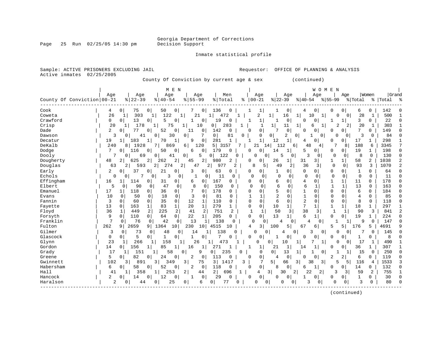Georgia Department of Corrections

Page 25 Run 02/25/05 14:30 pm Decision Support

Inmate statistical profile

Sample: ACTIVE PRISONERS EXCLUDING JAIL **Requestor:** OFFICE OF PLANNING & ANALYSIS Active inmates 02/25/2005 County Of Conviction by current age & sex (continued) | M E N | W O M E N | | Age | Age | Age | Age | Men | Age | Age | Age | Age |Women |Grand County Of Conviction|00-21 %|22-39 %|40-54 %|55-99 %|Total % |00-21 %|22-39 %|40-54 %|55-99 %|Total % |Total % ------------------------------------------------------------------------------------------------------------------------------------ Cook | 4 0| 75 0| 50 0| 7 0| 136 0 | 1 1| 1 0| 4 0| 0 0| 6 0 | 142 0 Coweta | 26 1| 303 1| 122 1| 21 1| 472 1 | 2 1| 16 1| 10 1| 0 0| 28 1 | 500 1

| Crawford  | 13<br>22<br>$\mathbf 0$<br>19<br>0<br>0<br>$\overline{0}$<br>0<br>0<br>1<br>$\Omega$<br>0 <sub>1</sub><br>3<br>0<br>0                                                             |                |
|-----------|-----------------------------------------------------------------------------------------------------------------------------------------------------------------------------------|----------------|
| Crisp     | 283<br>20<br>178<br>75<br>10<br>$\overline{2}$<br>0 <sup>1</sup><br>11<br>20<br>303<br>$\mathbf{1}$<br>$\mathbf{1}$<br>1<br>6<br>$\overline{2}$<br>1 <br>$\mathbf{1}$             |                |
| Dade      | $\overline{c}$<br>0<br>0<br>149<br>77<br>52<br>$\mathbf 0$<br>$\mathbf 0$<br>142<br>0<br>0<br>7<br>$\mathbf{0}$<br>$\overline{0}$<br>11<br>$\Omega$<br>0  <br>Ω<br>0<br>0         |                |
| Dawson    | 30<br>0<br>84<br>41<br>0<br>$\Omega$<br>81<br>$\Omega$<br>$\Omega$<br>0<br>$\overline{2}$<br>0 <sup>1</sup><br>$\Omega$<br>3<br>3<br>$\Omega$<br>$\Omega$<br>$\Omega$<br>O        |                |
| Decatur   | 183<br>281<br>1<br>19<br>$\mathbf{1}$<br>70<br>9<br>$\mathbf 0$<br>$\mathbf{1}$<br>12<br>1<br>0<br>17<br>298<br>1<br>$\Omega$<br>U<br>4                                           |                |
| DeKalb    | 240<br>1928<br>7 <br>120<br>5  <br>3157<br>188<br>3345<br>869<br>6 <br>21<br>14<br>112<br>48<br>7<br>8<br>6<br>8<br>6<br>4                                                        | 7              |
| Dodge     | 7<br>19<br>198<br>116<br>50<br>179<br>0<br>0<br>0<br>0 <sup>1</sup><br>0<br>6<br>0<br>$\Omega$<br>$\Omega$<br>14<br>1<br>5<br>0<br>0<br>$\mathbf{1}$                              | 0              |
| Dooly     | 122<br>3<br>130<br>69<br>$\overline{0}$<br>0<br>5<br>8<br>$\Omega$<br>0<br>0<br>41<br>5<br>0<br>0<br>0<br>0<br>0<br>0<br>0                                                        | $\Omega$       |
| Dougherty | 625<br>2 <br>262<br>2<br>2 <sup>1</sup><br>1038<br>48<br>2<br>980<br>2<br>0<br>1<br>58<br>$\overline{a}$<br>45<br>26<br>31<br>3 I<br>0                                            | $\overline{2}$ |
| Douglas   | 2 <br>36<br>93<br>593<br>274<br>2<br>47<br>2 <br>977<br>2<br>8<br>5<br>49<br>2<br>$\Omega$<br>3<br>1070<br>63<br>2<br>3<br>$\Omega$                                               | $\overline{2}$ |
| Early     | $\mathbf{2}$<br>37<br>63<br>3<br>0<br>64<br>0<br>0 <sup>1</sup><br>21<br>0<br>0<br>0<br>0<br>0<br>0<br>0<br>0<br>$\Omega$<br>0                                                    | 0              |
| Echols    | 7<br>3<br>11<br>11<br>0<br>0<br>$\Omega$<br>$\Omega$<br>0<br>0<br>0<br>0<br>$\mathbf{1}$<br>0<br>0<br>0<br>$\Omega$<br>$\Omega$<br>$\Omega$<br>$\Omega$<br>0                      | $\Omega$       |
| Effingham | 16<br>0<br>0 <sup>1</sup><br>167<br>0<br>$\mathbf 0$<br>178<br>31<br>6<br>0<br>0<br><sup>0</sup><br>11<br>1<br>114<br>0<br>0<br>6                                                 | <sup>0</sup>   |
| Elbert    | 90<br>13<br>163<br>47<br>8<br>150<br>$\sqrt{2}$<br>5<br>$\Omega$<br>$\Omega$<br>O<br>$\Omega$<br>$\Omega$<br>0<br>$\Omega$<br>$\Omega$<br>∩<br>6                                  | U              |
| Emanuel   | 36<br>17<br>118<br>178<br>$\Omega$<br>184<br>$\cap$<br>0<br>$\Omega$<br>0<br>0<br>$\Omega$<br>$\Omega$<br>O<br>6<br>$\Omega$<br>O                                                 | 0              |
| Evans     | 18<br>3<br>81<br>10<br>50<br>0<br>$\cap$<br><sup>0</sup><br>U<br>$\Omega$<br>85<br>$\Omega$<br>$\Omega$<br>$\Omega$<br>4<br>$\Omega$                                              | U              |
| Fannin    | 35<br>3<br>$\mathbf{0}$<br>12<br>110<br>2<br>8<br>118<br>0<br>60<br>0<br>U<br>$\Omega$<br>$\Omega$<br>$\Omega$<br>0<br>$\Omega$<br>Ω<br><sup>0</sup>                              | 0              |
| Fayette   | 279<br>13<br>163<br>83<br>$\mathbf{1}$<br>20<br>10<br>$\mathbf 1$<br>18<br>297<br>$\mathbf 0$<br>$\mathbf{1}$<br>0<br>$\mathbf{1}$<br>1<br>1<br>O                                 |                |
| Floyd     | 449<br>2<br>225<br>2<br>41<br>38<br>36<br>$\mathbf{1}$<br>2<br>751<br>$\overline{2}$<br>50<br>3<br>90<br>841<br>3<br>3                                                            | $\overline{2}$ |
| Forsyth   | $\Omega$<br>9<br>$\Omega$<br>110<br>22<br>205<br>0<br>13<br>19<br>0<br>64<br>1<br>$\Omega$<br>1<br>6<br>0<br>224<br>$\Omega$<br>$\Omega$                                          | 0              |
| Franklin  | $\overline{7}$<br>76<br>13<br>138<br>42<br>$\mathbf 0$<br>$\Omega$<br>147<br>$\Omega$<br>$\Omega$<br>0<br>$\Omega$<br>0<br>U<br>0<br>9<br>4                                       | O              |
| Fulton    | 262<br>2659<br>4515<br>3<br>5<br>176<br>4691<br>9 <sup>1</sup><br>1364<br>10<br>230<br>10 <sup>1</sup><br>100<br>67<br>5<br>5<br>9<br>10<br>4<br>6<br>5                           | 9              |
| Gilmer    | 138<br>3<br>73<br>48<br>145<br>14<br>0<br>0<br>$\overline{0}$<br>$\Omega$<br>0<br>3<br>0<br>0<br>0<br>0<br>0<br>4                                                                 | O              |
| Glascock  | 7<br>5<br>0<br>8<br>$\Omega$<br>0<br>$\overline{0}$<br>0<br>0<br>0 <sup>1</sup><br>0<br>$\mathbf 0$<br>0<br>0<br>0<br>0<br>0                                                      |                |
| Glynn     | 266<br>23<br>158<br>473<br>10<br>490<br>26<br>$\Omega$<br>1<br>0<br>17<br>1<br>O<br>$\mathbf{1}$<br>0                                                                             |                |
| Gordon    | 307<br>85<br>36<br>14<br>156<br>16<br>271<br>1<br>21<br>$\mathbf{1}$<br>$\mathbf 0$<br>0<br>1 <br>14<br>O                                                                         |                |
| Grady     | 151<br>235<br>$\overline{0}$<br>13<br>250<br>17<br>58<br>9<br>0<br>$\mathbf{0}$<br>0 <sup>1</sup><br>0<br>U<br>1<br>15<br>1<br>$\Omega$                                           | O              |
| Greene    | 82<br>5<br>24<br>2<br>0 <sub>1</sub><br>113<br>0<br>0<br>0 <sup>1</sup><br>2<br>$\overline{2}$<br>119<br>0<br>0<br>0<br><sup>0</sup><br>6<br>0 <sup>1</sup><br>$\Omega$<br>0<br>4 | <sup>0</sup>   |
| Gwinnett  | 38<br>102<br>891<br>75<br>3 <br>7<br>3 <sup>1</sup><br>116<br>1533<br>3<br>3 <br>349<br>3 <br>1417<br>3<br>3 <br>5<br>5 l<br>5 <sub>1</sub><br>66<br>4                            |                |
| Habersham | 0<br>6<br>52<br>118<br>0<br>14<br>132<br>58<br>0 <sup>1</sup><br>$\mathbf 0$<br>$\mathbf{0}$<br>$\mathbf 0$<br>8<br>0<br>0<br>2<br>1 <br>0<br>0<br>O<br>6                         | <sup>0</sup>   |
| Hall      | 2 <br>358<br>253<br>2 <br>3 <br>30<br>2 <br>22<br>59<br>2<br>755<br>$\mathbf{1}$<br>44<br>696<br>2 <br>3<br>3<br>41<br>1<br>4                                                     |                |
| Hancock   | 0<br>$\overline{a}$<br>12<br>0<br>29<br>0<br>0 <sup>1</sup><br>0<br>14<br>$\overline{0}$<br>0<br>0<br>0<br>0<br>0<br>0<br>30<br>0                                                 | O              |
| Haralson  | 25<br>77<br>$\overline{c}$<br>3<br>3<br>80<br>0<br>0<br>$\mathbf{0}$<br>∩<br>0<br>$\overline{0}$<br>$\Omega$<br>0<br>44<br>0<br>6<br>0<br>$\Omega$<br>0<br>0                      | ∩              |
|           |                                                                                                                                                                                   |                |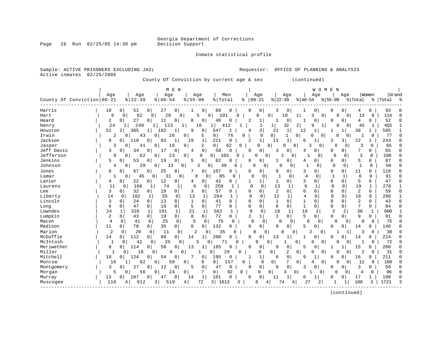Page 26 Run 02/25/05 14:30 pm

#### Inmate statistical profile

| 02/25/2005<br>County Of Conviction by current age & sex<br>(continued)<br>M E N<br>W O M E N<br>Women<br>Age<br>Age<br>Men<br>Age<br> Grand<br>Age<br>Age<br>Age<br>Age<br>Age<br>County Of Conviction 00-21<br>$8   22 - 39$<br>$8   40 - 54$<br>$8155 - 99$<br>$ 00 - 21$<br>$ 22-39$<br>$8 55-99$<br>% Total<br>ႜ<br>$ 40-54 $<br>% Total<br>%   Total<br>ಿ<br>Harris<br>0<br>89<br>$\Omega$<br>10<br>51<br>O<br>27<br>0<br>O<br>$\Omega$<br>3<br>0<br>O<br>O<br>0<br>93<br><sup>0</sup><br>$\Omega$<br>62<br>28<br>$\mathbf 0$<br>6<br>0<br>0<br>5<br>0<br>0<br>0<br>10<br>3<br>0<br>114<br>0<br>0<br>101<br>1<br>0<br>$\overline{0}$<br>13<br>0<br>27<br>48<br>52<br>2<br>11<br>0<br>$\mathbf 0$<br>$\overline{2}$<br>0<br>$\Omega$<br>$\mathbf 0$<br>0<br>0<br>0<br>8<br>1<br>$\Omega$<br>4<br>$\Omega$<br>-1<br>1<br>O<br>24<br>$\overline{2}$<br>$\overline{2}$<br>32<br>2<br>455<br>249<br>123<br>16<br>1<br>1 <br>9<br>1<br>Henry<br>1<br>41<br>1<br>0<br>43<br>1<br>305<br>182<br>9<br>0<br>3<br>21<br>$\mathbf{1}$<br>38<br>585<br>51<br>2<br>547<br>12<br>1<br>1<br>1<br>1<br>1<br>1<br>4<br>ı<br>$\Omega$<br>5<br>0 <sup>1</sup><br>$\mathbf 0$<br>$\circ$<br>$\mathbf{1}$<br>77<br>Irwin<br>2<br>26<br>76<br>$\Omega$<br>O<br>0<br>$\Omega$<br>1<br>0<br>0<br>43<br>0<br>0<br>0<br>$\Omega$<br>Jackson<br>83<br>1<br>221<br>$\mathbf 0$<br>$\overline{2}$<br>1<br>243<br>9<br>0<br>110<br>0<br>19<br>11<br>3<br>3<br>22<br>$\Omega$<br>1<br>6<br>2<br>0 <sup>1</sup><br>$\Omega$<br>Jasper<br>3<br>62<br>0<br>0<br>0<br>3<br>3<br>0<br>65<br>0<br>0<br>16<br>0<br>0<br>$\mathbf{0}$<br>∩<br>0<br>41<br>Ω<br>0<br>7<br>Jeff Davis<br>0<br>$\mathbf 0$<br>65<br>$\Omega$<br>34<br>0<br>17<br>58<br>$\Omega$<br>0<br>3<br>0<br>0<br>0<br>0<br>0<br>3<br>0<br>4<br>$\overline{a}$<br>3<br>$\mathbf{0}$<br>23<br>9<br>103<br>0<br>$\Omega$<br>$\mathbf 0$<br>106<br>9<br>0<br>62<br>0<br>0<br>0<br>0<br>0<br>0<br>-1<br>0<br>0<br>53<br>19<br>0<br>5<br>0<br>82<br>$\Omega$<br>5<br>87<br>$\Omega$<br>5<br>$\Omega$<br>$\Omega$<br>O<br>0<br>0<br>0<br>$\Omega$<br>0<br>O<br>-1<br>4<br>50<br>29<br>13<br>0<br>3<br>49<br>0<br>0<br>1<br>0<br>$\Omega$<br>0<br>0<br>0<br>O<br>0<br>0<br>0<br>-1<br>0<br>4<br>O<br>8<br>67<br>25<br>0 <sup>1</sup><br>0<br>107<br>0<br>8<br>0<br>3<br>0<br>0<br>0<br>11<br>$\Omega$<br>118<br>$\Omega$<br>0<br>0<br>$\Omega$<br>$\Omega$<br>$\Omega$<br>45<br>31<br>8<br>85<br>$\overline{1}$<br>$\mathbf{1}$<br>$\Omega$<br>91<br>Lamar<br>$\Omega$<br>$\overline{0}$<br>O<br>0<br>4<br>0<br>1<br>6<br>-1<br>0<br>O<br>U<br>0<br>22<br>12<br>42<br>3<br>0<br>5<br>$\Omega$<br>Lanier<br>0<br>0<br>0<br>0<br>$\Omega$<br>0<br>0<br>47<br>0<br>1<br>0<br>4<br>4<br>1<br>74<br>259<br>6<br>278<br>11<br>168<br>$\mathbf 0$<br>13<br>$\Omega$<br>$\mathbf 0$<br>19<br>$\mathbf{1}$<br>1<br>6<br>$\Omega$<br>$\Omega$<br>1<br>1<br>Laurens<br>0<br>1<br>1<br>-1<br>$\overline{2}$<br>$\overline{2}$<br>3<br>$\mathbf 0$<br>32<br>19<br>$\overline{0}$<br>3<br>0<br>57<br>0<br>$\Omega$<br>$\mathbf 0$<br>0<br>0<br>$\Omega$<br>$\Omega$<br>Lee<br>$\overline{0}$<br>0<br>$\Omega$<br>0<br>59<br>12<br>Liberty<br>182<br>55<br>$\mathbf 0$<br>13<br>264<br>$\Omega$<br>$\Omega$<br>16<br>280<br>14<br>1<br>1<br>0<br>1<br>4<br>0<br>$\Omega$<br>0<br>1<br>0<br>Lincoln<br>$\mathbf 0$<br>$\mathbf{1}$<br>$\mathbf{1}$<br>$\Omega$<br>$\Omega$<br>0<br>$\Omega$<br>$\overline{2}$<br>$\Omega$<br>3<br>0<br>24<br>$\Omega$<br>13<br>0<br>41<br>$\Omega$<br>$\Omega$<br>$\Omega$<br>1<br>$\Omega$<br>43<br>5<br>6<br>7<br>6<br>$\mathbf{0}$<br>47<br>0<br>19<br>$\mathbf{0}$<br>0<br>77<br>$\Omega$<br>$\Omega$<br>0<br>$\mathbf 1$<br>$\mathbf 0$<br>0<br>$\Omega$<br>$\mathbf 0$<br>$\Omega$<br>0<br>84<br>Long<br>38<br>Lowndes<br>24<br>21<br>562<br>18<br>18<br>$\overline{2}$<br>$\mathbf{1}$<br>1<br>326<br>1<br>191<br>1<br>1<br>1<br>$\Omega$<br>0<br>1<br>2<br>2<br>1<br>600<br>Lumpkin<br>0 <sup>1</sup><br>8<br>0<br>72<br>$\overline{2}$<br>2<br>5<br>9<br>$\Omega$<br>2<br>$\mathbf{0}$<br>$\overline{0}$<br>19<br>$\Omega$<br>$\Omega$<br>O<br>0<br>O<br>81<br>43<br>0<br>5<br>25<br>$\mathbf 0$<br>75<br>$\Omega$<br>75<br>$\mathbf 0$<br>Macon<br>4<br>0<br>41<br>0<br>0<br>$\Omega$<br>0<br>O<br>0<br>$\cap$<br>$\Omega$<br>0<br>$\Omega$<br>O<br>0<br>Madison<br>78<br>35<br>0 <sup>1</sup><br>8<br>132<br>$\mathbf 0$<br>$\circ$<br>0<br>$\Omega$<br>$\mathbf 0$<br>9<br>5<br>$\mathbf 0$<br>146<br>$\Omega$<br>11<br>0<br>0<br>0<br>0<br>14<br>Ω<br>Marion<br>2<br>38<br>$\Omega$<br>20<br>$\mathbf 0$<br>11<br>0<br>$\overline{2}$<br>35<br>$\Omega$<br>$\overline{c}$<br>3<br>$\Omega$<br>O<br>$\Omega$<br>$\Omega$<br>$\Omega$<br>0<br>1<br>1<br>0<br>McDuffie<br>112<br>$\overline{0}$<br>200<br>14<br>$\circ$<br>60<br>14<br>1<br>0<br>$\Omega$<br>U<br>13<br>$\Omega$<br>214<br>$\Omega$<br>0<br>1<br>N<br>14<br>25<br>72<br>$\Omega$<br>McIntosh<br>42<br>0<br>$\Omega$<br>71<br>0<br>$\Omega$<br>0<br>$\Omega$<br>$\Omega$<br>$\Omega$<br>0<br>1<br>$\Omega$<br>3<br>Ω<br>O<br>Meriwether<br>8<br>50<br>185<br>200<br>$\Omega$<br>$\Omega$<br>114<br>$\overline{0}$<br>0<br>13<br>$\Omega$<br>0<br>9<br>0<br>0<br>$\mathbf{1}$<br>15<br>1<br>$\Omega$<br>5<br>0<br>1<br>Miller<br>29<br>2<br>2<br>31<br>$\mathbf{1}$<br>18<br>$\mathsf{Q}$<br>$\Omega$<br>0<br>0<br>0<br>$\Omega$<br>0<br>0<br>$\Omega$<br>0<br>-1<br>0<br>0<br>0<br>N<br>0<br>Mitchell<br>124<br>54<br>7<br>0<br>211<br>$\Omega$<br>10<br>0<br>0<br>0<br>195<br>$\Omega$<br>6<br>9<br>1<br>16<br>$\Omega$<br>N<br>N<br>$\Omega$<br>$\mathbf 0$<br>82<br>0<br>50<br>$\mathbf 0$<br>9<br>157<br>$\mathbf 0$<br>$\Omega$<br>7<br>0<br>168<br>Monroe<br>$\Omega$<br>$\mathbf 0$<br>$\Omega$<br>11<br>16<br>4<br>Ω<br>0<br>1<br>0 <sup>1</sup><br>3<br>27<br>12<br>0<br>0<br>3<br>50<br>$\Omega$<br>$\mathbf 0$<br>0<br>0<br>5<br>47<br>0<br>$\Omega$<br>$\Omega$<br>ζ<br>0<br>0<br>$\Omega$<br>Montgomery<br>U<br>5<br>56<br>0<br>92<br>96<br>0<br>24<br>$\Omega$<br>0<br>$\Omega$<br>0<br>3<br>0<br>0<br>O<br>$\Omega$<br>4<br>$\Omega$<br>Morgan<br>O<br>0<br>1<br>47<br>$\Omega$<br>181<br>$\Omega$<br>1<br>17<br>198<br>$\Omega$<br>13<br>$\Omega$<br>107<br>0<br>14<br>n<br>11<br>U<br>1<br>Murray<br>Ω<br>6<br>3 |                | Sample: ACTIVE PRISONERS EXCLUDING JAIL<br>OFFICE OF PLANNING & ANALYSIS<br>Requestor:        |
|---------------------------------------------------------------------------------------------------------------------------------------------------------------------------------------------------------------------------------------------------------------------------------------------------------------------------------------------------------------------------------------------------------------------------------------------------------------------------------------------------------------------------------------------------------------------------------------------------------------------------------------------------------------------------------------------------------------------------------------------------------------------------------------------------------------------------------------------------------------------------------------------------------------------------------------------------------------------------------------------------------------------------------------------------------------------------------------------------------------------------------------------------------------------------------------------------------------------------------------------------------------------------------------------------------------------------------------------------------------------------------------------------------------------------------------------------------------------------------------------------------------------------------------------------------------------------------------------------------------------------------------------------------------------------------------------------------------------------------------------------------------------------------------------------------------------------------------------------------------------------------------------------------------------------------------------------------------------------------------------------------------------------------------------------------------------------------------------------------------------------------------------------------------------------------------------------------------------------------------------------------------------------------------------------------------------------------------------------------------------------------------------------------------------------------------------------------------------------------------------------------------------------------------------------------------------------------------------------------------------------------------------------------------------------------------------------------------------------------------------------------------------------------------------------------------------------------------------------------------------------------------------------------------------------------------------------------------------------------------------------------------------------------------------------------------------------------------------------------------------------------------------------------------------------------------------------------------------------------------------------------------------------------------------------------------------------------------------------------------------------------------------------------------------------------------------------------------------------------------------------------------------------------------------------------------------------------------------------------------------------------------------------------------------------------------------------------------------------------------------------------------------------------------------------------------------------------------------------------------------------------------------------------------------------------------------------------------------------------------------------------------------------------------------------------------------------------------------------------------------------------------------------------------------------------------------------------------------------------------------------------------------------------------------------------------------------------------------------------------------------------------------------------------------------------------------------------------------------------------------------------------------------------------------------------------------------------------------------------------------------------------------------------------------------------------------------------------------------------------------------------------------------------------------------------------------------------------------------------------------------------------------------------------------------------------------------------------------------------------------------------------------------------------------------------------------------------------------------------------------------------------------------------------------------------------------------------------------------------------------------------------------------------------------------------------------------------------------------------------------------------------------------------------------------------------------------------------------------------------------------------------------------------------------------------------------------------------------------------------------------------------------------------------------------------------------------------------------------------------------------------------------------------------------------------------------------------------------------------------------------------------------------------------------------------------------------------------------------------------------------------------------------------------------------------------------------------------------------------------------------------------------------------------------------------------------------------------------------------------------------|----------------|-----------------------------------------------------------------------------------------------|
|                                                                                                                                                                                                                                                                                                                                                                                                                                                                                                                                                                                                                                                                                                                                                                                                                                                                                                                                                                                                                                                                                                                                                                                                                                                                                                                                                                                                                                                                                                                                                                                                                                                                                                                                                                                                                                                                                                                                                                                                                                                                                                                                                                                                                                                                                                                                                                                                                                                                                                                                                                                                                                                                                                                                                                                                                                                                                                                                                                                                                                                                                                                                                                                                                                                                                                                                                                                                                                                                                                                                                                                                                                                                                                                                                                                                                                                                                                                                                                                                                                                                                                                                                                                                                                                                                                                                                                                                                                                                                                                                                                                                                                                                                                                                                                                                                                                                                                                                                                                                                                                                                                                                                                                                                                                                                                                                                                                                                                                                                                                                                                                                                                                                                                                                                                                                                                                                                                                                                                                                                                                                                                                                                                                                                                                   | Active inmates |                                                                                               |
|                                                                                                                                                                                                                                                                                                                                                                                                                                                                                                                                                                                                                                                                                                                                                                                                                                                                                                                                                                                                                                                                                                                                                                                                                                                                                                                                                                                                                                                                                                                                                                                                                                                                                                                                                                                                                                                                                                                                                                                                                                                                                                                                                                                                                                                                                                                                                                                                                                                                                                                                                                                                                                                                                                                                                                                                                                                                                                                                                                                                                                                                                                                                                                                                                                                                                                                                                                                                                                                                                                                                                                                                                                                                                                                                                                                                                                                                                                                                                                                                                                                                                                                                                                                                                                                                                                                                                                                                                                                                                                                                                                                                                                                                                                                                                                                                                                                                                                                                                                                                                                                                                                                                                                                                                                                                                                                                                                                                                                                                                                                                                                                                                                                                                                                                                                                                                                                                                                                                                                                                                                                                                                                                                                                                                                                   |                |                                                                                               |
|                                                                                                                                                                                                                                                                                                                                                                                                                                                                                                                                                                                                                                                                                                                                                                                                                                                                                                                                                                                                                                                                                                                                                                                                                                                                                                                                                                                                                                                                                                                                                                                                                                                                                                                                                                                                                                                                                                                                                                                                                                                                                                                                                                                                                                                                                                                                                                                                                                                                                                                                                                                                                                                                                                                                                                                                                                                                                                                                                                                                                                                                                                                                                                                                                                                                                                                                                                                                                                                                                                                                                                                                                                                                                                                                                                                                                                                                                                                                                                                                                                                                                                                                                                                                                                                                                                                                                                                                                                                                                                                                                                                                                                                                                                                                                                                                                                                                                                                                                                                                                                                                                                                                                                                                                                                                                                                                                                                                                                                                                                                                                                                                                                                                                                                                                                                                                                                                                                                                                                                                                                                                                                                                                                                                                                                   |                |                                                                                               |
|                                                                                                                                                                                                                                                                                                                                                                                                                                                                                                                                                                                                                                                                                                                                                                                                                                                                                                                                                                                                                                                                                                                                                                                                                                                                                                                                                                                                                                                                                                                                                                                                                                                                                                                                                                                                                                                                                                                                                                                                                                                                                                                                                                                                                                                                                                                                                                                                                                                                                                                                                                                                                                                                                                                                                                                                                                                                                                                                                                                                                                                                                                                                                                                                                                                                                                                                                                                                                                                                                                                                                                                                                                                                                                                                                                                                                                                                                                                                                                                                                                                                                                                                                                                                                                                                                                                                                                                                                                                                                                                                                                                                                                                                                                                                                                                                                                                                                                                                                                                                                                                                                                                                                                                                                                                                                                                                                                                                                                                                                                                                                                                                                                                                                                                                                                                                                                                                                                                                                                                                                                                                                                                                                                                                                                                   |                |                                                                                               |
|                                                                                                                                                                                                                                                                                                                                                                                                                                                                                                                                                                                                                                                                                                                                                                                                                                                                                                                                                                                                                                                                                                                                                                                                                                                                                                                                                                                                                                                                                                                                                                                                                                                                                                                                                                                                                                                                                                                                                                                                                                                                                                                                                                                                                                                                                                                                                                                                                                                                                                                                                                                                                                                                                                                                                                                                                                                                                                                                                                                                                                                                                                                                                                                                                                                                                                                                                                                                                                                                                                                                                                                                                                                                                                                                                                                                                                                                                                                                                                                                                                                                                                                                                                                                                                                                                                                                                                                                                                                                                                                                                                                                                                                                                                                                                                                                                                                                                                                                                                                                                                                                                                                                                                                                                                                                                                                                                                                                                                                                                                                                                                                                                                                                                                                                                                                                                                                                                                                                                                                                                                                                                                                                                                                                                                                   |                |                                                                                               |
|                                                                                                                                                                                                                                                                                                                                                                                                                                                                                                                                                                                                                                                                                                                                                                                                                                                                                                                                                                                                                                                                                                                                                                                                                                                                                                                                                                                                                                                                                                                                                                                                                                                                                                                                                                                                                                                                                                                                                                                                                                                                                                                                                                                                                                                                                                                                                                                                                                                                                                                                                                                                                                                                                                                                                                                                                                                                                                                                                                                                                                                                                                                                                                                                                                                                                                                                                                                                                                                                                                                                                                                                                                                                                                                                                                                                                                                                                                                                                                                                                                                                                                                                                                                                                                                                                                                                                                                                                                                                                                                                                                                                                                                                                                                                                                                                                                                                                                                                                                                                                                                                                                                                                                                                                                                                                                                                                                                                                                                                                                                                                                                                                                                                                                                                                                                                                                                                                                                                                                                                                                                                                                                                                                                                                                                   | Hart           |                                                                                               |
|                                                                                                                                                                                                                                                                                                                                                                                                                                                                                                                                                                                                                                                                                                                                                                                                                                                                                                                                                                                                                                                                                                                                                                                                                                                                                                                                                                                                                                                                                                                                                                                                                                                                                                                                                                                                                                                                                                                                                                                                                                                                                                                                                                                                                                                                                                                                                                                                                                                                                                                                                                                                                                                                                                                                                                                                                                                                                                                                                                                                                                                                                                                                                                                                                                                                                                                                                                                                                                                                                                                                                                                                                                                                                                                                                                                                                                                                                                                                                                                                                                                                                                                                                                                                                                                                                                                                                                                                                                                                                                                                                                                                                                                                                                                                                                                                                                                                                                                                                                                                                                                                                                                                                                                                                                                                                                                                                                                                                                                                                                                                                                                                                                                                                                                                                                                                                                                                                                                                                                                                                                                                                                                                                                                                                                                   | Heard          |                                                                                               |
|                                                                                                                                                                                                                                                                                                                                                                                                                                                                                                                                                                                                                                                                                                                                                                                                                                                                                                                                                                                                                                                                                                                                                                                                                                                                                                                                                                                                                                                                                                                                                                                                                                                                                                                                                                                                                                                                                                                                                                                                                                                                                                                                                                                                                                                                                                                                                                                                                                                                                                                                                                                                                                                                                                                                                                                                                                                                                                                                                                                                                                                                                                                                                                                                                                                                                                                                                                                                                                                                                                                                                                                                                                                                                                                                                                                                                                                                                                                                                                                                                                                                                                                                                                                                                                                                                                                                                                                                                                                                                                                                                                                                                                                                                                                                                                                                                                                                                                                                                                                                                                                                                                                                                                                                                                                                                                                                                                                                                                                                                                                                                                                                                                                                                                                                                                                                                                                                                                                                                                                                                                                                                                                                                                                                                                                   |                |                                                                                               |
|                                                                                                                                                                                                                                                                                                                                                                                                                                                                                                                                                                                                                                                                                                                                                                                                                                                                                                                                                                                                                                                                                                                                                                                                                                                                                                                                                                                                                                                                                                                                                                                                                                                                                                                                                                                                                                                                                                                                                                                                                                                                                                                                                                                                                                                                                                                                                                                                                                                                                                                                                                                                                                                                                                                                                                                                                                                                                                                                                                                                                                                                                                                                                                                                                                                                                                                                                                                                                                                                                                                                                                                                                                                                                                                                                                                                                                                                                                                                                                                                                                                                                                                                                                                                                                                                                                                                                                                                                                                                                                                                                                                                                                                                                                                                                                                                                                                                                                                                                                                                                                                                                                                                                                                                                                                                                                                                                                                                                                                                                                                                                                                                                                                                                                                                                                                                                                                                                                                                                                                                                                                                                                                                                                                                                                                   | Houston        |                                                                                               |
|                                                                                                                                                                                                                                                                                                                                                                                                                                                                                                                                                                                                                                                                                                                                                                                                                                                                                                                                                                                                                                                                                                                                                                                                                                                                                                                                                                                                                                                                                                                                                                                                                                                                                                                                                                                                                                                                                                                                                                                                                                                                                                                                                                                                                                                                                                                                                                                                                                                                                                                                                                                                                                                                                                                                                                                                                                                                                                                                                                                                                                                                                                                                                                                                                                                                                                                                                                                                                                                                                                                                                                                                                                                                                                                                                                                                                                                                                                                                                                                                                                                                                                                                                                                                                                                                                                                                                                                                                                                                                                                                                                                                                                                                                                                                                                                                                                                                                                                                                                                                                                                                                                                                                                                                                                                                                                                                                                                                                                                                                                                                                                                                                                                                                                                                                                                                                                                                                                                                                                                                                                                                                                                                                                                                                                                   |                |                                                                                               |
|                                                                                                                                                                                                                                                                                                                                                                                                                                                                                                                                                                                                                                                                                                                                                                                                                                                                                                                                                                                                                                                                                                                                                                                                                                                                                                                                                                                                                                                                                                                                                                                                                                                                                                                                                                                                                                                                                                                                                                                                                                                                                                                                                                                                                                                                                                                                                                                                                                                                                                                                                                                                                                                                                                                                                                                                                                                                                                                                                                                                                                                                                                                                                                                                                                                                                                                                                                                                                                                                                                                                                                                                                                                                                                                                                                                                                                                                                                                                                                                                                                                                                                                                                                                                                                                                                                                                                                                                                                                                                                                                                                                                                                                                                                                                                                                                                                                                                                                                                                                                                                                                                                                                                                                                                                                                                                                                                                                                                                                                                                                                                                                                                                                                                                                                                                                                                                                                                                                                                                                                                                                                                                                                                                                                                                                   |                |                                                                                               |
|                                                                                                                                                                                                                                                                                                                                                                                                                                                                                                                                                                                                                                                                                                                                                                                                                                                                                                                                                                                                                                                                                                                                                                                                                                                                                                                                                                                                                                                                                                                                                                                                                                                                                                                                                                                                                                                                                                                                                                                                                                                                                                                                                                                                                                                                                                                                                                                                                                                                                                                                                                                                                                                                                                                                                                                                                                                                                                                                                                                                                                                                                                                                                                                                                                                                                                                                                                                                                                                                                                                                                                                                                                                                                                                                                                                                                                                                                                                                                                                                                                                                                                                                                                                                                                                                                                                                                                                                                                                                                                                                                                                                                                                                                                                                                                                                                                                                                                                                                                                                                                                                                                                                                                                                                                                                                                                                                                                                                                                                                                                                                                                                                                                                                                                                                                                                                                                                                                                                                                                                                                                                                                                                                                                                                                                   |                |                                                                                               |
|                                                                                                                                                                                                                                                                                                                                                                                                                                                                                                                                                                                                                                                                                                                                                                                                                                                                                                                                                                                                                                                                                                                                                                                                                                                                                                                                                                                                                                                                                                                                                                                                                                                                                                                                                                                                                                                                                                                                                                                                                                                                                                                                                                                                                                                                                                                                                                                                                                                                                                                                                                                                                                                                                                                                                                                                                                                                                                                                                                                                                                                                                                                                                                                                                                                                                                                                                                                                                                                                                                                                                                                                                                                                                                                                                                                                                                                                                                                                                                                                                                                                                                                                                                                                                                                                                                                                                                                                                                                                                                                                                                                                                                                                                                                                                                                                                                                                                                                                                                                                                                                                                                                                                                                                                                                                                                                                                                                                                                                                                                                                                                                                                                                                                                                                                                                                                                                                                                                                                                                                                                                                                                                                                                                                                                                   |                |                                                                                               |
|                                                                                                                                                                                                                                                                                                                                                                                                                                                                                                                                                                                                                                                                                                                                                                                                                                                                                                                                                                                                                                                                                                                                                                                                                                                                                                                                                                                                                                                                                                                                                                                                                                                                                                                                                                                                                                                                                                                                                                                                                                                                                                                                                                                                                                                                                                                                                                                                                                                                                                                                                                                                                                                                                                                                                                                                                                                                                                                                                                                                                                                                                                                                                                                                                                                                                                                                                                                                                                                                                                                                                                                                                                                                                                                                                                                                                                                                                                                                                                                                                                                                                                                                                                                                                                                                                                                                                                                                                                                                                                                                                                                                                                                                                                                                                                                                                                                                                                                                                                                                                                                                                                                                                                                                                                                                                                                                                                                                                                                                                                                                                                                                                                                                                                                                                                                                                                                                                                                                                                                                                                                                                                                                                                                                                                                   | Jefferson      |                                                                                               |
|                                                                                                                                                                                                                                                                                                                                                                                                                                                                                                                                                                                                                                                                                                                                                                                                                                                                                                                                                                                                                                                                                                                                                                                                                                                                                                                                                                                                                                                                                                                                                                                                                                                                                                                                                                                                                                                                                                                                                                                                                                                                                                                                                                                                                                                                                                                                                                                                                                                                                                                                                                                                                                                                                                                                                                                                                                                                                                                                                                                                                                                                                                                                                                                                                                                                                                                                                                                                                                                                                                                                                                                                                                                                                                                                                                                                                                                                                                                                                                                                                                                                                                                                                                                                                                                                                                                                                                                                                                                                                                                                                                                                                                                                                                                                                                                                                                                                                                                                                                                                                                                                                                                                                                                                                                                                                                                                                                                                                                                                                                                                                                                                                                                                                                                                                                                                                                                                                                                                                                                                                                                                                                                                                                                                                                                   | Jenkins        |                                                                                               |
|                                                                                                                                                                                                                                                                                                                                                                                                                                                                                                                                                                                                                                                                                                                                                                                                                                                                                                                                                                                                                                                                                                                                                                                                                                                                                                                                                                                                                                                                                                                                                                                                                                                                                                                                                                                                                                                                                                                                                                                                                                                                                                                                                                                                                                                                                                                                                                                                                                                                                                                                                                                                                                                                                                                                                                                                                                                                                                                                                                                                                                                                                                                                                                                                                                                                                                                                                                                                                                                                                                                                                                                                                                                                                                                                                                                                                                                                                                                                                                                                                                                                                                                                                                                                                                                                                                                                                                                                                                                                                                                                                                                                                                                                                                                                                                                                                                                                                                                                                                                                                                                                                                                                                                                                                                                                                                                                                                                                                                                                                                                                                                                                                                                                                                                                                                                                                                                                                                                                                                                                                                                                                                                                                                                                                                                   | Johnson        |                                                                                               |
|                                                                                                                                                                                                                                                                                                                                                                                                                                                                                                                                                                                                                                                                                                                                                                                                                                                                                                                                                                                                                                                                                                                                                                                                                                                                                                                                                                                                                                                                                                                                                                                                                                                                                                                                                                                                                                                                                                                                                                                                                                                                                                                                                                                                                                                                                                                                                                                                                                                                                                                                                                                                                                                                                                                                                                                                                                                                                                                                                                                                                                                                                                                                                                                                                                                                                                                                                                                                                                                                                                                                                                                                                                                                                                                                                                                                                                                                                                                                                                                                                                                                                                                                                                                                                                                                                                                                                                                                                                                                                                                                                                                                                                                                                                                                                                                                                                                                                                                                                                                                                                                                                                                                                                                                                                                                                                                                                                                                                                                                                                                                                                                                                                                                                                                                                                                                                                                                                                                                                                                                                                                                                                                                                                                                                                                   | Jones          |                                                                                               |
|                                                                                                                                                                                                                                                                                                                                                                                                                                                                                                                                                                                                                                                                                                                                                                                                                                                                                                                                                                                                                                                                                                                                                                                                                                                                                                                                                                                                                                                                                                                                                                                                                                                                                                                                                                                                                                                                                                                                                                                                                                                                                                                                                                                                                                                                                                                                                                                                                                                                                                                                                                                                                                                                                                                                                                                                                                                                                                                                                                                                                                                                                                                                                                                                                                                                                                                                                                                                                                                                                                                                                                                                                                                                                                                                                                                                                                                                                                                                                                                                                                                                                                                                                                                                                                                                                                                                                                                                                                                                                                                                                                                                                                                                                                                                                                                                                                                                                                                                                                                                                                                                                                                                                                                                                                                                                                                                                                                                                                                                                                                                                                                                                                                                                                                                                                                                                                                                                                                                                                                                                                                                                                                                                                                                                                                   |                |                                                                                               |
|                                                                                                                                                                                                                                                                                                                                                                                                                                                                                                                                                                                                                                                                                                                                                                                                                                                                                                                                                                                                                                                                                                                                                                                                                                                                                                                                                                                                                                                                                                                                                                                                                                                                                                                                                                                                                                                                                                                                                                                                                                                                                                                                                                                                                                                                                                                                                                                                                                                                                                                                                                                                                                                                                                                                                                                                                                                                                                                                                                                                                                                                                                                                                                                                                                                                                                                                                                                                                                                                                                                                                                                                                                                                                                                                                                                                                                                                                                                                                                                                                                                                                                                                                                                                                                                                                                                                                                                                                                                                                                                                                                                                                                                                                                                                                                                                                                                                                                                                                                                                                                                                                                                                                                                                                                                                                                                                                                                                                                                                                                                                                                                                                                                                                                                                                                                                                                                                                                                                                                                                                                                                                                                                                                                                                                                   |                |                                                                                               |
|                                                                                                                                                                                                                                                                                                                                                                                                                                                                                                                                                                                                                                                                                                                                                                                                                                                                                                                                                                                                                                                                                                                                                                                                                                                                                                                                                                                                                                                                                                                                                                                                                                                                                                                                                                                                                                                                                                                                                                                                                                                                                                                                                                                                                                                                                                                                                                                                                                                                                                                                                                                                                                                                                                                                                                                                                                                                                                                                                                                                                                                                                                                                                                                                                                                                                                                                                                                                                                                                                                                                                                                                                                                                                                                                                                                                                                                                                                                                                                                                                                                                                                                                                                                                                                                                                                                                                                                                                                                                                                                                                                                                                                                                                                                                                                                                                                                                                                                                                                                                                                                                                                                                                                                                                                                                                                                                                                                                                                                                                                                                                                                                                                                                                                                                                                                                                                                                                                                                                                                                                                                                                                                                                                                                                                                   |                |                                                                                               |
|                                                                                                                                                                                                                                                                                                                                                                                                                                                                                                                                                                                                                                                                                                                                                                                                                                                                                                                                                                                                                                                                                                                                                                                                                                                                                                                                                                                                                                                                                                                                                                                                                                                                                                                                                                                                                                                                                                                                                                                                                                                                                                                                                                                                                                                                                                                                                                                                                                                                                                                                                                                                                                                                                                                                                                                                                                                                                                                                                                                                                                                                                                                                                                                                                                                                                                                                                                                                                                                                                                                                                                                                                                                                                                                                                                                                                                                                                                                                                                                                                                                                                                                                                                                                                                                                                                                                                                                                                                                                                                                                                                                                                                                                                                                                                                                                                                                                                                                                                                                                                                                                                                                                                                                                                                                                                                                                                                                                                                                                                                                                                                                                                                                                                                                                                                                                                                                                                                                                                                                                                                                                                                                                                                                                                                                   |                |                                                                                               |
|                                                                                                                                                                                                                                                                                                                                                                                                                                                                                                                                                                                                                                                                                                                                                                                                                                                                                                                                                                                                                                                                                                                                                                                                                                                                                                                                                                                                                                                                                                                                                                                                                                                                                                                                                                                                                                                                                                                                                                                                                                                                                                                                                                                                                                                                                                                                                                                                                                                                                                                                                                                                                                                                                                                                                                                                                                                                                                                                                                                                                                                                                                                                                                                                                                                                                                                                                                                                                                                                                                                                                                                                                                                                                                                                                                                                                                                                                                                                                                                                                                                                                                                                                                                                                                                                                                                                                                                                                                                                                                                                                                                                                                                                                                                                                                                                                                                                                                                                                                                                                                                                                                                                                                                                                                                                                                                                                                                                                                                                                                                                                                                                                                                                                                                                                                                                                                                                                                                                                                                                                                                                                                                                                                                                                                                   |                |                                                                                               |
|                                                                                                                                                                                                                                                                                                                                                                                                                                                                                                                                                                                                                                                                                                                                                                                                                                                                                                                                                                                                                                                                                                                                                                                                                                                                                                                                                                                                                                                                                                                                                                                                                                                                                                                                                                                                                                                                                                                                                                                                                                                                                                                                                                                                                                                                                                                                                                                                                                                                                                                                                                                                                                                                                                                                                                                                                                                                                                                                                                                                                                                                                                                                                                                                                                                                                                                                                                                                                                                                                                                                                                                                                                                                                                                                                                                                                                                                                                                                                                                                                                                                                                                                                                                                                                                                                                                                                                                                                                                                                                                                                                                                                                                                                                                                                                                                                                                                                                                                                                                                                                                                                                                                                                                                                                                                                                                                                                                                                                                                                                                                                                                                                                                                                                                                                                                                                                                                                                                                                                                                                                                                                                                                                                                                                                                   |                |                                                                                               |
|                                                                                                                                                                                                                                                                                                                                                                                                                                                                                                                                                                                                                                                                                                                                                                                                                                                                                                                                                                                                                                                                                                                                                                                                                                                                                                                                                                                                                                                                                                                                                                                                                                                                                                                                                                                                                                                                                                                                                                                                                                                                                                                                                                                                                                                                                                                                                                                                                                                                                                                                                                                                                                                                                                                                                                                                                                                                                                                                                                                                                                                                                                                                                                                                                                                                                                                                                                                                                                                                                                                                                                                                                                                                                                                                                                                                                                                                                                                                                                                                                                                                                                                                                                                                                                                                                                                                                                                                                                                                                                                                                                                                                                                                                                                                                                                                                                                                                                                                                                                                                                                                                                                                                                                                                                                                                                                                                                                                                                                                                                                                                                                                                                                                                                                                                                                                                                                                                                                                                                                                                                                                                                                                                                                                                                                   |                |                                                                                               |
|                                                                                                                                                                                                                                                                                                                                                                                                                                                                                                                                                                                                                                                                                                                                                                                                                                                                                                                                                                                                                                                                                                                                                                                                                                                                                                                                                                                                                                                                                                                                                                                                                                                                                                                                                                                                                                                                                                                                                                                                                                                                                                                                                                                                                                                                                                                                                                                                                                                                                                                                                                                                                                                                                                                                                                                                                                                                                                                                                                                                                                                                                                                                                                                                                                                                                                                                                                                                                                                                                                                                                                                                                                                                                                                                                                                                                                                                                                                                                                                                                                                                                                                                                                                                                                                                                                                                                                                                                                                                                                                                                                                                                                                                                                                                                                                                                                                                                                                                                                                                                                                                                                                                                                                                                                                                                                                                                                                                                                                                                                                                                                                                                                                                                                                                                                                                                                                                                                                                                                                                                                                                                                                                                                                                                                                   |                |                                                                                               |
|                                                                                                                                                                                                                                                                                                                                                                                                                                                                                                                                                                                                                                                                                                                                                                                                                                                                                                                                                                                                                                                                                                                                                                                                                                                                                                                                                                                                                                                                                                                                                                                                                                                                                                                                                                                                                                                                                                                                                                                                                                                                                                                                                                                                                                                                                                                                                                                                                                                                                                                                                                                                                                                                                                                                                                                                                                                                                                                                                                                                                                                                                                                                                                                                                                                                                                                                                                                                                                                                                                                                                                                                                                                                                                                                                                                                                                                                                                                                                                                                                                                                                                                                                                                                                                                                                                                                                                                                                                                                                                                                                                                                                                                                                                                                                                                                                                                                                                                                                                                                                                                                                                                                                                                                                                                                                                                                                                                                                                                                                                                                                                                                                                                                                                                                                                                                                                                                                                                                                                                                                                                                                                                                                                                                                                                   |                |                                                                                               |
|                                                                                                                                                                                                                                                                                                                                                                                                                                                                                                                                                                                                                                                                                                                                                                                                                                                                                                                                                                                                                                                                                                                                                                                                                                                                                                                                                                                                                                                                                                                                                                                                                                                                                                                                                                                                                                                                                                                                                                                                                                                                                                                                                                                                                                                                                                                                                                                                                                                                                                                                                                                                                                                                                                                                                                                                                                                                                                                                                                                                                                                                                                                                                                                                                                                                                                                                                                                                                                                                                                                                                                                                                                                                                                                                                                                                                                                                                                                                                                                                                                                                                                                                                                                                                                                                                                                                                                                                                                                                                                                                                                                                                                                                                                                                                                                                                                                                                                                                                                                                                                                                                                                                                                                                                                                                                                                                                                                                                                                                                                                                                                                                                                                                                                                                                                                                                                                                                                                                                                                                                                                                                                                                                                                                                                                   |                |                                                                                               |
|                                                                                                                                                                                                                                                                                                                                                                                                                                                                                                                                                                                                                                                                                                                                                                                                                                                                                                                                                                                                                                                                                                                                                                                                                                                                                                                                                                                                                                                                                                                                                                                                                                                                                                                                                                                                                                                                                                                                                                                                                                                                                                                                                                                                                                                                                                                                                                                                                                                                                                                                                                                                                                                                                                                                                                                                                                                                                                                                                                                                                                                                                                                                                                                                                                                                                                                                                                                                                                                                                                                                                                                                                                                                                                                                                                                                                                                                                                                                                                                                                                                                                                                                                                                                                                                                                                                                                                                                                                                                                                                                                                                                                                                                                                                                                                                                                                                                                                                                                                                                                                                                                                                                                                                                                                                                                                                                                                                                                                                                                                                                                                                                                                                                                                                                                                                                                                                                                                                                                                                                                                                                                                                                                                                                                                                   |                |                                                                                               |
|                                                                                                                                                                                                                                                                                                                                                                                                                                                                                                                                                                                                                                                                                                                                                                                                                                                                                                                                                                                                                                                                                                                                                                                                                                                                                                                                                                                                                                                                                                                                                                                                                                                                                                                                                                                                                                                                                                                                                                                                                                                                                                                                                                                                                                                                                                                                                                                                                                                                                                                                                                                                                                                                                                                                                                                                                                                                                                                                                                                                                                                                                                                                                                                                                                                                                                                                                                                                                                                                                                                                                                                                                                                                                                                                                                                                                                                                                                                                                                                                                                                                                                                                                                                                                                                                                                                                                                                                                                                                                                                                                                                                                                                                                                                                                                                                                                                                                                                                                                                                                                                                                                                                                                                                                                                                                                                                                                                                                                                                                                                                                                                                                                                                                                                                                                                                                                                                                                                                                                                                                                                                                                                                                                                                                                                   |                |                                                                                               |
|                                                                                                                                                                                                                                                                                                                                                                                                                                                                                                                                                                                                                                                                                                                                                                                                                                                                                                                                                                                                                                                                                                                                                                                                                                                                                                                                                                                                                                                                                                                                                                                                                                                                                                                                                                                                                                                                                                                                                                                                                                                                                                                                                                                                                                                                                                                                                                                                                                                                                                                                                                                                                                                                                                                                                                                                                                                                                                                                                                                                                                                                                                                                                                                                                                                                                                                                                                                                                                                                                                                                                                                                                                                                                                                                                                                                                                                                                                                                                                                                                                                                                                                                                                                                                                                                                                                                                                                                                                                                                                                                                                                                                                                                                                                                                                                                                                                                                                                                                                                                                                                                                                                                                                                                                                                                                                                                                                                                                                                                                                                                                                                                                                                                                                                                                                                                                                                                                                                                                                                                                                                                                                                                                                                                                                                   |                |                                                                                               |
|                                                                                                                                                                                                                                                                                                                                                                                                                                                                                                                                                                                                                                                                                                                                                                                                                                                                                                                                                                                                                                                                                                                                                                                                                                                                                                                                                                                                                                                                                                                                                                                                                                                                                                                                                                                                                                                                                                                                                                                                                                                                                                                                                                                                                                                                                                                                                                                                                                                                                                                                                                                                                                                                                                                                                                                                                                                                                                                                                                                                                                                                                                                                                                                                                                                                                                                                                                                                                                                                                                                                                                                                                                                                                                                                                                                                                                                                                                                                                                                                                                                                                                                                                                                                                                                                                                                                                                                                                                                                                                                                                                                                                                                                                                                                                                                                                                                                                                                                                                                                                                                                                                                                                                                                                                                                                                                                                                                                                                                                                                                                                                                                                                                                                                                                                                                                                                                                                                                                                                                                                                                                                                                                                                                                                                                   |                |                                                                                               |
|                                                                                                                                                                                                                                                                                                                                                                                                                                                                                                                                                                                                                                                                                                                                                                                                                                                                                                                                                                                                                                                                                                                                                                                                                                                                                                                                                                                                                                                                                                                                                                                                                                                                                                                                                                                                                                                                                                                                                                                                                                                                                                                                                                                                                                                                                                                                                                                                                                                                                                                                                                                                                                                                                                                                                                                                                                                                                                                                                                                                                                                                                                                                                                                                                                                                                                                                                                                                                                                                                                                                                                                                                                                                                                                                                                                                                                                                                                                                                                                                                                                                                                                                                                                                                                                                                                                                                                                                                                                                                                                                                                                                                                                                                                                                                                                                                                                                                                                                                                                                                                                                                                                                                                                                                                                                                                                                                                                                                                                                                                                                                                                                                                                                                                                                                                                                                                                                                                                                                                                                                                                                                                                                                                                                                                                   |                |                                                                                               |
|                                                                                                                                                                                                                                                                                                                                                                                                                                                                                                                                                                                                                                                                                                                                                                                                                                                                                                                                                                                                                                                                                                                                                                                                                                                                                                                                                                                                                                                                                                                                                                                                                                                                                                                                                                                                                                                                                                                                                                                                                                                                                                                                                                                                                                                                                                                                                                                                                                                                                                                                                                                                                                                                                                                                                                                                                                                                                                                                                                                                                                                                                                                                                                                                                                                                                                                                                                                                                                                                                                                                                                                                                                                                                                                                                                                                                                                                                                                                                                                                                                                                                                                                                                                                                                                                                                                                                                                                                                                                                                                                                                                                                                                                                                                                                                                                                                                                                                                                                                                                                                                                                                                                                                                                                                                                                                                                                                                                                                                                                                                                                                                                                                                                                                                                                                                                                                                                                                                                                                                                                                                                                                                                                                                                                                                   |                |                                                                                               |
|                                                                                                                                                                                                                                                                                                                                                                                                                                                                                                                                                                                                                                                                                                                                                                                                                                                                                                                                                                                                                                                                                                                                                                                                                                                                                                                                                                                                                                                                                                                                                                                                                                                                                                                                                                                                                                                                                                                                                                                                                                                                                                                                                                                                                                                                                                                                                                                                                                                                                                                                                                                                                                                                                                                                                                                                                                                                                                                                                                                                                                                                                                                                                                                                                                                                                                                                                                                                                                                                                                                                                                                                                                                                                                                                                                                                                                                                                                                                                                                                                                                                                                                                                                                                                                                                                                                                                                                                                                                                                                                                                                                                                                                                                                                                                                                                                                                                                                                                                                                                                                                                                                                                                                                                                                                                                                                                                                                                                                                                                                                                                                                                                                                                                                                                                                                                                                                                                                                                                                                                                                                                                                                                                                                                                                                   |                |                                                                                               |
|                                                                                                                                                                                                                                                                                                                                                                                                                                                                                                                                                                                                                                                                                                                                                                                                                                                                                                                                                                                                                                                                                                                                                                                                                                                                                                                                                                                                                                                                                                                                                                                                                                                                                                                                                                                                                                                                                                                                                                                                                                                                                                                                                                                                                                                                                                                                                                                                                                                                                                                                                                                                                                                                                                                                                                                                                                                                                                                                                                                                                                                                                                                                                                                                                                                                                                                                                                                                                                                                                                                                                                                                                                                                                                                                                                                                                                                                                                                                                                                                                                                                                                                                                                                                                                                                                                                                                                                                                                                                                                                                                                                                                                                                                                                                                                                                                                                                                                                                                                                                                                                                                                                                                                                                                                                                                                                                                                                                                                                                                                                                                                                                                                                                                                                                                                                                                                                                                                                                                                                                                                                                                                                                                                                                                                                   |                |                                                                                               |
|                                                                                                                                                                                                                                                                                                                                                                                                                                                                                                                                                                                                                                                                                                                                                                                                                                                                                                                                                                                                                                                                                                                                                                                                                                                                                                                                                                                                                                                                                                                                                                                                                                                                                                                                                                                                                                                                                                                                                                                                                                                                                                                                                                                                                                                                                                                                                                                                                                                                                                                                                                                                                                                                                                                                                                                                                                                                                                                                                                                                                                                                                                                                                                                                                                                                                                                                                                                                                                                                                                                                                                                                                                                                                                                                                                                                                                                                                                                                                                                                                                                                                                                                                                                                                                                                                                                                                                                                                                                                                                                                                                                                                                                                                                                                                                                                                                                                                                                                                                                                                                                                                                                                                                                                                                                                                                                                                                                                                                                                                                                                                                                                                                                                                                                                                                                                                                                                                                                                                                                                                                                                                                                                                                                                                                                   |                |                                                                                               |
|                                                                                                                                                                                                                                                                                                                                                                                                                                                                                                                                                                                                                                                                                                                                                                                                                                                                                                                                                                                                                                                                                                                                                                                                                                                                                                                                                                                                                                                                                                                                                                                                                                                                                                                                                                                                                                                                                                                                                                                                                                                                                                                                                                                                                                                                                                                                                                                                                                                                                                                                                                                                                                                                                                                                                                                                                                                                                                                                                                                                                                                                                                                                                                                                                                                                                                                                                                                                                                                                                                                                                                                                                                                                                                                                                                                                                                                                                                                                                                                                                                                                                                                                                                                                                                                                                                                                                                                                                                                                                                                                                                                                                                                                                                                                                                                                                                                                                                                                                                                                                                                                                                                                                                                                                                                                                                                                                                                                                                                                                                                                                                                                                                                                                                                                                                                                                                                                                                                                                                                                                                                                                                                                                                                                                                                   |                |                                                                                               |
|                                                                                                                                                                                                                                                                                                                                                                                                                                                                                                                                                                                                                                                                                                                                                                                                                                                                                                                                                                                                                                                                                                                                                                                                                                                                                                                                                                                                                                                                                                                                                                                                                                                                                                                                                                                                                                                                                                                                                                                                                                                                                                                                                                                                                                                                                                                                                                                                                                                                                                                                                                                                                                                                                                                                                                                                                                                                                                                                                                                                                                                                                                                                                                                                                                                                                                                                                                                                                                                                                                                                                                                                                                                                                                                                                                                                                                                                                                                                                                                                                                                                                                                                                                                                                                                                                                                                                                                                                                                                                                                                                                                                                                                                                                                                                                                                                                                                                                                                                                                                                                                                                                                                                                                                                                                                                                                                                                                                                                                                                                                                                                                                                                                                                                                                                                                                                                                                                                                                                                                                                                                                                                                                                                                                                                                   |                |                                                                                               |
|                                                                                                                                                                                                                                                                                                                                                                                                                                                                                                                                                                                                                                                                                                                                                                                                                                                                                                                                                                                                                                                                                                                                                                                                                                                                                                                                                                                                                                                                                                                                                                                                                                                                                                                                                                                                                                                                                                                                                                                                                                                                                                                                                                                                                                                                                                                                                                                                                                                                                                                                                                                                                                                                                                                                                                                                                                                                                                                                                                                                                                                                                                                                                                                                                                                                                                                                                                                                                                                                                                                                                                                                                                                                                                                                                                                                                                                                                                                                                                                                                                                                                                                                                                                                                                                                                                                                                                                                                                                                                                                                                                                                                                                                                                                                                                                                                                                                                                                                                                                                                                                                                                                                                                                                                                                                                                                                                                                                                                                                                                                                                                                                                                                                                                                                                                                                                                                                                                                                                                                                                                                                                                                                                                                                                                                   | Muscogee       | 72<br>3<br>108<br>3<br>1721<br>110<br>912<br>3<br>519<br>1613<br>74<br>27<br>4<br>2<br>4<br>4 |

------------------------------------------------------------------------------------------------------------------------------------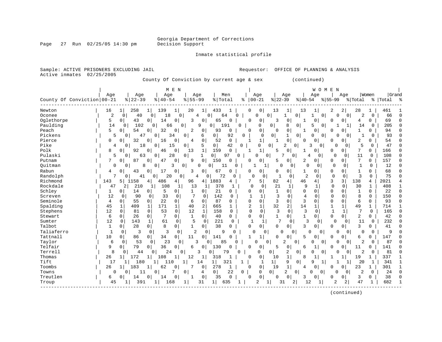Sample: ACTIVE PRISONERS EXCLUDING JAIL Requestor: OFFICE OF PLANNING & ANALYSIS

Page 27 Run 02/25/05 14:30 pm

Inmate statistical profile

| Active inmates               | 02/25/2005           |                                          | County Of Conviction by current age & sex |                          |                            |              |                            |                                |                            | (continued)             |                                 |                                  |                  |                    |              |
|------------------------------|----------------------|------------------------------------------|-------------------------------------------|--------------------------|----------------------------|--------------|----------------------------|--------------------------------|----------------------------|-------------------------|---------------------------------|----------------------------------|------------------|--------------------|--------------|
| County Of Conviction   00-21 | Age                  | Age<br>$8   22 - 39$                     | M E N<br>Age<br>$8140 - 54$               | Age<br>$8155 - 99$       | Men<br>% Total             |              | Age<br>$8   00 - 21$       | Age<br>$ 22-39$                | $ 40-54$                   | W O M E N<br>Aqe        | Aqe<br>$ 55-99$                 | % Total                          | Women            | Grand<br>% Total % |              |
| Newton<br>Oconee             | 16<br>$\overline{2}$ | $\mathbf{1}$<br>258<br>$\mathbf 0$<br>40 | 139<br>1<br>18<br>$\overline{0}$          | $1\vert$<br>20<br>0<br>4 | 433<br>1<br>64<br>$\Omega$ | $\Omega$     | 0<br>0<br>$\Omega$         | 13<br>1<br>$\mathbf 0$<br>1    | 13<br>0                    | 1<br>$\Omega$           | $\overline{a}$<br>2<br>$\Omega$ | 28<br>$\overline{0}$<br>2        | 1<br>$\mathbf 0$ | 461<br>66          | $\Omega$     |
| Oglethorpe                   | 5                    | 0 <sup>1</sup><br>43                     | $\overline{0}$<br>14                      | 3<br>$\Omega$            | $\Omega$<br>65             | 0            | $\Omega$<br>0              | 3<br>0                         | $\mathbf{1}$               | 0                       | 0<br>0                          | 4                                | 0                | 69                 | <sup>0</sup> |
| Paulding                     | 14                   | 0<br>102                                 | 0<br>66                                   | 9<br>$\mathbf{0}$        | 191<br>0 <sup>1</sup>      | 0            | 0                          | 8<br>0                         | $\mathbf 0$                | 5<br>0                  |                                 | 14<br>1                          | 0                | 205                | $\cap$       |
| Peach                        | 5                    | 54<br>0                                  | 32<br>$\overline{0}$                      | 0<br>2                   | 93<br>0                    | 0            | $\Omega$<br>0              | 0<br>$\Omega$                  | $\mathbf{1}$               | 0                       | 0<br>$\Omega$                   | $\mathbf{1}$                     | $\Omega$         | 94                 |              |
| Pickens                      | 5                    | 47<br>0                                  | 34<br>0                                   | 0                        | 6<br>$\overline{0}$        | 92<br>0      | 0                          | $\overline{0}$<br>$\mathbf{1}$ | 0                          | 0<br>$\Omega$           |                                 | $\Omega$<br>$\mathbf{1}$         | 0                | 93                 | U            |
| Pierce                       | $\Omega$             | 32<br>0                                  | 16<br>$\Omega$                            | 0<br>4                   | $\mathbf 0$<br>52          | 0            | 1 <br>-1                   | $\Omega$<br>$\mathbf{1}$       | $\Omega$                   | $\Omega$                | 0<br>$\Omega$                   | 2                                | $\Omega$         | 54                 |              |
| Pike                         | 4                    | 18<br>$\Omega$                           | $\mathbf 0$<br>15                         | 0                        | 5<br>0 <sup>1</sup>        | 42<br>0      | 0                          | $\Omega$<br>2                  | 0                          | 3<br>$\mathbf 0$        | $\Omega$                        | 5<br>$\Omega$                    | 0                | 47                 | U            |
| Polk                         | 8                    | 92<br>0                                  | 0<br>46                                   | 0<br>13                  | $\mathbf 1$<br>159         | $\mathbf 0$  | 1<br>-1                    | 0<br>5                         | 1                          | 0                       | 0<br>$\overline{0}$             | 7                                | 0                | 166                | C            |
| Pulaski                      | 5                    | 63<br>0                                  | 0<br>28                                   | 0<br>1                   | $\overline{0}$<br>97       | 0            | O                          | 0<br>7                         | 0                          | 4<br>0                  | $\Omega$                        | 0<br>11                          | 0                | 108                | Λ            |
| Putnam                       | 7                    | 87<br>0                                  | 47<br>0                                   | 0<br>9                   | $\mathbf 0$<br>150         | O            | 0<br>U                     | 5<br>$\Omega$                  | 2                          | 0                       | $\overline{0}$<br>0             | 7                                | 0                | 157                | C            |
| Ouitman                      | 0                    | 0                                        | 0<br>8<br>3                               | $\circ$<br>0             | 0<br>11                    | 0            |                            | 1<br>0                         | $\Omega$<br>$\circ$        | 0                       | $\Omega$<br>$\mathbf 0$         | $\mathbf{1}$                     | 0                | 12                 | $\Omega$     |
| Rabun                        | 4                    | $\Omega$<br>43                           | $\Omega$<br>17                            | 0<br>3                   | 67<br>$\mathbf 0$          | $\Omega$     | 0<br>O                     | $\Omega$<br>0                  | $\mathbf{1}$               | $\overline{0}$          | $\mathbf 0$<br>$\overline{0}$   | $\mathbf{1}$                     | $\Omega$         | 68                 | C            |
| Randolph                     | 7                    | 41<br>0                                  | 20<br>0                                   | 4<br>0                   | 72<br>0                    | $\Omega$     | 0<br>$\mathbf 0$           |                                | 2<br>0                     | $\Omega$                | 0<br>0                          | 3                                | $\Omega$         | 75                 | $\Omega$     |
| Richmond                     | 143                  | 5<br>1158                                | 4<br>486                                  | 96<br>4                  | 1883<br>4                  | 4            | 7<br>5                     | 82                             | 46<br>4                    | 4                       | 3<br>$\overline{3}$             | 138                              | 4                | 2021               |              |
| Rockdale                     | 47                   | 210<br>2                                 | 1<br>108                                  | 1<br>13                  | 378<br>1                   | 1            | 0<br>0                     | 21                             | 9<br>1                     | $\mathbf 1$             | $\mathbf 0$<br>0                | 30                               | 1                | 408                |              |
| Schley                       | $\mathbf{1}$         | 14<br>0                                  | 5<br>0 <sup>1</sup>                       | $\circ$<br>$\mathbf{1}$  | 21<br>0                    | 0            | 0<br>0                     | $\mathbf{1}$<br>$\Omega$       | $\mathbf 0$                | $\overline{0}$          | $\Omega$<br>$\mathbf 0$         | 1                                | $\Omega$         | 22                 | $\sqrt{ }$   |
| Screven                      | 12                   | 90<br>0                                  | 33<br>0                                   | 7<br>0                   | 142<br>0                   | $\Omega$     | $\mathbf{1}$<br>1          | 3                              | $\overline{4}$<br>$\Omega$ | 0                       | $\Omega$<br>0                   | 8                                | $\Omega$         | 150                | C            |
| Seminole                     | 4                    | $\Omega$<br>55                           | 22<br>$\Omega$                            | $\Omega$<br>6            | $\mathbf 0$<br>87          | 0            | $\Omega$<br>$\Omega$       | 3                              | $\Omega$<br>3              | $\Omega$                | $\Omega$<br>$\Omega$            | 6                                | $\Omega$         | 93                 |              |
| Spalding                     | 45                   | 409<br>1                                 | 171<br>1                                  | $\mathbf{1}$<br>40       | 2<br>665                   | 1            | 2<br>$\mathbf 1$           | 32                             | 2<br>14                    | $\mathbf{1}$            | $\mathbf 1$<br>1                | 49                               | $\mathbf 1$      | 714                |              |
| Stephens                     | 12                   | 81<br>0                                  | 53<br>0                                   | $\mathbf{0}$<br>12       | $\mathbf{1}$<br>158        | 0            | $\mathbf 0$<br>$\mathbf 0$ | 3                              | 3<br>$\Omega$              | $\mathbf 0$             | $\mathbf{1}$<br>1               | 7                                | $\mathbf 0$      | 165                | $\Omega$     |
| Stewart                      | 6                    | 26<br>0                                  | $7\phantom{.0}$<br>$\overline{0}$         | 0<br>$\mathbf{1}$        | $\mathbf 0$<br>40          | 0            | $\Omega$<br>0              | $\mathbf{1}$<br>$\Omega$       | $\mathbf{1}$               | $\overline{0}$          | $\mathbf 0$<br>$\overline{0}$   | $\overline{c}$                   | 0                | 42                 | C            |
| Sumter                       | 12                   | 0<br>143                                 | 61<br>1                                   | 5<br>0                   | $\mathbf 0$<br>221         | $\Omega$     | $\mathbf{1}$<br>1          | 7                              | 3<br>0                     | 0                       | $\mathbf 0$                     | 11<br>$\Omega$                   | $\mathbf 0$      | 232                |              |
| Talbot                       | 1                    | $\overline{0}$<br>28                     | $\overline{0}$<br>8                       | $\overline{0}$<br>1      | $\overline{0}$<br>38       | $\Omega$     | 0<br>0                     | $\Omega$                       | 3<br>0 <sup>1</sup>        | $\Omega$                | $\mathbf 0$<br>$\overline{0}$   | 3                                | 0                | 41                 | C            |
| Taliaferro                   | $\mathbf{1}$         | $\mathbf 0$<br>3                         | 3<br>$\mathbf 0$                          | 2<br>$\mathbf 0$         | 0<br>9                     | $\Omega$     | $\Omega$<br>0              | $\Omega$                       | $\Omega$                   | $\Omega$<br>$\mathbf 0$ | $\Omega$                        | $\Omega$<br>$\Omega$             | $\Omega$         | 9                  |              |
| Tattnall                     | 10                   | 86<br>0                                  | 0 <sup>1</sup><br>34                      | 0<br>11                  | 0<br>141                   | O            | 1                          | $\Omega$<br>0                  | 5                          | $\Omega$                | $\Omega$<br>0                   | 6                                | 0                | 147                | C            |
| Taylor                       | 6                    | 53<br>0                                  | 23<br>0                                   | 0<br>3                   | 85<br>O                    | U            | $\cap$                     | $\overline{2}$<br>0            | $\Omega$                   | 0<br>O                  | U                               | $\overline{0}$<br>2              | 0                | 87                 |              |
| Telfair                      | 9                    | 79<br>0                                  | 36<br>$\overline{0}$                      | 0<br>6                   | 130<br>0                   | 0            | 0<br>0                     | 0<br>5                         | 6                          | 1                       | 0 <sup>1</sup><br>O             | 11                               | 0                | 141                |              |
| Terrell                      | $\mathsf{R}$         | 44<br>0                                  | 24<br>$\Omega$                            | 3<br>$\Omega$            | 79<br>$\Omega$             | $\Omega$     | $\Omega$                   | $\overline{2}$<br>0            | $\Omega$                   | 0<br>$\Omega$           | $\Omega$                        | $\overline{2}$<br>$\overline{0}$ | $\Omega$         | 81                 |              |
| Thomas                       | 26                   | 172<br>$\mathbf{1}$                      | 108<br>1                                  | 1<br>12                  | 318<br>1                   |              | 0<br>$\Omega$              | 1<br>10                        | 8                          | 1                       |                                 | 19                               | 1                | 337                |              |
| Tift                         | 17                   | 180                                      | 1 <sup>1</sup><br>110                     | $\mathbf{1}$<br>14       | $1\vert$                   | 321<br>1     | $\mathbf{1}$               | 1 <br>9                        | $\Omega$                   | 9<br>1                  |                                 | 20<br>1                          | 1                | 341                | $\mathbf{1}$ |
| Toombs                       | 26                   | 183<br>1                                 | 62                                        | 0<br>7                   | 278<br>0                   | 1            | 0 <sup>1</sup><br>0        | $\mathbf{1}$<br>19             | 4                          | 0                       | 0  <br>0                        | 23                               | 1                | 301                | -1           |
| Towns                        | 0                    | 11<br>0                                  | 7<br>0                                    | 0                        | 0 <sup>1</sup><br>4        | 22<br>0      | 0                          | $\overline{0}$<br>2            | 0                          | 0<br>0                  | 0                               | 2<br>0                           | 0                | 24                 | $\Omega$     |
| Treutlen                     | 6                    | 14<br>0                                  | U<br>14                                   | 0                        | $\mathbf 0$<br>35          | $\mathbf{0}$ | $\mathsf{O}$<br>$\Omega$   | 0<br>O                         | 3                          | 0                       | 0<br>O                          | 3                                | 0                | 38                 | C            |
| Troup                        | 45                   | 391                                      | 168<br>1                                  | 1<br>31                  | $1\vert$<br>635            |              |                            | 1<br>31                        | 2                          | 12                      | 2                               | 47<br>2                          | $\mathbf{1}$     | 682                |              |
|                              |                      |                                          |                                           |                          |                            |              |                            |                                |                            |                         |                                 |                                  |                  |                    |              |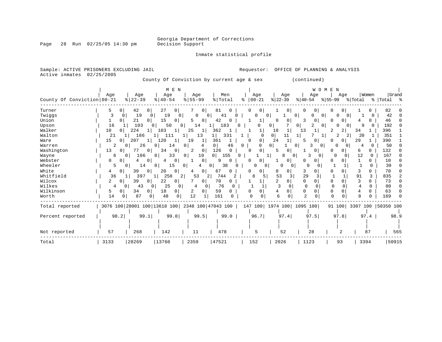Inmate statistical profile

| Sample: ACTIVE PRISONERS EXCLUDING JAIL |                      |                                                 |                      |                     |                       | Requestor:                                |                      | OFFICE OF PLANNING & ANALYSIS |                              |                |                    |
|-----------------------------------------|----------------------|-------------------------------------------------|----------------------|---------------------|-----------------------|-------------------------------------------|----------------------|-------------------------------|------------------------------|----------------|--------------------|
| Active inmates                          | 02/25/2005           |                                                 |                      |                     |                       | County Of Conviction by current age & sex |                      | (continued)                   |                              |                |                    |
|                                         |                      |                                                 |                      |                     |                       |                                           |                      |                               |                              |                |                    |
|                                         |                      |                                                 | M E N                |                     |                       |                                           |                      | WOMEN                         |                              |                |                    |
|                                         | Age                  | Age                                             | Age                  | Age                 | Men                   | Age                                       | Age                  | Age                           | Age                          | Women          | Grand              |
| County Of Conviction 00-21              |                      | $ 22-39$                                        | $8   40 - 54$        | $8155 - 99$         | % Total               | $00 - 21$                                 | $ 22-39$             | $ 40-54$                      | $8155 - 99$                  | % Total        | % Total %          |
| Turner                                  | 5<br>0               | 42<br>0                                         | 27<br>0              | 0 <sub>1</sub>      | 81                    | 0<br>0                                    | 0                    | 0<br>0                        | 0                            | 0              | 82                 |
| Twiggs                                  | 3<br>0               | 19<br>0                                         | 19<br>$\Omega$       | 0                   | 41                    | O                                         | $\Omega$             | 0                             |                              |                | 42                 |
| Union                                   | 0                    | 21<br>0                                         | 15<br>0              | 5<br>$\Omega$       | 42                    |                                           | 0                    | ζ<br>0                        | 0<br>n                       | 0              | 46                 |
| Upson                                   | 16                   | 103                                             | 50                   | 14<br>01            | 183                   | ∩<br>0                                    | 0                    | 2<br>0<br>0                   | $\Omega$<br>0.               | 9              | 192                |
| Walker                                  | 10<br>0              | 224                                             | 103<br>1             | 25<br>1             | 362                   | 1                                         | 18<br>1              | 13                            | $\overline{2}$               | 34             | 396                |
| Walton                                  | 21                   | 186                                             | 111                  | 13                  | 331<br>1              | $\Omega$                                  | 0 <sup>1</sup><br>11 | 1                             | 2<br>$\overline{2}$          | 20             | 351                |
| Ware                                    | 15<br>$\overline{0}$ | 207                                             | 120<br>1             | 19<br>1             | 361<br>1              | 0<br>∩                                    | 24<br>$\mathbf{1}$   | 5<br>$\Omega$                 | 0 <sup>1</sup><br>O          | 29             | 390                |
| Warren                                  | 2                    | 26<br>0                                         | 14<br>0              | 0<br>4              | $\overline{0}$<br>46  | $\Omega$<br>0                             | $\Omega$<br>0        | 3<br>0                        | n                            | U<br>4         | 50                 |
| Washington                              | 13<br>0              | 77<br>0 <sup>1</sup>                            | 34<br>0              | 2<br>0              | 126<br>$\Omega$       | 0<br>$\Omega$                             | 0<br>5               |                               | O<br>0                       | 6<br>0         | 132                |
| Wayne                                   | 6                    | 106<br>0                                        | 33<br>0              | 10<br>0             | 0 <sup>1</sup><br>155 | 0                                         | 8<br>$\Omega$        | 3<br>$\Omega$                 | 0                            | 12<br>$\Omega$ | 167                |
| Webster                                 | 0<br>0               | 0<br>4                                          | 0                    | 0 <sup>1</sup>      | 9                     | 0<br>0                                    | 0                    | U<br>0                        | $\Omega$<br>0                | 1<br>0         | 10                 |
| Wheeler                                 | 5                    | 14<br>$\overline{0}$                            | 15<br>0              | 0<br>4              | 38<br>0 <sup>1</sup>  | $\Omega$<br>0<br>0                        | 0<br>0               | $\Omega$<br>0                 |                              | $\Omega$       | 39                 |
| White                                   | 4<br>$\circ$         | 39<br>0                                         | 20<br>0              | 0 <sup>1</sup><br>4 | 67<br>0               | 0<br>0                                    | $\Omega$<br>0        | 3                             | 0<br>O                       | 3<br>0         | 70                 |
| Whitfield                               | 36                   | 397                                             | 258<br>2<br>$1\vert$ | 53                  | 744<br>2<br>2         | 8                                         | 53                   | 29<br>3                       | $\mathbf{1}$<br>$\mathbf{1}$ | 91<br>3        | 835                |
| Wilcox                                  | 2<br>0               | 39<br>0                                         | 22<br>0              | 0 <sup>1</sup>      | 70<br>0               |                                           | $\overline{2}$<br>0  | 0<br>0                        | $\Omega$<br>0                | 3<br>0         | 73                 |
| Wilkes                                  | 4                    | 43<br>0<br>0                                    | 25<br>0              | 4<br>0              | 76                    |                                           | 0                    | $\mathbf 0$<br>0              | 0<br>0                       | $\Omega$<br>4  | 80                 |
| Wilkinson                               | 5<br>0               | 34<br>$\circ$                                   | 18<br>0 <sup>1</sup> | 2<br>0 <sup>1</sup> | 59<br>0               | 0<br>O                                    | 4<br>$\Omega$        | 0<br>0                        | $\Omega$<br>$\Omega$         | 4<br>0         | 63                 |
| Worth                                   | 14                   | 87<br>0                                         | 48<br>0              | 12<br>1             | 161                   | $\Omega$                                  | 6<br>0               | $\mathfrak{D}$<br>0           | $\Omega$<br>$\Omega$         | R<br>$\Omega$  | 169                |
| Total reported                          |                      | 3076 100 28001 100 13618 100 2348 100 47043 100 |                      |                     |                       | 147 100   1974 100   1095 100             |                      |                               | 91 100                       |                | 3307 100 50350 100 |
|                                         |                      |                                                 |                      |                     |                       |                                           |                      |                               |                              |                |                    |
| Percent reported                        | 98.2                 | 99.1                                            | 99.0                 | 99.5                | 99.0                  | 96.7                                      | 97.4                 | 97.5                          | 97.8                         | 97.4           | 98.9               |
|                                         |                      |                                                 |                      |                     |                       |                                           |                      |                               |                              |                |                    |
| Not reported                            | 57                   | 268                                             | 142                  | 11                  | 478                   | 5                                         | 52                   | 28                            | 2                            | 87             | 565                |
| Total                                   | 3133                 | 28269                                           | 13760                | 2359                | 47521                 | 152                                       | 2026                 | 1123                          | 93                           | 3394           | 50915              |

Total | 3133 |28269 |13760 | 2359 |47521 | 152 | 2026 | 1123 | 93 | 3394 |50915

Page 28 Run  $02/25/05$  14:30 pm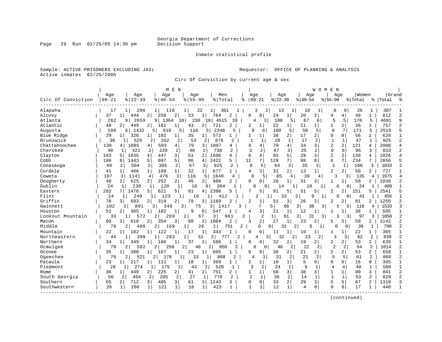Inmate statistical profile

Sample: ACTIVE PRISONERS EXCLUDING JAIL **Requestor:** OFFICE OF PLANNING & ANALYSIS Active inmates 02/25/2005

Circ Of Conviction by current age & sex

|                    |           |                       |                       | M E N                         |                         |           |                |                |                                |                |                      |                | W O M E        | N              |                |         |                |           |                |
|--------------------|-----------|-----------------------|-----------------------|-------------------------------|-------------------------|-----------|----------------|----------------|--------------------------------|----------------|----------------------|----------------|----------------|----------------|----------------|---------|----------------|-----------|----------------|
|                    | Age       | Age                   | Age                   |                               | Age                     | Men       |                | Age            |                                | Age            |                      | Age            |                | Age            |                | Women   |                | Grand     |                |
| Circ Of Conviction | $00 - 21$ | $8   22 - 39$         | $8   40 - 54$         |                               | $8155 - 99$             | %   Total |                | ႜ              | $00 - 21$                      | $ 22-39$       |                      | $8 40-54$      |                | $8155 - 99$    |                | % Total |                | %   Total | ႜ              |
| Alapaha            | 17        | 206<br>11             | 116<br>11             |                               | 22                      | 361       |                |                | 3<br>2                         | 13             | $\mathbf{1}$         | 10             | 1              | $\Omega$       | 0              | 26      | 1              | 387       |                |
| Alcovy             | 37        | 444<br>1              | 2<br>250              | 2<br>33                       | 11                      | 764       | 2              | <sup>0</sup>   | $\Omega$                       | 24             | $\mathbf{1}$         | 20             | 2              | 4              | 4              | 48      | $\mathbf{1}$   | 812       | $\overline{c}$ |
| Atlanta            | 262       | 2659<br>9             | 1364<br>9             | 10                            | 230<br>10               | 4515      | 10             | $\overline{4}$ | 3                              | 100            | 5                    | 67             | 6              | 5              | 5              | 176     | 5              | 4691      | 9              |
| Atlantic           | 48        | 449<br>2              | 2 <br>181             | 43<br>1                       | 2                       | 721       | 2              | 2              | 1                              | 22             | 1                    | 11             | $\mathbf{1}$   | 1              | $\mathbf{1}$   | 36      | 1              | 757       | $\overline{c}$ |
| Augusta            | 180       | 1432<br>61            | 51<br>618             | 5                             | 118<br>5                | 2348      | 5              | 9              | 6                              | 100            | 5                    | 56             | 5              | 6              | 7              | 171     | 5              | 2519      |                |
| Blue Ridge         | 29        | 326<br>11             | 182                   | 35<br>1                       | 1                       | 572       |                | 1              | 1                              | 38             | 2                    | 17             | $\overline{2}$ | $\Omega$       | 0              | 56      | $\overline{2}$ | 628       |                |
| Brunswick          | 38        | 525                   | 262<br>2              | $\overline{2}$                | 53<br>2                 | 878       | 2              | 1              | 1                              | 28             | $\mathbf{1}$         | 17             | $\overline{a}$ | $\mathbf{1}$   | 1              | 47      | $\mathbf{1}$   | 925       | $\overline{a}$ |
| Chattahoochee      | 130       | 1085<br>4             | 593<br>4              | 4 <br>79                      | 3                       | 1887      | 4              | 6              | 4                              | 79             | 4                    | 34             | 3              | $\overline{2}$ | 2              | 121     | 4              | 2008      | $\overline{4}$ |
| Cherokee           | 40        | 422<br>1              | 228<br>2              | 2                             | 48<br>2                 | 738       | 2              |                | 2                              | 67             | 3                    | 25             | 2              | $\Omega$       | $\Omega$       | 95      | 3              | 833       | $\overline{2}$ |
| Clayton            | 163       | 1035<br>5             | 4<br>447              | 3<br>51                       | 2                       | 1696      | 4              | 6              | 4                              | 93             | 5                    | 29             | 3              | $\overline{2}$ | $\overline{2}$ | 130     | 4              | 1826      |                |
| Cobb               | 186       | 1443<br>6             | 697<br>5              | 5<br>96                       | 4                       | 2422      | 5.             | 11             | 7                              | 129            | 7 <sup>1</sup>       | 88             | 8              | 6              | 7              | 234     | 7              | 2656      | 5              |
| Conasauga          | 49        | 2<br>504              | 2<br>305              | 2                             | 3<br>67                 | 925       | 2              | 8              | 5                              | 64             | 3                    | 35             | 3              | 1              | $\mathbf{1}$   | 108     | 3              | 1033      | $\overline{c}$ |
| Cordele            | 41        | 406<br>1              | $\mathbf{1}$<br>198   | $\mathbf{1}$<br>32            | 11                      | 677       | $\mathbf{1}$   | 4              | 31                             | 31             | $\overline{a}$       | 13             | $1\vert$       | 2              | $\overline{a}$ | 50      | $\overline{a}$ | 727       |                |
| Coweta             | 107       | 3<br>1141             | $\overline{4}$<br>476 | 3                             | 116<br>5                | 1840      | 4              | 8              | 5                              | 85             | 4                    | 39             | 4              | 3              | $\overline{3}$ | 135     | 4              | 1975      | $\overline{4}$ |
| Dougherty          | 48        | 625<br>$\overline{2}$ | 262<br>2 <sup>1</sup> | $\overline{2}$<br>45          | 2 <sup>1</sup>          | 980       | $\overline{a}$ | $\Omega$       | $\overline{0}$                 | 26             | 1                    | 31             | $\overline{3}$ | 1              | 1 <sup>1</sup> | 58      | 2              | 1038      | $\overline{c}$ |
| Dublin             | 2.4       | 230<br>1              | 120<br>1              | 1                             | 10<br>$\Omega$          | 384       |                | $\cap$         | 0                              | 14             |                      | 10             | 1              |                | $\Omega$       | 24      | 1              | 408       | $\mathbf{1}$   |
| Eastern            | 202       | 1476                  | 621<br>5              | 5<br>91                       | 4                       | 2390      | 5              | 7              | 5                              | 91             | 5                    | 51             | 5              | 2              |                | 151     | 5              | 2541      | 5              |
| Flint              | 24        | 249<br>$\mathbf{1}$   | 1<br>123              | 1                             | 16                      | 412       |                |                | $\mathfrak{D}$<br>$\mathbf{1}$ | 32             | 2                    | 9              | $\mathbf{1}$   |                | $\Omega$       | 43      |                | 455       | $\mathbf{1}$   |
| Griffin            | 78        | 693<br>31             | 319<br>2              | 2<br>79                       | 3 I                     | 1169      | 2              | $\overline{c}$ |                                | 51             | 3                    | 26             | $\overline{2}$ | 2              | 2              | 81      | 2              | 1250      | $\overline{2}$ |
| Gwinnett           | 102       | 891<br>3 I            | 349<br>3              | 3                             | 75                      | 3<br>1417 | 3              |                | 7                              | 5              | 3<br>66              | 38             | $\overline{3}$ | 5              | 5              | 116     | 4              | 1533      | $\mathbf{3}$   |
| Houston            | 51        | 305<br>2              | 182<br>1              | 1                             | 9<br>0 <sup>1</sup>     | 547       |                | 4              | 3                              | 21             | $\mathbf 1$          | 12             | 1              |                |                | 38      | 1              | 585       | 1              |
| Lookout Mountain   | 33        | 1 <sup>1</sup><br>572 | $\overline{2}$<br>289 | 2                             | 67                      | 3         | 961            | 2              | 2                              | 1              | $\overline{3}$<br>61 | 31             | 3              | ζ              | 3              | 97      | 3              | 1058      | $\overline{c}$ |
| Macon              | 60        | 2 <sub>1</sub><br>610 | 2<br>354              | 3<br>60                       | 3                       | 1084      | 2              | ર              | 2 <sup>1</sup>                 | 27             | $\mathbf{1}$         | 23             | 2 <sup>1</sup> | 5              | 5              | 58      | $\overline{a}$ | 1142      | $\overline{c}$ |
| Middle             | 70        | 2<br>486              | 2  <br>169            | 1                             | 26                      | 1         | 751<br>2       |                | $\Omega$                       | $\Omega$<br>31 | 2                    | 8              | 1 <sup>1</sup> | 0              | 0              | 39      | 1              | 790       | $\overline{c}$ |
| Mountain           | 22        | 182<br>1              | 122                   | 17<br>1                       | 1                       | 343       |                | $\Omega$       | 0                              | 11             | 1                    | 10             | 1              | 1              | 1              | 22      | 1              | 365       |                |
| Northeastern       | 44        | 399<br>$\mathbf{1}$   | 283                   | $\overline{2}$                | 51                      | 2<br>777  | 2              |                | 4<br>3                         | 32             | 2                    | 23             | 2              | 3              | 3              | 62      | 2              | 839       | $\overline{2}$ |
| Northern           | 34        | 349<br>1              | 166                   | 37<br>1                       | 2                       | 586       |                | $\Omega$       | 0                              | 32             | 2                    | 19             | 2 <sup>1</sup> | 2              | $\overline{2}$ | 53      | 2              | 639       | 1              |
| Ocmulgee           | 70        | 582<br>2              | 258                   | 2                             | 40                      | 2<br>950  | 2              | $\Omega$       | U                              | 40             | 2                    | 22             | 2              | $\overline{2}$ | 2              | 64      | $\overline{2}$ | 1014      | $\overline{c}$ |
| Oconee             | 35        | 380<br>$\mathbf{1}$   | 167                   | 23<br>1                       | 11                      | 605       |                | <sup>0</sup>   | $\Omega$                       | 30             | 2                    | 21             | 2 <sup>1</sup> | 2              | $\overline{2}$ | 53      | $\overline{2}$ | 658       | 1              |
| Ogeechee           | 76        | 521<br>2              | 2<br>178              | 1                             | 33<br>1                 | 808       | $\overline{c}$ | 4              | 3                              | 31             | $\overline{a}$       | 21             | $\overline{2}$ | 5              | 5              | 61      | $\overline{2}$ | 869       | $\overline{c}$ |
| Pataula            | 23        | 217<br>1              | 1 <sup>1</sup><br>111 | 18<br>1                       | 1 <sup>1</sup>          | 369       | 1              |                | $\mathbf{1}$                   | 10             | 1                    | 5              | 0              | $\Omega$       | 0              | 16      | $\Omega$       | 385       | 1              |
| Piedmont           | 28        | 274<br>$\mathbf{1}$   | 175<br>$\mathbf{1}$   | 1                             | 43<br>2                 | 520       | -1             | 3              | $\overline{2}$                 | 24             | $\mathbf{1}$         | 9              | 1              | 4              | 4              | 40      | $\mathbf{1}$   | 560       | $\mathbf{1}$   |
| Rome               | 36        | 449<br>$\mathbf{1}$   | 225<br>$\overline{2}$ | 2  <br>41                     | 2                       | 751       | 2              |                |                                | 50             | $\overline{3}$       | 38             | $\overline{3}$ | $\mathbf{1}$   | $\mathbf{1}$   | 90      | 3              | 841       | $\overline{2}$ |
| South Georgia      | 50        | 2<br>494              | 205<br>2              | 2                             | 27<br>1                 | 776       | 2              | $\overline{2}$ | $\mathbf{1}$                   | 36             | 2                    | 14             | $\mathbf{1}$   | $\mathbf{1}$   | $\mathbf{1}$   | 53      | 2              | 829       | $\overline{2}$ |
| Southern           | 65        | 712<br>2              | $\overline{3}$<br>405 | $\overline{\mathbf{3}}$<br>61 | $\overline{\mathsf{3}}$ | 1243      | 3              | $\mathbf 0$    | $\mathbf 0$                    | 33             | $\overline{a}$       | 29             | $\overline{3}$ | 5              | 5              | 67      | 2              | 1310      | 3              |
| Southwestern       | 26        | $\mathbf{1}$<br>260   | 121<br>1              | $\mathbf{1}$<br>16            | 1                       | 423       | $\mathbf{1}$   | $\mathbf{1}$   | $\mathbf 1$                    | 12             | $\mathbf{1}$         | $\overline{4}$ | $\mathbf 0$    | $\Omega$       | 0              | 17      | 1              | 440       | $\mathbf{1}$   |
|                    |           |                       |                       |                               |                         |           |                |                |                                |                |                      |                |                |                |                |         |                |           |                |

(continued)

Page 29 Run 02/25/05 14:30 pm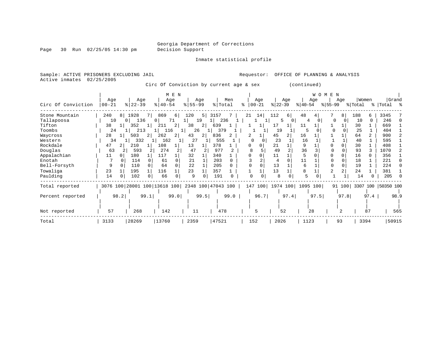Page 30 Run 02/25/05 14:30 pm

Inmate statistical profile

Sample: ACTIVE PRISONERS EXCLUDING JAIL Requestor: OFFICE OF PLANNING & ANALYSIS Active inmates 02/25/2005

Circ Of Conviction by current age & sex (continued)

|                    | Age       | Age                   | M E N<br>Age                 | Aqe                   | Men                | Aqe           | Age                           | W O M<br>Age           | E N<br>Women<br>Age        | Grand              |
|--------------------|-----------|-----------------------|------------------------------|-----------------------|--------------------|---------------|-------------------------------|------------------------|----------------------------|--------------------|
| Circ Of Conviction | $00 - 21$ | $ 22-39 $             | $ 40-54 $                    | $ 55 - 99 $           | % Total            | $8   00 - 21$ | $ 22 - 39 $                   | $ 40-54 $<br>$ 55-99 $ | % Total                    | Total %<br>- န ၂   |
| Stone Mountain     | 240<br>8  | 1928<br>7 I           | 869<br>6                     | 120<br>5 <sub>1</sub> | 3157               | 14 <br>21     | 112<br>6 I                    | 48                     | 8<br>188<br>6              | 3345               |
| Tallapoosa         | 10        | 136<br>0 <sup>1</sup> | 71<br>0                      | 19<br>lΙ              | 236                |               | 0<br>5                        | 4                      | $\Omega$<br>10<br>$\Omega$ | 246                |
| Tifton             | 38        | 352                   | 2<br>211                     | 38<br>2 <sup>1</sup>  | 639                |               | 17                            | 11                     | 30                         | 669                |
| Toombs             | 24        | 213                   | 116                          | 26                    | 379                |               | 19                            | 5                      | 25                         | 404                |
| Waycross           | 28        | 503                   | 262<br>2                     | 43<br>21              | 836                |               | 45                            | 16                     | 64<br>$\overline{a}$       | 900                |
| Western            | 34        | 332                   | 162                          | 27                    | 555                | 0             | 23                            | 16                     | 40                         | 595                |
| Rockdale           | 47        | 210                   | 108                          | 13                    | 378                | O             | 21                            | 9                      | 30                         | 408                |
| Douglas            | 63        | 593                   | 274                          | 47                    | 977                | 8             | 49                            | 36                     | 93                         | 1070               |
| Appalachian        | 11        | 180                   | 117                          | 32                    | 340                | 0<br>O        | 11                            |                        | 16                         | 356                |
| Enotah             |           | 114                   | 61<br>$\Omega$               | 21                    | 203                |               | $\cap$                        | 11                     | 18                         | 221                |
| Bell-Forsyth       | 9         | 110                   | 64                           | 22                    | 205                |               | 13                            | 6                      | 19                         | 224                |
| Towaliga           | 23        | 195                   | 116                          | 23                    | 357                |               | 13                            | 8                      | 24                         | 381                |
| Paulding           | 14        | 102                   | 66<br>0                      | 9                     | 191                |               | 8                             | 5                      | 14                         | 205                |
| Total reported     |           |                       | 3076 100 28001 100 13618 100 |                       | 2348 100 47043 100 |               | 147 100   1974 100   1095 100 |                        | 91 100                     | 3307 100 50350 100 |
| Percent reported   | 98.2      | 99.1                  | 99.0                         | 99.5                  | 99.0               | 96.7          | 97.4                          | 97.5                   | 97.8<br>97.4               | 98.9               |
|                    |           |                       |                              |                       |                    |               |                               |                        |                            |                    |
| Not reported       | 57        | 268                   | 142                          | 11                    | 478                | 5             | 52                            | 28                     | 87<br>2                    | 565                |
| Total              | 3133      | 28269                 | 13760                        | 2359                  | 47521              | 152           | 2026                          | 1123                   | 93<br>3394                 | 50915              |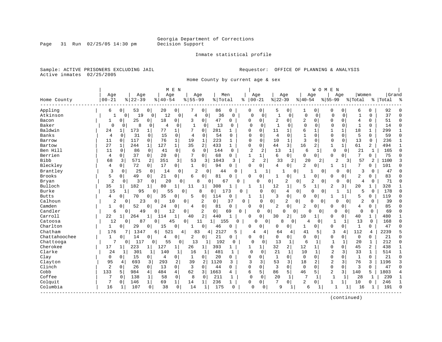Inmate statistical profile

Sample: ACTIVE PRISONERS EXCLUDING JAIL **Requestor:** OFFICE OF PLANNING & ANALYSIS Active inmates 02/25/2005

Home County by current age & sex

|               |                |                |             |                |               | M E N          |             |              |                       |              |                |                                  |                     |              |                | WOMEN                            |                |               |              |                |           |              |
|---------------|----------------|----------------|-------------|----------------|---------------|----------------|-------------|--------------|-----------------------|--------------|----------------|----------------------------------|---------------------|--------------|----------------|----------------------------------|----------------|---------------|--------------|----------------|-----------|--------------|
|               | Age            |                | Age         |                | Age           |                | Age         |              |                       | Men          |                | Age                              | Age                 |              |                | Age                              |                | Aqe           | Women        |                | Grand     |              |
| Home County   | $00 - 21$      |                | $8$   22-39 |                | $8   40 - 54$ |                | $8155 - 99$ |              | % Total               |              | ႜ              | $00 - 21$                        | $ 22-39$            |              | $ 40-54$       |                                  | $ 55-99$       |               | % Total      |                | %   Total | ہ<br>ج       |
| Appling       | 6              | 0              | 53          | 0              | 20            | $\circ$        |             | 0            | 86                    | 0            | 0              | 0                                | 5                   | 0            | 1              | 0                                | 0              | 0             | 6            | 0              | 92        |              |
| Atkinson      | 1              | 0 <sup>1</sup> | 19          | $\mathbf 0$    | 12            | 0              | 4           | 0            | 36                    | $\Omega$     | $\mathbf 0$    | 0                                | 1                   | 0            | $\mathbf 0$    | $\mathbf 0$                      | $\Omega$       | 0             |              | $\Omega$       | 37        | O            |
| Bacon         | 1              | 0              | 25          | 0              | 18            | 0              | 3           | 0            | 47                    | 0            | $\Omega$       | 0                                | 2                   | 0            | 2              | $\Omega$                         | $\Omega$       | 0             | 4            | U              | 51        | $\cap$       |
| Baker         | $\Omega$       | 0              | 8           | 0              | 4             | 0              | 1           | 0            | 13                    | 0            | $\Omega$       | 0                                | $\overline{1}$      | $\Omega$     | $\Omega$       | $\Omega$                         | $\Omega$       | 0             | 1            | 0              | 14        | $\Omega$     |
| Baldwin       | 24             | 1              | 173         | 1              | 77            | 1              |             | $\Omega$     | 281                   |              | $\Omega$       | 0                                | 11                  | 1            | 6              | $\mathbf{1}$                     | 1              | 1             | 18           |                | 299       |              |
| <b>Banks</b>  | $\overline{4}$ | $\Omega$       | 31          | 0              | 15            | $\Omega$       | 4           | $\Omega$     | 54                    | $\Omega$     | $\Omega$       | $\Omega$                         | $\overline{4}$      | $\Omega$     | $\mathbf{1}$   | $\Omega$                         | $\Omega$       | $\Omega$      | 5            | 0              | 59        | ∩            |
| Barrow        | 11             | 0              | 117         | 0              | 76            | $\mathbf{1}$   | 19          | $\mathbf{1}$ | 223                   | $\mathbf{1}$ | 0              | 0                                | 10                  | $\mathbf{1}$ | $\overline{3}$ | $\Omega$                         | $\mathbf 0$    | $\mathbf 0$   | 13           | $\Omega$       | 236       |              |
| Bartow        | 27             | $\mathbf{1}$   | 244         | $\mathbf{1}$   | 127           | $\mathbf{1}$   | 35          | 2            | 433                   | $\mathbf{1}$ | $\mathbf 0$    | 0                                | 44                  | 3            | 16             | 2                                | $\mathbf{1}$   | $\mathbf{1}$  | 61           | 2              | 494       |              |
| Ben Hill      | 11             | 0              | 86          | $\mathbf 0$    | 41            | $\mathbf 0$    | 6           | $\Omega$     | 144                   | 0            | $\overline{2}$ | 2                                | 13                  | $\mathbf{1}$ | 6              | 1                                | $\mathbf 0$    | $\mathbf 0$   | 21           | 1              | 165       | $\Omega$     |
| Berrien       | $\overline{4}$ | 0              | 37          | $\mathbf{0}$   | 20            | 0 <sup>1</sup> | 7           | 0            | 68                    | 0            | $\mathbf{1}$   | 1                                | 6                   | 0            | 0              | 0                                | $\Omega$       | 0             | 7            | 0              | 75        | ∩            |
| <b>Bibb</b>   | 68             | 3              | 571         | 2              | 351           | 3              | 53          | 3            | 1043                  | 3            |                | $\overline{c}$<br>$\overline{2}$ | 33                  | 2            | 20             | 2                                | $\overline{c}$ | 3             | 57           | 2              | 1100      |              |
| Bleckley      | 4              | 0              | 72          | 0              | 17            | 0 <sup>1</sup> | 1           | 0            | 94                    | 0            | $\Omega$       | 0                                | 4                   | 0            | 2              | $\Omega$                         | 1              | 1             | 7            | 0              | 101       |              |
| Brantley      | 3              | $\mathbf 0$    | 25          | 0              | 14            | $\mathbf 0$    | 2           | 0            | 44                    | U            |                | 1                                |                     |              | 0              | $\overline{0}$                   |                | $\Omega$<br>O | 3            | 0              | 47        |              |
| <b>Brooks</b> | 5              | 0 <sub>1</sub> | 49          | $\mathbf{0}$   | 21            | 0              | 6           | 0            | 81                    | 0            | $\Omega$       | 0                                | -1                  | 0            |                | 0                                | 0              | 0             | 2            | 0              | 83        |              |
| Bryan         | $\overline{2}$ | 0              | 37          | $\mathbf{0}$   | 20            | 0              | 8           | 0            | 67                    | U            |                | U                                | 0                   | 2            | 0              | $\overline{2}$<br>$\overline{0}$ |                | O<br>$\Omega$ | 4            | O              | 71        | C            |
| Bulloch       | 35             | $\mathbf{1}$   | 182         | $\mathbf 1$    | 80            | 1              | 11          | 1            | 308                   |              |                | 1                                | 12                  | 1            | 5              | 1                                | 2              | 3             | 20           |                | 328       |              |
| Burke         | 15             |                | 95          | 0              |               | 55             | 0           | 8            | 0                     | 173<br>U     |                | 0                                | 0 <sup>1</sup>      | 4            | 0              | $\Omega$<br>$\overline{0}$       |                |               | 5            | 0              | 178       | $\sqrt{ }$   |
| <b>Butts</b>  | 4              | $\overline{0}$ | 70          | 0              | 35            | 0              | 5           | 0            | 114                   | 0            |                | 1                                | 3                   | $\mathbf 0$  | 0              | 0                                | 1              |               | 5            | 0              | 119       | $\cap$       |
| Calhoun       | 2              | 0              | 23          |                | 0             | 10             | 0           | 2            | 0 <sup>1</sup>        | 37           | 0              | $\mathbf 0$                      | $\mathbf{0}$        | 2            | 0              | 0<br>0                           | $\Omega$       | 0             | 2            | 0              | 39        | C            |
| Camden        | 1              | $\circ$        | 52          | $\Omega$       | 24            | 0              | 4           | $\mathbf 0$  | 81                    | 0            | $\Omega$       | $\overline{0}$                   | 2                   | 0            | 2              | 0                                | O              | 0             | 4            | 0              | 85        | $\cap$       |
| Candler       | 6              | 0              | 49          |                | 0             | 12             | 0           | 2            | $\overline{0}$        | 69<br>0      |                | 0                                | $\overline{0}$<br>0 | 0            | $\Omega$       | $\circ$                          | U              | 0             | $\Omega$     | 0              | 69        | $\cap$       |
| Carroll       | 22             | $1\vert$       | 264         | $\mathbf{1}$   | 114           | $\mathbf{1}$   | 40          | 2            | 440                   | $\mathbf{1}$ | $\Omega$       | 0                                | 30                  | 2            | 10             |                                  | 0              | 0             | 40           | 1              | 480       |              |
| Catoosa       | 12             | $\Omega$       | 87          |                | 0             | 45             | 0           | 11           | 1 <sup>1</sup><br>155 | $\Omega$     |                | 0<br>0                           | 8                   | 0            | 4              | 0                                | 1              | 1             | 13           | $\mathbf{0}$   | 168       | $\cap$       |
| Charlton      | 1              | 0              | 29          | 0              | 15            | 0              |             | 0            | 46                    | 0            | 0              | 0                                | 0                   | 0            | 1              | 0                                | 0              | 0             | $\mathbf{1}$ | 0              | 47        |              |
| Chatham       | 176            |                | 134         |                | 6<br>521      | 4              | 83          | 4            | 2127                  | 5            |                | 4<br>4                           | 64                  | 4            | 41             | 5                                | 3              | 4             | 112          | $\overline{4}$ | 2239      |              |
| Chattahoochee | $\mathbf{1}$   | 0              | 14          | 0              | 4             | 0              | 2           | $\mathbf 0$  | 21                    | 0            | 0              | 0                                | $\Omega$            | 0            | $\Omega$       | $\Omega$                         | 0              | 0             | $\mathbf 0$  | $\Omega$       | 21        | $\cap$       |
| Chattooga     | 7              | 0              | 117         | 0              | 55            | 0              | 13          |              | 192                   | 0            | $\Omega$       | 0                                | 13                  | 1            | 6              | 1                                | $\mathbf{1}$   | $\mathbf{1}$  | 20           | $\mathbf 1$    | 212       | $\Omega$     |
| Cherokee      | 17             |                | 223         | $\mathbf{1}$   | 127           | 1              | 26          | $1\vert$     | 393                   |              | 1              | 1                                | 32                  | 2            | 12             | 1                                | $\mathbf 0$    | 0             | 45           | $\overline{2}$ | 438       |              |
| Clarke        | 24             |                | 301         | 1              | 140           | 1              | 16          | 1            | 481                   | -1           | $\Omega$       | $\Omega$                         | 21                  | $\mathbf{1}$ | 10             | 1                                | $\overline{2}$ | 3             | 33           | $\mathbf{1}$   | 514       | $\mathbf{1}$ |
| Clay          | $\mathbf 0$    | 0              | 15          | 0              | 4             | $\overline{0}$ | $\mathbf 1$ | 0            | 20                    | O            | $\Omega$       | 0                                | $\mathbf{1}$        | $\mathbf 0$  | $\mathbf 0$    | $\mathbf 0$                      | $\mathbf 0$    | $\Omega$      | $\mathbf{1}$ | $\Omega$       | 21        | $\Omega$     |
| Clayton       | 95             | 4              | 693         | 3              | 293           | 2              | 39          | 2            | 1120                  | 3            |                | 3                                | 53                  | 3            | 18             | 2                                | $\overline{2}$ | 3             | 76           | 3              | 1196      | 3            |
| Clinch        | $\overline{2}$ | $\Omega$       | 26          | $\Omega$       | 13            | $\Omega$       | 3           | $\mathbf 0$  | 44                    | $\Omega$     | $\Omega$       | 0                                | 3                   | $\Omega$     | $\mathbf 0$    | $\Omega$                         | $\Omega$       | $\Omega$      | 3            | $\Omega$       | 47        | $\cap$       |
| Cobb          | 133            | 5              | 984         | 4              | 484           | 4              | 62          | 3            | 1663                  | 4            | 6              | 5                                | 86                  | 5            | 46             | 5                                | $\overline{2}$ | 3             | 140          | 5              | 1803      |              |
| Coffee        | 7              | $\Omega$       | 138         | $\mathbf{1}$   | 58            | $\Omega$       | 8           | $\Omega$     | 211                   | 1            | $\Omega$       | $\mathbf 0$                      | 20                  | $\mathbf{1}$ | 7              | 1                                | $\mathbf{1}$   | 1             | 28           | $\mathbf{1}$   | 239       |              |
| Colquit       | 7              | 0              | 146         | $\mathbf{1}$   | 69            | $\mathbf{1}$   | 14          | $\mathbf{1}$ | 236                   | 1            | 0              | 0                                | 7                   | 0            | 2              | $\Omega$                         | 1              | $\mathbf{1}$  | 10           | 0              | 246       |              |
| Columbia      | 16             | 1              | 107         | 0 <sup>1</sup> | 38            | 0              | 14          | 1            | 175                   | $\Omega$     | $\Omega$       | 0                                | 9                   | 1            | 6              | 1                                |                |               | 16           | ı              | 191       | $\Omega$     |
|               |                |                |             |                |               |                |             |              |                       |              |                |                                  |                     |              |                |                                  |                |               |              |                |           |              |

(continued)

Page 31 Run 02/25/05 14:30 pm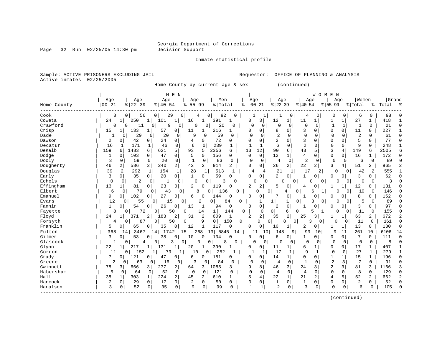Page 32 Run  $02/25/05$  14:30 pm

Inmate statistical profile

Sample: ACTIVE PRISONERS EXCLUDING JAIL **Requestor:** OFFICE OF PLANNING & ANALYSIS Active inmates 02/25/2005

Home County by current age & sex (continued)

|             |                |                       | M E N                 |                              |                      |                       |                |                |                |                     |                | W O M          | E N            |             |                |                |           |            |
|-------------|----------------|-----------------------|-----------------------|------------------------------|----------------------|-----------------------|----------------|----------------|----------------|---------------------|----------------|----------------|----------------|-------------|----------------|----------------|-----------|------------|
|             | Age            | Age                   | Age                   | Age                          |                      | Men                   | Age            |                | Age            |                     | Age            |                | Age            |             | Women          |                | Grand     |            |
| Home County | $00 - 21$      | $8122 - 39$           | $8   40 - 54$         | $8155 - 99$                  |                      | % Total               | ిక             | $ 00-21$       | $ 22-39$       |                     | $ 40-54$       |                | $8 55-99$      |             | % Total        |                | %   Total |            |
| Cook        | 3              | 0 <sup>1</sup><br>56  | 29<br>0               | 0                            | 0                    | 92<br>$\Omega$        |                | 1              |                | 0                   | 4              | 0              | 0              | 0           | 6              | 0              | 98        |            |
| Coweta      | 24             | 250                   | $\mathbf{1}$<br>101   | 1<br>16                      | 391<br>1             | 1                     | 3              | 3              | 12             | 1                   | 11             | 1 <sup>1</sup> | 1              | 1           | 27             | 1              | 418       |            |
| Crawford    | 0              | 11<br>0               | $\Omega$<br>9         | 0                            | $\Omega$<br>$\Omega$ | 20<br>$\Omega$        | $\Omega$       | 0              | $\Omega$       | 0                   | $\Omega$       | $\Omega$       | $\mathbf{1}$   | 1           | $\mathbf{1}$   | $\Omega$       | 21        | $\sqrt{ }$ |
| Crisp       | 15             | 133                   | 57                    | 0<br>11                      | 1                    | 216<br>1              | 0              | 0              | 8              | $\Omega$            | 3              | $\Omega$       | $\Omega$       | $\Omega$    | 11             | 0              | 227       |            |
| Dade        |                | 29<br>0               | 20<br>0               | 9<br>0                       | $\mathbf 0$          | 59<br>$\Omega$        | $\Omega$       | $\Omega$       | $\overline{2}$ | $\Omega$            | $\mathbf 0$    | 0              | $\Omega$       | $\Omega$    | $\overline{c}$ | $\Omega$       | 61        | $\sqrt{ }$ |
| Dawson      | 2              | 42<br>$\Omega$        | 0<br>24               | 0<br>4                       | 0                    | 72<br>0               | O              | $\Omega$       | $\overline{2}$ | $\Omega$            | 3              | O              | $\Omega$       | $\Omega$    | 5              | 0              | 77        | $\cap$     |
| Decatur     | 16             | 171<br>1              | 46<br>1               | 0<br>6                       | $\Omega$             | 239<br>1              |                | 1              | 6              | $\Omega$            | $\overline{a}$ | $\Omega$       | $\mathbf 0$    | $\Omega$    | 9              | $\Omega$       | 248       |            |
| DeKalb      | 159            | 1483<br>6             | 621<br>6              | 5<br>93                      | 2356<br>5            | 6                     | 13             | 12             | 90             | 6                   | 43             | 5              | 3              | 4           | 149            | 6              | 2505      |            |
| Dodge       | 1              | 103<br>$\Omega$       | 47<br>0               | 0<br>5                       | $\Omega$             | 156<br>$\Omega$       | $\mathbf 0$    | $\Omega$       | 12             | $\mathbf 1$         | 4              | $\Omega$       | 0              | $\Omega$    | 16             | $\mathbf{1}$   | 172       | $\cap$     |
| Dooly       | 3              | 59<br>$\Omega$        | $\mathbf 0$<br>20     | $\mathbf 0$<br>$\mathbf{1}$  | $\mathbf 0$          | 83<br>0               | 0              | $\Omega$       | 4              | $\mathbf 0$         | $\overline{2}$ | $\Omega$       | $\mathbf 0$    | $\mathbf 0$ | 6              | $\mathbf 0$    | 89        |            |
| Dougherty   | 46             | 586<br>2              | $\overline{a}$<br>240 | 2 <br>42                     | 2                    | $\overline{2}$<br>914 | $\Omega$       | $\mathbf{0}$   | 26             | $\overline{2}$      | 22             | $\overline{2}$ | 3              | 4           | 51             | 2              | 965       |            |
| Douglas     | 39             | 2<br>292              | 1<br>154              | $\mathbf 1$<br>28            | 1                    | 513<br>$\mathbf{1}$   | 4              | 4              | 21             | 1                   | 17             | 2              | 0              | $\Omega$    | 42             | 2              | 555       |            |
| Early       | 3              | 35<br>0 <sub>1</sub>  | $\overline{0}$<br>20  | $\mathbf{0}$<br>$\mathbf{1}$ | $\Omega$             | 59<br>$\Omega$        | $\Omega$       | $\mathbf 0$    | $\overline{2}$ | $\mathbf 0$         | 1              | 0              | $\Omega$       | 0           | 3              | 0              | 62        | $\cap$     |
| Echols      | $\mathbf 0$    | $\overline{2}$<br>0   | $\mathbf 0$<br>-1     | 0                            | $\Omega$<br>0        | 3<br>U                |                | U<br>0         | $\Omega$       | $\mathbf{0}$        | $\Omega$       | 0              | $\Omega$       | 0           | 0              | 0              | 3         |            |
| Effingham   | 13             | 81                    | 23<br>0               | 2<br>0                       | $\mathbf 0$          | 119<br>O              | 2              | 2              | 5              | 0                   | 4              | $\Omega$       |                |             | 12             | 0              | 131       | U          |
| Elbert      | 6              | 79<br>$\Omega$        | 43<br>$\Omega$        | $\Omega$                     | 8<br>$\Omega$        | 136<br>U              |                | $\Omega$       | 0              | 0<br>4              | б              |                | U              | $\Omega$    | 10             | 0              | 146       |            |
| Emanuel     | 9              | 102<br>0 <sup>1</sup> | 27<br>0               | 0<br>6                       | 0<br>144             |                       | 0              | 0              | 7              | 0                   | 1              | $\Omega$       | 0              | $\Omega$    | 8              | 0              | 152       |            |
| Evans       | 12             | 0<br>55               | 15<br>0               | 0                            | 2<br>$\circ$         | 84                    | <sup>0</sup>   | 1              | 1              | $\overline{0}$<br>1 | 3              | 0              | $\Omega$       | 0           | 5              | 0              | 89        |            |
| Fannin      | $\mathbf 1$    | 0<br>54               | 26<br>0               | 0<br>13                      | 1                    | 94<br>0               | 0              | 0              | 2              | $\mathbf 0$         |                | 0              | 0              | 0           | 3              | 0              | 97        |            |
| Fayette     | 8              | 72<br>$\Omega$        | 50<br>0               | $\overline{0}$               | $\mathbf{1}$<br>14   | 144                   | 0              | $\Omega$       | $\overline{0}$ | 6<br>0              | 5              | 1              | 0              | $\Omega$    | 11             | 0              | 155       |            |
| Floyd       | 24             | 371<br>1              | 183<br>2              | 2<br>31                      | 2<br>609             | 1                     | $\overline{2}$ | $\overline{2}$ | 35             | $\overline{2}$      | 25             | 3              | 1              | 1           | 63             | 2              | 672       | 2          |
| Forsyth     | 4              | 87<br>0               | 50<br>0               | $\mathbf 0$                  | 9<br>0 <sup>1</sup>  | 150                   | 0              | $\Omega$       | 0<br>8         | 0                   | ζ              | $\Omega$       | 0              | 0           | 11             | 0              | 161       | $\cap$     |
| Franklin    | 5              | 65<br>0               | 35<br>0               | 12<br>0                      | 1<br>117             | 0                     | $\Omega$       | 0              | 10             | 1                   | 2              | 0              | 1              |             | 13             | 0              | 130       | $\Omega$   |
| Fulton      | 368            | 346<br>14             | 4 <br>1742            | 15                           | 268                  | 13 5845<br>14         |                | 10<br>11       | 148            | 9                   | 93             | 10             | 9              | 11          | 261            | 10             | 6106      | 14         |
| Gilmer      | 3              | 53<br>$\Omega$        | 38                    | 0<br>10                      | $\Omega$<br>104      |                       | 0              | 0              | 6              | 0                   | 1              | 0              | $\Omega$       | $\Omega$    | 7              | 0              | 111       | $\bigcap$  |
| Glascock    | 1              | $\Omega$<br>4         | 0<br>3                | 0                            | $\Omega$<br>0        | 8<br>$\Omega$         | C              | 0              | $\Omega$       | 0                   | $\Omega$       | 0              | 0              | $\Omega$    | 0              | $\mathbf 0$    | 8         | r          |
| Glynn       | 22             | 217<br>1              | 131                   | 1<br>20                      | 390<br>1             |                       | 0              | 0              | 11             | 1                   | 6              | $\mathbf{1}$   | 0              | 0           | 17             | 1              | 407       |            |
| Gordon      | 11             | 152<br>$\Omega$       | 79<br>$\mathbf{1}$    | 10<br>1                      | 0                    | 252<br>$\mathbf{1}$   |                | 1              | 17             | 1                   | 9              | 1              | $\mathbf 0$    | 0           | 27             | $\mathbf{1}$   | 279       |            |
| Grady       | 7              | 121<br>$\Omega$       | $\Omega$<br>47        | 0<br>6                       | 181<br>$\Omega$      | 0                     | 0              | 0              | 14             | 1                   | $\Omega$       | $\Omega$       | $\mathbf 1$    | 1           | 15             | $\mathbf{1}$   | 196       | $\cap$     |
| Greene      | $\overline{2}$ | 0<br>63               | 0<br>16               | 3<br>0                       | 0                    | 84<br>0               | $\Omega$       | $\mathbf 0$    | 4              | $\mathbf 0$         | 1              | 0              | $\overline{2}$ | 3           | 7              | $\Omega$       | 91        | $\cap$     |
| Gwinnett    | 78             | 3<br>666              | 277<br>3              | 2<br>64                      | 1085<br>3            | 3                     | 9              | 8              | 46             | 3                   | 24             | 3              | 2              | 3           | 81             | 3              | 1166      |            |
| Habersham   | 5              | $\Omega$<br>64        | 52<br>$\Omega$        | 0<br>$\Omega$                | $\Omega$             | 121<br>0              | $\Omega$       | $\Omega$       | 4              | $\Omega$            | $\overline{4}$ | $\Omega$       | $\Omega$       | $\Omega$    | 8              | $\Omega$       | 129       | C          |
| Hall        | 38             | 303<br>1              | 224<br>$\mathbf{1}$   | $\overline{a}$<br>45         | 2                    | 610<br>1              | 5              | 4              | 22             | $\mathbf{1}$        | 21             | 2              | 4              | 5           | 52             | $\overline{a}$ | 662       |            |
| Hancock     | 2              | $\mathbf 0$<br>29     | $\mathbf 0$<br>17     | $\mathbf{0}$<br>2            | $\mathbf 0$          | 50<br>$\Omega$        | 0              | 0              | 1              | 0                   | 1              | $\Omega$       | $\mathbf 0$    | $\Omega$    | 2              | 0              | 52        | $\cap$     |
| Haralson    | 3              | 52<br>0               | 35<br>0               | $\mathbf{0}$<br>9            | 0                    | 99<br>O               | $\mathbf{1}$   | $\mathbf{1}$   | 2              | $\mathbf 0$         | 3              | 0              | $\Omega$       | 0           | 6              | $\Omega$       | 105       |            |
|             |                |                       |                       |                              |                      |                       |                |                |                |                     |                |                |                |             |                |                |           |            |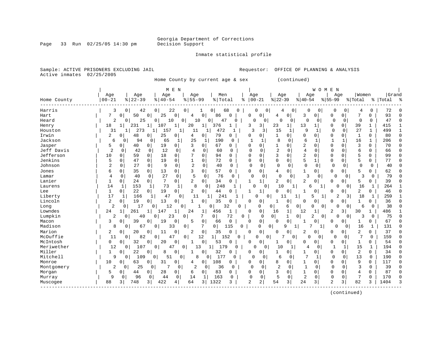Page 33 Run 02/25/05 14:30 pm

#### Inmate statistical profile

Sample: ACTIVE PRISONERS EXCLUDING JAIL **Requestor:** OFFICE OF PLANNING & ANALYSIS Active inmates 02/25/2005

Home County by current age & sex (continued)

| Grand<br>Age<br>Age<br>Age<br>Age<br>Men<br>Age<br>Age<br>Women<br>Age<br>Age<br>$00 - 21$<br>$ 22-39$<br>$8155 - 99$<br>$00 - 21$<br>$ 22-39$<br>$8   40 - 54$<br>% Total<br>$8 40-54$<br>$8155 - 99$<br>Home County<br>% Total<br>%   Total<br>ႜ<br>ႜ<br>Harris<br>3<br>42<br>0 <sup>1</sup><br>22<br>0<br>0<br>68<br>0<br>$\Omega$<br>0<br>72<br>0<br>1<br>0<br>0<br>$\Omega$<br>0<br>4<br>4<br>93<br>7<br>50<br>$\Omega$<br>25<br>0<br>$\circ$<br>86<br>0<br>3<br>0<br>7<br>0<br>Hart<br>$\Omega$<br>0<br>$\Omega$<br>$\Omega$<br>$\Omega$<br>4<br>0<br>4<br>47<br>25<br>0<br>$\mathbf 0$<br>$\Omega$<br>$\mathbf 0$<br>Heard<br>2<br>0<br>10<br>10<br>0<br>47<br>0<br>0<br>0<br>$\Omega$<br>$\Omega$<br>0<br>U<br>0<br>0<br>3<br>18<br>231<br>107<br>1<br>20<br>376<br>23<br>13<br>0<br>39<br>$\mathbf{1}$<br>415<br>3<br>$\mathbf{1}$<br>$\Omega$<br>Henry<br>1<br>273<br>9<br>27<br>499<br>31<br>11<br>3<br>3<br>15<br>$\Omega$<br>1<br>Houston<br>157<br>1<br>472<br>1<br>1<br>1<br>$\Omega$<br>1<br>1<br>$\mathbf{1}$<br>Irwin<br>2<br>48<br>25<br>79<br>80<br>0<br>4<br>0 <sup>1</sup><br>0<br>0<br>0<br>0<br>0<br>$\Omega$<br>0<br>$\mathbf{1}$<br>0<br>0<br>0<br>$\Omega$<br>$\cap$<br>Jackson<br>8<br>6<br>$\mathbf{1}$<br>94<br>25<br>190<br>$\Omega$<br>1<br>1<br>206<br>6<br>0<br>0<br>65<br>1<br>1<br>16<br>n<br>$\Omega$<br>$\overline{2}$<br>3<br>67<br>$\Omega$<br>3<br>0<br>70<br>Jasper<br>5<br>40<br>19<br>0<br>0<br>0<br>0<br>$\Omega$<br>$\Omega$<br>$\Omega$<br>O<br>0<br>0<br>Jeff Davis<br>$\overline{2}$<br>$\overline{2}$<br>$\overline{4}$<br>12<br>$\Omega$<br>$\Omega$<br>66<br>42<br>0<br>4<br>0<br>60<br>$\Omega$<br>$\Omega$<br>$\Omega$<br>$\Omega$<br>6<br>0<br>$\Omega$<br>$\Omega$<br>0<br>$\overline{c}$<br>3<br>Jefferson<br>18<br>$\mathbf 0$<br>7<br>0<br>5<br>10<br>59<br>$\Omega$<br>$\mathbf 0$<br>94<br>$\Omega$<br>$\Omega$<br>$\Omega$<br>$\Omega$<br>$\Omega$<br>0<br>99<br>$\Omega$<br>0<br>Jenkins<br>72<br>5<br>5<br>47<br>19<br>0<br>0<br>$\mathbf 0$<br>$\mathbf 0$<br>0<br>5<br>77<br>0<br>0<br>0<br>$\Omega$<br>0<br>0<br>$\mathbf{1}$<br>$\Omega$<br>$\overline{2}$<br>$\mathbf 0$<br>$\overline{2}$<br>$\mathbf 0$<br>27<br>9<br>40<br>$\Omega$<br>$\mathbf 0$<br>Johnson<br>0<br>0<br>$\Omega$<br>0<br>$\Omega$<br>$\Omega$<br>0<br>0<br>$\Omega$<br>$\Omega$<br>40<br>$\Omega$<br>62<br>35<br>13<br>$\overline{0}$<br>3<br>0 <sup>1</sup><br>57<br>0<br>0<br>5<br>6<br>0<br>0<br>0<br>Ω<br>1<br>0<br>$\Omega$<br>0<br>0<br>Jones<br>4<br>27<br>5<br>76<br>κ<br>79<br>40<br>$\mathbf 0$<br>$\mathbf 0$<br>$\Omega$<br>$\mathbf 0$<br>$\Omega$<br>3<br>$\mathbf 0$<br>Lamar<br>4<br>0<br>0<br>$\Omega$<br>0<br>0<br>$\Omega$<br>0<br>7<br>2<br>39<br>0<br>24<br>$\overline{0}$<br>0<br>2<br>0 <sup>1</sup><br>34<br>1<br>2<br>5<br>0<br>0<br>$\Omega$<br>$\Omega$<br>0<br>0<br>U<br>73<br>8<br>248<br>264<br>153<br>$\Omega$<br>0<br>10<br>16<br>1<br>Laurens<br>14<br>1<br>1<br>0<br>-1<br>6<br>1<br>$\Omega$<br>22<br>19<br>2<br>2<br>1<br>$\Omega$<br>0<br>$\Omega$<br>44<br>1<br>$\Omega$<br>$\Omega$<br><sup>0</sup><br>46<br>Lee<br>0<br>U<br>1<br>1<br><sup>0</sup><br>0<br>N<br>259<br>Liberty<br>17<br>166<br>241<br>18<br>47<br>0<br>11<br>$\mathbf 1$<br>O<br>0<br>2<br>3<br>-1<br>1<br>5<br>1<br>٦<br>11<br>-1.<br>2<br>35<br>36<br>19<br>13<br>0<br>0<br>0<br>0<br>O<br>0<br>0<br>0<br>0<br>0<br>0<br>$\Omega$<br>0<br>C<br>2<br>38<br>17<br>12<br>32<br>$\mathbf 0$<br>6<br>0<br>6<br>Long<br>0<br>$\cap$<br>0<br>0<br>0<br>$\Omega$<br>$\Omega$<br>$\Omega$<br>Ω<br>0<br>O<br>24<br>486<br>261<br>24<br>456<br>0<br>1<br>12<br>3<br>30<br>$\mathbf{1}$<br>147<br>1<br>1<br>1<br>$\Omega$<br>16<br>1<br>2<br>Lumpkin<br>0<br>72<br> 0 <br>75<br>2<br>40<br>23<br>7<br>1<br>0<br>2<br>3<br>$\Omega$<br>$\Omega$<br>$\Omega$<br>$\Omega$<br>0<br>U<br>0<br>$\Omega$<br>0<br>$\Omega$<br>67<br>39<br>$\mathbf 0$<br>0<br>Macon<br>3<br>19<br>0<br>5<br>66<br>0<br>$\Omega$<br>0<br>0<br>∩<br><sup>0</sup><br>$\Omega$<br>1<br>0<br>Madison<br>7<br>0<br>131<br>8<br>67<br>0<br>33<br>0<br>115<br>0<br>0<br>0<br>9<br>O<br>16<br>0<br>1<br>$\Omega$<br>Marion<br>$\mathbf 0$<br>0<br>0<br>2<br>37<br>2<br>20<br>0<br>2<br>35<br>$\Omega$<br>2<br>0<br>O<br>11<br>U<br>$\Omega$<br>$\Omega$<br><sup>0</sup><br>0<br><sup>0</sup><br>McDuffie<br>7<br>82<br>12<br>159<br>11<br>$\mathbf{0}$<br>47<br>0<br>.52<br>$\Omega$<br>7<br>O<br>$\Omega$<br>$\Omega$<br>$\Omega$<br>11<br>1<br>0<br>U<br>$\Omega$<br>$\Omega$<br>$\Omega$<br>54<br>McIntosh<br>32<br>0<br>0<br>0<br>0<br>0<br>20<br>53<br>O<br>0<br>0<br>1<br>0<br>0<br>0<br>0<br>0<br>0<br>15<br>12<br>107<br>179<br>$\mathbf{1}$<br>$\mathbf{1}$<br>194<br>0<br>47<br>13<br>1<br>0<br>10<br>0<br>0<br>0<br>1<br>4<br>0<br>1<br>r<br>$\overline{a}$<br>Miller<br>32<br>34<br>$\mathbf{1}$<br>22<br>0<br>0<br>0<br>0<br>0<br>0<br>8<br>0<br>0<br>0<br>1<br>0<br>0<br>C<br>0<br>Mitchell<br>9<br>8<br>177<br>7<br>$\Omega$<br>13<br>190<br>109<br>51<br>$\Omega$<br>6<br>$\Omega$<br>$\Omega$<br>$\circ$<br>$\Omega$<br>0<br>0<br>0<br>$\Omega$<br>0<br>$\Omega$<br>1<br>108<br>9<br>Monroe<br>10<br>63<br>31<br>0<br>0<br>8<br>$\Omega$<br>0<br>0<br>117<br>0<br>0<br>4<br>$\Omega$<br>0<br>0<br>0<br>1<br>0<br>$\Omega$<br>$\overline{1}$<br>2<br>7<br>$\overline{2}$<br>2<br>3<br>39<br>25<br>36<br>$\Omega$<br>0<br>$\Omega$<br>0<br>$\Omega$<br>$\Omega$<br>$\Omega$<br>Montgomery<br>$\Omega$<br>0<br>0<br>O<br>$\Omega$<br>87<br>5<br>28<br>0<br>$\Omega$<br>83<br>0<br>3<br>$\Omega$<br>1<br>$\Omega$<br>$\Omega$<br>0<br>Morgan<br>44<br>0<br>6<br>0<br>0<br><sup>0</sup><br>4<br>0<br>5<br>$\overline{2}$<br>7<br>170<br>9<br>96<br>44<br>$\mathbf 0$<br>163<br>$\mathbf 0$<br>$\mathbf 0$<br>$\Omega$<br>14<br>1<br>0<br>0<br>0<br>0<br>$\Omega$<br>0<br>Murray<br>0<br>422<br>1322<br>2<br>3<br>24<br>2<br>3<br>82<br>1404<br>88<br>748<br>3<br>64<br>2<br>54<br>3<br>3<br>4<br>3 <sup>1</sup><br>3<br>3<br>Muscogee |            |  | M E N |  |  |  |  | WOMEN |  |  |  |
|------------------------------------------------------------------------------------------------------------------------------------------------------------------------------------------------------------------------------------------------------------------------------------------------------------------------------------------------------------------------------------------------------------------------------------------------------------------------------------------------------------------------------------------------------------------------------------------------------------------------------------------------------------------------------------------------------------------------------------------------------------------------------------------------------------------------------------------------------------------------------------------------------------------------------------------------------------------------------------------------------------------------------------------------------------------------------------------------------------------------------------------------------------------------------------------------------------------------------------------------------------------------------------------------------------------------------------------------------------------------------------------------------------------------------------------------------------------------------------------------------------------------------------------------------------------------------------------------------------------------------------------------------------------------------------------------------------------------------------------------------------------------------------------------------------------------------------------------------------------------------------------------------------------------------------------------------------------------------------------------------------------------------------------------------------------------------------------------------------------------------------------------------------------------------------------------------------------------------------------------------------------------------------------------------------------------------------------------------------------------------------------------------------------------------------------------------------------------------------------------------------------------------------------------------------------------------------------------------------------------------------------------------------------------------------------------------------------------------------------------------------------------------------------------------------------------------------------------------------------------------------------------------------------------------------------------------------------------------------------------------------------------------------------------------------------------------------------------------------------------------------------------------------------------------------------------------------------------------------------------------------------------------------------------------------------------------------------------------------------------------------------------------------------------------------------------------------------------------------------------------------------------------------------------------------------------------------------------------------------------------------------------------------------------------------------------------------------------------------------------------------------------------------------------------------------------------------------------------------------------------------------------------------------------------------------------------------------------------------------------------------------------------------------------------------------------------------------------------------------------------------------------------------------------------------------------------------------------------------------------------------------------------------------------------------------------------------------------------------------------------------------------------------------------------------------------------------------------------------------------------------------------------------------------------------------------------------------------------------------------------------------------------------------------------------------------------------------------------------------------------------------------------------------------------------------------------------------------------------------------------------------------------------------------------------------------------------------------------------------------------------------------------------------------------------------------------------------------------------------------------------------------------------------------------------------------------------------------------------------------------------------------------------------------------------------------------------------------------------------------------------------------------------------------------------------------------------------------------------------------------------------------------------------------------------------------------------------------------------------------------------------------------------------------------------------------------------------------------------------------------------------------------------------------------------------------------------------------------------------------------------------------------------------------------------------------------------|------------|--|-------|--|--|--|--|-------|--|--|--|
|                                                                                                                                                                                                                                                                                                                                                                                                                                                                                                                                                                                                                                                                                                                                                                                                                                                                                                                                                                                                                                                                                                                                                                                                                                                                                                                                                                                                                                                                                                                                                                                                                                                                                                                                                                                                                                                                                                                                                                                                                                                                                                                                                                                                                                                                                                                                                                                                                                                                                                                                                                                                                                                                                                                                                                                                                                                                                                                                                                                                                                                                                                                                                                                                                                                                                                                                                                                                                                                                                                                                                                                                                                                                                                                                                                                                                                                                                                                                                                                                                                                                                                                                                                                                                                                                                                                                                                                                                                                                                                                                                                                                                                                                                                                                                                                                                                                                                                                                                                                                                                                                                                                                                                                                                                                                                                                                                                                                                                                                                                                                                                                                                                                                                                                                                                                                                                                                                                                                                            |            |  |       |  |  |  |  |       |  |  |  |
|                                                                                                                                                                                                                                                                                                                                                                                                                                                                                                                                                                                                                                                                                                                                                                                                                                                                                                                                                                                                                                                                                                                                                                                                                                                                                                                                                                                                                                                                                                                                                                                                                                                                                                                                                                                                                                                                                                                                                                                                                                                                                                                                                                                                                                                                                                                                                                                                                                                                                                                                                                                                                                                                                                                                                                                                                                                                                                                                                                                                                                                                                                                                                                                                                                                                                                                                                                                                                                                                                                                                                                                                                                                                                                                                                                                                                                                                                                                                                                                                                                                                                                                                                                                                                                                                                                                                                                                                                                                                                                                                                                                                                                                                                                                                                                                                                                                                                                                                                                                                                                                                                                                                                                                                                                                                                                                                                                                                                                                                                                                                                                                                                                                                                                                                                                                                                                                                                                                                                            |            |  |       |  |  |  |  |       |  |  |  |
|                                                                                                                                                                                                                                                                                                                                                                                                                                                                                                                                                                                                                                                                                                                                                                                                                                                                                                                                                                                                                                                                                                                                                                                                                                                                                                                                                                                                                                                                                                                                                                                                                                                                                                                                                                                                                                                                                                                                                                                                                                                                                                                                                                                                                                                                                                                                                                                                                                                                                                                                                                                                                                                                                                                                                                                                                                                                                                                                                                                                                                                                                                                                                                                                                                                                                                                                                                                                                                                                                                                                                                                                                                                                                                                                                                                                                                                                                                                                                                                                                                                                                                                                                                                                                                                                                                                                                                                                                                                                                                                                                                                                                                                                                                                                                                                                                                                                                                                                                                                                                                                                                                                                                                                                                                                                                                                                                                                                                                                                                                                                                                                                                                                                                                                                                                                                                                                                                                                                                            |            |  |       |  |  |  |  |       |  |  |  |
|                                                                                                                                                                                                                                                                                                                                                                                                                                                                                                                                                                                                                                                                                                                                                                                                                                                                                                                                                                                                                                                                                                                                                                                                                                                                                                                                                                                                                                                                                                                                                                                                                                                                                                                                                                                                                                                                                                                                                                                                                                                                                                                                                                                                                                                                                                                                                                                                                                                                                                                                                                                                                                                                                                                                                                                                                                                                                                                                                                                                                                                                                                                                                                                                                                                                                                                                                                                                                                                                                                                                                                                                                                                                                                                                                                                                                                                                                                                                                                                                                                                                                                                                                                                                                                                                                                                                                                                                                                                                                                                                                                                                                                                                                                                                                                                                                                                                                                                                                                                                                                                                                                                                                                                                                                                                                                                                                                                                                                                                                                                                                                                                                                                                                                                                                                                                                                                                                                                                                            |            |  |       |  |  |  |  |       |  |  |  |
|                                                                                                                                                                                                                                                                                                                                                                                                                                                                                                                                                                                                                                                                                                                                                                                                                                                                                                                                                                                                                                                                                                                                                                                                                                                                                                                                                                                                                                                                                                                                                                                                                                                                                                                                                                                                                                                                                                                                                                                                                                                                                                                                                                                                                                                                                                                                                                                                                                                                                                                                                                                                                                                                                                                                                                                                                                                                                                                                                                                                                                                                                                                                                                                                                                                                                                                                                                                                                                                                                                                                                                                                                                                                                                                                                                                                                                                                                                                                                                                                                                                                                                                                                                                                                                                                                                                                                                                                                                                                                                                                                                                                                                                                                                                                                                                                                                                                                                                                                                                                                                                                                                                                                                                                                                                                                                                                                                                                                                                                                                                                                                                                                                                                                                                                                                                                                                                                                                                                                            |            |  |       |  |  |  |  |       |  |  |  |
|                                                                                                                                                                                                                                                                                                                                                                                                                                                                                                                                                                                                                                                                                                                                                                                                                                                                                                                                                                                                                                                                                                                                                                                                                                                                                                                                                                                                                                                                                                                                                                                                                                                                                                                                                                                                                                                                                                                                                                                                                                                                                                                                                                                                                                                                                                                                                                                                                                                                                                                                                                                                                                                                                                                                                                                                                                                                                                                                                                                                                                                                                                                                                                                                                                                                                                                                                                                                                                                                                                                                                                                                                                                                                                                                                                                                                                                                                                                                                                                                                                                                                                                                                                                                                                                                                                                                                                                                                                                                                                                                                                                                                                                                                                                                                                                                                                                                                                                                                                                                                                                                                                                                                                                                                                                                                                                                                                                                                                                                                                                                                                                                                                                                                                                                                                                                                                                                                                                                                            |            |  |       |  |  |  |  |       |  |  |  |
|                                                                                                                                                                                                                                                                                                                                                                                                                                                                                                                                                                                                                                                                                                                                                                                                                                                                                                                                                                                                                                                                                                                                                                                                                                                                                                                                                                                                                                                                                                                                                                                                                                                                                                                                                                                                                                                                                                                                                                                                                                                                                                                                                                                                                                                                                                                                                                                                                                                                                                                                                                                                                                                                                                                                                                                                                                                                                                                                                                                                                                                                                                                                                                                                                                                                                                                                                                                                                                                                                                                                                                                                                                                                                                                                                                                                                                                                                                                                                                                                                                                                                                                                                                                                                                                                                                                                                                                                                                                                                                                                                                                                                                                                                                                                                                                                                                                                                                                                                                                                                                                                                                                                                                                                                                                                                                                                                                                                                                                                                                                                                                                                                                                                                                                                                                                                                                                                                                                                                            |            |  |       |  |  |  |  |       |  |  |  |
|                                                                                                                                                                                                                                                                                                                                                                                                                                                                                                                                                                                                                                                                                                                                                                                                                                                                                                                                                                                                                                                                                                                                                                                                                                                                                                                                                                                                                                                                                                                                                                                                                                                                                                                                                                                                                                                                                                                                                                                                                                                                                                                                                                                                                                                                                                                                                                                                                                                                                                                                                                                                                                                                                                                                                                                                                                                                                                                                                                                                                                                                                                                                                                                                                                                                                                                                                                                                                                                                                                                                                                                                                                                                                                                                                                                                                                                                                                                                                                                                                                                                                                                                                                                                                                                                                                                                                                                                                                                                                                                                                                                                                                                                                                                                                                                                                                                                                                                                                                                                                                                                                                                                                                                                                                                                                                                                                                                                                                                                                                                                                                                                                                                                                                                                                                                                                                                                                                                                                            |            |  |       |  |  |  |  |       |  |  |  |
|                                                                                                                                                                                                                                                                                                                                                                                                                                                                                                                                                                                                                                                                                                                                                                                                                                                                                                                                                                                                                                                                                                                                                                                                                                                                                                                                                                                                                                                                                                                                                                                                                                                                                                                                                                                                                                                                                                                                                                                                                                                                                                                                                                                                                                                                                                                                                                                                                                                                                                                                                                                                                                                                                                                                                                                                                                                                                                                                                                                                                                                                                                                                                                                                                                                                                                                                                                                                                                                                                                                                                                                                                                                                                                                                                                                                                                                                                                                                                                                                                                                                                                                                                                                                                                                                                                                                                                                                                                                                                                                                                                                                                                                                                                                                                                                                                                                                                                                                                                                                                                                                                                                                                                                                                                                                                                                                                                                                                                                                                                                                                                                                                                                                                                                                                                                                                                                                                                                                                            |            |  |       |  |  |  |  |       |  |  |  |
|                                                                                                                                                                                                                                                                                                                                                                                                                                                                                                                                                                                                                                                                                                                                                                                                                                                                                                                                                                                                                                                                                                                                                                                                                                                                                                                                                                                                                                                                                                                                                                                                                                                                                                                                                                                                                                                                                                                                                                                                                                                                                                                                                                                                                                                                                                                                                                                                                                                                                                                                                                                                                                                                                                                                                                                                                                                                                                                                                                                                                                                                                                                                                                                                                                                                                                                                                                                                                                                                                                                                                                                                                                                                                                                                                                                                                                                                                                                                                                                                                                                                                                                                                                                                                                                                                                                                                                                                                                                                                                                                                                                                                                                                                                                                                                                                                                                                                                                                                                                                                                                                                                                                                                                                                                                                                                                                                                                                                                                                                                                                                                                                                                                                                                                                                                                                                                                                                                                                                            |            |  |       |  |  |  |  |       |  |  |  |
|                                                                                                                                                                                                                                                                                                                                                                                                                                                                                                                                                                                                                                                                                                                                                                                                                                                                                                                                                                                                                                                                                                                                                                                                                                                                                                                                                                                                                                                                                                                                                                                                                                                                                                                                                                                                                                                                                                                                                                                                                                                                                                                                                                                                                                                                                                                                                                                                                                                                                                                                                                                                                                                                                                                                                                                                                                                                                                                                                                                                                                                                                                                                                                                                                                                                                                                                                                                                                                                                                                                                                                                                                                                                                                                                                                                                                                                                                                                                                                                                                                                                                                                                                                                                                                                                                                                                                                                                                                                                                                                                                                                                                                                                                                                                                                                                                                                                                                                                                                                                                                                                                                                                                                                                                                                                                                                                                                                                                                                                                                                                                                                                                                                                                                                                                                                                                                                                                                                                                            |            |  |       |  |  |  |  |       |  |  |  |
|                                                                                                                                                                                                                                                                                                                                                                                                                                                                                                                                                                                                                                                                                                                                                                                                                                                                                                                                                                                                                                                                                                                                                                                                                                                                                                                                                                                                                                                                                                                                                                                                                                                                                                                                                                                                                                                                                                                                                                                                                                                                                                                                                                                                                                                                                                                                                                                                                                                                                                                                                                                                                                                                                                                                                                                                                                                                                                                                                                                                                                                                                                                                                                                                                                                                                                                                                                                                                                                                                                                                                                                                                                                                                                                                                                                                                                                                                                                                                                                                                                                                                                                                                                                                                                                                                                                                                                                                                                                                                                                                                                                                                                                                                                                                                                                                                                                                                                                                                                                                                                                                                                                                                                                                                                                                                                                                                                                                                                                                                                                                                                                                                                                                                                                                                                                                                                                                                                                                                            |            |  |       |  |  |  |  |       |  |  |  |
|                                                                                                                                                                                                                                                                                                                                                                                                                                                                                                                                                                                                                                                                                                                                                                                                                                                                                                                                                                                                                                                                                                                                                                                                                                                                                                                                                                                                                                                                                                                                                                                                                                                                                                                                                                                                                                                                                                                                                                                                                                                                                                                                                                                                                                                                                                                                                                                                                                                                                                                                                                                                                                                                                                                                                                                                                                                                                                                                                                                                                                                                                                                                                                                                                                                                                                                                                                                                                                                                                                                                                                                                                                                                                                                                                                                                                                                                                                                                                                                                                                                                                                                                                                                                                                                                                                                                                                                                                                                                                                                                                                                                                                                                                                                                                                                                                                                                                                                                                                                                                                                                                                                                                                                                                                                                                                                                                                                                                                                                                                                                                                                                                                                                                                                                                                                                                                                                                                                                                            |            |  |       |  |  |  |  |       |  |  |  |
|                                                                                                                                                                                                                                                                                                                                                                                                                                                                                                                                                                                                                                                                                                                                                                                                                                                                                                                                                                                                                                                                                                                                                                                                                                                                                                                                                                                                                                                                                                                                                                                                                                                                                                                                                                                                                                                                                                                                                                                                                                                                                                                                                                                                                                                                                                                                                                                                                                                                                                                                                                                                                                                                                                                                                                                                                                                                                                                                                                                                                                                                                                                                                                                                                                                                                                                                                                                                                                                                                                                                                                                                                                                                                                                                                                                                                                                                                                                                                                                                                                                                                                                                                                                                                                                                                                                                                                                                                                                                                                                                                                                                                                                                                                                                                                                                                                                                                                                                                                                                                                                                                                                                                                                                                                                                                                                                                                                                                                                                                                                                                                                                                                                                                                                                                                                                                                                                                                                                                            |            |  |       |  |  |  |  |       |  |  |  |
|                                                                                                                                                                                                                                                                                                                                                                                                                                                                                                                                                                                                                                                                                                                                                                                                                                                                                                                                                                                                                                                                                                                                                                                                                                                                                                                                                                                                                                                                                                                                                                                                                                                                                                                                                                                                                                                                                                                                                                                                                                                                                                                                                                                                                                                                                                                                                                                                                                                                                                                                                                                                                                                                                                                                                                                                                                                                                                                                                                                                                                                                                                                                                                                                                                                                                                                                                                                                                                                                                                                                                                                                                                                                                                                                                                                                                                                                                                                                                                                                                                                                                                                                                                                                                                                                                                                                                                                                                                                                                                                                                                                                                                                                                                                                                                                                                                                                                                                                                                                                                                                                                                                                                                                                                                                                                                                                                                                                                                                                                                                                                                                                                                                                                                                                                                                                                                                                                                                                                            |            |  |       |  |  |  |  |       |  |  |  |
|                                                                                                                                                                                                                                                                                                                                                                                                                                                                                                                                                                                                                                                                                                                                                                                                                                                                                                                                                                                                                                                                                                                                                                                                                                                                                                                                                                                                                                                                                                                                                                                                                                                                                                                                                                                                                                                                                                                                                                                                                                                                                                                                                                                                                                                                                                                                                                                                                                                                                                                                                                                                                                                                                                                                                                                                                                                                                                                                                                                                                                                                                                                                                                                                                                                                                                                                                                                                                                                                                                                                                                                                                                                                                                                                                                                                                                                                                                                                                                                                                                                                                                                                                                                                                                                                                                                                                                                                                                                                                                                                                                                                                                                                                                                                                                                                                                                                                                                                                                                                                                                                                                                                                                                                                                                                                                                                                                                                                                                                                                                                                                                                                                                                                                                                                                                                                                                                                                                                                            |            |  |       |  |  |  |  |       |  |  |  |
|                                                                                                                                                                                                                                                                                                                                                                                                                                                                                                                                                                                                                                                                                                                                                                                                                                                                                                                                                                                                                                                                                                                                                                                                                                                                                                                                                                                                                                                                                                                                                                                                                                                                                                                                                                                                                                                                                                                                                                                                                                                                                                                                                                                                                                                                                                                                                                                                                                                                                                                                                                                                                                                                                                                                                                                                                                                                                                                                                                                                                                                                                                                                                                                                                                                                                                                                                                                                                                                                                                                                                                                                                                                                                                                                                                                                                                                                                                                                                                                                                                                                                                                                                                                                                                                                                                                                                                                                                                                                                                                                                                                                                                                                                                                                                                                                                                                                                                                                                                                                                                                                                                                                                                                                                                                                                                                                                                                                                                                                                                                                                                                                                                                                                                                                                                                                                                                                                                                                                            | Lanier     |  |       |  |  |  |  |       |  |  |  |
|                                                                                                                                                                                                                                                                                                                                                                                                                                                                                                                                                                                                                                                                                                                                                                                                                                                                                                                                                                                                                                                                                                                                                                                                                                                                                                                                                                                                                                                                                                                                                                                                                                                                                                                                                                                                                                                                                                                                                                                                                                                                                                                                                                                                                                                                                                                                                                                                                                                                                                                                                                                                                                                                                                                                                                                                                                                                                                                                                                                                                                                                                                                                                                                                                                                                                                                                                                                                                                                                                                                                                                                                                                                                                                                                                                                                                                                                                                                                                                                                                                                                                                                                                                                                                                                                                                                                                                                                                                                                                                                                                                                                                                                                                                                                                                                                                                                                                                                                                                                                                                                                                                                                                                                                                                                                                                                                                                                                                                                                                                                                                                                                                                                                                                                                                                                                                                                                                                                                                            |            |  |       |  |  |  |  |       |  |  |  |
|                                                                                                                                                                                                                                                                                                                                                                                                                                                                                                                                                                                                                                                                                                                                                                                                                                                                                                                                                                                                                                                                                                                                                                                                                                                                                                                                                                                                                                                                                                                                                                                                                                                                                                                                                                                                                                                                                                                                                                                                                                                                                                                                                                                                                                                                                                                                                                                                                                                                                                                                                                                                                                                                                                                                                                                                                                                                                                                                                                                                                                                                                                                                                                                                                                                                                                                                                                                                                                                                                                                                                                                                                                                                                                                                                                                                                                                                                                                                                                                                                                                                                                                                                                                                                                                                                                                                                                                                                                                                                                                                                                                                                                                                                                                                                                                                                                                                                                                                                                                                                                                                                                                                                                                                                                                                                                                                                                                                                                                                                                                                                                                                                                                                                                                                                                                                                                                                                                                                                            |            |  |       |  |  |  |  |       |  |  |  |
|                                                                                                                                                                                                                                                                                                                                                                                                                                                                                                                                                                                                                                                                                                                                                                                                                                                                                                                                                                                                                                                                                                                                                                                                                                                                                                                                                                                                                                                                                                                                                                                                                                                                                                                                                                                                                                                                                                                                                                                                                                                                                                                                                                                                                                                                                                                                                                                                                                                                                                                                                                                                                                                                                                                                                                                                                                                                                                                                                                                                                                                                                                                                                                                                                                                                                                                                                                                                                                                                                                                                                                                                                                                                                                                                                                                                                                                                                                                                                                                                                                                                                                                                                                                                                                                                                                                                                                                                                                                                                                                                                                                                                                                                                                                                                                                                                                                                                                                                                                                                                                                                                                                                                                                                                                                                                                                                                                                                                                                                                                                                                                                                                                                                                                                                                                                                                                                                                                                                                            |            |  |       |  |  |  |  |       |  |  |  |
|                                                                                                                                                                                                                                                                                                                                                                                                                                                                                                                                                                                                                                                                                                                                                                                                                                                                                                                                                                                                                                                                                                                                                                                                                                                                                                                                                                                                                                                                                                                                                                                                                                                                                                                                                                                                                                                                                                                                                                                                                                                                                                                                                                                                                                                                                                                                                                                                                                                                                                                                                                                                                                                                                                                                                                                                                                                                                                                                                                                                                                                                                                                                                                                                                                                                                                                                                                                                                                                                                                                                                                                                                                                                                                                                                                                                                                                                                                                                                                                                                                                                                                                                                                                                                                                                                                                                                                                                                                                                                                                                                                                                                                                                                                                                                                                                                                                                                                                                                                                                                                                                                                                                                                                                                                                                                                                                                                                                                                                                                                                                                                                                                                                                                                                                                                                                                                                                                                                                                            | Lincoln    |  |       |  |  |  |  |       |  |  |  |
|                                                                                                                                                                                                                                                                                                                                                                                                                                                                                                                                                                                                                                                                                                                                                                                                                                                                                                                                                                                                                                                                                                                                                                                                                                                                                                                                                                                                                                                                                                                                                                                                                                                                                                                                                                                                                                                                                                                                                                                                                                                                                                                                                                                                                                                                                                                                                                                                                                                                                                                                                                                                                                                                                                                                                                                                                                                                                                                                                                                                                                                                                                                                                                                                                                                                                                                                                                                                                                                                                                                                                                                                                                                                                                                                                                                                                                                                                                                                                                                                                                                                                                                                                                                                                                                                                                                                                                                                                                                                                                                                                                                                                                                                                                                                                                                                                                                                                                                                                                                                                                                                                                                                                                                                                                                                                                                                                                                                                                                                                                                                                                                                                                                                                                                                                                                                                                                                                                                                                            |            |  |       |  |  |  |  |       |  |  |  |
|                                                                                                                                                                                                                                                                                                                                                                                                                                                                                                                                                                                                                                                                                                                                                                                                                                                                                                                                                                                                                                                                                                                                                                                                                                                                                                                                                                                                                                                                                                                                                                                                                                                                                                                                                                                                                                                                                                                                                                                                                                                                                                                                                                                                                                                                                                                                                                                                                                                                                                                                                                                                                                                                                                                                                                                                                                                                                                                                                                                                                                                                                                                                                                                                                                                                                                                                                                                                                                                                                                                                                                                                                                                                                                                                                                                                                                                                                                                                                                                                                                                                                                                                                                                                                                                                                                                                                                                                                                                                                                                                                                                                                                                                                                                                                                                                                                                                                                                                                                                                                                                                                                                                                                                                                                                                                                                                                                                                                                                                                                                                                                                                                                                                                                                                                                                                                                                                                                                                                            | Lowndes    |  |       |  |  |  |  |       |  |  |  |
|                                                                                                                                                                                                                                                                                                                                                                                                                                                                                                                                                                                                                                                                                                                                                                                                                                                                                                                                                                                                                                                                                                                                                                                                                                                                                                                                                                                                                                                                                                                                                                                                                                                                                                                                                                                                                                                                                                                                                                                                                                                                                                                                                                                                                                                                                                                                                                                                                                                                                                                                                                                                                                                                                                                                                                                                                                                                                                                                                                                                                                                                                                                                                                                                                                                                                                                                                                                                                                                                                                                                                                                                                                                                                                                                                                                                                                                                                                                                                                                                                                                                                                                                                                                                                                                                                                                                                                                                                                                                                                                                                                                                                                                                                                                                                                                                                                                                                                                                                                                                                                                                                                                                                                                                                                                                                                                                                                                                                                                                                                                                                                                                                                                                                                                                                                                                                                                                                                                                                            |            |  |       |  |  |  |  |       |  |  |  |
|                                                                                                                                                                                                                                                                                                                                                                                                                                                                                                                                                                                                                                                                                                                                                                                                                                                                                                                                                                                                                                                                                                                                                                                                                                                                                                                                                                                                                                                                                                                                                                                                                                                                                                                                                                                                                                                                                                                                                                                                                                                                                                                                                                                                                                                                                                                                                                                                                                                                                                                                                                                                                                                                                                                                                                                                                                                                                                                                                                                                                                                                                                                                                                                                                                                                                                                                                                                                                                                                                                                                                                                                                                                                                                                                                                                                                                                                                                                                                                                                                                                                                                                                                                                                                                                                                                                                                                                                                                                                                                                                                                                                                                                                                                                                                                                                                                                                                                                                                                                                                                                                                                                                                                                                                                                                                                                                                                                                                                                                                                                                                                                                                                                                                                                                                                                                                                                                                                                                                            |            |  |       |  |  |  |  |       |  |  |  |
|                                                                                                                                                                                                                                                                                                                                                                                                                                                                                                                                                                                                                                                                                                                                                                                                                                                                                                                                                                                                                                                                                                                                                                                                                                                                                                                                                                                                                                                                                                                                                                                                                                                                                                                                                                                                                                                                                                                                                                                                                                                                                                                                                                                                                                                                                                                                                                                                                                                                                                                                                                                                                                                                                                                                                                                                                                                                                                                                                                                                                                                                                                                                                                                                                                                                                                                                                                                                                                                                                                                                                                                                                                                                                                                                                                                                                                                                                                                                                                                                                                                                                                                                                                                                                                                                                                                                                                                                                                                                                                                                                                                                                                                                                                                                                                                                                                                                                                                                                                                                                                                                                                                                                                                                                                                                                                                                                                                                                                                                                                                                                                                                                                                                                                                                                                                                                                                                                                                                                            |            |  |       |  |  |  |  |       |  |  |  |
|                                                                                                                                                                                                                                                                                                                                                                                                                                                                                                                                                                                                                                                                                                                                                                                                                                                                                                                                                                                                                                                                                                                                                                                                                                                                                                                                                                                                                                                                                                                                                                                                                                                                                                                                                                                                                                                                                                                                                                                                                                                                                                                                                                                                                                                                                                                                                                                                                                                                                                                                                                                                                                                                                                                                                                                                                                                                                                                                                                                                                                                                                                                                                                                                                                                                                                                                                                                                                                                                                                                                                                                                                                                                                                                                                                                                                                                                                                                                                                                                                                                                                                                                                                                                                                                                                                                                                                                                                                                                                                                                                                                                                                                                                                                                                                                                                                                                                                                                                                                                                                                                                                                                                                                                                                                                                                                                                                                                                                                                                                                                                                                                                                                                                                                                                                                                                                                                                                                                                            |            |  |       |  |  |  |  |       |  |  |  |
|                                                                                                                                                                                                                                                                                                                                                                                                                                                                                                                                                                                                                                                                                                                                                                                                                                                                                                                                                                                                                                                                                                                                                                                                                                                                                                                                                                                                                                                                                                                                                                                                                                                                                                                                                                                                                                                                                                                                                                                                                                                                                                                                                                                                                                                                                                                                                                                                                                                                                                                                                                                                                                                                                                                                                                                                                                                                                                                                                                                                                                                                                                                                                                                                                                                                                                                                                                                                                                                                                                                                                                                                                                                                                                                                                                                                                                                                                                                                                                                                                                                                                                                                                                                                                                                                                                                                                                                                                                                                                                                                                                                                                                                                                                                                                                                                                                                                                                                                                                                                                                                                                                                                                                                                                                                                                                                                                                                                                                                                                                                                                                                                                                                                                                                                                                                                                                                                                                                                                            |            |  |       |  |  |  |  |       |  |  |  |
|                                                                                                                                                                                                                                                                                                                                                                                                                                                                                                                                                                                                                                                                                                                                                                                                                                                                                                                                                                                                                                                                                                                                                                                                                                                                                                                                                                                                                                                                                                                                                                                                                                                                                                                                                                                                                                                                                                                                                                                                                                                                                                                                                                                                                                                                                                                                                                                                                                                                                                                                                                                                                                                                                                                                                                                                                                                                                                                                                                                                                                                                                                                                                                                                                                                                                                                                                                                                                                                                                                                                                                                                                                                                                                                                                                                                                                                                                                                                                                                                                                                                                                                                                                                                                                                                                                                                                                                                                                                                                                                                                                                                                                                                                                                                                                                                                                                                                                                                                                                                                                                                                                                                                                                                                                                                                                                                                                                                                                                                                                                                                                                                                                                                                                                                                                                                                                                                                                                                                            |            |  |       |  |  |  |  |       |  |  |  |
|                                                                                                                                                                                                                                                                                                                                                                                                                                                                                                                                                                                                                                                                                                                                                                                                                                                                                                                                                                                                                                                                                                                                                                                                                                                                                                                                                                                                                                                                                                                                                                                                                                                                                                                                                                                                                                                                                                                                                                                                                                                                                                                                                                                                                                                                                                                                                                                                                                                                                                                                                                                                                                                                                                                                                                                                                                                                                                                                                                                                                                                                                                                                                                                                                                                                                                                                                                                                                                                                                                                                                                                                                                                                                                                                                                                                                                                                                                                                                                                                                                                                                                                                                                                                                                                                                                                                                                                                                                                                                                                                                                                                                                                                                                                                                                                                                                                                                                                                                                                                                                                                                                                                                                                                                                                                                                                                                                                                                                                                                                                                                                                                                                                                                                                                                                                                                                                                                                                                                            | Meriwether |  |       |  |  |  |  |       |  |  |  |
|                                                                                                                                                                                                                                                                                                                                                                                                                                                                                                                                                                                                                                                                                                                                                                                                                                                                                                                                                                                                                                                                                                                                                                                                                                                                                                                                                                                                                                                                                                                                                                                                                                                                                                                                                                                                                                                                                                                                                                                                                                                                                                                                                                                                                                                                                                                                                                                                                                                                                                                                                                                                                                                                                                                                                                                                                                                                                                                                                                                                                                                                                                                                                                                                                                                                                                                                                                                                                                                                                                                                                                                                                                                                                                                                                                                                                                                                                                                                                                                                                                                                                                                                                                                                                                                                                                                                                                                                                                                                                                                                                                                                                                                                                                                                                                                                                                                                                                                                                                                                                                                                                                                                                                                                                                                                                                                                                                                                                                                                                                                                                                                                                                                                                                                                                                                                                                                                                                                                                            |            |  |       |  |  |  |  |       |  |  |  |
|                                                                                                                                                                                                                                                                                                                                                                                                                                                                                                                                                                                                                                                                                                                                                                                                                                                                                                                                                                                                                                                                                                                                                                                                                                                                                                                                                                                                                                                                                                                                                                                                                                                                                                                                                                                                                                                                                                                                                                                                                                                                                                                                                                                                                                                                                                                                                                                                                                                                                                                                                                                                                                                                                                                                                                                                                                                                                                                                                                                                                                                                                                                                                                                                                                                                                                                                                                                                                                                                                                                                                                                                                                                                                                                                                                                                                                                                                                                                                                                                                                                                                                                                                                                                                                                                                                                                                                                                                                                                                                                                                                                                                                                                                                                                                                                                                                                                                                                                                                                                                                                                                                                                                                                                                                                                                                                                                                                                                                                                                                                                                                                                                                                                                                                                                                                                                                                                                                                                                            |            |  |       |  |  |  |  |       |  |  |  |
|                                                                                                                                                                                                                                                                                                                                                                                                                                                                                                                                                                                                                                                                                                                                                                                                                                                                                                                                                                                                                                                                                                                                                                                                                                                                                                                                                                                                                                                                                                                                                                                                                                                                                                                                                                                                                                                                                                                                                                                                                                                                                                                                                                                                                                                                                                                                                                                                                                                                                                                                                                                                                                                                                                                                                                                                                                                                                                                                                                                                                                                                                                                                                                                                                                                                                                                                                                                                                                                                                                                                                                                                                                                                                                                                                                                                                                                                                                                                                                                                                                                                                                                                                                                                                                                                                                                                                                                                                                                                                                                                                                                                                                                                                                                                                                                                                                                                                                                                                                                                                                                                                                                                                                                                                                                                                                                                                                                                                                                                                                                                                                                                                                                                                                                                                                                                                                                                                                                                                            |            |  |       |  |  |  |  |       |  |  |  |
|                                                                                                                                                                                                                                                                                                                                                                                                                                                                                                                                                                                                                                                                                                                                                                                                                                                                                                                                                                                                                                                                                                                                                                                                                                                                                                                                                                                                                                                                                                                                                                                                                                                                                                                                                                                                                                                                                                                                                                                                                                                                                                                                                                                                                                                                                                                                                                                                                                                                                                                                                                                                                                                                                                                                                                                                                                                                                                                                                                                                                                                                                                                                                                                                                                                                                                                                                                                                                                                                                                                                                                                                                                                                                                                                                                                                                                                                                                                                                                                                                                                                                                                                                                                                                                                                                                                                                                                                                                                                                                                                                                                                                                                                                                                                                                                                                                                                                                                                                                                                                                                                                                                                                                                                                                                                                                                                                                                                                                                                                                                                                                                                                                                                                                                                                                                                                                                                                                                                                            |            |  |       |  |  |  |  |       |  |  |  |
|                                                                                                                                                                                                                                                                                                                                                                                                                                                                                                                                                                                                                                                                                                                                                                                                                                                                                                                                                                                                                                                                                                                                                                                                                                                                                                                                                                                                                                                                                                                                                                                                                                                                                                                                                                                                                                                                                                                                                                                                                                                                                                                                                                                                                                                                                                                                                                                                                                                                                                                                                                                                                                                                                                                                                                                                                                                                                                                                                                                                                                                                                                                                                                                                                                                                                                                                                                                                                                                                                                                                                                                                                                                                                                                                                                                                                                                                                                                                                                                                                                                                                                                                                                                                                                                                                                                                                                                                                                                                                                                                                                                                                                                                                                                                                                                                                                                                                                                                                                                                                                                                                                                                                                                                                                                                                                                                                                                                                                                                                                                                                                                                                                                                                                                                                                                                                                                                                                                                                            |            |  |       |  |  |  |  |       |  |  |  |
|                                                                                                                                                                                                                                                                                                                                                                                                                                                                                                                                                                                                                                                                                                                                                                                                                                                                                                                                                                                                                                                                                                                                                                                                                                                                                                                                                                                                                                                                                                                                                                                                                                                                                                                                                                                                                                                                                                                                                                                                                                                                                                                                                                                                                                                                                                                                                                                                                                                                                                                                                                                                                                                                                                                                                                                                                                                                                                                                                                                                                                                                                                                                                                                                                                                                                                                                                                                                                                                                                                                                                                                                                                                                                                                                                                                                                                                                                                                                                                                                                                                                                                                                                                                                                                                                                                                                                                                                                                                                                                                                                                                                                                                                                                                                                                                                                                                                                                                                                                                                                                                                                                                                                                                                                                                                                                                                                                                                                                                                                                                                                                                                                                                                                                                                                                                                                                                                                                                                                            |            |  |       |  |  |  |  |       |  |  |  |
|                                                                                                                                                                                                                                                                                                                                                                                                                                                                                                                                                                                                                                                                                                                                                                                                                                                                                                                                                                                                                                                                                                                                                                                                                                                                                                                                                                                                                                                                                                                                                                                                                                                                                                                                                                                                                                                                                                                                                                                                                                                                                                                                                                                                                                                                                                                                                                                                                                                                                                                                                                                                                                                                                                                                                                                                                                                                                                                                                                                                                                                                                                                                                                                                                                                                                                                                                                                                                                                                                                                                                                                                                                                                                                                                                                                                                                                                                                                                                                                                                                                                                                                                                                                                                                                                                                                                                                                                                                                                                                                                                                                                                                                                                                                                                                                                                                                                                                                                                                                                                                                                                                                                                                                                                                                                                                                                                                                                                                                                                                                                                                                                                                                                                                                                                                                                                                                                                                                                                            |            |  |       |  |  |  |  |       |  |  |  |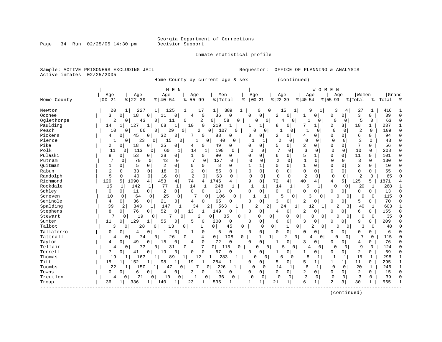Page 34 Run 02/25/05 14:30 pm

#### Inmate statistical profile

Sample: ACTIVE PRISONERS EXCLUDING JAIL **Requestor:** OFFICE OF PLANNING & ANALYSIS Active inmates 02/25/2005

Home County by current age & sex (continued)

|             |           |                    | M E N                |                               |                     |                       |                    |              |                     |                |                  |                | WOMEN          |                |                |                |              |           |              |
|-------------|-----------|--------------------|----------------------|-------------------------------|---------------------|-----------------------|--------------------|--------------|---------------------|----------------|------------------|----------------|----------------|----------------|----------------|----------------|--------------|-----------|--------------|
|             | Age       | Age                | Age                  | Age                           |                     | Men                   |                    | Age          |                     | Age            |                  | Age            |                | Age            |                | Women          |              | Grand     |              |
| Home County | $00 - 21$ | $8122 - 39$        | $8   40 - 54$        | $8155 - 99$                   |                     | %   Total             |                    | ႜ            | $00 - 21$           | $ 22-39$       |                  | $8 40-54$      |                | $8155 - 99$    |                | % Total        |              | %   Total | ్య           |
| Newton      | 20        | 227<br>1           | 125<br>11            | 1                             | 17                  | 1                     | 389                |              | $\mathbf 0$<br>0    | 15             |                  | 9              | 1              | 3              | 4              | 27             | 1            | 416       |              |
| Oconee      | 3         | 18<br>$\Omega$     | 0<br>11              | 0<br>4                        | $\mathbf 0$         | 36                    | $\Omega$           | $\Omega$     | $\mathbf{0}$        | 2              | 0                | 1              | 0              | 0              | 0              | 3              | 0            | 39        | $\Omega$     |
| Oglethorpe  | 2         | 43<br>0            | $\Omega$<br>11       | 0                             | 2                   | 0 <br>58              | $\Omega$           |              | 0<br>0              | 4              | 0                |                | 0              | 0              | 0              | 5              | $\mathbf 0$  | 63        | $\cap$       |
| Paulding    | 14        | 127<br>1           | 68                   | $\mathbf{1}$<br>10            | $\mathbf 0$         | 219                   |                    | -1           | $\mathbf{1}$        | 8              | 0                |                | $\mathbf{1}$   | 2              | 3              | 18             | $\mathbf{1}$ | 237       | $\mathbf{1}$ |
| Peach       | 10        | 66<br>0            | 29<br>$\Omega$       | 0                             | 2<br>$\overline{0}$ | 107                   |                    | $\Omega$     | 0                   |                | 0                | $\mathbf{1}$   | $\Omega$       | $\Omega$       | $\mathbf 0$    | $\overline{a}$ | $\Omega$     | 109       | $\Omega$     |
| Pickens     | 4         | 0<br>45            | 32<br>0              | $\Omega$<br>7                 | 0                   | 88                    | 0                  | $\Omega$     | 0                   | 2              | 0                | 4              | 0              | 0              | 0              | 6              | $\Omega$     | 94        | $\Omega$     |
| Pierce      |           | 23<br>0            | 0<br>15              | $\Omega$                      | 1<br>0              | 40                    | 0                  |              | 1                   | 2              | $\Omega$         | $\Omega$       | $\Omega$       | $\Omega$       | $\Omega$       | 3              | $\Omega$     | 43        | $\Omega$     |
| Pike        | 2         | $\Omega$<br>18     | 25<br>$\Omega$       | 0<br>4                        | 0                   | 49                    | $\Omega$           | $\Omega$     | $\Omega$            | 5              | 0                | 2              | $\Omega$       | $\Omega$       | 0              | 7              | $\Omega$     | 56        | $\Omega$     |
| Polk        | 11        | 113<br>0           | 0<br>60              | 1<br>14                       | 1                   | 198                   | $\Omega$           | $\Omega$     | $\Omega$            | 7              | 0                | 3              | 0              | $\Omega$       | $\mathbf 0$    | 10             | 0            | 208       | $\Omega$     |
| Pulaski     | 8         | 53<br>0            | 28<br>$\overline{0}$ | $\overline{0}$<br>1           | 0                   | 90                    | 0                  | $\Omega$     | $\Omega$            | 6              | 0                | 5              | $\mathbf 1$    | $\Omega$       | 0              | 11             | 0            | 101       | $\Omega$     |
| Putnam      |           | 0<br>70            | 43<br>0              | 0<br>7                        | 0                   | 127                   | 0                  | $\Omega$     | $\mathbf 0$         | 2              | $\mathbf 0$      | $\mathbf 1$    | 0              | $\Omega$       | 0              | 3              | 0            | 130       | $\Omega$     |
| Ouitman     | 1         | 5<br>$\Omega$      | 2<br>$\Omega$        | 0<br>$\Omega$                 | $\Omega$            | 8                     | O                  | $\mathbf{1}$ | $\mathbf{1}$        | $\mathbf 0$    | 0                | $\mathbf{1}$   | 0              | 0              | 0              | 2              | $\Omega$     | 10        | $\Omega$     |
| Rabun       | 2         | 33<br>0            | 18<br>0              | 2<br>0                        | $\Omega$            | 55                    | $\Omega$           | $\mathbf 0$  | 0                   | $\mathbf 0$    | 0                | $\mathbf 0$    | 0              | $\Omega$       | 0              | $\mathbf 0$    | 0            | 55        | $\Omega$     |
| Randolph    | 5         | 40<br>0            | $\mathbf 0$<br>16    | $\overline{a}$<br>$\mathbf 0$ | $\Omega$            | 63                    | 0                  | $\Omega$     | 0                   | 0              | 0                | $\overline{2}$ | 0              | $\Omega$       | $\mathbf 0$    | 2              | $\mathbf 0$  | 65        | $\cap$       |
| Richmond    | 129       | 5<br>1090          | 453<br>4             | 4 <sup>1</sup><br>74          | 4                   | 1746                  | 4                  | 9            | 8                   | 72             | $\overline{4}$   | 40             | 4              | 4              | 5              | 125            | 5            | 1871      |              |
| Rockdale    | 15        | 142<br>1           | 77<br>1              | $\mathbf 1$<br>14             | 1                   | 248                   | 1                  | $\mathbf{1}$ | $\mathbf 1$         | 14             |                  | 5              |                | $\mathbf 0$    | 0              | 20             | 1            | 268       |              |
| Schley      | $\Omega$  | 11<br>$\Omega$     | 2<br>$\Omega$        | $\overline{0}$<br>$\Omega$    | 0                   | 13                    | 0                  | $\Omega$     | 0                   | $\Omega$       | 0                | $\Omega$       | $\Omega$       | O              | 0              | $\Omega$       | $\Omega$     | 13        | $\Omega$     |
| Screven     | 10        | 0<br>64            | 25<br>$\Omega$       | 0<br>7                        | $\Omega$            | 106                   | $\Omega$           |              | $\mathbf{1}$        | 5              | $\Omega$         | 3              | $\overline{0}$ | 0              | $\Omega$       | 9              | 0            | 115       | $\Omega$     |
| Seminole    | 4         | 36<br>$\mathbf{0}$ | 21<br>$\overline{0}$ | $\circ$<br>4                  | 0                   | 65                    | 0                  | $\Omega$     | $\mathbf{0}$        | 3              | 0                | 2              | 0              | 0              | 0              | 5              | 0            | 70        | $\Omega$     |
| Spalding    | 39        | 2<br>343           | 147<br>1             |                               | 34<br>2             | 563                   |                    |              | $\overline{2}$<br>2 | 24             | 1                | 12             | 1              | $\overline{c}$ | $\frac{3}{2}$  | 40             | 1            | 603       |              |
| Stephens    | 8         | 76<br>0            | 52<br>0 <sup>1</sup> | 0<br>13                       | $\mathbf{1}$        | 149                   | 0                  | $\Omega$     | $\mathbf 0$         | 4              | 0                | 2              | 0              | 0              | 0              | 6              | 0            | 155       | $\Omega$     |
| Stewart     | 7         | 19<br>0            | 0                    | $\Omega$                      | 2<br>0              | 35                    | 0                  |              | $\Omega$            | 0              | 0<br>0           | $\Omega$       | 0              | 0              | $\Omega$       | 0              | 0            | 35        | $\cap$       |
| Sumter      | 11        | 129<br>0           | 55                   | 0<br>5                        | 0                   | 200                   | $\Omega$           | $\Omega$     | 0                   | 6              | 0                | 3              | 0              | O              | 0              | 9              | O            | 209       | $\Omega$     |
| Talbot      | 3         | 28<br>U            | 13<br>$\Omega$       | $\mathbf 0$                   | $\mathbf{1}$        | $\mathbf 0$           | 45<br>$\mathbf 0$  |              | $\Omega$            | $\overline{0}$ | 1<br>0           | 2              | 0              |                | $\Omega$       | 3              | 0            | 48        |              |
| Taliaferro  | 0         | 0<br>4             | 0<br>1               | 0                             | 0                   | 6                     | $\Omega$           | $\Omega$     | 0                   | $\Omega$       | 0                | $\Omega$       | 0              | 0              | 0              | $\mathbf 0$    | 0            | 6         |              |
| Tattnall    | 4         | 74<br>$\Omega$     | $\overline{0}$<br>26 | $\overline{0}$                | 4                   | 0 <sup>1</sup>        | 108<br>$\mathbf 0$ |              | 1                   | 1              | 2<br>$\mathbf 0$ | 4              | 0              | $\Omega$       | $\Omega$       | 7              | $\Omega$     | 115       |              |
| Taylor      | 4         | 49<br>0            | $\mathbf 0$<br>15    | 0<br>4                        | 0                   | 72                    | $\Omega$           | $\Omega$     | 0                   | 1              | 0                | 3              | $\mathbf{0}$   | 0              | 0              | 4              | 0            | 76        |              |
| Telfair     | 4         | 0<br>73            | 31<br>0              | 0                             | 7                   | 0 <sup>1</sup><br>115 | 0                  |              | $\mathbf 0$<br>0    | 5              | 0                | 4              | 0              | $\Omega$       | 0              | 9              | $\mathbf 0$  | 124       |              |
| Terrell     | 7         | 0<br>41            | 19<br>$\Omega$       | 0<br>$\Omega$                 | $\mathbf 0$         | 67                    | 0                  | $\Omega$     | 0                   | 1              | 0                | 1              | 0              | 0              | 0              | 2              | $\Omega$     | 69        | $\Omega$     |
| Thomas      | 19        | 163<br>1           | 89<br>1              | 1                             | 12<br>1             | 283                   |                    | O            | 0                   | 6              | $\Omega$         | $\mathsf{R}$   | 1              | $\mathbf{1}$   | 1              | 15             | 1            | 298       | $\mathbf{1}$ |
| Tift        | 15        | 152<br>1           | 98                   | 1<br>19                       | 1                   | 284                   | 1                  | Ω            | 0                   | 5              | 0                | 5              | 1              | 1              | 1 <sup>1</sup> | 11             | 0            | 295       | 1            |
| Toombs      | 22        | 150<br>1           | 47<br>1              | 0                             | 7<br>0              | 226                   | 1                  | 0            | $\Omega$            | 14             | 1                | 6              | 1              | $\Omega$       | $\Omega$       | 20             | 1            | 246       | $\mathbf{1}$ |
| Towns       | 0         | $\Omega$<br>6      | 0<br>4               | 0<br>3                        | 0                   | 13                    | 0                  | $\Omega$     | 0                   | $\Omega$       | $\overline{0}$   | 2              | 0              | 0              | 0              | 2              | $\Omega$     | 15        | $\Omega$     |
| Treutlen    | 4         | 21<br>0            | 0<br>10              | $\mathbf 0$<br>1              | 0                   | 36                    | 0                  | 0            | $\mathbf 0$         | $\Omega$       | 0                | 3              | 0              | 0              | $\mathbf 0$    | 3              | 0            | 39        | $\Omega$     |
| Troup       | 36        | 336<br>1           | 140                  | 23<br>1                       | 1                   | 535                   | 1                  |              |                     | 21             | 1                | 6              | 1              | 2              | 3              | 30             |              | 565       |              |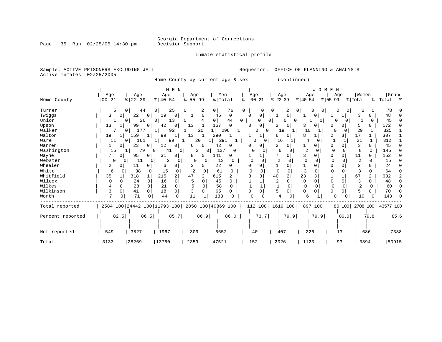Inmate statistical profile

Page 35 Run 02/25/05 14:30 pm

Sample: ACTIVE PRISONERS EXCLUDING JAIL **Requestor:** OFFICE OF PLANNING & ANALYSIS Active inmates 02/25/2005

Home County by current age & sex (continued)

|                  |                |          |                                                 |                | M E N          |                       |                |         |          |          |          |          |           |                |                | WOMEN          |          |              |                |                |                           |      |
|------------------|----------------|----------|-------------------------------------------------|----------------|----------------|-----------------------|----------------|---------|----------|----------|----------|----------|-----------|----------------|----------------|----------------|----------|--------------|----------------|----------------|---------------------------|------|
|                  | Age            |          | Age                                             | Age            |                | Age                   |                | Men     |          |          | Age      |          | Age       |                | Age            |                |          | Age          | Women          |                | Grand                     |      |
| Home County      | $00 - 21$      |          | $ 22-39$                                        | $8   40 - 54$  |                | $\frac{8}{5}$   55-99 |                | % Total |          | ႜ        | $ 00-21$ |          | $ 22-39 $ |                | $8 40-54$      |                | $ 55-99$ |              | % Total        |                | % Total %                 |      |
| Turner           | 5              | 0        | 44                                              | 0 <sup>1</sup> | 25             | $\overline{0}$        | 2              | 0       | 76       | $\Omega$ |          |          |           | 2              | 0              | 0<br>0         |          | 0<br>$\circ$ | 2              | 0              | 78                        |      |
| Twiggs           | 3              |          | 22<br>$\Omega$                                  | 19             | 0              |                       | 0              | 45      | 0        | ∩        | 0        |          |           | 0              |                | 0 <sup>1</sup> |          |              | 3              |                | 48                        |      |
| Union            |                | 0        | 26                                              | 0 <sup>1</sup> | 13             | $\overline{0}$        |                | 0       | 44       | 0        | U        | 0        |           | 0<br>0         |                | 0 <sup>1</sup> | U        | $\Omega$     |                | <sup>0</sup>   | 45                        |      |
| Upson            | 13             |          | 99<br>0                                         | 42             | 0              | 13                    | 1              | 167     | $\Omega$ | $\Omega$ | 0        |          | 2         | $\overline{0}$ |                |                |          | 0            |                | 0.             | 172                       |      |
| Walker           |                | 0        | 177                                             |                | 92             |                       | 20             |         | 296      |          | O        | $\Omega$ | 19        | 1              | 10             |                | $\cap$   |              | 29             |                | 325                       |      |
| Walton           | 19             |          | 159                                             | 99             | 1              | 13                    | 11             | 290     |          |          |          |          | 6         | $\overline{0}$ |                |                |          | 3            | 17             |                | 307                       |      |
| Ware             | 11             | $\Omega$ | 161                                             |                | 99             |                       | 20             | 291     |          |          | O        | 0        | 16        |                | 4              |                |          |              | 21             |                | 312                       |      |
| Warren           |                | 0        | 23<br>$\circ$                                   | 12             | 0              | 6                     | 0 <sup>1</sup> | 42      | $\Omega$ |          | 0        |          |           | 0              |                | $\Omega$       | 0        | 0            | 3              | <sup>n</sup>   | 45                        |      |
| Washington       | 15             |          | 79                                              | 01             | 41<br>01       | 2                     | 0              | 137     | 0        |          |          | 0        | 6         | 0              | $\overline{2}$ | 0              | $\Omega$ | 0            | 8              | $\Omega$       | 145                       |      |
| Wayne            |                | 0        | 95<br>$\Omega$                                  | 31             | 0              | 8                     | 0 <sup>1</sup> | 141     | 0        |          |          |          |           |                |                |                | O        | 0            | 11             | $\Omega$       | 152                       |      |
| Webster          | $\Omega$       | 0        | 11                                              | 0              | 2<br>0         | 0                     | $\Omega$       | 13      | $\Omega$ |          | O        |          |           |                | $\Omega$       |                |          |              | 2              | O              | 15                        |      |
| Wheeler          | 2              |          | 11                                              | 6              | 0              |                       | 0              | 22      |          |          |          |          |           | 0              |                |                |          |              | 2              |                | 24                        |      |
| White            | 6              | $\Omega$ | 38<br>$\Omega$                                  | 15             | 0              |                       |                | 61      | O        |          |          |          | U         | $\cap$         | 3              |                |          |              |                | 0              | 64                        |      |
| Whitfield        | 35             |          | 318                                             | 215            | $\overline{2}$ | 47                    | $\overline{2}$ | 615     |          |          | 3        |          | 40        | $\overline{2}$ | 23             |                |          |              | 67             | $\overline{a}$ | 682                       |      |
| Wilcox           |                |          | 24<br>$\Omega$                                  | 16             | $\Omega$       |                       |                | 45      | $\cap$   |          |          |          |           | $\Omega$       | $\Omega$       | $\cap$         | $\Omega$ | $\Omega$     |                | 0              | 48                        |      |
| Wilkes           |                |          | 28<br>0                                         | 21             | $\Omega$       |                       | $\Omega$       | 58      |          |          |          |          |           | $\Omega$       | 0              |                |          |              | $\overline{c}$ | $\Omega$       | 60                        |      |
| Wilkinson        | 3              | ∩        | $\Omega$<br>41                                  | 18             | 0              |                       | $\Omega$       | 65      | 0        |          | O        |          | 5         | O              | $\Omega$       | $\Omega$       | O        | U            | 5              | 0              | 70                        |      |
| Worth            | $\overline{7}$ |          | 71<br>0                                         | 44             | $\Omega$       | 11                    |                | 133     |          |          |          |          |           |                | 6              |                | $\Omega$ | 0            | 10             |                | 143                       |      |
| Total reported   |                |          | 2584 100 24442 100 11793 100 2050 100 40869 100 |                |                |                       |                |         |          |          | 112 100  |          |           | 1619 100       |                | 897 100        |          |              |                |                | 80 100 2708 100 43577 100 |      |
| Percent reported |                | 82.5     | 86.5                                            |                | 85.7           |                       | 86.9           |         | 86.0     |          | 73.7     |          |           | 79.9           |                | 79.9           |          | 86.0         |                | 79.8           |                           | 85.6 |
| Not reported     | 549            |          | 3827                                            | 1967           |                | 309                   |                | 6652    |          |          | 40       |          | 407       |                | 226            |                |          | 13           |                | 686            |                           | 7338 |
| Total            | 3133           |          | 28269                                           | 13760          |                | 2359                  |                | 47521   |          |          | 152      |          | 2026      |                | 1123           |                |          | 93           | 3394           |                | 50915                     |      |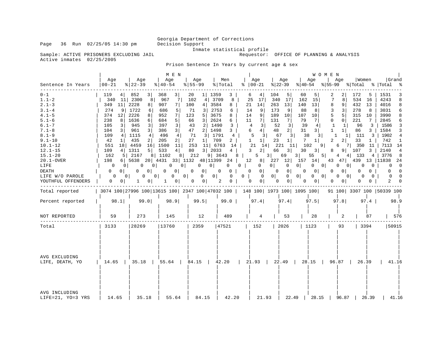Page 36 Run 02/25/05 14:30 pm

Inmate statistical profile<br>Requestor: OFFICE OF PLANNING & ANALYSIS

Sample: ACTIVE PRISONERS EXCLUDING JAIL Active inmates 02/25/2005

Prison Sentence In Years by current age & sex

|                                                                                                                                                                                                                                                              |                                                                                                                                                                                                                                                   |                                                                                                                                                                                                                                                                                                                 | M E N                                                                                                                                                                                                                                                                                                                                 |                                                                                                                                                                                                                                                                                                                                 |                                                                                                                                                                                                |                                                                                                                                                                                                                                                                                                                 |                                                                                                                                                                                                                                                                          |                                                                                                                                                                                                                                                                                                                                                               | W O M E N                                                                                                                                                                                                                                                                                                                           |                                                                                                                                                                                                                                                                                                    |                                                                                                                                                                                                                                                                                        |
|--------------------------------------------------------------------------------------------------------------------------------------------------------------------------------------------------------------------------------------------------------------|---------------------------------------------------------------------------------------------------------------------------------------------------------------------------------------------------------------------------------------------------|-----------------------------------------------------------------------------------------------------------------------------------------------------------------------------------------------------------------------------------------------------------------------------------------------------------------|---------------------------------------------------------------------------------------------------------------------------------------------------------------------------------------------------------------------------------------------------------------------------------------------------------------------------------------|---------------------------------------------------------------------------------------------------------------------------------------------------------------------------------------------------------------------------------------------------------------------------------------------------------------------------------|------------------------------------------------------------------------------------------------------------------------------------------------------------------------------------------------|-----------------------------------------------------------------------------------------------------------------------------------------------------------------------------------------------------------------------------------------------------------------------------------------------------------------|--------------------------------------------------------------------------------------------------------------------------------------------------------------------------------------------------------------------------------------------------------------------------|---------------------------------------------------------------------------------------------------------------------------------------------------------------------------------------------------------------------------------------------------------------------------------------------------------------------------------------------------------------|-------------------------------------------------------------------------------------------------------------------------------------------------------------------------------------------------------------------------------------------------------------------------------------------------------------------------------------|----------------------------------------------------------------------------------------------------------------------------------------------------------------------------------------------------------------------------------------------------------------------------------------------------|----------------------------------------------------------------------------------------------------------------------------------------------------------------------------------------------------------------------------------------------------------------------------------------|
| Sentence In Years                                                                                                                                                                                                                                            | Aqe<br>$00 - 21$                                                                                                                                                                                                                                  | Aqe<br>$8 22-39$                                                                                                                                                                                                                                                                                                | Age<br>$ 40-54 $                                                                                                                                                                                                                                                                                                                      | Age<br>$8 55-99$                                                                                                                                                                                                                                                                                                                | Men<br>%   Total                                                                                                                                                                               | Age<br>$\frac{1}{6}$   00-21                                                                                                                                                                                                                                                                                    | Aqe<br>$ 22-39$                                                                                                                                                                                                                                                          | Aqe<br>$ 40-54 $                                                                                                                                                                                                                                                                                                                                              | Age                                                                                                                                                                                                                                                                                                                                 | Women<br>$ 55-99 \t Total \t Total \t $                                                                                                                                                                                                                                                            | Grand                                                                                                                                                                                                                                                                                  |
| $0 - 1$<br>$1.1 - 2$<br>$2.1 - 3$<br>$3.1 - 4$<br>$4.1 - 5$<br>$5.1 - 6$<br>$6.1 - 7$<br>$7.1 - 8$<br>$8.1 - 9$<br>$9.1 - 10$<br>$10.1 - 12$<br>$12.1 - 15$<br>$15.1 - 20$<br>$20.1 - OVER$<br>LIFE<br><b>DEATH</b><br>LIFE W/O PAROLE<br>YOUTHFUL OFFENDERS | 119<br>4 <br>340<br>349<br>11<br>274<br>9<br>374<br>12<br>238<br>8<br>105<br>3<br>3 <br>104<br>109<br>4 <br>42<br>1<br>551<br>109<br>4 <br>162<br>198<br>0<br>01<br>0<br>$\Omega$<br>$\Omega$<br>0 <sup>1</sup><br>0 <sup>1</sup><br>$\mathbf{0}$ | 3 <br>852<br>11 2300<br>8 <sup>1</sup><br>2228<br>8 <sup>1</sup><br>1722<br>6<br>2226<br>8 <br>1636<br>6 <br>945<br>3<br>3 <br>961<br>1115<br>4<br>435<br>2<br>18 4459<br>16<br>1311<br>5  <br>5 2167<br>81<br>$6$   5638<br>0<br>0 <sup>1</sup><br>0<br>0 <sup>1</sup><br>$\Omega$<br>0 <sup>1</sup><br>0<br>1 | 3 <br>368<br>967<br>$7\overline{ }$<br>907<br>7  <br>686<br>5<br>952<br>7<br>684<br>5 <br>397<br>$\overline{3}$<br>3 <br>386<br>4 <br>496<br>205<br>2 <sup>1</sup><br>1500<br>11<br>533<br>4 <sup>1</sup><br>1102<br>20 4431 33 1132<br>0<br>0 <sup>1</sup><br>$\mathbf{0}$<br>0<br>$\Omega$<br>0 <sup>1</sup><br>0 <sup>1</sup><br>1 | 20<br>1 1359<br>102<br>4 <br>100<br>3584<br>4 <br>71<br>3<br>3675<br>123<br>5 <br>3 <br>2624<br>66<br>43<br>1490<br>2 <sup>1</sup><br>1498<br>47<br>2 <br>3 1791<br>71<br>27<br>1 <br>253<br>11 6763<br>80<br>3   2033<br>8 212<br>$\mathbf{0}$<br>0 <sup>1</sup><br>0 <sup>1</sup><br>0<br>$\mathbf{0}$<br> 0 <br>$\mathbf{0}$ | 3<br>3709<br>8<br>8<br>2753<br>6<br>8<br>6<br>3<br>3<br>4<br>709<br>2<br>14<br>$4 \mid$<br>9   3643<br>48   11399 24   12<br>0<br>$0-1$<br>$\overline{0}$<br>0 <sup>1</sup><br>0<br>2<br>$0-1$ | 4<br>6<br>25<br>17<br>21<br>14<br>9<br>14<br>9<br>14<br>7 <sup>1</sup><br>11<br>4<br>$\overline{3}$<br>4 <br>6<br>5<br>$\overline{3}$<br>1<br>1 <br>21<br>14<br>2 <br>3<br>$8 \mid$<br>5<br>$\mathbf 0$<br>$0 \quad  $<br>$\mathbf{0}$<br>0 <sup>1</sup><br>0 <sup>1</sup><br>$\mathbf{0}$<br>0<br>$\mathbf{0}$ | 104<br>5<br>17<br>340<br>263<br>13<br>173<br>9<br>189<br>10<br>131<br>7<br>52<br>3<br>2 <br>48<br>67<br>3 <br>23<br>1 <br>221 11<br>3<br>66<br>$3 \mid$<br>69<br>0 <sup>1</sup><br>$\mathbf 0$<br>$\mathbf 0$<br> 0 <br>$0$  <br>$\overline{0}$<br> 0 <br>$\overline{0}$ | 60<br>5<br>162<br>15<br>140<br>13<br>88<br>8<br>107<br>10<br>79<br>7<br>39<br>4<br>3 <br>31<br>38<br>3 <sup>1</sup><br>7<br>$1\vert$<br>102<br>9 <sup>1</sup><br>30<br>3 <br>55<br>5 <br>3  <br>8 227 12 157 14<br>0 <sup>1</sup><br>0<br>0 <sup>1</sup><br>0 <sup>1</sup><br>$\mathbf{0}$<br>$0 \quad 0$<br>0 <sup>1</sup><br>0 <sup>1</sup><br>$\mathbf{0}$ | 2<br>2<br>7<br>8<br>8<br>9 <sup>1</sup><br>3<br>3<br>5<br>5 <br>0<br>$\Omega$<br>1<br>$\mathbf{1}$<br>$\mathbf 1$<br>1 <sup>1</sup><br>1<br>$1\vert$<br>$\overline{a}$<br>2 <sup>1</sup><br>6<br>8<br>$4\degree$<br>43 47 439<br>0<br>0 <sup>1</sup><br>$\mathbf{0}$<br>$\Omega$<br>$\overline{\phantom{0}}$<br>0 <sup>1</sup><br>0 | 172<br>5<br>534<br>16<br>432<br>13<br>278<br>8<br>315<br>10<br>221<br>7<br>96<br>3<br>3 <sup>1</sup><br>86<br>-111<br>3<br>33<br>1 <sup>1</sup><br>7 350<br>11<br>9 107<br>$3-1$<br>4 133<br>$4 \vert$<br>0 <sup>1</sup><br>0<br>0<br>0<br>$\Omega$  <br>$\Omega$<br>$\Omega$<br>$\mathbf{0}$<br>0 | 1531<br>3<br>4243<br>8<br>4016<br>8<br>3031<br>6<br>3990<br>8<br>2845<br>6<br>3<br>1586<br>3<br>1584<br>1902<br>4<br>742<br>1<br>7113 14<br>2140<br>$\overline{4}$<br>3776<br>$_{\rm 8}$<br>13   11838<br>24<br>$\overline{\phantom{0}}$<br>0<br>$\Omega$<br>$\Omega$<br>$\Omega$<br>2 |
| Total reported                                                                                                                                                                                                                                               |                                                                                                                                                                                                                                                   |                                                                                                                                                                                                                                                                                                                 |                                                                                                                                                                                                                                                                                                                                       | 3074 100 27996 100 13615 100 2347 100 47032 100   148 100   1973 100   1095 100                                                                                                                                                                                                                                                 |                                                                                                                                                                                                |                                                                                                                                                                                                                                                                                                                 |                                                                                                                                                                                                                                                                          |                                                                                                                                                                                                                                                                                                                                                               |                                                                                                                                                                                                                                                                                                                                     | 91 100 3307 100 50339 100                                                                                                                                                                                                                                                                          |                                                                                                                                                                                                                                                                                        |
| Percent reported                                                                                                                                                                                                                                             | 98.1                                                                                                                                                                                                                                              | 99.0                                                                                                                                                                                                                                                                                                            | 98.9                                                                                                                                                                                                                                                                                                                                  | 99.5                                                                                                                                                                                                                                                                                                                            | $99.0$                                                                                                                                                                                         | 97.4                                                                                                                                                                                                                                                                                                            | 97.4                                                                                                                                                                                                                                                                     | 97.5                                                                                                                                                                                                                                                                                                                                                          | 97.8                                                                                                                                                                                                                                                                                                                                | $97.4$                                                                                                                                                                                                                                                                                             | 98.9                                                                                                                                                                                                                                                                                   |
| NOT REPORTED                                                                                                                                                                                                                                                 | 59                                                                                                                                                                                                                                                | 273                                                                                                                                                                                                                                                                                                             | 145                                                                                                                                                                                                                                                                                                                                   | 12                                                                                                                                                                                                                                                                                                                              | 489                                                                                                                                                                                            | 4                                                                                                                                                                                                                                                                                                               | 53                                                                                                                                                                                                                                                                       | 28                                                                                                                                                                                                                                                                                                                                                            | 2                                                                                                                                                                                                                                                                                                                                   | 87                                                                                                                                                                                                                                                                                                 | 576                                                                                                                                                                                                                                                                                    |
| Total                                                                                                                                                                                                                                                        | 3133                                                                                                                                                                                                                                              | 28269                                                                                                                                                                                                                                                                                                           | 13760                                                                                                                                                                                                                                                                                                                                 | 2359                                                                                                                                                                                                                                                                                                                            | 47521                                                                                                                                                                                          | 152                                                                                                                                                                                                                                                                                                             | 2026                                                                                                                                                                                                                                                                     | 1123                                                                                                                                                                                                                                                                                                                                                          | 93                                                                                                                                                                                                                                                                                                                                  | 3394                                                                                                                                                                                                                                                                                               | 50915                                                                                                                                                                                                                                                                                  |
| AVG EXCLUDING<br>LIFE, DEATH, YO                                                                                                                                                                                                                             |                                                                                                                                                                                                                                                   | $14.65$   35.18   55.64                                                                                                                                                                                                                                                                                         |                                                                                                                                                                                                                                                                                                                                       | $84.15$                                                                                                                                                                                                                                                                                                                         | 42.20                                                                                                                                                                                          | 21.93   22.49                                                                                                                                                                                                                                                                                                   |                                                                                                                                                                                                                                                                          | $28.15$                                                                                                                                                                                                                                                                                                                                                       | 96.87                                                                                                                                                                                                                                                                                                                               | 26.39                                                                                                                                                                                                                                                                                              | 41.16                                                                                                                                                                                                                                                                                  |
| AVG INCLUDING<br>LIFE=21, YO=3 YRS                                                                                                                                                                                                                           | 14.65                                                                                                                                                                                                                                             | 35.18                                                                                                                                                                                                                                                                                                           | 55.64                                                                                                                                                                                                                                                                                                                                 | 84.15                                                                                                                                                                                                                                                                                                                           | 42.20                                                                                                                                                                                          | 21.93                                                                                                                                                                                                                                                                                                           | 22.49                                                                                                                                                                                                                                                                    | 28.15                                                                                                                                                                                                                                                                                                                                                         | 96.87                                                                                                                                                                                                                                                                                                                               | 26.39                                                                                                                                                                                                                                                                                              | 41.16                                                                                                                                                                                                                                                                                  |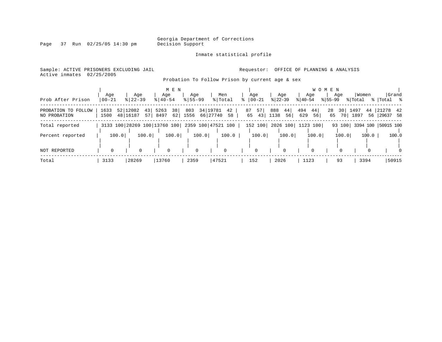Page 37 Run 02/25/05 14:30 pm

#### Inmate statistical profile

Sample: ACTIVE PRISONERS EXCLUDING JAIL **Requestor:** OFFICE OF PLANNING & ANALYSIS Active inmates 02/25/2005

Probation To Follow Prison by current age & sex

| Prob After Prison                   | $00 - 21$    | Age   | Age<br>$8 22-39$             |            | Age<br>$8140 - 54$ | M E N    | Age<br>$8155 - 99$ |             |                         | Men<br>% Total     | °≈ | Age<br>$ 00-21$ |          | $ 22-39 $   | Age                | $8 40-54$  | Age      | W O M E N<br>$ 55-99 $ | Age                   | % Total      | Women      | %   Total %          | Grand    |
|-------------------------------------|--------------|-------|------------------------------|------------|--------------------|----------|--------------------|-------------|-------------------------|--------------------|----|-----------------|----------|-------------|--------------------|------------|----------|------------------------|-----------------------|--------------|------------|----------------------|----------|
| PROBATION TO FOLLOW<br>NO PROBATION | 1633<br>1500 |       | 52 12082<br>48 16187         | 43<br>57 l | 5263<br>8497       | 38<br>62 | 803<br>1556        |             | 34   1978 1<br>66 27740 | 42<br>58           |    | 87<br>65        | 57<br>43 | 888<br>1138 | 44<br>56           | 494<br>629 | 44<br>56 | 28<br>65               | 30 <sup>1</sup><br>70 | 1497<br>1897 | 44<br>56 l | 21278 42<br>29637 58 |          |
| Total reported                      |              |       | 3133 100 28269 100 13760 100 |            |                    |          |                    |             |                         | 2359 100 47521 100 |    | 152 100         |          |             | 2026 100  1123 100 |            |          |                        | 93 100                |              |            | 3394 100 50915 100   |          |
| Percent reported                    |              | 100.0 |                              | 100.0      |                    | 100.0    |                    | 100.0       |                         | 100.0              |    |                 | 100.0    |             | 100.0              |            | 100.0    |                        | 100.0                 |              | 100.0      |                      | 100.0    |
| <b>NOT REPORTED</b>                 |              |       | $\Omega$                     |            | $\Omega$           |          |                    | $\mathbf 0$ |                         |                    |    |                 |          |             | $\Omega$           |            |          |                        |                       |              |            |                      | $\Omega$ |
| Total                               | 3133         |       | 28269                        |            | 13760              |          | 2359               |             | 47521                   |                    |    | 152             |          | 2026        |                    | 1123       |          |                        | 93                    |              | 3394       |                      | 50915    |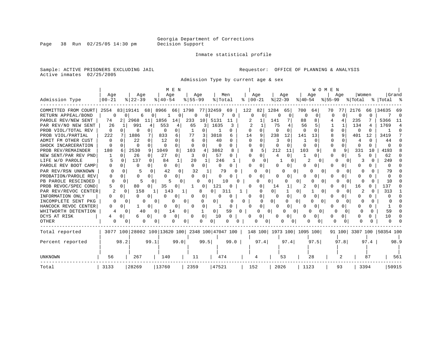Inmate statistical profile

Sample: ACTIVE PRISONERS EXCLUDING JAIL **Requestor:** OFFICE OF PLANNING & ANALYSIS Active inmates 02/25/2005

Admission Type by current age & sex

|                      |               |                                                 | M E N                |                        |                       |                 |                               | WOMEN             |                      |               |                           |
|----------------------|---------------|-------------------------------------------------|----------------------|------------------------|-----------------------|-----------------|-------------------------------|-------------------|----------------------|---------------|---------------------------|
|                      | Age           | Age                                             | Age                  | Age                    | Men                   | Age             | Age                           | Age               | Age                  | Women         | Grand                     |
| Admission Type       | 00-21         | $8$   22-39                                     | $8140 - 54$          | $8 55-99$              | % Total               | $ 00-21 $<br>ిక | $ 22-39 $                     | $ 40-54 $         | $ 55-99 $            | % Total       | % Total %                 |
| COMMITTED FROM COURT | 2554 83 19141 | 68  8966                                        | 66                   | 1798<br>77 32459       | 69                    | 82 1284<br>122  | 65                            | 700<br>64         | 70<br>77             | 2176<br>66    | 34635<br>-69              |
| RETURN APPEAL/BOND   |               | 6                                               |                      | 0                      | $\Omega$              | 0               | 0                             | 0<br>0            | 0                    | n             | C                         |
| PAROLE REV/NEW SENT  | 74            | 2968<br>11                                      | 1856<br>14           | 233<br>10 <sup>1</sup> | 5131<br>11            |                 | 141                           | 88                |                      | 235           | 5366<br>-11               |
| PAR REV/NO NEW SENT  | 26            | 991                                             | 553<br>4             | 65<br>3                | 1635<br>3             |                 | 75                            | 56                |                      | 134<br>4      | 1769                      |
| PROB VIOL/TOTAL REV  | 0<br>0        | $\Omega$<br>0                                   | $\Omega$<br>0        | $\Omega$               | 1<br>0                | O<br>O          |                               | 0                 | $\Omega$<br>$\Omega$ | $\Omega$<br>0 | $\Omega$                  |
| PROB VIOL/PARTIAL    | 222           | 1886<br>7                                       | 833<br>6             | 77<br>3                | 3018<br>6             | 9<br>14         | 238<br>$12 \overline{ }$      | 141<br>13         | 9<br>8               | 401<br>12     | 3419                      |
| ADMIT FM OTHER CUST  | 0             | 22<br>0                                         | 12<br>0              | 6<br>n                 | 40<br><sup>o</sup>    | $\Omega$<br>0   | 3<br>$\Omega$                 | $\mathbf{1}$      | $\Omega$<br>0        | U<br>4        | 44                        |
| SHOCK INCARCERATION  | 0<br>0        | $\Omega$<br>∩                                   | $\Omega$<br>$\Omega$ | $\Omega$<br>$\Omega$   | 0<br>0                | 0<br>0          | $\Omega$                      | 0                 | $\Omega$<br>$\Omega$ | O<br>0        | $\Omega$                  |
| PROB REV/REMAINDER   | 180           | 2530<br>9                                       | 8<br>1049            | 103<br>4               | 3862<br>8             | 8               | 212<br>11                     | 103               | 8<br>9               | 331<br>10     | 4193                      |
| NEW SENT/PAR REV PND | 0<br>1        | 26<br>$\Omega$                                  | 27<br>0              | 3<br>$\overline{0}$    | 57<br>0               | 0               | 0<br>4                        | O                 | $\Omega$             | 5<br>0        | 62                        |
| LIFE W/O PAROLE      | 5<br>O        | 137<br>$\Omega$                                 | 84<br>1              | 20<br>1                | 246                   | O               | 0                             | 2                 | 0                    | 3<br>0        | 249                       |
| PAROLE REV BOOT CAMP | 0<br>0        | <sup>0</sup><br><sup>o</sup>                    | 0  <br>O             | 0<br>$\Omega$          | 0<br>O                | 0<br>O          | 0                             | 0<br>O            | O<br>O               | U<br>O        | O                         |
| PAR REV/RSN UNKNOWN  |               | ∩<br>5                                          | 42                   | 32<br>1                | 79                    |                 | 0                             | $\Omega$          |                      | U             | 79                        |
| PROBATION/PAROLE REV | 0             | $\Omega$<br>0                                   | 0<br>0               | ∩<br>0                 | O                     |                 |                               | O                 |                      |               | $\Omega$                  |
| PB PAROLE RESCINDED  | O             | <sup>o</sup>                                    | 0                    | O                      |                       | n               | 0                             | $\Omega$          |                      | O             | 10                        |
| PROB REVOC/SPEC COND | 5<br>0        | 80                                              | 35<br>0              | 0                      | 121                   | O<br>0          | 14                            | 2<br>0            |                      | 16            | 137                       |
| PAR REV/REVOC CENTER | 2             | 158<br>0                                        | 143                  | 8<br>$1 \mid$          | 311<br>0              | O               | 0 <sup>1</sup><br>0           | $\circ$           |                      |               | 313                       |
| INFORMATION ONLY     | 0<br>0        | U<br>0                                          | 0                    | 0<br>0                 | 0<br>$\left( \right)$ | 0<br>0          | 0<br>$\Omega$                 | O<br>0            | 0                    |               | U                         |
| INCOMPLETE SENT PKG  | 0             | O<br>0<br>0                                     | O                    | 0<br>O                 | $\overline{0}$<br>O   | 0<br>$\Omega$   | 0 <sup>1</sup><br>0<br>O      | 0<br>0            | O                    |               |                           |
| HANCOCK REVOC CENTER | 0             | 0                                               | 0                    | $\Omega$<br>0          | 0                     | 0<br>U          | 0                             | 0<br>0            | 0                    |               |                           |
| WHITWORTH DETENTION  | 4             | 40<br>0                                         | 0  <br>14            | 0                      | 0 <sup>1</sup><br>59  | 01<br>0<br>0    | 0<br>01                       | <sup>0</sup><br>0 | $\Omega$<br>$\Omega$ |               | 59                        |
| DCYS AT RISK         | 4<br>0        | 6<br>0                                          | 0<br>0               | 0<br>0                 | 10<br>$\Omega$        | 0<br>0          | 0<br>0                        | 0<br>0            | 0                    | 0             | 10                        |
| OTHER                | 0             | 0<br>0                                          | 0                    | $\Omega$<br>0          | 0<br>01<br>0          | 0<br>$\circ$    | 0                             | 0<br>0            | $\Omega$             |               |                           |
| Total reported       |               | 3077 100 28002 100 13620 100 2348 100 47047 100 |                      |                        |                       |                 | 148 100   1973 100   1095 100 |                   |                      |               | 91 100 3307 100 50354 100 |
|                      |               |                                                 |                      |                        |                       |                 |                               |                   |                      |               |                           |
| Percent reported     | 98.2          | 99.1                                            | 99.0                 | 99.5                   | 99.0                  | 97.4            | 97.4                          | 97.5              | 97.8                 | $97.4$        | 98.9                      |
|                      |               |                                                 |                      |                        |                       |                 |                               |                   |                      |               |                           |
| <b>UNKNOWN</b>       | 56            | 267                                             | 140                  | 11                     | 474                   | 4               | 53                            | 28                | 2                    | 87            | 561                       |
| Total                | 3133          | 28269                                           | 13760                | 2359                   | 47521                 | 152             | 2026                          | 1123              | 93                   | 3394          | 50915                     |

Page 38 Run 02/25/05 14:30 pm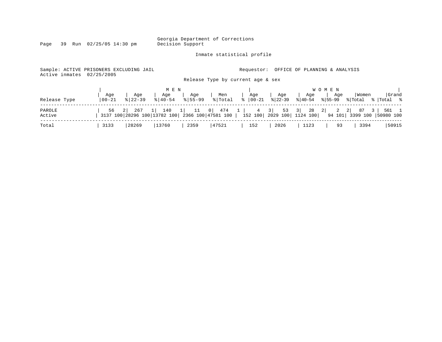Inmate statistical profile

Page 39 Run 02/25/05 14:30 pm

Sample: ACTIVE PRISONERS EXCLUDING JAIL **Requestor:** OFFICE OF PLANNING & ANALYSIS Active inmates 02/25/2005

Release Type by current age & sex

|                  |                  |                                                                       | M E N              |                    |                |                                                                 |                  |                  | W O M E N                            |                                                    |                               |
|------------------|------------------|-----------------------------------------------------------------------|--------------------|--------------------|----------------|-----------------------------------------------------------------|------------------|------------------|--------------------------------------|----------------------------------------------------|-------------------------------|
| Release Type     | Aqe<br>$00 - 21$ | Aqe<br>$8122 - 39$                                                    | Age<br>$8140 - 54$ | Aqe<br>$8155 - 99$ | Men<br>% Total | Aqe<br>$\frac{1}{6}$   00-21                                    | Aqe<br>$ 22-39 $ | Aqe<br>$ 40-54 $ | Aqe<br>% 55-99                       | Women<br>% Total                                   | Grand<br>%  Total %           |
| PAROLE<br>Active | 56               | $\sim$ 21<br>267 1<br>3137 100 28296 100 13782 100 2366 100 47581 100 |                    |                    |                | $140$ 1 11 0 474 1 4 3 53 3 28 2<br>152 100  2029 100  1124 100 |                  |                  | $\overline{\phantom{a}}$ 2<br>94 101 | $2 \mid \cdot \cdot \cdot$<br>87<br>3 <sup>1</sup> | 561 1<br>3399 100   50980 100 |
| Total            | 3133             | 28269                                                                 | 13760              | 2359               | 47521          | 152                                                             | 2026             | 1123             | 93                                   | 3394                                               | 50915                         |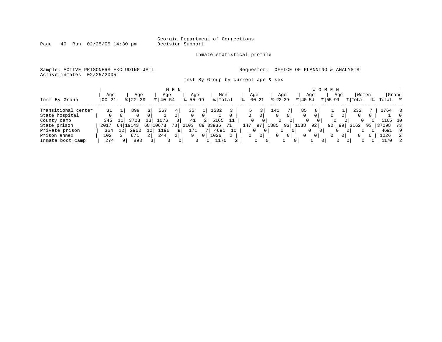Page 40 Run 02/25/05 14:30 pm

#### Inmate statistical profile

Sample: ACTIVE PRISONERS EXCLUDING JAIL **Requestor:** OFFICE OF PLANNING & ANALYSIS Active inmates 02/25/2005

Inst By Group by current age & sex

|                     |           |    |             |     |             | M E N          |             |    |          |    |     |          |                |           |                |           | W O M E N      |          |          |                      |    |         |       |
|---------------------|-----------|----|-------------|-----|-------------|----------------|-------------|----|----------|----|-----|----------|----------------|-----------|----------------|-----------|----------------|----------|----------|----------------------|----|---------|-------|
|                     | Age       |    | Age         |     | Age         |                | Age         |    | Men      |    |     | Age      |                |           | Aqe            |           | Age            |          | Age      | Women                |    |         | Grand |
| Inst By Group       | $00 - 21$ |    | $8$   22-39 |     | $8140 - 54$ |                | $8155 - 99$ |    | % Total  |    |     | $ 00-21$ |                | $ 22-39 $ |                | $ 40-54 $ |                | $ 55-99$ |          | % Total              |    | Total   | ႜႜ    |
| Transitional center | 31        |    | 899         |     | 567         |                | 35          |    | 1532     |    |     |          |                | 141       |                | 85        |                |          |          | 232                  |    | 764     |       |
| State hospital      | 0         |    |             |     |             |                |             |    |          |    |     | 0        | 0              | 0         | 0              |           |                |          |          | 0                    | 0  |         |       |
| County camp         | 345       |    | 3703        | 13  | 1076        |                | 41          | 21 | 5165     | 11 |     | $\Omega$ | 0 <sup>1</sup> |           |                | 0         | 0              | 0        | 0        | $\Omega$             |    | 5165 10 |       |
| State prison        | 2017      | 64 | 19143       | 681 | 0673        | 78,            | 2103        |    | 89 33936 |    | 147 |          | 97             | 1885      | 93             | 1038      | 92             | 92       | 99       | 3162                 | 93 | 37098   | 73    |
| Private prison      | 364       | 12 | 2960        | 10  | 1196        |                | 171         |    | 4691     | 10 |     |          |                |           | $\Omega$<br>0  |           |                |          | 0        |                      | 0  | 4691    | -9    |
| Prison annex        | 102       |    | 671         |     | 244         | 2 <sub>1</sub> | 9           |    | 1026     | 2  |     | 0        | $\mathbf{0}$   | $\Omega$  | $\overline{0}$ |           | $\overline{0}$ | 0        | 0        |                      |    | 1026    | 2     |
| Inmate boot camp    | 274       | q  | 893         |     |             |                | 0           |    | 1170     | 2  |     | 0        |                |           | $\Omega$       | 0         | $\Omega$       |          | $\Omega$ | $\Omega$<br>$\Omega$ |    | 1170    | -2    |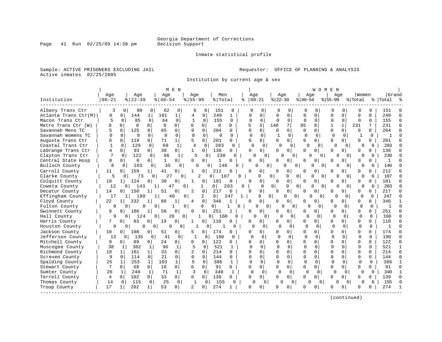#### Inmate statistical profile

Sample: ACTIVE PRISONERS EXCLUDING JAIL **Requestor:** OFFICE OF PLANNING & ANALYSIS Active inmates 02/25/2005

Institution by current age & sex

|                      |              |                       |                      | M E N          |                            |                       |                   |                            |                          |               |                         | W O M E N    |                          |              |              |              |          |
|----------------------|--------------|-----------------------|----------------------|----------------|----------------------------|-----------------------|-------------------|----------------------------|--------------------------|---------------|-------------------------|--------------|--------------------------|--------------|--------------|--------------|----------|
|                      | Age          | Age                   | Age                  |                | Aqe                        | Men                   |                   | Age                        | Age                      |               | Age                     |              | Aqe                      | Women        |              | Grand        |          |
| Institution          | $00 - 21$    | $8   22 - 39$         | $8140 - 54$          |                | $8155 - 99$                | % Total               | ిక                | $ 00-21$                   | $ 22-39$                 |               | $ 40-54$                | $ 55-99$     |                          | % Total      |              | %   Total    |          |
| Albany Trans Ctr     | 3            | $\Omega$<br>80        | 62                   | 0              | 6                          | 151<br>0              | $\Omega$          | O<br>O                     | O                        | O             | ∩                       |              | 0<br>Ω                   | O            | 0            | 151          |          |
| Atlanta Trans Ctr(M) | 0            | 144<br>$\Omega$       | 101                  | $1\vert$       | 4                          | $\mathbf 0$<br>249    | $\mathbf{1}$      | $\Omega$<br>Ω              | $\Omega$                 | $\Omega$      | $\Omega$<br>$\mathbf 0$ | $\Omega$     | $\Omega$                 | $\Omega$     | $\Omega$     | 249          |          |
| Macon Trans Ctr      | 5            | 85<br>$\Omega$        | 0<br>64              | $\Omega$       | $\mathbf{1}$               | 155<br>$\Omega$       | $\Omega$          | $\Omega$<br>$\Omega$       | $\Omega$                 | $\Omega$      | O<br>$\Omega$           | $\Omega$     | $\Omega$                 | $\cap$       | $\Omega$     | 155          | $\cap$   |
| Metro Trans Ctr (W)  | <sup>0</sup> | $\Omega$<br>$\Omega$  | $\Omega$<br>$\Omega$ | $\Omega$       | O<br>$\Omega$              | $\Omega$              | $\Omega$          | 5<br>3                     | 140                      | 7             | 85<br>8                 | 1            | $\mathbf{1}$             | 231          | 7            | 231          | $\Omega$ |
| Savannah Mens TC     |              | $\Omega$<br>125       | 65<br>0              | 0              | 9<br>$\Omega$              | 204                   | 0                 | $\Omega$<br>$\Omega$       | $\Omega$                 | 0             | $\Omega$<br>0           | $\Omega$     | 0                        | $\Omega$     | 0            | 204          |          |
| Savannah Womens TC   | $\Omega$     | $\Omega$<br>$\cap$    | $\Omega$<br>$\Omega$ | $\Omega$       | $\Omega$                   | $\Omega$<br>$\Omega$  | $\Omega$          | $\Omega$<br>$\cap$         | $\mathbf{1}$             | $\Omega$      | $\Omega$<br>$\Omega$    |              | $\Omega$<br>$\Omega$     | $\mathbf{1}$ | $\Omega$     | -1           |          |
| Augusta Trans Ctr    | 6            | $\Omega$<br>119       | 0<br>71              | 1              | 5<br>$\mathbf 0$           | 201                   | 0                 | $\Omega$<br>$\cap$         | $\Omega$                 | 0             | $\Omega$<br>$\Omega$    | <sup>0</sup> | $\Omega$                 | $\Omega$     | 0            | 201          |          |
| Coastal Trans Ctr    | $\mathbf{1}$ | $\Omega$<br>129       | $\mathbf 0$<br>69    | $\mathbf{1}$   | $\overline{4}$             | 203<br>$\Omega$       | $\Omega$          | $\Omega$                   | $\Omega$<br><sup>0</sup> | $\Omega$      | $\Omega$                | 0            | $\Omega$<br>O            | $\Omega$     | $\Omega$     | 203          |          |
| LaGrange Trans Ctr   | 4            | 93<br>$\Omega$        | 38<br>0              | $\overline{0}$ | $\mathbf{1}$               | 136<br>0              | $\Omega$          | $\cap$<br>$\overline{0}$   | U                        | 0             | $\Omega$<br>0           | U            | 0                        | O            | $\Omega$     | 136          |          |
| Clayton Trans Ctr    |              | 122<br>$\Omega$       | 96<br>0              | 1              | 5                          | 230<br>$\Omega$       | O                 |                            | $\Omega$                 | $\Omega$      | ∩                       | $\Omega$     | $\Omega$                 | U            | 0            | 230          |          |
| Central State Hosp   | 0            | $\Omega$<br>0         | $\mathbf{1}$<br>0    | $\Omega$       | 0                          | 0<br>$\mathbf{1}$     | U                 | U<br>0 I                   | 0                        | 0             | 0<br><sup>0</sup>       | ∩            | 0                        | $\Omega$     | 0            | $\mathbf{1}$ |          |
| Bulloch County       | 8            | 103<br>$\Omega$       | 35<br>0              | 0              | O                          | 146<br>$\Omega$       | 0                 | 0                          | $\Omega$                 | U<br>0        | 0                       | $\Omega$     | $\Omega$                 | O            | 0            | 146          |          |
| Carroll County       | 11           | 159<br>$\Omega$       | 41<br>$\mathbf{1}$   | 0              |                            | 0<br>212              | $\Omega$          | 0<br>O                     | $\Omega$                 | 0             | $\Omega$<br>0           | <sup>0</sup> | 0                        | $\Omega$     | 0            | 212          |          |
| Clarke County        | 5            | 73<br>0               | $\Omega$             | 27<br>$\Omega$ | 2                          | $\Omega$<br>107       | 0                 | $\Omega$                   | $\Omega$                 | 0<br>0        | $\Omega$                | $\Omega$     | $\Omega$<br>$\Omega$     | $\Omega$     | $\Omega$     | 107          |          |
| Colquitt County      | 18           | 124<br>$1\vert$       | 38<br>0              | 0              | $\mathbf{1}$               | 181<br>0              | $\mathbf 0$       | 0<br><sup>0</sup>          | 0                        | $\mathbf 0$   | 0<br>O                  | O            | 0                        | $\Omega$     | $\Omega$     | 181          |          |
| Coweta County        | 12           | 143<br>0 <sup>1</sup> |                      | 47<br>$\Omega$ | $\mathbf{1}$               | 0 <sup>1</sup>        | 203<br>$\Omega$   | $\Omega$                   | $\Omega$                 | 0<br>U        | $\Omega$                | $\Omega$     | $\Omega$                 | $\Omega$     | $\Omega$     | 203          | n        |
| Decatur County       | 14           | 150<br>0 <sup>1</sup> | 51                   | O              | 2<br>0                     | 217                   | $\Omega$          | $\Omega$<br>$\cap$         | $\Omega$                 | $\mathbf 0$   | $\Omega$<br>0           | <sup>0</sup> | 0                        | $\Omega$     | 0            | 217          |          |
| Effingham County     | 17           | 188<br>1 <sup>1</sup> | 11                   | 40<br>0        | 2                          | $\overline{0}$        | 247<br>1          | <sup>0</sup>               | 0                        | 0<br>0        | O                       | $\Omega$     | <sup>0</sup><br>$\Omega$ | <sup>0</sup> | $\Omega$     | 247          |          |
| Floyd County         | 22           | 232<br>11             | 88<br>1              |                | 4                          | 0<br>346              |                   | $\Omega$<br><sup>0</sup>   | 0                        | $\circ$       | U<br>0 <sup>1</sup>     | <sup>0</sup> | 0                        | $\mathbf 0$  | 0            | 346          |          |
| Fulton County        | $\Omega$     | $\Omega$              | $\Omega$<br>0        | 0              | $\Omega$                   | $\overline{0}$        | 1<br><sup>0</sup> | $\Omega$                   | 0                        | 0<br>$\Omega$ |                         | 0            | n<br>$\Omega$            | $\Omega$     | $\Omega$     | $\mathbf{1}$ | $\cap$   |
| Gwinnett County      | 9            | 186<br>$\Omega$       | 56<br>1              | 0              | $\Omega$                   | 0<br>251              | 1                 | $\Omega$<br>O              | U                        | $\Omega$      | U<br><sup>0</sup>       | <sup>0</sup> | 0                        | $\Omega$     | 0            | 251          | $\cap$   |
| Hall County          | 9            | 124<br>$\Omega$       | 0                    | 26<br>$\Omega$ | $\mathbf{1}$               | 0 <sup>1</sup><br>160 | U                 | C                          | $\cap$                   | <sup>0</sup>  | ∩                       | $\Omega$     | $\Omega$<br>$\Omega$     | O            | $\Omega$     | 160          |          |
| Harris County        | 7            | 83<br>$\Omega$        | 0<br>19              | $\Omega$       | Π.                         | 0<br>110              | $\Omega$          | O<br>0                     | U                        | 0             | $\Omega$<br>U           | U            | 0                        | $\Omega$     | $\Omega$     | 110          |          |
| Houston County       | 0            | $\overline{0}$<br>0   | 0                    | 0<br>0         |                            | 0<br>-1               | 0                 | ∩                          | 0<br>∩                   | 0             | $\Omega$                | $\Omega$     | $\Omega$<br>$\Omega$     | $\Omega$     | $\Omega$     |              | $\cap$   |
| Jackson County       | 10           | 108<br>$\overline{0}$ | 51<br>$\overline{0}$ | $\overline{0}$ | 5                          | 174<br>0              | 0                 | 0<br>O                     |                          | 0             | $\Omega$<br>$\mathbf 0$ | <sup>0</sup> | 0                        | $\Omega$     | 0            | 174          |          |
| Jefferson County     | 13           | 135<br>$\circ$        | 41<br>0              | 0              | 1                          | 190<br>$\Omega$       | $\Omega$          | $\Omega$<br>$\Omega$       | $\cap$                   | $\Omega$      | $\Omega$<br>0           |              | $\Omega$<br>$\Omega$     | $\Omega$     | $\Omega$     | 190          | $\cap$   |
| Mitchell County      | 9            | 89<br>0               | 24<br>0              | 0              | 0<br>O                     | 122                   | 0                 | $\cap$<br>$\Omega$         | U                        | 0             | $\Omega$<br>0           | $\Omega$     | 0                        | $\Omega$     | $\Omega$     | 122          | $\Omega$ |
| Muscogee County      | 38           | 382<br>1              | 96<br>1              | $\mathbf{1}$   | 5                          | 521<br>$\Omega$       |                   | $\Omega$                   | $\cap$                   | $\Omega$      | $\Omega$<br>$\Omega$    |              | $\cap$                   | $\Omega$     | <sup>0</sup> | 521          |          |
| Richmond County      | 18           | 161<br>$\mathbf{1}$   | 33<br>$\mathbf{1}$   | $\Omega$       | $\overline{c}$<br>$\Omega$ | 214                   | 0                 | $\Omega$<br>$\Omega$       | $\Omega$                 | 0             | $\Omega$<br>$\Omega$    | $\Omega$     | $\cap$                   | $\Omega$     | $\Omega$     | 214          | $\cap$   |
| Screven County       | 9            | $\Omega$<br>114       | 21<br>$\Omega$       | 0              | $\Omega$                   | $\Omega$<br>144       | 0                 | $\Omega$<br>$\Omega$       | $\Omega$                 | $\Omega$      | $\Omega$<br>0           | $\Omega$     | $\Omega$                 | $\Omega$     | $\Omega$     | 144          |          |
| Spalding County      | 25           | 253<br>$\mathbf{1}$   | $\mathbf{1}$<br>103  | $\mathbf{1}$   | 5                          | 386<br>$\Omega$       | $\mathbf{1}$      | $\Omega$<br>$\Omega$       | $\Omega$                 | $\Omega$      | $\Omega$<br>$\Omega$    |              | $\cap$<br>$\Omega$       | $\Omega$     | $\Omega$     | 386          |          |
| Stewart County       | 7            | $\Omega$<br>68        | $\Omega$<br>16       | $\overline{0}$ | $\Omega$                   | $\Omega$<br>91        | $\Omega$          | $\Omega$<br>$\Omega$       | $\Omega$                 | $\Omega$      | $\Omega$<br>$\Omega$    | $\Omega$     | 0                        | $\Omega$     | $\Omega$     | 91           | $\cap$   |
| Sumter County        | 26           | 240<br>1              | $\mathbf{1}$<br>71   | $\mathbf{1}$   | 3                          | 340<br>$\Omega$       | 1                 | $\Omega$<br>$\Omega$       | O                        | $\Omega$      | 0                       | $\Omega$     | $\Omega$<br>$\Omega$     |              | $\Omega$     | 340          |          |
| Terrell County       | 4            | 102<br>$\Omega$       | 33<br>$\Omega$       | 0              | 0                          | 0<br>139              | $\Omega$          | $\Omega$<br>0 <sup>1</sup> | $\Omega$                 | $\Omega$      | 0<br>$\Omega$           | <sup>0</sup> | 0                        | $\Omega$     | $\Omega$     | 139          |          |
| Thomas County        | 14           | 115<br>$\Omega$       | 25<br>0              | $\mathbf 0$    | -1                         | 155<br>$\Omega$       | $\Omega$          | O                          | $\Omega$<br>$\Omega$     | 0             | U                       | $\Omega$     | $\Omega$<br>O            | $\Omega$     | $\Omega$     | 155          |          |
| Troup County         | 17           | 202<br>$1\vert$       | 53<br>1 <sup>1</sup> | $\Omega$       | $\overline{\mathfrak{c}}$  | 274<br>$\Omega$       |                   | $\Omega$<br>U              | O                        | $\Omega$      | 0                       |              | 0                        | $\Omega$     | O            | 274          |          |
|                      |              |                       |                      |                |                            |                       |                   |                            |                          |               |                         |              |                          |              |              |              |          |

(continued)

Page 41 Run 02/25/05 14:30 pm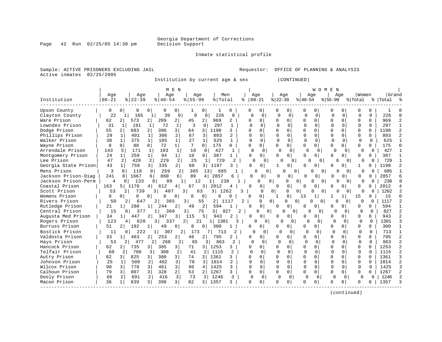Page 42 Run 02/25/05 14:30 pm

#### Inmate statistical profile

Sample: ACTIVE PRISONERS EXCLUDING JAIL **Requestor:** OFFICE OF PLANNING & ANALYSIS Active inmates 02/25/2005

Institution by current age & sex (CONTINUED)

| Age<br>Age<br>Men<br>Aqe<br>Women<br>Grand<br>Age<br>Age<br>Age<br>Age<br>Age<br>$00 - 21$<br>Institution<br>$00 - 21$<br>$8   22 - 39$<br>$8155 - 99$<br>%   Total<br>$ 22-39$<br>$ 40-54$<br>$8155 - 99$<br>$8140 - 54$<br>% Total<br>%   Total<br><b>Upson County</b><br>0<br>$\Omega$<br>0<br>0<br>$\Omega$<br>0<br>0<br>0<br>$\Omega$<br>0<br>U<br><sup>0</sup><br>O.<br>22<br>Clayton County<br>39<br>226<br>$\mathbf 0$<br>$\mathbf 0$<br>$\Omega$<br>$\Omega$<br>$\Omega$<br>226<br>165<br>0<br>$\Omega$<br>$\Omega$<br>$\Omega$<br>$\Omega$<br>$\cap$<br>$\Omega$<br>U<br>$1\vert$<br>∩<br>$\Omega$<br>Ware Prison<br>62<br>573<br>289<br>969<br>969<br>2 <br>2<br>2 <br>45<br>2 <br>2<br>0<br>$\Omega$<br>0<br>$\Omega$<br>$\Omega$<br>$\Omega$<br>0<br>O<br>O<br>Lowndes Prison<br>31<br>72<br>3<br>297<br>191<br>$\mathbf{1}$<br>$\mathbf 0$<br>$\mathbf{1}$<br>$\Omega$<br>$\mathbf 0$<br>O<br>$\Omega$<br>$\Omega$<br>$\Omega$<br>$\Omega$<br>$\Omega$<br>297<br>1<br>1<br>$\Omega$<br>$\cap$<br>Dodge Prison<br>55<br>683<br>$\overline{a}$<br>396<br>3 <br>$\mathbf{2}$<br>1198<br>3<br>0<br>1198<br>64<br>$\overline{3}$<br>$\Omega$<br>O<br>$\Omega$<br>$\Omega$<br>$\Omega$<br>$\Omega$<br>0<br>Phillips Prison<br>29<br>401<br>306<br>2<br>803<br>803<br>$\mathbf{1}$<br>67<br>3<br>2<br>$\cap$<br>$\Omega$<br>$\Omega$<br>$\Omega$<br>$\Omega$<br>$\Omega$<br>$\Omega$<br>0<br><sup>0</sup><br>0<br>1<br>38<br>625<br>625<br>Walker Prison<br>375<br>185<br>1<br>27<br>$\Omega$<br>O<br>$\Omega$<br>$\Omega$<br>U<br>0<br>$\Omega$<br>1<br>0<br>$\Omega$<br>1 <br>Wayne Prison<br>8<br>88<br>72<br>175<br>$\Omega$<br>$\Omega$<br>U<br>175<br>$\Omega$<br>$\Omega$<br>7<br>$\Omega$<br>$\Omega$<br>0<br>$\Omega$<br>$\Omega$<br>U<br>0<br>0<br>0<br>427<br>Arrendale Prison<br>143<br>171<br>103<br>$\mathbf{1}$<br>427<br>$\Omega$<br>$\Omega$<br>5<br>1<br>10<br>$\Omega$<br>$\Omega$<br>$\Omega$<br>$\Omega$<br>$\Omega$<br>$\Omega$<br>$\mathbf{1}$<br>∩<br>0<br>$\Omega$<br>259<br>$1\vert$<br>387<br>Montgomery Prison<br>24<br>$\mathbf{1}$<br>94<br>10<br>0<br>$\Omega$<br>387<br>$\mathbf{1}$<br>$\Omega$<br>0<br>$\Omega$<br>0 <sup>1</sup><br>0<br>0 l<br>$\Omega$<br>0<br>0<br>47<br>2<br>428<br>2<br>229<br>2<br>25<br>729<br>2<br>729<br>$\mathbf{1}$<br>$\Omega$<br>$\mathbf{0}$<br>$\Omega$<br>$\Omega$<br>$\Omega$<br>O<br>O<br>$\Omega$<br>O<br>$\Omega$<br>1 <sup>1</sup><br>759<br>3<br>335<br>2 <br>1197<br>Georgia State Prison<br>43<br>60<br>$3 \mid$<br>$\Omega$<br>1198<br>3<br>$\Omega$<br>0<br>O<br>$\Omega$<br>0<br>O<br>$\mathbf{1}$<br>0<br>Mens Prison<br>3<br>259<br>$\Omega$<br>118<br>$\Omega$<br>2<br>305<br>685<br>685<br>13 <sup>1</sup><br>0<br>U<br>$\Omega$<br>$\cap$<br>$\cap$<br>$\Omega$<br>$\Omega$<br>$\Omega$<br>$\Omega$<br>$\Omega$<br>Jackson Prison-Diag<br>241<br>8<br>860<br>89<br>2857<br>1667<br>2857<br>$\Omega$<br>$\overline{0}$<br>6<br>6<br>4 <br>6<br>O<br>$\Omega$<br>$\cap$<br>0<br>$\Omega$<br>O<br>0<br>Jackson Prison-Perm<br>4<br>$\Omega$<br>133<br>12<br>238<br>238<br>$\mathbf{0}$<br>89<br>0<br>$\Omega$<br>$\Omega$<br>$\cap$<br>$\Omega$<br>$\Omega$<br>U<br>$\Omega$<br>U<br>0<br>Coastal Prison<br>163<br>2012<br>5 1170<br>612<br>67<br>3 I<br>2012<br>4<br>O<br>0<br>0<br>4<br>U<br>U<br>Scott Prison<br>739<br>1262<br>53<br>$\overline{3}$<br>3<br>63<br>3   1262<br>3<br>$\Omega$<br>407<br>$\Omega$<br>$\Omega$<br>0<br>$\Omega$<br>0<br>$\Omega$<br>U<br>Womens Prison<br>0<br>0<br>15<br>15<br>0<br>$\Omega$<br>$\Omega$<br>0<br>0<br>$\Omega$<br>0<br><sup>0</sup><br><sup>0</sup><br>13<br>O<br>0<br>0<br>Rivers Prison<br>O<br>1117<br>50<br>647<br>3<br>55<br>$\overline{2}$<br>1117<br>$\Omega$<br>$\Omega$<br>0<br>2<br>2<br>365<br>2<br><sup>o</sup><br>U<br>U<br>$\Omega$<br>∩<br>$\Omega$<br>2<br>0<br>Rutledge Prison<br>21<br>280<br>$\overline{2}$<br>594<br>594<br>1 <sup>1</sup><br>$\mathbf 1$<br>244<br>49<br>$\Omega$<br>0<br>0<br>0<br>0 <sup>1</sup><br>O<br>1.5<br>3 I<br>827<br>Central Prison<br>377<br>827<br>360<br>$\overline{\mathbf{3}}$<br>75<br>$\mathfrak{D}$<br>0<br>$\Omega$<br>O<br>$\Omega$<br>$\Omega$<br>0<br>0<br>$\Omega$<br>0<br>943<br>Augusta Med Prison<br>34<br>447<br>2<br>3<br>115<br>5<br>943<br>2<br>0<br>1<br>347<br>$\Omega$<br>$\Omega$<br>O<br>0<br>$\cap$<br>$\Omega$<br>0<br>0<br>U<br>123<br>1301<br>Rogers Prison<br>820<br>2<br>$1\vert$<br>$\Omega$<br>1301<br>4<br>3 I<br>337<br>21<br>3<br>N<br>0<br>0<br>$\cap$<br>$\Omega$<br>∩<br>$\Omega$<br>51<br>192<br>300<br>Burruss Prison<br>49<br>0<br>300<br>$\Omega$<br>U<br>0<br>8<br>01<br>0<br>0<br>0<br>$\Omega$<br>O<br>U<br>Bostick Prison<br>11<br>713<br>713<br>222<br>1  <br>307<br>$\overline{2}$<br>173<br>2<br>$\Omega$<br>O<br>$\cap$<br>$\cap$<br>$\cap$<br>U<br>$\Omega$<br>$\Omega$<br>U<br>$\Omega$<br>795<br>Valdosta Prison<br>33<br>463<br>253<br>2<br>46<br>$\overline{2}$<br>795<br>$\Omega$<br>O<br>0<br>2.<br>2<br>0<br>∩<br>$\Omega$<br>U<br>O.<br>$\Omega$<br>O<br>Hays Prison<br>53<br>863<br>863<br>2 <sup>1</sup><br>477<br>268<br>2<br>65<br>2<br>$\Omega$<br>$\Omega$<br>$\Omega$<br>$\Omega$<br>$\Omega$<br>$\Omega$<br>$\Omega$<br>$\Omega$<br>$\Omega$<br>2 I<br>31<br><sup>0</sup><br>1253<br>Hancock Prison<br>62<br>735<br>385<br>1253<br>$\Omega$<br>2<br>31<br>3<br>71<br>$\overline{3}$<br>3<br>0<br>0<br>0<br>0<br>$\Omega$<br>$\Omega$<br>U<br>Telfair Prison<br>60<br>1115<br>$\Omega$<br>706<br>3<br>308<br>2<br>41<br>$\overline{a}$<br>$\overline{c}$<br>O<br>$\Omega$<br>$\Omega$<br>$\Omega$<br>$\Omega$<br>$\cap$<br>1115<br>2<br>$\Omega$<br>$\cap$<br>$\Omega$<br>82<br>825<br>380<br>3 <br>1361<br>1361<br>Autry Prison<br>$\overline{3}$<br>74<br>$\Omega$<br>$\Omega$<br>3 I<br>$\overline{3}$<br>3<br>0<br>$\Omega$<br>$\Omega$<br>$\cap$<br>$\Omega$<br>$\Omega$<br>Johnson Prison<br>3<br>1014<br>25<br>509<br>2<br>402<br>78<br>1014<br>2<br>$\Omega$<br>$\Omega$<br><sup>0</sup><br>0<br>1<br>3<br>$\cap$<br>O<br>$\Omega$<br>$\cap$<br><sup>0</sup><br>0<br>3<br>Wilcox Prison<br>90<br>778<br>3<br>461<br>1425<br>$\Omega$<br>$\Omega$<br>$\Omega$<br>$\Omega$<br>1425<br>3<br>96<br>3<br>U<br>$\Omega$<br>$\Omega$<br>$\Omega$<br>0<br>$\Omega$<br>4<br>$\overline{2}$<br>Calhoun Prison<br>79<br>807<br>3<br>328<br>1267<br>$\Omega$<br>$\Omega$<br>3<br>53<br>2<br>3<br>0<br>$\Omega$<br>0<br>$\Omega$<br>$\Omega$<br>$\Omega$<br>0<br>1267<br><sup>0</sup><br>$\overline{3}$<br>Dooly Prison<br>691<br>2<br>416<br>73<br>1246<br>3<br>$\mathbf 0$<br>1246<br>66<br>2<br>3<br>$\cap$<br>0<br>$\Omega$<br>$\Omega$<br>$\Omega$<br>$\Omega$<br>O<br>$\Omega$<br>0<br>$\overline{3}$<br>3 <br>Macon Prison<br>38<br>839<br>398<br>1357<br>1357<br>82<br>$\overline{3}$<br>3<br>0<br>$\Omega$<br>$\Omega$<br>1<br>0<br><sup>0</sup><br>0<br>0<br>0<br>n.<br><sup>0</sup> |  |  |  | M E N |  |  |  |  |  | <b>WOMEN</b> |  |  |  |
|------------------------------------------------------------------------------------------------------------------------------------------------------------------------------------------------------------------------------------------------------------------------------------------------------------------------------------------------------------------------------------------------------------------------------------------------------------------------------------------------------------------------------------------------------------------------------------------------------------------------------------------------------------------------------------------------------------------------------------------------------------------------------------------------------------------------------------------------------------------------------------------------------------------------------------------------------------------------------------------------------------------------------------------------------------------------------------------------------------------------------------------------------------------------------------------------------------------------------------------------------------------------------------------------------------------------------------------------------------------------------------------------------------------------------------------------------------------------------------------------------------------------------------------------------------------------------------------------------------------------------------------------------------------------------------------------------------------------------------------------------------------------------------------------------------------------------------------------------------------------------------------------------------------------------------------------------------------------------------------------------------------------------------------------------------------------------------------------------------------------------------------------------------------------------------------------------------------------------------------------------------------------------------------------------------------------------------------------------------------------------------------------------------------------------------------------------------------------------------------------------------------------------------------------------------------------------------------------------------------------------------------------------------------------------------------------------------------------------------------------------------------------------------------------------------------------------------------------------------------------------------------------------------------------------------------------------------------------------------------------------------------------------------------------------------------------------------------------------------------------------------------------------------------------------------------------------------------------------------------------------------------------------------------------------------------------------------------------------------------------------------------------------------------------------------------------------------------------------------------------------------------------------------------------------------------------------------------------------------------------------------------------------------------------------------------------------------------------------------------------------------------------------------------------------------------------------------------------------------------------------------------------------------------------------------------------------------------------------------------------------------------------------------------------------------------------------------------------------------------------------------------------------------------------------------------------------------------------------------------------------------------------------------------------------------------------------------------------------------------------------------------------------------------------------------------------------------------------------------------------------------------------------------------------------------------------------------------------------------------------------------------------------------------------------------------------------------------------------------------------------------------------------------------------------------------------------------------------------------------------------------------------------------------------------------------------------------------------------------------------------------------------------------------------------------------------------------------------------------------------------------------------------------------------------------------------------------------------------------------------------------------------------------------------------------------------------------------------------------------------------------------------------------------------------------------------------------------------------------------------------------------------------------------------------------------------------------------------------------------------------------------------------------------------------------------------------------------------------------------------------------------------------------------------------------------------------------------------------------------------------------------------------------------------------------------------------------------------------------------------------------------------------------------------------------------------------------------------------------------------------------------------------------------------------------------------------------------------------------------------------------------------------------------------------------------------------------------------------------------------------------------------------------------------------------------------------------------------------------------------------------------------------------------------------------------------------------------------------------------------------------------------------------------------------------------------------------------------------------------------------------------------------------------------------------------------------------------------------|--|--|--|-------|--|--|--|--|--|--------------|--|--|--|
| Lee Prison                                                                                                                                                                                                                                                                                                                                                                                                                                                                                                                                                                                                                                                                                                                                                                                                                                                                                                                                                                                                                                                                                                                                                                                                                                                                                                                                                                                                                                                                                                                                                                                                                                                                                                                                                                                                                                                                                                                                                                                                                                                                                                                                                                                                                                                                                                                                                                                                                                                                                                                                                                                                                                                                                                                                                                                                                                                                                                                                                                                                                                                                                                                                                                                                                                                                                                                                                                                                                                                                                                                                                                                                                                                                                                                                                                                                                                                                                                                                                                                                                                                                                                                                                                                                                                                                                                                                                                                                                                                                                                                                                                                                                                                                                                                                                                                                                                                                                                                                                                                                                                                                                                                                                                                                                                                                                                                                                                                                                                                                                                                                                                                                                                                                                                                                                                                                                                                                                                                                                                                                                                                                                                                                                                                                                                                                                                                                                                                                                                                                                                                                                                                                                                                                                                                                                                                                                                           |  |  |  |       |  |  |  |  |  |              |  |  |  |
|                                                                                                                                                                                                                                                                                                                                                                                                                                                                                                                                                                                                                                                                                                                                                                                                                                                                                                                                                                                                                                                                                                                                                                                                                                                                                                                                                                                                                                                                                                                                                                                                                                                                                                                                                                                                                                                                                                                                                                                                                                                                                                                                                                                                                                                                                                                                                                                                                                                                                                                                                                                                                                                                                                                                                                                                                                                                                                                                                                                                                                                                                                                                                                                                                                                                                                                                                                                                                                                                                                                                                                                                                                                                                                                                                                                                                                                                                                                                                                                                                                                                                                                                                                                                                                                                                                                                                                                                                                                                                                                                                                                                                                                                                                                                                                                                                                                                                                                                                                                                                                                                                                                                                                                                                                                                                                                                                                                                                                                                                                                                                                                                                                                                                                                                                                                                                                                                                                                                                                                                                                                                                                                                                                                                                                                                                                                                                                                                                                                                                                                                                                                                                                                                                                                                                                                                                                                      |  |  |  |       |  |  |  |  |  |              |  |  |  |
|                                                                                                                                                                                                                                                                                                                                                                                                                                                                                                                                                                                                                                                                                                                                                                                                                                                                                                                                                                                                                                                                                                                                                                                                                                                                                                                                                                                                                                                                                                                                                                                                                                                                                                                                                                                                                                                                                                                                                                                                                                                                                                                                                                                                                                                                                                                                                                                                                                                                                                                                                                                                                                                                                                                                                                                                                                                                                                                                                                                                                                                                                                                                                                                                                                                                                                                                                                                                                                                                                                                                                                                                                                                                                                                                                                                                                                                                                                                                                                                                                                                                                                                                                                                                                                                                                                                                                                                                                                                                                                                                                                                                                                                                                                                                                                                                                                                                                                                                                                                                                                                                                                                                                                                                                                                                                                                                                                                                                                                                                                                                                                                                                                                                                                                                                                                                                                                                                                                                                                                                                                                                                                                                                                                                                                                                                                                                                                                                                                                                                                                                                                                                                                                                                                                                                                                                                                                      |  |  |  |       |  |  |  |  |  |              |  |  |  |
|                                                                                                                                                                                                                                                                                                                                                                                                                                                                                                                                                                                                                                                                                                                                                                                                                                                                                                                                                                                                                                                                                                                                                                                                                                                                                                                                                                                                                                                                                                                                                                                                                                                                                                                                                                                                                                                                                                                                                                                                                                                                                                                                                                                                                                                                                                                                                                                                                                                                                                                                                                                                                                                                                                                                                                                                                                                                                                                                                                                                                                                                                                                                                                                                                                                                                                                                                                                                                                                                                                                                                                                                                                                                                                                                                                                                                                                                                                                                                                                                                                                                                                                                                                                                                                                                                                                                                                                                                                                                                                                                                                                                                                                                                                                                                                                                                                                                                                                                                                                                                                                                                                                                                                                                                                                                                                                                                                                                                                                                                                                                                                                                                                                                                                                                                                                                                                                                                                                                                                                                                                                                                                                                                                                                                                                                                                                                                                                                                                                                                                                                                                                                                                                                                                                                                                                                                                                      |  |  |  |       |  |  |  |  |  |              |  |  |  |
|                                                                                                                                                                                                                                                                                                                                                                                                                                                                                                                                                                                                                                                                                                                                                                                                                                                                                                                                                                                                                                                                                                                                                                                                                                                                                                                                                                                                                                                                                                                                                                                                                                                                                                                                                                                                                                                                                                                                                                                                                                                                                                                                                                                                                                                                                                                                                                                                                                                                                                                                                                                                                                                                                                                                                                                                                                                                                                                                                                                                                                                                                                                                                                                                                                                                                                                                                                                                                                                                                                                                                                                                                                                                                                                                                                                                                                                                                                                                                                                                                                                                                                                                                                                                                                                                                                                                                                                                                                                                                                                                                                                                                                                                                                                                                                                                                                                                                                                                                                                                                                                                                                                                                                                                                                                                                                                                                                                                                                                                                                                                                                                                                                                                                                                                                                                                                                                                                                                                                                                                                                                                                                                                                                                                                                                                                                                                                                                                                                                                                                                                                                                                                                                                                                                                                                                                                                                      |  |  |  |       |  |  |  |  |  |              |  |  |  |
|                                                                                                                                                                                                                                                                                                                                                                                                                                                                                                                                                                                                                                                                                                                                                                                                                                                                                                                                                                                                                                                                                                                                                                                                                                                                                                                                                                                                                                                                                                                                                                                                                                                                                                                                                                                                                                                                                                                                                                                                                                                                                                                                                                                                                                                                                                                                                                                                                                                                                                                                                                                                                                                                                                                                                                                                                                                                                                                                                                                                                                                                                                                                                                                                                                                                                                                                                                                                                                                                                                                                                                                                                                                                                                                                                                                                                                                                                                                                                                                                                                                                                                                                                                                                                                                                                                                                                                                                                                                                                                                                                                                                                                                                                                                                                                                                                                                                                                                                                                                                                                                                                                                                                                                                                                                                                                                                                                                                                                                                                                                                                                                                                                                                                                                                                                                                                                                                                                                                                                                                                                                                                                                                                                                                                                                                                                                                                                                                                                                                                                                                                                                                                                                                                                                                                                                                                                                      |  |  |  |       |  |  |  |  |  |              |  |  |  |
|                                                                                                                                                                                                                                                                                                                                                                                                                                                                                                                                                                                                                                                                                                                                                                                                                                                                                                                                                                                                                                                                                                                                                                                                                                                                                                                                                                                                                                                                                                                                                                                                                                                                                                                                                                                                                                                                                                                                                                                                                                                                                                                                                                                                                                                                                                                                                                                                                                                                                                                                                                                                                                                                                                                                                                                                                                                                                                                                                                                                                                                                                                                                                                                                                                                                                                                                                                                                                                                                                                                                                                                                                                                                                                                                                                                                                                                                                                                                                                                                                                                                                                                                                                                                                                                                                                                                                                                                                                                                                                                                                                                                                                                                                                                                                                                                                                                                                                                                                                                                                                                                                                                                                                                                                                                                                                                                                                                                                                                                                                                                                                                                                                                                                                                                                                                                                                                                                                                                                                                                                                                                                                                                                                                                                                                                                                                                                                                                                                                                                                                                                                                                                                                                                                                                                                                                                                                      |  |  |  |       |  |  |  |  |  |              |  |  |  |
|                                                                                                                                                                                                                                                                                                                                                                                                                                                                                                                                                                                                                                                                                                                                                                                                                                                                                                                                                                                                                                                                                                                                                                                                                                                                                                                                                                                                                                                                                                                                                                                                                                                                                                                                                                                                                                                                                                                                                                                                                                                                                                                                                                                                                                                                                                                                                                                                                                                                                                                                                                                                                                                                                                                                                                                                                                                                                                                                                                                                                                                                                                                                                                                                                                                                                                                                                                                                                                                                                                                                                                                                                                                                                                                                                                                                                                                                                                                                                                                                                                                                                                                                                                                                                                                                                                                                                                                                                                                                                                                                                                                                                                                                                                                                                                                                                                                                                                                                                                                                                                                                                                                                                                                                                                                                                                                                                                                                                                                                                                                                                                                                                                                                                                                                                                                                                                                                                                                                                                                                                                                                                                                                                                                                                                                                                                                                                                                                                                                                                                                                                                                                                                                                                                                                                                                                                                                      |  |  |  |       |  |  |  |  |  |              |  |  |  |
|                                                                                                                                                                                                                                                                                                                                                                                                                                                                                                                                                                                                                                                                                                                                                                                                                                                                                                                                                                                                                                                                                                                                                                                                                                                                                                                                                                                                                                                                                                                                                                                                                                                                                                                                                                                                                                                                                                                                                                                                                                                                                                                                                                                                                                                                                                                                                                                                                                                                                                                                                                                                                                                                                                                                                                                                                                                                                                                                                                                                                                                                                                                                                                                                                                                                                                                                                                                                                                                                                                                                                                                                                                                                                                                                                                                                                                                                                                                                                                                                                                                                                                                                                                                                                                                                                                                                                                                                                                                                                                                                                                                                                                                                                                                                                                                                                                                                                                                                                                                                                                                                                                                                                                                                                                                                                                                                                                                                                                                                                                                                                                                                                                                                                                                                                                                                                                                                                                                                                                                                                                                                                                                                                                                                                                                                                                                                                                                                                                                                                                                                                                                                                                                                                                                                                                                                                                                      |  |  |  |       |  |  |  |  |  |              |  |  |  |
|                                                                                                                                                                                                                                                                                                                                                                                                                                                                                                                                                                                                                                                                                                                                                                                                                                                                                                                                                                                                                                                                                                                                                                                                                                                                                                                                                                                                                                                                                                                                                                                                                                                                                                                                                                                                                                                                                                                                                                                                                                                                                                                                                                                                                                                                                                                                                                                                                                                                                                                                                                                                                                                                                                                                                                                                                                                                                                                                                                                                                                                                                                                                                                                                                                                                                                                                                                                                                                                                                                                                                                                                                                                                                                                                                                                                                                                                                                                                                                                                                                                                                                                                                                                                                                                                                                                                                                                                                                                                                                                                                                                                                                                                                                                                                                                                                                                                                                                                                                                                                                                                                                                                                                                                                                                                                                                                                                                                                                                                                                                                                                                                                                                                                                                                                                                                                                                                                                                                                                                                                                                                                                                                                                                                                                                                                                                                                                                                                                                                                                                                                                                                                                                                                                                                                                                                                                                      |  |  |  |       |  |  |  |  |  |              |  |  |  |
|                                                                                                                                                                                                                                                                                                                                                                                                                                                                                                                                                                                                                                                                                                                                                                                                                                                                                                                                                                                                                                                                                                                                                                                                                                                                                                                                                                                                                                                                                                                                                                                                                                                                                                                                                                                                                                                                                                                                                                                                                                                                                                                                                                                                                                                                                                                                                                                                                                                                                                                                                                                                                                                                                                                                                                                                                                                                                                                                                                                                                                                                                                                                                                                                                                                                                                                                                                                                                                                                                                                                                                                                                                                                                                                                                                                                                                                                                                                                                                                                                                                                                                                                                                                                                                                                                                                                                                                                                                                                                                                                                                                                                                                                                                                                                                                                                                                                                                                                                                                                                                                                                                                                                                                                                                                                                                                                                                                                                                                                                                                                                                                                                                                                                                                                                                                                                                                                                                                                                                                                                                                                                                                                                                                                                                                                                                                                                                                                                                                                                                                                                                                                                                                                                                                                                                                                                                                      |  |  |  |       |  |  |  |  |  |              |  |  |  |
|                                                                                                                                                                                                                                                                                                                                                                                                                                                                                                                                                                                                                                                                                                                                                                                                                                                                                                                                                                                                                                                                                                                                                                                                                                                                                                                                                                                                                                                                                                                                                                                                                                                                                                                                                                                                                                                                                                                                                                                                                                                                                                                                                                                                                                                                                                                                                                                                                                                                                                                                                                                                                                                                                                                                                                                                                                                                                                                                                                                                                                                                                                                                                                                                                                                                                                                                                                                                                                                                                                                                                                                                                                                                                                                                                                                                                                                                                                                                                                                                                                                                                                                                                                                                                                                                                                                                                                                                                                                                                                                                                                                                                                                                                                                                                                                                                                                                                                                                                                                                                                                                                                                                                                                                                                                                                                                                                                                                                                                                                                                                                                                                                                                                                                                                                                                                                                                                                                                                                                                                                                                                                                                                                                                                                                                                                                                                                                                                                                                                                                                                                                                                                                                                                                                                                                                                                                                      |  |  |  |       |  |  |  |  |  |              |  |  |  |
|                                                                                                                                                                                                                                                                                                                                                                                                                                                                                                                                                                                                                                                                                                                                                                                                                                                                                                                                                                                                                                                                                                                                                                                                                                                                                                                                                                                                                                                                                                                                                                                                                                                                                                                                                                                                                                                                                                                                                                                                                                                                                                                                                                                                                                                                                                                                                                                                                                                                                                                                                                                                                                                                                                                                                                                                                                                                                                                                                                                                                                                                                                                                                                                                                                                                                                                                                                                                                                                                                                                                                                                                                                                                                                                                                                                                                                                                                                                                                                                                                                                                                                                                                                                                                                                                                                                                                                                                                                                                                                                                                                                                                                                                                                                                                                                                                                                                                                                                                                                                                                                                                                                                                                                                                                                                                                                                                                                                                                                                                                                                                                                                                                                                                                                                                                                                                                                                                                                                                                                                                                                                                                                                                                                                                                                                                                                                                                                                                                                                                                                                                                                                                                                                                                                                                                                                                                                      |  |  |  |       |  |  |  |  |  |              |  |  |  |
|                                                                                                                                                                                                                                                                                                                                                                                                                                                                                                                                                                                                                                                                                                                                                                                                                                                                                                                                                                                                                                                                                                                                                                                                                                                                                                                                                                                                                                                                                                                                                                                                                                                                                                                                                                                                                                                                                                                                                                                                                                                                                                                                                                                                                                                                                                                                                                                                                                                                                                                                                                                                                                                                                                                                                                                                                                                                                                                                                                                                                                                                                                                                                                                                                                                                                                                                                                                                                                                                                                                                                                                                                                                                                                                                                                                                                                                                                                                                                                                                                                                                                                                                                                                                                                                                                                                                                                                                                                                                                                                                                                                                                                                                                                                                                                                                                                                                                                                                                                                                                                                                                                                                                                                                                                                                                                                                                                                                                                                                                                                                                                                                                                                                                                                                                                                                                                                                                                                                                                                                                                                                                                                                                                                                                                                                                                                                                                                                                                                                                                                                                                                                                                                                                                                                                                                                                                                      |  |  |  |       |  |  |  |  |  |              |  |  |  |
|                                                                                                                                                                                                                                                                                                                                                                                                                                                                                                                                                                                                                                                                                                                                                                                                                                                                                                                                                                                                                                                                                                                                                                                                                                                                                                                                                                                                                                                                                                                                                                                                                                                                                                                                                                                                                                                                                                                                                                                                                                                                                                                                                                                                                                                                                                                                                                                                                                                                                                                                                                                                                                                                                                                                                                                                                                                                                                                                                                                                                                                                                                                                                                                                                                                                                                                                                                                                                                                                                                                                                                                                                                                                                                                                                                                                                                                                                                                                                                                                                                                                                                                                                                                                                                                                                                                                                                                                                                                                                                                                                                                                                                                                                                                                                                                                                                                                                                                                                                                                                                                                                                                                                                                                                                                                                                                                                                                                                                                                                                                                                                                                                                                                                                                                                                                                                                                                                                                                                                                                                                                                                                                                                                                                                                                                                                                                                                                                                                                                                                                                                                                                                                                                                                                                                                                                                                                      |  |  |  |       |  |  |  |  |  |              |  |  |  |
|                                                                                                                                                                                                                                                                                                                                                                                                                                                                                                                                                                                                                                                                                                                                                                                                                                                                                                                                                                                                                                                                                                                                                                                                                                                                                                                                                                                                                                                                                                                                                                                                                                                                                                                                                                                                                                                                                                                                                                                                                                                                                                                                                                                                                                                                                                                                                                                                                                                                                                                                                                                                                                                                                                                                                                                                                                                                                                                                                                                                                                                                                                                                                                                                                                                                                                                                                                                                                                                                                                                                                                                                                                                                                                                                                                                                                                                                                                                                                                                                                                                                                                                                                                                                                                                                                                                                                                                                                                                                                                                                                                                                                                                                                                                                                                                                                                                                                                                                                                                                                                                                                                                                                                                                                                                                                                                                                                                                                                                                                                                                                                                                                                                                                                                                                                                                                                                                                                                                                                                                                                                                                                                                                                                                                                                                                                                                                                                                                                                                                                                                                                                                                                                                                                                                                                                                                                                      |  |  |  |       |  |  |  |  |  |              |  |  |  |
|                                                                                                                                                                                                                                                                                                                                                                                                                                                                                                                                                                                                                                                                                                                                                                                                                                                                                                                                                                                                                                                                                                                                                                                                                                                                                                                                                                                                                                                                                                                                                                                                                                                                                                                                                                                                                                                                                                                                                                                                                                                                                                                                                                                                                                                                                                                                                                                                                                                                                                                                                                                                                                                                                                                                                                                                                                                                                                                                                                                                                                                                                                                                                                                                                                                                                                                                                                                                                                                                                                                                                                                                                                                                                                                                                                                                                                                                                                                                                                                                                                                                                                                                                                                                                                                                                                                                                                                                                                                                                                                                                                                                                                                                                                                                                                                                                                                                                                                                                                                                                                                                                                                                                                                                                                                                                                                                                                                                                                                                                                                                                                                                                                                                                                                                                                                                                                                                                                                                                                                                                                                                                                                                                                                                                                                                                                                                                                                                                                                                                                                                                                                                                                                                                                                                                                                                                                                      |  |  |  |       |  |  |  |  |  |              |  |  |  |
|                                                                                                                                                                                                                                                                                                                                                                                                                                                                                                                                                                                                                                                                                                                                                                                                                                                                                                                                                                                                                                                                                                                                                                                                                                                                                                                                                                                                                                                                                                                                                                                                                                                                                                                                                                                                                                                                                                                                                                                                                                                                                                                                                                                                                                                                                                                                                                                                                                                                                                                                                                                                                                                                                                                                                                                                                                                                                                                                                                                                                                                                                                                                                                                                                                                                                                                                                                                                                                                                                                                                                                                                                                                                                                                                                                                                                                                                                                                                                                                                                                                                                                                                                                                                                                                                                                                                                                                                                                                                                                                                                                                                                                                                                                                                                                                                                                                                                                                                                                                                                                                                                                                                                                                                                                                                                                                                                                                                                                                                                                                                                                                                                                                                                                                                                                                                                                                                                                                                                                                                                                                                                                                                                                                                                                                                                                                                                                                                                                                                                                                                                                                                                                                                                                                                                                                                                                                      |  |  |  |       |  |  |  |  |  |              |  |  |  |
|                                                                                                                                                                                                                                                                                                                                                                                                                                                                                                                                                                                                                                                                                                                                                                                                                                                                                                                                                                                                                                                                                                                                                                                                                                                                                                                                                                                                                                                                                                                                                                                                                                                                                                                                                                                                                                                                                                                                                                                                                                                                                                                                                                                                                                                                                                                                                                                                                                                                                                                                                                                                                                                                                                                                                                                                                                                                                                                                                                                                                                                                                                                                                                                                                                                                                                                                                                                                                                                                                                                                                                                                                                                                                                                                                                                                                                                                                                                                                                                                                                                                                                                                                                                                                                                                                                                                                                                                                                                                                                                                                                                                                                                                                                                                                                                                                                                                                                                                                                                                                                                                                                                                                                                                                                                                                                                                                                                                                                                                                                                                                                                                                                                                                                                                                                                                                                                                                                                                                                                                                                                                                                                                                                                                                                                                                                                                                                                                                                                                                                                                                                                                                                                                                                                                                                                                                                                      |  |  |  |       |  |  |  |  |  |              |  |  |  |
|                                                                                                                                                                                                                                                                                                                                                                                                                                                                                                                                                                                                                                                                                                                                                                                                                                                                                                                                                                                                                                                                                                                                                                                                                                                                                                                                                                                                                                                                                                                                                                                                                                                                                                                                                                                                                                                                                                                                                                                                                                                                                                                                                                                                                                                                                                                                                                                                                                                                                                                                                                                                                                                                                                                                                                                                                                                                                                                                                                                                                                                                                                                                                                                                                                                                                                                                                                                                                                                                                                                                                                                                                                                                                                                                                                                                                                                                                                                                                                                                                                                                                                                                                                                                                                                                                                                                                                                                                                                                                                                                                                                                                                                                                                                                                                                                                                                                                                                                                                                                                                                                                                                                                                                                                                                                                                                                                                                                                                                                                                                                                                                                                                                                                                                                                                                                                                                                                                                                                                                                                                                                                                                                                                                                                                                                                                                                                                                                                                                                                                                                                                                                                                                                                                                                                                                                                                                      |  |  |  |       |  |  |  |  |  |              |  |  |  |
|                                                                                                                                                                                                                                                                                                                                                                                                                                                                                                                                                                                                                                                                                                                                                                                                                                                                                                                                                                                                                                                                                                                                                                                                                                                                                                                                                                                                                                                                                                                                                                                                                                                                                                                                                                                                                                                                                                                                                                                                                                                                                                                                                                                                                                                                                                                                                                                                                                                                                                                                                                                                                                                                                                                                                                                                                                                                                                                                                                                                                                                                                                                                                                                                                                                                                                                                                                                                                                                                                                                                                                                                                                                                                                                                                                                                                                                                                                                                                                                                                                                                                                                                                                                                                                                                                                                                                                                                                                                                                                                                                                                                                                                                                                                                                                                                                                                                                                                                                                                                                                                                                                                                                                                                                                                                                                                                                                                                                                                                                                                                                                                                                                                                                                                                                                                                                                                                                                                                                                                                                                                                                                                                                                                                                                                                                                                                                                                                                                                                                                                                                                                                                                                                                                                                                                                                                                                      |  |  |  |       |  |  |  |  |  |              |  |  |  |
|                                                                                                                                                                                                                                                                                                                                                                                                                                                                                                                                                                                                                                                                                                                                                                                                                                                                                                                                                                                                                                                                                                                                                                                                                                                                                                                                                                                                                                                                                                                                                                                                                                                                                                                                                                                                                                                                                                                                                                                                                                                                                                                                                                                                                                                                                                                                                                                                                                                                                                                                                                                                                                                                                                                                                                                                                                                                                                                                                                                                                                                                                                                                                                                                                                                                                                                                                                                                                                                                                                                                                                                                                                                                                                                                                                                                                                                                                                                                                                                                                                                                                                                                                                                                                                                                                                                                                                                                                                                                                                                                                                                                                                                                                                                                                                                                                                                                                                                                                                                                                                                                                                                                                                                                                                                                                                                                                                                                                                                                                                                                                                                                                                                                                                                                                                                                                                                                                                                                                                                                                                                                                                                                                                                                                                                                                                                                                                                                                                                                                                                                                                                                                                                                                                                                                                                                                                                      |  |  |  |       |  |  |  |  |  |              |  |  |  |
|                                                                                                                                                                                                                                                                                                                                                                                                                                                                                                                                                                                                                                                                                                                                                                                                                                                                                                                                                                                                                                                                                                                                                                                                                                                                                                                                                                                                                                                                                                                                                                                                                                                                                                                                                                                                                                                                                                                                                                                                                                                                                                                                                                                                                                                                                                                                                                                                                                                                                                                                                                                                                                                                                                                                                                                                                                                                                                                                                                                                                                                                                                                                                                                                                                                                                                                                                                                                                                                                                                                                                                                                                                                                                                                                                                                                                                                                                                                                                                                                                                                                                                                                                                                                                                                                                                                                                                                                                                                                                                                                                                                                                                                                                                                                                                                                                                                                                                                                                                                                                                                                                                                                                                                                                                                                                                                                                                                                                                                                                                                                                                                                                                                                                                                                                                                                                                                                                                                                                                                                                                                                                                                                                                                                                                                                                                                                                                                                                                                                                                                                                                                                                                                                                                                                                                                                                                                      |  |  |  |       |  |  |  |  |  |              |  |  |  |
|                                                                                                                                                                                                                                                                                                                                                                                                                                                                                                                                                                                                                                                                                                                                                                                                                                                                                                                                                                                                                                                                                                                                                                                                                                                                                                                                                                                                                                                                                                                                                                                                                                                                                                                                                                                                                                                                                                                                                                                                                                                                                                                                                                                                                                                                                                                                                                                                                                                                                                                                                                                                                                                                                                                                                                                                                                                                                                                                                                                                                                                                                                                                                                                                                                                                                                                                                                                                                                                                                                                                                                                                                                                                                                                                                                                                                                                                                                                                                                                                                                                                                                                                                                                                                                                                                                                                                                                                                                                                                                                                                                                                                                                                                                                                                                                                                                                                                                                                                                                                                                                                                                                                                                                                                                                                                                                                                                                                                                                                                                                                                                                                                                                                                                                                                                                                                                                                                                                                                                                                                                                                                                                                                                                                                                                                                                                                                                                                                                                                                                                                                                                                                                                                                                                                                                                                                                                      |  |  |  |       |  |  |  |  |  |              |  |  |  |
|                                                                                                                                                                                                                                                                                                                                                                                                                                                                                                                                                                                                                                                                                                                                                                                                                                                                                                                                                                                                                                                                                                                                                                                                                                                                                                                                                                                                                                                                                                                                                                                                                                                                                                                                                                                                                                                                                                                                                                                                                                                                                                                                                                                                                                                                                                                                                                                                                                                                                                                                                                                                                                                                                                                                                                                                                                                                                                                                                                                                                                                                                                                                                                                                                                                                                                                                                                                                                                                                                                                                                                                                                                                                                                                                                                                                                                                                                                                                                                                                                                                                                                                                                                                                                                                                                                                                                                                                                                                                                                                                                                                                                                                                                                                                                                                                                                                                                                                                                                                                                                                                                                                                                                                                                                                                                                                                                                                                                                                                                                                                                                                                                                                                                                                                                                                                                                                                                                                                                                                                                                                                                                                                                                                                                                                                                                                                                                                                                                                                                                                                                                                                                                                                                                                                                                                                                                                      |  |  |  |       |  |  |  |  |  |              |  |  |  |
|                                                                                                                                                                                                                                                                                                                                                                                                                                                                                                                                                                                                                                                                                                                                                                                                                                                                                                                                                                                                                                                                                                                                                                                                                                                                                                                                                                                                                                                                                                                                                                                                                                                                                                                                                                                                                                                                                                                                                                                                                                                                                                                                                                                                                                                                                                                                                                                                                                                                                                                                                                                                                                                                                                                                                                                                                                                                                                                                                                                                                                                                                                                                                                                                                                                                                                                                                                                                                                                                                                                                                                                                                                                                                                                                                                                                                                                                                                                                                                                                                                                                                                                                                                                                                                                                                                                                                                                                                                                                                                                                                                                                                                                                                                                                                                                                                                                                                                                                                                                                                                                                                                                                                                                                                                                                                                                                                                                                                                                                                                                                                                                                                                                                                                                                                                                                                                                                                                                                                                                                                                                                                                                                                                                                                                                                                                                                                                                                                                                                                                                                                                                                                                                                                                                                                                                                                                                      |  |  |  |       |  |  |  |  |  |              |  |  |  |
|                                                                                                                                                                                                                                                                                                                                                                                                                                                                                                                                                                                                                                                                                                                                                                                                                                                                                                                                                                                                                                                                                                                                                                                                                                                                                                                                                                                                                                                                                                                                                                                                                                                                                                                                                                                                                                                                                                                                                                                                                                                                                                                                                                                                                                                                                                                                                                                                                                                                                                                                                                                                                                                                                                                                                                                                                                                                                                                                                                                                                                                                                                                                                                                                                                                                                                                                                                                                                                                                                                                                                                                                                                                                                                                                                                                                                                                                                                                                                                                                                                                                                                                                                                                                                                                                                                                                                                                                                                                                                                                                                                                                                                                                                                                                                                                                                                                                                                                                                                                                                                                                                                                                                                                                                                                                                                                                                                                                                                                                                                                                                                                                                                                                                                                                                                                                                                                                                                                                                                                                                                                                                                                                                                                                                                                                                                                                                                                                                                                                                                                                                                                                                                                                                                                                                                                                                                                      |  |  |  |       |  |  |  |  |  |              |  |  |  |
|                                                                                                                                                                                                                                                                                                                                                                                                                                                                                                                                                                                                                                                                                                                                                                                                                                                                                                                                                                                                                                                                                                                                                                                                                                                                                                                                                                                                                                                                                                                                                                                                                                                                                                                                                                                                                                                                                                                                                                                                                                                                                                                                                                                                                                                                                                                                                                                                                                                                                                                                                                                                                                                                                                                                                                                                                                                                                                                                                                                                                                                                                                                                                                                                                                                                                                                                                                                                                                                                                                                                                                                                                                                                                                                                                                                                                                                                                                                                                                                                                                                                                                                                                                                                                                                                                                                                                                                                                                                                                                                                                                                                                                                                                                                                                                                                                                                                                                                                                                                                                                                                                                                                                                                                                                                                                                                                                                                                                                                                                                                                                                                                                                                                                                                                                                                                                                                                                                                                                                                                                                                                                                                                                                                                                                                                                                                                                                                                                                                                                                                                                                                                                                                                                                                                                                                                                                                      |  |  |  |       |  |  |  |  |  |              |  |  |  |
|                                                                                                                                                                                                                                                                                                                                                                                                                                                                                                                                                                                                                                                                                                                                                                                                                                                                                                                                                                                                                                                                                                                                                                                                                                                                                                                                                                                                                                                                                                                                                                                                                                                                                                                                                                                                                                                                                                                                                                                                                                                                                                                                                                                                                                                                                                                                                                                                                                                                                                                                                                                                                                                                                                                                                                                                                                                                                                                                                                                                                                                                                                                                                                                                                                                                                                                                                                                                                                                                                                                                                                                                                                                                                                                                                                                                                                                                                                                                                                                                                                                                                                                                                                                                                                                                                                                                                                                                                                                                                                                                                                                                                                                                                                                                                                                                                                                                                                                                                                                                                                                                                                                                                                                                                                                                                                                                                                                                                                                                                                                                                                                                                                                                                                                                                                                                                                                                                                                                                                                                                                                                                                                                                                                                                                                                                                                                                                                                                                                                                                                                                                                                                                                                                                                                                                                                                                                      |  |  |  |       |  |  |  |  |  |              |  |  |  |
|                                                                                                                                                                                                                                                                                                                                                                                                                                                                                                                                                                                                                                                                                                                                                                                                                                                                                                                                                                                                                                                                                                                                                                                                                                                                                                                                                                                                                                                                                                                                                                                                                                                                                                                                                                                                                                                                                                                                                                                                                                                                                                                                                                                                                                                                                                                                                                                                                                                                                                                                                                                                                                                                                                                                                                                                                                                                                                                                                                                                                                                                                                                                                                                                                                                                                                                                                                                                                                                                                                                                                                                                                                                                                                                                                                                                                                                                                                                                                                                                                                                                                                                                                                                                                                                                                                                                                                                                                                                                                                                                                                                                                                                                                                                                                                                                                                                                                                                                                                                                                                                                                                                                                                                                                                                                                                                                                                                                                                                                                                                                                                                                                                                                                                                                                                                                                                                                                                                                                                                                                                                                                                                                                                                                                                                                                                                                                                                                                                                                                                                                                                                                                                                                                                                                                                                                                                                      |  |  |  |       |  |  |  |  |  |              |  |  |  |
|                                                                                                                                                                                                                                                                                                                                                                                                                                                                                                                                                                                                                                                                                                                                                                                                                                                                                                                                                                                                                                                                                                                                                                                                                                                                                                                                                                                                                                                                                                                                                                                                                                                                                                                                                                                                                                                                                                                                                                                                                                                                                                                                                                                                                                                                                                                                                                                                                                                                                                                                                                                                                                                                                                                                                                                                                                                                                                                                                                                                                                                                                                                                                                                                                                                                                                                                                                                                                                                                                                                                                                                                                                                                                                                                                                                                                                                                                                                                                                                                                                                                                                                                                                                                                                                                                                                                                                                                                                                                                                                                                                                                                                                                                                                                                                                                                                                                                                                                                                                                                                                                                                                                                                                                                                                                                                                                                                                                                                                                                                                                                                                                                                                                                                                                                                                                                                                                                                                                                                                                                                                                                                                                                                                                                                                                                                                                                                                                                                                                                                                                                                                                                                                                                                                                                                                                                                                      |  |  |  |       |  |  |  |  |  |              |  |  |  |
|                                                                                                                                                                                                                                                                                                                                                                                                                                                                                                                                                                                                                                                                                                                                                                                                                                                                                                                                                                                                                                                                                                                                                                                                                                                                                                                                                                                                                                                                                                                                                                                                                                                                                                                                                                                                                                                                                                                                                                                                                                                                                                                                                                                                                                                                                                                                                                                                                                                                                                                                                                                                                                                                                                                                                                                                                                                                                                                                                                                                                                                                                                                                                                                                                                                                                                                                                                                                                                                                                                                                                                                                                                                                                                                                                                                                                                                                                                                                                                                                                                                                                                                                                                                                                                                                                                                                                                                                                                                                                                                                                                                                                                                                                                                                                                                                                                                                                                                                                                                                                                                                                                                                                                                                                                                                                                                                                                                                                                                                                                                                                                                                                                                                                                                                                                                                                                                                                                                                                                                                                                                                                                                                                                                                                                                                                                                                                                                                                                                                                                                                                                                                                                                                                                                                                                                                                                                      |  |  |  |       |  |  |  |  |  |              |  |  |  |
|                                                                                                                                                                                                                                                                                                                                                                                                                                                                                                                                                                                                                                                                                                                                                                                                                                                                                                                                                                                                                                                                                                                                                                                                                                                                                                                                                                                                                                                                                                                                                                                                                                                                                                                                                                                                                                                                                                                                                                                                                                                                                                                                                                                                                                                                                                                                                                                                                                                                                                                                                                                                                                                                                                                                                                                                                                                                                                                                                                                                                                                                                                                                                                                                                                                                                                                                                                                                                                                                                                                                                                                                                                                                                                                                                                                                                                                                                                                                                                                                                                                                                                                                                                                                                                                                                                                                                                                                                                                                                                                                                                                                                                                                                                                                                                                                                                                                                                                                                                                                                                                                                                                                                                                                                                                                                                                                                                                                                                                                                                                                                                                                                                                                                                                                                                                                                                                                                                                                                                                                                                                                                                                                                                                                                                                                                                                                                                                                                                                                                                                                                                                                                                                                                                                                                                                                                                                      |  |  |  |       |  |  |  |  |  |              |  |  |  |
|                                                                                                                                                                                                                                                                                                                                                                                                                                                                                                                                                                                                                                                                                                                                                                                                                                                                                                                                                                                                                                                                                                                                                                                                                                                                                                                                                                                                                                                                                                                                                                                                                                                                                                                                                                                                                                                                                                                                                                                                                                                                                                                                                                                                                                                                                                                                                                                                                                                                                                                                                                                                                                                                                                                                                                                                                                                                                                                                                                                                                                                                                                                                                                                                                                                                                                                                                                                                                                                                                                                                                                                                                                                                                                                                                                                                                                                                                                                                                                                                                                                                                                                                                                                                                                                                                                                                                                                                                                                                                                                                                                                                                                                                                                                                                                                                                                                                                                                                                                                                                                                                                                                                                                                                                                                                                                                                                                                                                                                                                                                                                                                                                                                                                                                                                                                                                                                                                                                                                                                                                                                                                                                                                                                                                                                                                                                                                                                                                                                                                                                                                                                                                                                                                                                                                                                                                                                      |  |  |  |       |  |  |  |  |  |              |  |  |  |
|                                                                                                                                                                                                                                                                                                                                                                                                                                                                                                                                                                                                                                                                                                                                                                                                                                                                                                                                                                                                                                                                                                                                                                                                                                                                                                                                                                                                                                                                                                                                                                                                                                                                                                                                                                                                                                                                                                                                                                                                                                                                                                                                                                                                                                                                                                                                                                                                                                                                                                                                                                                                                                                                                                                                                                                                                                                                                                                                                                                                                                                                                                                                                                                                                                                                                                                                                                                                                                                                                                                                                                                                                                                                                                                                                                                                                                                                                                                                                                                                                                                                                                                                                                                                                                                                                                                                                                                                                                                                                                                                                                                                                                                                                                                                                                                                                                                                                                                                                                                                                                                                                                                                                                                                                                                                                                                                                                                                                                                                                                                                                                                                                                                                                                                                                                                                                                                                                                                                                                                                                                                                                                                                                                                                                                                                                                                                                                                                                                                                                                                                                                                                                                                                                                                                                                                                                                                      |  |  |  |       |  |  |  |  |  |              |  |  |  |
|                                                                                                                                                                                                                                                                                                                                                                                                                                                                                                                                                                                                                                                                                                                                                                                                                                                                                                                                                                                                                                                                                                                                                                                                                                                                                                                                                                                                                                                                                                                                                                                                                                                                                                                                                                                                                                                                                                                                                                                                                                                                                                                                                                                                                                                                                                                                                                                                                                                                                                                                                                                                                                                                                                                                                                                                                                                                                                                                                                                                                                                                                                                                                                                                                                                                                                                                                                                                                                                                                                                                                                                                                                                                                                                                                                                                                                                                                                                                                                                                                                                                                                                                                                                                                                                                                                                                                                                                                                                                                                                                                                                                                                                                                                                                                                                                                                                                                                                                                                                                                                                                                                                                                                                                                                                                                                                                                                                                                                                                                                                                                                                                                                                                                                                                                                                                                                                                                                                                                                                                                                                                                                                                                                                                                                                                                                                                                                                                                                                                                                                                                                                                                                                                                                                                                                                                                                                      |  |  |  |       |  |  |  |  |  |              |  |  |  |
|                                                                                                                                                                                                                                                                                                                                                                                                                                                                                                                                                                                                                                                                                                                                                                                                                                                                                                                                                                                                                                                                                                                                                                                                                                                                                                                                                                                                                                                                                                                                                                                                                                                                                                                                                                                                                                                                                                                                                                                                                                                                                                                                                                                                                                                                                                                                                                                                                                                                                                                                                                                                                                                                                                                                                                                                                                                                                                                                                                                                                                                                                                                                                                                                                                                                                                                                                                                                                                                                                                                                                                                                                                                                                                                                                                                                                                                                                                                                                                                                                                                                                                                                                                                                                                                                                                                                                                                                                                                                                                                                                                                                                                                                                                                                                                                                                                                                                                                                                                                                                                                                                                                                                                                                                                                                                                                                                                                                                                                                                                                                                                                                                                                                                                                                                                                                                                                                                                                                                                                                                                                                                                                                                                                                                                                                                                                                                                                                                                                                                                                                                                                                                                                                                                                                                                                                                                                      |  |  |  |       |  |  |  |  |  |              |  |  |  |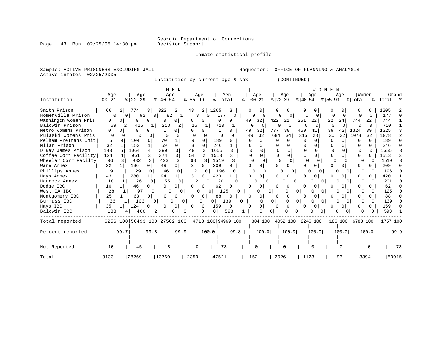Inmate statistical profile

Sample: ACTIVE PRISONERS EXCLUDING JAIL **Requestor:** OFFICE OF PLANNING & ANALYSIS Active inmates 02/25/2005

Institution by current age & sex (CONTINUED)

|                      |             |                |                              |                |              | M E N          |             |              |                |                    |   |              |               |                |                           |                |                | WOMEN        |                          |                  |          |           |      |
|----------------------|-------------|----------------|------------------------------|----------------|--------------|----------------|-------------|--------------|----------------|--------------------|---|--------------|---------------|----------------|---------------------------|----------------|----------------|--------------|--------------------------|------------------|----------|-----------|------|
|                      | Age         |                | Age                          |                | Age          |                | Aqe         |              |                | Men                |   |              | Age           |                | Age                       |                | Age            |              | Aqe                      | Women            |          | Grand     |      |
| Institution          | $00 - 21$   |                | $8   22 - 39$                |                | $8140 - 54$  |                | $8155 - 99$ |              | % Total        |                    | ⊱ | $ 00-21$     |               | $ 22-39 $      |                           | $ 40-54$       |                | $ 55-99$     |                          | % Total          |          | % Total % |      |
| Smith Prison         | 66          | 21             | 774                          | 31             | 322          | 2              | 43          | 2            | 1205           |                    |   |              | 0             |                | 0                         | 0              |                |              |                          |                  |          | 1205      |      |
| Homerville Prison    | $\Omega$    | $\Omega$       | 92                           | $\overline{0}$ | 82           | 1              | 3           | $\Omega$     | 177            | $\Omega$           |   | 0            | $\Omega$      | 0              | $\Omega$                  | 0              | $\Omega$       | 0            | $\Omega$                 | O                | $\Omega$ | 177       |      |
| Washingtn Women Pris | 0           | 0              | 0                            | $\Omega$       | O            | 0 <sup>1</sup> | 0           | 0            | 0              | 0                  |   | 49           | 32            | 422            | 21                        | 251            | 22             | 22           | 24                       | 744              | 22       | 744       |      |
| Baldwin Prison       | 69          | 2              | 415                          |                | 210          | 2              | 16          |              | 710            |                    |   | 0            |               |                | $\Omega$                  | $\Omega$       | 0              | $\Omega$     | $\Omega$                 |                  | O        | 710       |      |
| Metro Womens Prison  | 0           |                | O                            |                |              | 0              | 0           | 0            |                |                    |   | 49           | 32            | 777            | 38                        | 459            | 41             | 39           | 42                       | 1324             | 39       | 1325      |      |
| Pulaski Womens Pris  | $\mathbf 0$ | $\Omega$       | $\Omega$                     |                | 0            | 0              | 0           | $\Omega$     | $\Omega$       |                    |   | 49           | 32            | 684            | 34                        | 315            | 28             | 30           | 32                       | 1078             | 32       | 1078      |      |
| Pelham PreTrans Unit | 6           |                | 104                          | 0              | 70           |                | 9           | $\Omega$     | 189            |                    |   | O            | $\Omega$      | $\Omega$       | $\Omega$                  | 0              | 0              | $\Omega$     | $\Omega$                 | $\Omega$         | 0        | 189       |      |
| Milan Prison         | 32          |                | 152                          |                | 59           | $\Omega$       | ς           | <sup>0</sup> | 246            |                    |   | 0            | U             |                | $\Omega$                  | O              | U              | $\Omega$     |                          | U                |          | 246       |      |
| D Ray James Prison   | 143         |                | 1064                         | 4              | 399          | 3              | 49          |              | 1655           |                    |   | U            | 0             |                | 0                         | $\Omega$       |                | $\Omega$     | 0                        |                  |          | 1655      |      |
| Coffee Corr Facility | 124         |                | 961                          | 3              | 374          | 3              | 54          |              | 1513           |                    |   | <sup>0</sup> | 0             | 0              | 0                         | 0              |                | O            |                          | O                | O        | 1513      |      |
| Wheeler Corr Facilty | 96          | 3              | 932                          | 3              | 423          | 3              | 68          | 3            | 1519           | 3                  |   | $\Omega$     | 0             | $\Omega$       | 0                         | <sup>0</sup>   |                | 0            | 0                        |                  | O        | 1519      |      |
| Ware Annex           | 22          | 1 <sup>1</sup> | 136                          | $\Omega$       | 49           | 0 I            |             | 0            | 209            | 0                  |   |              | 0             |                | 0                         | U              | 0              | O            | 0                        |                  |          | 209       |      |
| Phillips Annex       | 19          |                | 129                          |                | 46           | 0              |             |              | 196            |                    |   | U            | <sup>0</sup>  |                | 0                         |                | U              |              | $\Omega$<br><sup>n</sup> | O                |          | 196       |      |
| Hays Annex           | 43          |                | 280                          |                | 94           |                | 3           | 0            | 420            |                    |   |              | 0             |                | 0                         | U              | O              | ∩            |                          |                  |          | 420       |      |
| Hancock Annex        | 18          |                | 126                          | 0              | 55           | $\Omega$       | 2           | 0            | 201            |                    |   |              | O<br>$\Omega$ |                | U<br>0                    |                | U              | 0            | 0                        | O                |          | 201       |      |
| Dodge IBC            | 16          |                | 46                           | 0              | $\Omega$     | 0              | 0           | 0            | 62             | 0                  |   | $\Omega$     | 0             | 0              | 0                         | 0              | 0 <sub>1</sub> | O            | 0                        | O                | 0        | 62        |      |
| West GA IBC          | 28          |                | 97                           | $\Omega$       | <sup>0</sup> | $\Omega$       | $\Omega$    | 0            |                | 125                | 0 |              | Ω             | 0              | 0                         | $\overline{0}$ | O              | $\Omega$     | $\Omega$<br>0            | 0                | 0        | 125       |      |
| Montgomery IBC       | 25          |                | 63                           | 0              | <sup>0</sup> | 0              | $\Omega$    | 0            | 88             | $\Omega$           |   | 0            | 0             | $\Omega$       | 0                         | 0              | $\circ$        | <sup>0</sup> |                          | 0                |          | 88        |      |
| Burruss IBC          | 36          |                | 103                          | 0 <sup>1</sup> | O            | 0              |             | 0            | 0 <sup>1</sup> | 139                | 0 |              | <sup>0</sup>  | 0 <sup>1</sup> | 0                         | $\overline{0}$ |                | 0            | $\Omega$                 |                  |          | 139       |      |
| Hays IBC             | 35          | ıι             | 124                          | 0              | $\Omega$     | 0              | 0           | 0 I          | 159            | 0                  |   | 0            | 0             | 0              | 0                         | 0              | $\overline{0}$ | n            | 0                        |                  | 0        | 159       | n    |
| Baldwin IBC          | 133         |                | 460                          |                |              | U              |             | O            | 0              | 593                |   |              | 0             | 0              |                           |                | U              | 0            | $\Omega$                 |                  |          | 593       |      |
| Total reported       |             |                | 6256 100 56493 100 27502 100 |                |              |                |             |              |                | 4718 100 94969 100 |   |              |               |                | 304 100 4052 100 2246 100 |                |                |              |                          | 186 100 6788 100 |          | 1757 100  |      |
| Percent reported     |             | 99.7           |                              | 99.8           |              | 99.9           |             | 100.0        |                | 99.8               |   |              | 100.0         |                | 100.0                     |                | 100.0          |              | 100.0                    |                  | 100.0    |           | 99.9 |
|                      |             |                |                              |                |              |                |             |              |                |                    |   |              |               |                |                           |                |                |              |                          |                  |          |           |      |
| Not Reported         | 10          |                | 45                           |                | 18           |                | 0           |              |                | 73                 |   |              | 0             |                | 0                         |                |                |              | O                        |                  |          |           | 73   |
| Total                | 3133        |                | 28269                        |                | 13760        |                | 2359        |              | 47521          |                    |   | 152          |               | 2026           |                           | 1123           |                |              | 93                       |                  | 3394     | 50915     |      |

### Page 43 Run 02/25/05 14:30 pm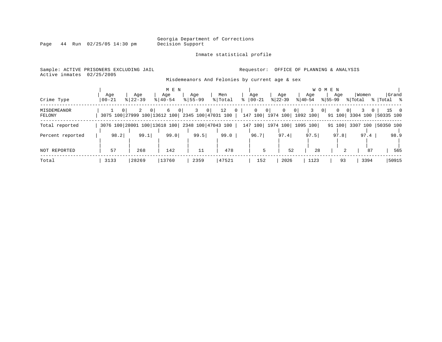Inmate statistical profile

Page 44 Run 02/25/05 14:30 pm

### Active inmates 02/25/2005

#### Sample: ACTIVE PRISONERS EXCLUDING JAIL **Requestor:** OFFICE OF PLANNING & ANALYSIS

Misdemeanors And Felonies by current age & sex

| Crime Type            | Aqe<br>$00 - 21$ | Age<br>$8 22-39$                                                              | M E N<br>Age<br>$8140 - 54$ | Age<br>$8155 - 99$ | Men<br>% Total       | Age<br>$ 00 - 21$                                    | Age<br>$ 22-39 $ | Age<br>$8 40-54$  | W O M E N<br>Age<br>$ 55-99 $ | Women<br>% Total | Grand<br>% Total %                  |
|-----------------------|------------------|-------------------------------------------------------------------------------|-----------------------------|--------------------|----------------------|------------------------------------------------------|------------------|-------------------|-------------------------------|------------------|-------------------------------------|
| MISDEMEANOR<br>FELONY |                  | $\Omega$<br>0 <sup>1</sup><br>3075 100 27999 100 13612 100 2345 100 47031 100 | 6<br>0 <sup>1</sup>         | $\circ$            | 12<br>$\overline{0}$ | 0<br>0 <sup>1</sup><br>147 100   1974 100   1092 100 | 0                | 0                 | 0 <sup>1</sup><br>0<br>91 100 | 0                | $15 \qquad 0$<br>3304 100 50335 100 |
| Total reported        |                  | 3076 100 28001 100 13618 100 2348 100 47043 100                               |                             |                    |                      | 147 100                                              |                  | 1974 100 1095 100 | 91 100                        |                  | 3307 100 50350 100                  |
| Percent reported      | 98.2             | 99.1                                                                          | 99.0                        | 99.5               | 99.0                 | 96.7                                                 | 97.4             | 97.5              | 97.8                          | 97.4             | 98.9                                |
| NOT REPORTED          | 57               | 268                                                                           | 142                         | 11                 | 478                  | 5                                                    | 52               | 28                |                               | 87               | 565                                 |
| Total                 | 3133             | 28269                                                                         | 13760                       | 2359               | 47521                | 152                                                  | 2026             | 1123              | 93                            | 3394             | 50915                               |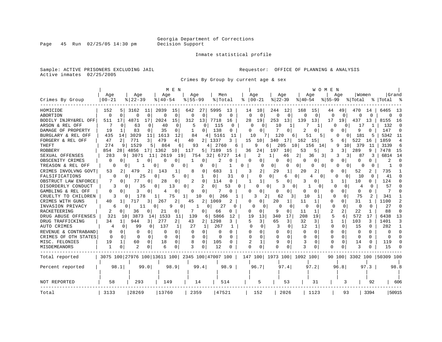Inmate statistical profile

Sample: ACTIVE PRISONERS EXCLUDING JAIL **Requestor:** OFFICE OF PLANNING & ANALYSIS Active inmates 02/25/2005

Crimes By Group by current age & sex

| Grand<br>Age<br>Age<br>Age<br>Women<br>Age<br>Age<br>Men<br>Age<br>Age<br>Age<br>$8   22 - 39$<br>$00 - 21$<br>$8140 - 54$<br>$8155 - 99$<br>% Total<br>$00 - 21$<br>$ 22-39$<br>$8140 - 54$<br>$ 55-99$<br>% Total<br>%  Total<br>$\sim$ $\approx$<br>2039<br>5995<br>10<br>12<br>168<br>15<br>HOMICIDE<br>152<br>5<br>3162<br>11<br>15<br>642<br>27<br>13<br>14<br>244<br>49<br>470<br>14<br>6465<br>-13<br>44<br>$\Omega$<br>$\Omega$<br>$\mathbf 0$<br>$\Omega$<br>$\mathbf 0$<br>$\Omega$<br>$\Omega$<br>$\mathbf 0$<br>$\Omega$<br>$\Omega$<br>0<br>$\Omega$<br>0<br>0<br>$\Omega$<br>0<br>0<br>$\Omega$<br><sup>0</sup><br>$\Omega$<br>O<br>$\Omega$<br>4871<br>17<br>2024<br>15<br>312<br>7718<br>28<br>253<br>13<br>139<br>17<br>511<br>17<br>13<br>19<br>13<br>19<br>437<br>13<br>8155<br>BODILY INJRY&REL OFF<br>16<br>-16<br>7<br>115<br>132<br>$\Omega$<br>63<br>0<br>40<br>0<br>5<br>O<br><sup>0</sup><br>$\Omega$<br>10<br>1<br>$\Omega$<br>-0<br>0<br>O<br>17<br>1<br>7<br>83<br>35<br>138<br>2<br>q<br>147<br>DAMAGE OF PROPERTY<br>19<br>0<br>0<br>0<br><sup>0</sup><br>$\Omega$<br>0<br><sup>0</sup><br>O<br>O<br>$\Omega$<br>0<br>435<br>3029<br>1613<br>12<br>84<br>5161<br>181<br>5342<br>BURGLARY & REL OFF<br>11<br>10<br>120<br>51<br>11<br>14<br>11<br>6<br>5<br>5<br>0<br>0 I<br>2<br>771<br>$\overline{3}$<br>479<br>2 1337<br>15<br>1859<br>FORGERY & REL OFF<br>47<br>4  <br>40<br>3<br>340<br>17<br>162<br>522<br>4<br>10<br>15<br>5<br>6  <br>16<br>274<br>1529<br>864<br>2760<br>3139<br>93<br>9<br>205<br>10<br>156<br>9<br>10 l<br>379<br>6<br>9<br>5.<br>6 I<br>4<br>6 I<br>14 I<br>11<br>6<br>5 7189<br>7478<br>854<br>28<br>4856<br>17 <sup>1</sup><br>1362<br>117<br>36<br>24<br>197<br>3<br>289<br>9<br>15<br>10<br>15<br>10<br>53<br>5<br>3.<br>283<br>2<br>6814<br>3071<br>261<br>19<br>32<br>6727<br>2<br>3<br>3<br>14<br>9<br>11  <br>-9<br>754<br>14<br>46<br>36<br>87<br>$\Omega$<br>2<br>$\Omega$<br>1<br>U<br>0<br>1<br>0<br>2<br>0<br>0<br>0<br>U<br>0<br>n<br>0<br>0<br>0<br>0<br>0<br>0<br>0.<br>0<br>0<br>0<br>$\Omega$<br>0 <sup>1</sup><br>0<br>0<br>0<br>O<br>0<br>0<br>0<br>0<br>0<br>0<br>$\Omega$<br>0<br>2<br>735<br>CRIMES INVOLVNG GOVT<br>479<br>2<br>143<br>0<br>683<br>29<br>1<br>20<br>2<br>52<br>53<br>O<br>0<br>2.<br>25<br>31<br>10<br>41<br>$\Omega$<br>1<br>0<br>$\Omega$<br>0<br>$\Omega$<br>6<br>O<br>$\Omega$<br>$\Omega$<br>5<br>O<br>$\Omega$<br>4<br>$\Omega$<br>0<br>0<br>77<br>28<br>2<br>$\mathbf 0$<br>124<br>7<br>0<br>0<br>1<br>10<br>0<br>0<br>114<br>5<br>0<br>3<br>$\Omega$<br>1<br>$\mathbf{1}$<br>O.<br>DISORDERLY CONDUCT<br>2<br>0<br>0<br>57<br>3<br>35<br>0<br>13<br>0<br>53<br>U<br>U<br>3<br>$\Omega$<br>0<br>4<br>0<br>O<br>GAMBLING & REL OFF<br>0<br>0<br>0<br>3<br>0<br>$\Omega$<br>O<br>U<br>0<br>0<br>0<br>0<br>0<br>$\Omega$<br>0<br>O<br>4<br>0<br>75<br>341<br>$\Omega$<br>CRUELTY TO CHILDREN<br>178<br>75<br>10<br>0 <sup>1</sup><br>266<br>3<br>2<br>62<br>10<br>1<br>$\Omega$<br>2<br>3<br>1<br>3<br>0<br>1100<br>267<br>2<br>2<br>1069<br>20<br>11<br>0<br>31<br>$\mathcal{D}$<br>40<br>717<br>0<br>1<br>1<br>0<br>3 I<br>45<br>2<br>27<br>27<br>$\Omega$<br>$\cap$<br>11<br>0<br>q<br>$\Omega$<br>O<br>U<br>O<br>$\Omega$<br>∩<br><sup>0</sup><br>0<br>$\Omega$<br>$\Omega$<br>6<br>0<br>1<br>0<br>$\Omega$<br>2<br><b>RACKETEERING</b><br>36<br>21<br>66<br>2<br>22<br>88<br>2<br>0<br>N<br>0<br>0<br>9<br>0<br>11<br><sup>0</sup><br>0<br>O<br>0<br>1<br>5<br>321<br>3873<br>1533<br>5866<br>12<br>340<br>17<br>208<br>19<br>6<br>572<br>6438<br>13<br>10<br>11<br>139<br>6 I<br>19<br>13<br>17<br>14<br>277<br>1298<br>65<br>1401<br>$\overline{2}$<br>43<br>3 <sup>1</sup><br>32<br>103<br>3<br>DRUG TRAFFICKING<br>34<br>944<br>2<br>5<br>3<br>3<br>1<br>$\mathbf{1}$<br>3<br>31<br>3<br>11<br>137<br>27<br>267<br>$\mathbf 0$<br>12<br>15<br>282<br>0<br>99<br>$\circ$<br>1<br>$\Omega$<br>3<br>1<br>0<br>$\Omega$<br>1<br>1<br>1<br>0<br>0<br>$\Omega$<br>0<br>$\Omega$<br>$\Omega$<br>0<br>$\Omega$<br>$\Omega$<br>0<br>0<br>$\Omega$<br>O<br>$\Omega$<br>0<br>0<br>$\Omega$<br>$\Omega$<br>0<br>O<br>0<br>O<br>$\Omega$<br>$\Omega$<br>$\Omega$<br>$\Omega$<br>$\Omega$<br>$\Omega$<br>$\Omega$<br>0<br>0<br>$\Omega$<br>$\Omega$<br>$\Omega$<br>$\Omega$<br>$\Omega$<br>$\Omega$<br>O<br>$\Omega$<br>O<br>0<br>$\Omega$<br>n<br>19<br>60<br>18<br>$\Omega$<br>105<br>1<br>9<br>3<br>$\Omega$<br>14<br>119<br>0<br>0<br>O<br>0<br>O<br>0<br>0<br>$\cap$<br>1<br>ζ<br>1<br>$\Omega$<br>2<br>6<br>ζ<br>0<br>12<br>$\cap$<br>U<br>२<br>15<br>O<br>O<br>3075 100 27976 100 13611 100 2345 100 47007 100<br>147 100   1973 100   1092 100  <br>90 100 3302 100 50309 100<br>98.1<br>98.9<br>97.2<br>97.3<br>99.0<br>99.4<br>98.9<br>96.7<br>97.4<br>96.8<br>98.8<br>Percent reported<br>293<br>58<br>149<br>514<br>5<br>53<br>31<br>14<br>3<br>92<br>606<br>28269<br>13760<br>47521<br>2026<br>50915<br>3133<br>2359<br>152<br>1123<br>93<br>3394<br>Total |                      |  |  | M E N |  |  |  |  |  | WOMEN |  |  |  |
|----------------------------------------------------------------------------------------------------------------------------------------------------------------------------------------------------------------------------------------------------------------------------------------------------------------------------------------------------------------------------------------------------------------------------------------------------------------------------------------------------------------------------------------------------------------------------------------------------------------------------------------------------------------------------------------------------------------------------------------------------------------------------------------------------------------------------------------------------------------------------------------------------------------------------------------------------------------------------------------------------------------------------------------------------------------------------------------------------------------------------------------------------------------------------------------------------------------------------------------------------------------------------------------------------------------------------------------------------------------------------------------------------------------------------------------------------------------------------------------------------------------------------------------------------------------------------------------------------------------------------------------------------------------------------------------------------------------------------------------------------------------------------------------------------------------------------------------------------------------------------------------------------------------------------------------------------------------------------------------------------------------------------------------------------------------------------------------------------------------------------------------------------------------------------------------------------------------------------------------------------------------------------------------------------------------------------------------------------------------------------------------------------------------------------------------------------------------------------------------------------------------------------------------------------------------------------------------------------------------------------------------------------------------------------------------------------------------------------------------------------------------------------------------------------------------------------------------------------------------------------------------------------------------------------------------------------------------------------------------------------------------------------------------------------------------------------------------------------------------------------------------------------------------------------------------------------------------------------------------------------------------------------------------------------------------------------------------------------------------------------------------------------------------------------------------------------------------------------------------------------------------------------------------------------------------------------------------------------------------------------------------------------------------------------------------------------------------------------------------------------------------------------------------------------------------------------------------------------------------------------------------------------------------------------------------------------------------------------------------------------------------------------------------------------------------------------------------------------------------------------------------------------------------------------------------------------------------------------------------------------------------------------------------------------------------------------------------------------------------------------------------------------------------------------------------------------------------------------------------------------------------------------------------------------------------------------------------------------------------------------------------------------------------------------------------------------------------------------------------------------------------------------------------------------------------------------------------------------------------------------------------------------------------------------------------------------------------------------|----------------------|--|--|-------|--|--|--|--|--|-------|--|--|--|
|                                                                                                                                                                                                                                                                                                                                                                                                                                                                                                                                                                                                                                                                                                                                                                                                                                                                                                                                                                                                                                                                                                                                                                                                                                                                                                                                                                                                                                                                                                                                                                                                                                                                                                                                                                                                                                                                                                                                                                                                                                                                                                                                                                                                                                                                                                                                                                                                                                                                                                                                                                                                                                                                                                                                                                                                                                                                                                                                                                                                                                                                                                                                                                                                                                                                                                                                                                                                                                                                                                                                                                                                                                                                                                                                                                                                                                                                                                                                                                                                                                                                                                                                                                                                                                                                                                                                                                                                                                                                                                                                                                                                                                                                                                                                                                                                                                                                                                                                                                            |                      |  |  |       |  |  |  |  |  |       |  |  |  |
|                                                                                                                                                                                                                                                                                                                                                                                                                                                                                                                                                                                                                                                                                                                                                                                                                                                                                                                                                                                                                                                                                                                                                                                                                                                                                                                                                                                                                                                                                                                                                                                                                                                                                                                                                                                                                                                                                                                                                                                                                                                                                                                                                                                                                                                                                                                                                                                                                                                                                                                                                                                                                                                                                                                                                                                                                                                                                                                                                                                                                                                                                                                                                                                                                                                                                                                                                                                                                                                                                                                                                                                                                                                                                                                                                                                                                                                                                                                                                                                                                                                                                                                                                                                                                                                                                                                                                                                                                                                                                                                                                                                                                                                                                                                                                                                                                                                                                                                                                                            | Crimes By Group      |  |  |       |  |  |  |  |  |       |  |  |  |
|                                                                                                                                                                                                                                                                                                                                                                                                                                                                                                                                                                                                                                                                                                                                                                                                                                                                                                                                                                                                                                                                                                                                                                                                                                                                                                                                                                                                                                                                                                                                                                                                                                                                                                                                                                                                                                                                                                                                                                                                                                                                                                                                                                                                                                                                                                                                                                                                                                                                                                                                                                                                                                                                                                                                                                                                                                                                                                                                                                                                                                                                                                                                                                                                                                                                                                                                                                                                                                                                                                                                                                                                                                                                                                                                                                                                                                                                                                                                                                                                                                                                                                                                                                                                                                                                                                                                                                                                                                                                                                                                                                                                                                                                                                                                                                                                                                                                                                                                                                            |                      |  |  |       |  |  |  |  |  |       |  |  |  |
|                                                                                                                                                                                                                                                                                                                                                                                                                                                                                                                                                                                                                                                                                                                                                                                                                                                                                                                                                                                                                                                                                                                                                                                                                                                                                                                                                                                                                                                                                                                                                                                                                                                                                                                                                                                                                                                                                                                                                                                                                                                                                                                                                                                                                                                                                                                                                                                                                                                                                                                                                                                                                                                                                                                                                                                                                                                                                                                                                                                                                                                                                                                                                                                                                                                                                                                                                                                                                                                                                                                                                                                                                                                                                                                                                                                                                                                                                                                                                                                                                                                                                                                                                                                                                                                                                                                                                                                                                                                                                                                                                                                                                                                                                                                                                                                                                                                                                                                                                                            | <b>ABORTION</b>      |  |  |       |  |  |  |  |  |       |  |  |  |
|                                                                                                                                                                                                                                                                                                                                                                                                                                                                                                                                                                                                                                                                                                                                                                                                                                                                                                                                                                                                                                                                                                                                                                                                                                                                                                                                                                                                                                                                                                                                                                                                                                                                                                                                                                                                                                                                                                                                                                                                                                                                                                                                                                                                                                                                                                                                                                                                                                                                                                                                                                                                                                                                                                                                                                                                                                                                                                                                                                                                                                                                                                                                                                                                                                                                                                                                                                                                                                                                                                                                                                                                                                                                                                                                                                                                                                                                                                                                                                                                                                                                                                                                                                                                                                                                                                                                                                                                                                                                                                                                                                                                                                                                                                                                                                                                                                                                                                                                                                            |                      |  |  |       |  |  |  |  |  |       |  |  |  |
|                                                                                                                                                                                                                                                                                                                                                                                                                                                                                                                                                                                                                                                                                                                                                                                                                                                                                                                                                                                                                                                                                                                                                                                                                                                                                                                                                                                                                                                                                                                                                                                                                                                                                                                                                                                                                                                                                                                                                                                                                                                                                                                                                                                                                                                                                                                                                                                                                                                                                                                                                                                                                                                                                                                                                                                                                                                                                                                                                                                                                                                                                                                                                                                                                                                                                                                                                                                                                                                                                                                                                                                                                                                                                                                                                                                                                                                                                                                                                                                                                                                                                                                                                                                                                                                                                                                                                                                                                                                                                                                                                                                                                                                                                                                                                                                                                                                                                                                                                                            | ARSON & REL OFF      |  |  |       |  |  |  |  |  |       |  |  |  |
|                                                                                                                                                                                                                                                                                                                                                                                                                                                                                                                                                                                                                                                                                                                                                                                                                                                                                                                                                                                                                                                                                                                                                                                                                                                                                                                                                                                                                                                                                                                                                                                                                                                                                                                                                                                                                                                                                                                                                                                                                                                                                                                                                                                                                                                                                                                                                                                                                                                                                                                                                                                                                                                                                                                                                                                                                                                                                                                                                                                                                                                                                                                                                                                                                                                                                                                                                                                                                                                                                                                                                                                                                                                                                                                                                                                                                                                                                                                                                                                                                                                                                                                                                                                                                                                                                                                                                                                                                                                                                                                                                                                                                                                                                                                                                                                                                                                                                                                                                                            |                      |  |  |       |  |  |  |  |  |       |  |  |  |
|                                                                                                                                                                                                                                                                                                                                                                                                                                                                                                                                                                                                                                                                                                                                                                                                                                                                                                                                                                                                                                                                                                                                                                                                                                                                                                                                                                                                                                                                                                                                                                                                                                                                                                                                                                                                                                                                                                                                                                                                                                                                                                                                                                                                                                                                                                                                                                                                                                                                                                                                                                                                                                                                                                                                                                                                                                                                                                                                                                                                                                                                                                                                                                                                                                                                                                                                                                                                                                                                                                                                                                                                                                                                                                                                                                                                                                                                                                                                                                                                                                                                                                                                                                                                                                                                                                                                                                                                                                                                                                                                                                                                                                                                                                                                                                                                                                                                                                                                                                            |                      |  |  |       |  |  |  |  |  |       |  |  |  |
|                                                                                                                                                                                                                                                                                                                                                                                                                                                                                                                                                                                                                                                                                                                                                                                                                                                                                                                                                                                                                                                                                                                                                                                                                                                                                                                                                                                                                                                                                                                                                                                                                                                                                                                                                                                                                                                                                                                                                                                                                                                                                                                                                                                                                                                                                                                                                                                                                                                                                                                                                                                                                                                                                                                                                                                                                                                                                                                                                                                                                                                                                                                                                                                                                                                                                                                                                                                                                                                                                                                                                                                                                                                                                                                                                                                                                                                                                                                                                                                                                                                                                                                                                                                                                                                                                                                                                                                                                                                                                                                                                                                                                                                                                                                                                                                                                                                                                                                                                                            |                      |  |  |       |  |  |  |  |  |       |  |  |  |
|                                                                                                                                                                                                                                                                                                                                                                                                                                                                                                                                                                                                                                                                                                                                                                                                                                                                                                                                                                                                                                                                                                                                                                                                                                                                                                                                                                                                                                                                                                                                                                                                                                                                                                                                                                                                                                                                                                                                                                                                                                                                                                                                                                                                                                                                                                                                                                                                                                                                                                                                                                                                                                                                                                                                                                                                                                                                                                                                                                                                                                                                                                                                                                                                                                                                                                                                                                                                                                                                                                                                                                                                                                                                                                                                                                                                                                                                                                                                                                                                                                                                                                                                                                                                                                                                                                                                                                                                                                                                                                                                                                                                                                                                                                                                                                                                                                                                                                                                                                            | <b>THEFT</b>         |  |  |       |  |  |  |  |  |       |  |  |  |
|                                                                                                                                                                                                                                                                                                                                                                                                                                                                                                                                                                                                                                                                                                                                                                                                                                                                                                                                                                                                                                                                                                                                                                                                                                                                                                                                                                                                                                                                                                                                                                                                                                                                                                                                                                                                                                                                                                                                                                                                                                                                                                                                                                                                                                                                                                                                                                                                                                                                                                                                                                                                                                                                                                                                                                                                                                                                                                                                                                                                                                                                                                                                                                                                                                                                                                                                                                                                                                                                                                                                                                                                                                                                                                                                                                                                                                                                                                                                                                                                                                                                                                                                                                                                                                                                                                                                                                                                                                                                                                                                                                                                                                                                                                                                                                                                                                                                                                                                                                            | <b>ROBBERY</b>       |  |  |       |  |  |  |  |  |       |  |  |  |
|                                                                                                                                                                                                                                                                                                                                                                                                                                                                                                                                                                                                                                                                                                                                                                                                                                                                                                                                                                                                                                                                                                                                                                                                                                                                                                                                                                                                                                                                                                                                                                                                                                                                                                                                                                                                                                                                                                                                                                                                                                                                                                                                                                                                                                                                                                                                                                                                                                                                                                                                                                                                                                                                                                                                                                                                                                                                                                                                                                                                                                                                                                                                                                                                                                                                                                                                                                                                                                                                                                                                                                                                                                                                                                                                                                                                                                                                                                                                                                                                                                                                                                                                                                                                                                                                                                                                                                                                                                                                                                                                                                                                                                                                                                                                                                                                                                                                                                                                                                            | SEXUAL OFFENSES      |  |  |       |  |  |  |  |  |       |  |  |  |
|                                                                                                                                                                                                                                                                                                                                                                                                                                                                                                                                                                                                                                                                                                                                                                                                                                                                                                                                                                                                                                                                                                                                                                                                                                                                                                                                                                                                                                                                                                                                                                                                                                                                                                                                                                                                                                                                                                                                                                                                                                                                                                                                                                                                                                                                                                                                                                                                                                                                                                                                                                                                                                                                                                                                                                                                                                                                                                                                                                                                                                                                                                                                                                                                                                                                                                                                                                                                                                                                                                                                                                                                                                                                                                                                                                                                                                                                                                                                                                                                                                                                                                                                                                                                                                                                                                                                                                                                                                                                                                                                                                                                                                                                                                                                                                                                                                                                                                                                                                            | OBSCENITY CRIMES     |  |  |       |  |  |  |  |  |       |  |  |  |
|                                                                                                                                                                                                                                                                                                                                                                                                                                                                                                                                                                                                                                                                                                                                                                                                                                                                                                                                                                                                                                                                                                                                                                                                                                                                                                                                                                                                                                                                                                                                                                                                                                                                                                                                                                                                                                                                                                                                                                                                                                                                                                                                                                                                                                                                                                                                                                                                                                                                                                                                                                                                                                                                                                                                                                                                                                                                                                                                                                                                                                                                                                                                                                                                                                                                                                                                                                                                                                                                                                                                                                                                                                                                                                                                                                                                                                                                                                                                                                                                                                                                                                                                                                                                                                                                                                                                                                                                                                                                                                                                                                                                                                                                                                                                                                                                                                                                                                                                                                            | TREASON & REL OFF    |  |  |       |  |  |  |  |  |       |  |  |  |
|                                                                                                                                                                                                                                                                                                                                                                                                                                                                                                                                                                                                                                                                                                                                                                                                                                                                                                                                                                                                                                                                                                                                                                                                                                                                                                                                                                                                                                                                                                                                                                                                                                                                                                                                                                                                                                                                                                                                                                                                                                                                                                                                                                                                                                                                                                                                                                                                                                                                                                                                                                                                                                                                                                                                                                                                                                                                                                                                                                                                                                                                                                                                                                                                                                                                                                                                                                                                                                                                                                                                                                                                                                                                                                                                                                                                                                                                                                                                                                                                                                                                                                                                                                                                                                                                                                                                                                                                                                                                                                                                                                                                                                                                                                                                                                                                                                                                                                                                                                            |                      |  |  |       |  |  |  |  |  |       |  |  |  |
|                                                                                                                                                                                                                                                                                                                                                                                                                                                                                                                                                                                                                                                                                                                                                                                                                                                                                                                                                                                                                                                                                                                                                                                                                                                                                                                                                                                                                                                                                                                                                                                                                                                                                                                                                                                                                                                                                                                                                                                                                                                                                                                                                                                                                                                                                                                                                                                                                                                                                                                                                                                                                                                                                                                                                                                                                                                                                                                                                                                                                                                                                                                                                                                                                                                                                                                                                                                                                                                                                                                                                                                                                                                                                                                                                                                                                                                                                                                                                                                                                                                                                                                                                                                                                                                                                                                                                                                                                                                                                                                                                                                                                                                                                                                                                                                                                                                                                                                                                                            | FALSIFICATIONS       |  |  |       |  |  |  |  |  |       |  |  |  |
|                                                                                                                                                                                                                                                                                                                                                                                                                                                                                                                                                                                                                                                                                                                                                                                                                                                                                                                                                                                                                                                                                                                                                                                                                                                                                                                                                                                                                                                                                                                                                                                                                                                                                                                                                                                                                                                                                                                                                                                                                                                                                                                                                                                                                                                                                                                                                                                                                                                                                                                                                                                                                                                                                                                                                                                                                                                                                                                                                                                                                                                                                                                                                                                                                                                                                                                                                                                                                                                                                                                                                                                                                                                                                                                                                                                                                                                                                                                                                                                                                                                                                                                                                                                                                                                                                                                                                                                                                                                                                                                                                                                                                                                                                                                                                                                                                                                                                                                                                                            | OBSTRUCT LAW ENFORCE |  |  |       |  |  |  |  |  |       |  |  |  |
|                                                                                                                                                                                                                                                                                                                                                                                                                                                                                                                                                                                                                                                                                                                                                                                                                                                                                                                                                                                                                                                                                                                                                                                                                                                                                                                                                                                                                                                                                                                                                                                                                                                                                                                                                                                                                                                                                                                                                                                                                                                                                                                                                                                                                                                                                                                                                                                                                                                                                                                                                                                                                                                                                                                                                                                                                                                                                                                                                                                                                                                                                                                                                                                                                                                                                                                                                                                                                                                                                                                                                                                                                                                                                                                                                                                                                                                                                                                                                                                                                                                                                                                                                                                                                                                                                                                                                                                                                                                                                                                                                                                                                                                                                                                                                                                                                                                                                                                                                                            |                      |  |  |       |  |  |  |  |  |       |  |  |  |
|                                                                                                                                                                                                                                                                                                                                                                                                                                                                                                                                                                                                                                                                                                                                                                                                                                                                                                                                                                                                                                                                                                                                                                                                                                                                                                                                                                                                                                                                                                                                                                                                                                                                                                                                                                                                                                                                                                                                                                                                                                                                                                                                                                                                                                                                                                                                                                                                                                                                                                                                                                                                                                                                                                                                                                                                                                                                                                                                                                                                                                                                                                                                                                                                                                                                                                                                                                                                                                                                                                                                                                                                                                                                                                                                                                                                                                                                                                                                                                                                                                                                                                                                                                                                                                                                                                                                                                                                                                                                                                                                                                                                                                                                                                                                                                                                                                                                                                                                                                            |                      |  |  |       |  |  |  |  |  |       |  |  |  |
|                                                                                                                                                                                                                                                                                                                                                                                                                                                                                                                                                                                                                                                                                                                                                                                                                                                                                                                                                                                                                                                                                                                                                                                                                                                                                                                                                                                                                                                                                                                                                                                                                                                                                                                                                                                                                                                                                                                                                                                                                                                                                                                                                                                                                                                                                                                                                                                                                                                                                                                                                                                                                                                                                                                                                                                                                                                                                                                                                                                                                                                                                                                                                                                                                                                                                                                                                                                                                                                                                                                                                                                                                                                                                                                                                                                                                                                                                                                                                                                                                                                                                                                                                                                                                                                                                                                                                                                                                                                                                                                                                                                                                                                                                                                                                                                                                                                                                                                                                                            |                      |  |  |       |  |  |  |  |  |       |  |  |  |
|                                                                                                                                                                                                                                                                                                                                                                                                                                                                                                                                                                                                                                                                                                                                                                                                                                                                                                                                                                                                                                                                                                                                                                                                                                                                                                                                                                                                                                                                                                                                                                                                                                                                                                                                                                                                                                                                                                                                                                                                                                                                                                                                                                                                                                                                                                                                                                                                                                                                                                                                                                                                                                                                                                                                                                                                                                                                                                                                                                                                                                                                                                                                                                                                                                                                                                                                                                                                                                                                                                                                                                                                                                                                                                                                                                                                                                                                                                                                                                                                                                                                                                                                                                                                                                                                                                                                                                                                                                                                                                                                                                                                                                                                                                                                                                                                                                                                                                                                                                            | CRIMES WITH GUNS     |  |  |       |  |  |  |  |  |       |  |  |  |
|                                                                                                                                                                                                                                                                                                                                                                                                                                                                                                                                                                                                                                                                                                                                                                                                                                                                                                                                                                                                                                                                                                                                                                                                                                                                                                                                                                                                                                                                                                                                                                                                                                                                                                                                                                                                                                                                                                                                                                                                                                                                                                                                                                                                                                                                                                                                                                                                                                                                                                                                                                                                                                                                                                                                                                                                                                                                                                                                                                                                                                                                                                                                                                                                                                                                                                                                                                                                                                                                                                                                                                                                                                                                                                                                                                                                                                                                                                                                                                                                                                                                                                                                                                                                                                                                                                                                                                                                                                                                                                                                                                                                                                                                                                                                                                                                                                                                                                                                                                            | INVASION PRIVACY     |  |  |       |  |  |  |  |  |       |  |  |  |
|                                                                                                                                                                                                                                                                                                                                                                                                                                                                                                                                                                                                                                                                                                                                                                                                                                                                                                                                                                                                                                                                                                                                                                                                                                                                                                                                                                                                                                                                                                                                                                                                                                                                                                                                                                                                                                                                                                                                                                                                                                                                                                                                                                                                                                                                                                                                                                                                                                                                                                                                                                                                                                                                                                                                                                                                                                                                                                                                                                                                                                                                                                                                                                                                                                                                                                                                                                                                                                                                                                                                                                                                                                                                                                                                                                                                                                                                                                                                                                                                                                                                                                                                                                                                                                                                                                                                                                                                                                                                                                                                                                                                                                                                                                                                                                                                                                                                                                                                                                            |                      |  |  |       |  |  |  |  |  |       |  |  |  |
|                                                                                                                                                                                                                                                                                                                                                                                                                                                                                                                                                                                                                                                                                                                                                                                                                                                                                                                                                                                                                                                                                                                                                                                                                                                                                                                                                                                                                                                                                                                                                                                                                                                                                                                                                                                                                                                                                                                                                                                                                                                                                                                                                                                                                                                                                                                                                                                                                                                                                                                                                                                                                                                                                                                                                                                                                                                                                                                                                                                                                                                                                                                                                                                                                                                                                                                                                                                                                                                                                                                                                                                                                                                                                                                                                                                                                                                                                                                                                                                                                                                                                                                                                                                                                                                                                                                                                                                                                                                                                                                                                                                                                                                                                                                                                                                                                                                                                                                                                                            | DRUG ABUSE OFFENSES  |  |  |       |  |  |  |  |  |       |  |  |  |
|                                                                                                                                                                                                                                                                                                                                                                                                                                                                                                                                                                                                                                                                                                                                                                                                                                                                                                                                                                                                                                                                                                                                                                                                                                                                                                                                                                                                                                                                                                                                                                                                                                                                                                                                                                                                                                                                                                                                                                                                                                                                                                                                                                                                                                                                                                                                                                                                                                                                                                                                                                                                                                                                                                                                                                                                                                                                                                                                                                                                                                                                                                                                                                                                                                                                                                                                                                                                                                                                                                                                                                                                                                                                                                                                                                                                                                                                                                                                                                                                                                                                                                                                                                                                                                                                                                                                                                                                                                                                                                                                                                                                                                                                                                                                                                                                                                                                                                                                                                            |                      |  |  |       |  |  |  |  |  |       |  |  |  |
|                                                                                                                                                                                                                                                                                                                                                                                                                                                                                                                                                                                                                                                                                                                                                                                                                                                                                                                                                                                                                                                                                                                                                                                                                                                                                                                                                                                                                                                                                                                                                                                                                                                                                                                                                                                                                                                                                                                                                                                                                                                                                                                                                                                                                                                                                                                                                                                                                                                                                                                                                                                                                                                                                                                                                                                                                                                                                                                                                                                                                                                                                                                                                                                                                                                                                                                                                                                                                                                                                                                                                                                                                                                                                                                                                                                                                                                                                                                                                                                                                                                                                                                                                                                                                                                                                                                                                                                                                                                                                                                                                                                                                                                                                                                                                                                                                                                                                                                                                                            | AUTO CRIMES          |  |  |       |  |  |  |  |  |       |  |  |  |
|                                                                                                                                                                                                                                                                                                                                                                                                                                                                                                                                                                                                                                                                                                                                                                                                                                                                                                                                                                                                                                                                                                                                                                                                                                                                                                                                                                                                                                                                                                                                                                                                                                                                                                                                                                                                                                                                                                                                                                                                                                                                                                                                                                                                                                                                                                                                                                                                                                                                                                                                                                                                                                                                                                                                                                                                                                                                                                                                                                                                                                                                                                                                                                                                                                                                                                                                                                                                                                                                                                                                                                                                                                                                                                                                                                                                                                                                                                                                                                                                                                                                                                                                                                                                                                                                                                                                                                                                                                                                                                                                                                                                                                                                                                                                                                                                                                                                                                                                                                            | REVENUE & CONTRABAND |  |  |       |  |  |  |  |  |       |  |  |  |
|                                                                                                                                                                                                                                                                                                                                                                                                                                                                                                                                                                                                                                                                                                                                                                                                                                                                                                                                                                                                                                                                                                                                                                                                                                                                                                                                                                                                                                                                                                                                                                                                                                                                                                                                                                                                                                                                                                                                                                                                                                                                                                                                                                                                                                                                                                                                                                                                                                                                                                                                                                                                                                                                                                                                                                                                                                                                                                                                                                                                                                                                                                                                                                                                                                                                                                                                                                                                                                                                                                                                                                                                                                                                                                                                                                                                                                                                                                                                                                                                                                                                                                                                                                                                                                                                                                                                                                                                                                                                                                                                                                                                                                                                                                                                                                                                                                                                                                                                                                            | CRIMES OF OTH STATES |  |  |       |  |  |  |  |  |       |  |  |  |
|                                                                                                                                                                                                                                                                                                                                                                                                                                                                                                                                                                                                                                                                                                                                                                                                                                                                                                                                                                                                                                                                                                                                                                                                                                                                                                                                                                                                                                                                                                                                                                                                                                                                                                                                                                                                                                                                                                                                                                                                                                                                                                                                                                                                                                                                                                                                                                                                                                                                                                                                                                                                                                                                                                                                                                                                                                                                                                                                                                                                                                                                                                                                                                                                                                                                                                                                                                                                                                                                                                                                                                                                                                                                                                                                                                                                                                                                                                                                                                                                                                                                                                                                                                                                                                                                                                                                                                                                                                                                                                                                                                                                                                                                                                                                                                                                                                                                                                                                                                            | MISC. FELONIES       |  |  |       |  |  |  |  |  |       |  |  |  |
|                                                                                                                                                                                                                                                                                                                                                                                                                                                                                                                                                                                                                                                                                                                                                                                                                                                                                                                                                                                                                                                                                                                                                                                                                                                                                                                                                                                                                                                                                                                                                                                                                                                                                                                                                                                                                                                                                                                                                                                                                                                                                                                                                                                                                                                                                                                                                                                                                                                                                                                                                                                                                                                                                                                                                                                                                                                                                                                                                                                                                                                                                                                                                                                                                                                                                                                                                                                                                                                                                                                                                                                                                                                                                                                                                                                                                                                                                                                                                                                                                                                                                                                                                                                                                                                                                                                                                                                                                                                                                                                                                                                                                                                                                                                                                                                                                                                                                                                                                                            | <b>MISDEMEANORS</b>  |  |  |       |  |  |  |  |  |       |  |  |  |
|                                                                                                                                                                                                                                                                                                                                                                                                                                                                                                                                                                                                                                                                                                                                                                                                                                                                                                                                                                                                                                                                                                                                                                                                                                                                                                                                                                                                                                                                                                                                                                                                                                                                                                                                                                                                                                                                                                                                                                                                                                                                                                                                                                                                                                                                                                                                                                                                                                                                                                                                                                                                                                                                                                                                                                                                                                                                                                                                                                                                                                                                                                                                                                                                                                                                                                                                                                                                                                                                                                                                                                                                                                                                                                                                                                                                                                                                                                                                                                                                                                                                                                                                                                                                                                                                                                                                                                                                                                                                                                                                                                                                                                                                                                                                                                                                                                                                                                                                                                            | Total reported       |  |  |       |  |  |  |  |  |       |  |  |  |
|                                                                                                                                                                                                                                                                                                                                                                                                                                                                                                                                                                                                                                                                                                                                                                                                                                                                                                                                                                                                                                                                                                                                                                                                                                                                                                                                                                                                                                                                                                                                                                                                                                                                                                                                                                                                                                                                                                                                                                                                                                                                                                                                                                                                                                                                                                                                                                                                                                                                                                                                                                                                                                                                                                                                                                                                                                                                                                                                                                                                                                                                                                                                                                                                                                                                                                                                                                                                                                                                                                                                                                                                                                                                                                                                                                                                                                                                                                                                                                                                                                                                                                                                                                                                                                                                                                                                                                                                                                                                                                                                                                                                                                                                                                                                                                                                                                                                                                                                                                            |                      |  |  |       |  |  |  |  |  |       |  |  |  |
|                                                                                                                                                                                                                                                                                                                                                                                                                                                                                                                                                                                                                                                                                                                                                                                                                                                                                                                                                                                                                                                                                                                                                                                                                                                                                                                                                                                                                                                                                                                                                                                                                                                                                                                                                                                                                                                                                                                                                                                                                                                                                                                                                                                                                                                                                                                                                                                                                                                                                                                                                                                                                                                                                                                                                                                                                                                                                                                                                                                                                                                                                                                                                                                                                                                                                                                                                                                                                                                                                                                                                                                                                                                                                                                                                                                                                                                                                                                                                                                                                                                                                                                                                                                                                                                                                                                                                                                                                                                                                                                                                                                                                                                                                                                                                                                                                                                                                                                                                                            |                      |  |  |       |  |  |  |  |  |       |  |  |  |
|                                                                                                                                                                                                                                                                                                                                                                                                                                                                                                                                                                                                                                                                                                                                                                                                                                                                                                                                                                                                                                                                                                                                                                                                                                                                                                                                                                                                                                                                                                                                                                                                                                                                                                                                                                                                                                                                                                                                                                                                                                                                                                                                                                                                                                                                                                                                                                                                                                                                                                                                                                                                                                                                                                                                                                                                                                                                                                                                                                                                                                                                                                                                                                                                                                                                                                                                                                                                                                                                                                                                                                                                                                                                                                                                                                                                                                                                                                                                                                                                                                                                                                                                                                                                                                                                                                                                                                                                                                                                                                                                                                                                                                                                                                                                                                                                                                                                                                                                                                            | <b>NOT REPORTED</b>  |  |  |       |  |  |  |  |  |       |  |  |  |
|                                                                                                                                                                                                                                                                                                                                                                                                                                                                                                                                                                                                                                                                                                                                                                                                                                                                                                                                                                                                                                                                                                                                                                                                                                                                                                                                                                                                                                                                                                                                                                                                                                                                                                                                                                                                                                                                                                                                                                                                                                                                                                                                                                                                                                                                                                                                                                                                                                                                                                                                                                                                                                                                                                                                                                                                                                                                                                                                                                                                                                                                                                                                                                                                                                                                                                                                                                                                                                                                                                                                                                                                                                                                                                                                                                                                                                                                                                                                                                                                                                                                                                                                                                                                                                                                                                                                                                                                                                                                                                                                                                                                                                                                                                                                                                                                                                                                                                                                                                            |                      |  |  |       |  |  |  |  |  |       |  |  |  |

Page 45 Run 02/25/05 14:30 pm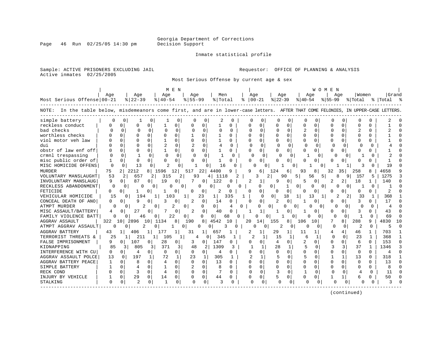Page 46 Run 02/25/05 14:30 pm

#### Inmate statistical profile

Sample: ACTIVE PRISONERS EXCLUDING JAIL **Requestor:** OFFICE OF PLANNING & ANALYSIS Active inmates 02/25/2005

Most Serious Offense by current age & sex

|                                                                                                                                   |              |                        |                       |                | M E N        |                |          |              |                    |          |                          |                |          |                |              | WOMEN     |                     |          |              |           |     |
|-----------------------------------------------------------------------------------------------------------------------------------|--------------|------------------------|-----------------------|----------------|--------------|----------------|----------|--------------|--------------------|----------|--------------------------|----------------|----------|----------------|--------------|-----------|---------------------|----------|--------------|-----------|-----|
|                                                                                                                                   | Age          | Age                    |                       | Age            |              | Age            |          | Men          |                    |          | Age                      |                | Age      |                | Aqe          |           | Aqe                 | Women    |              | Grand     |     |
| Most Serious Offense 00-21                                                                                                        |              | $8 22-39$              |                       | $8140 - 54$    |              | $8155 - 99$    |          | % Total      |                    |          | $8   00 - 21$            | $ 22-39 $      |          | $ 40-54 $      |              | $8 55-99$ |                     | % Total  |              | % Total % |     |
| NOTE: In the table below, misdemeanors come first, and are in lower-case letters. AFTER THAT COME FELONIES, IN UPPER-CASE LETTERS |              |                        |                       |                |              |                |          |              |                    |          |                          |                |          |                |              |           |                     |          |              |           |     |
| simple battery                                                                                                                    | 0            | 0                      | 0                     |                | 0            |                | 0        | 2            | $\Omega$           |          | n<br><sup>0</sup>        | O              | $\Omega$ |                | O            | O         | 0                   |          |              |           |     |
| reckless conduct                                                                                                                  | U            | $\Omega$<br>U          | 0                     | 1              | 0            | U              | n        | 1            | 0                  | U        | 0                        | ∩              | $\cap$   | $\Omega$       | 0            | $\cap$    | $\Omega$            | U        | U            |           |     |
| bad checks                                                                                                                        |              | $\Omega$               | $\Omega$              | 0              | $\Omega$     | $\Omega$       | $\Omega$ | $\Omega$     | $\Omega$           |          | $\Omega$<br>$\cap$       | $\Omega$       | $\Omega$ | 2              | $\Omega$     | $\Omega$  | $\Omega$            |          | 0            |           |     |
| worthless checks                                                                                                                  |              | $\Omega$<br>O          | $\Omega$              | $\Omega$       | $\Omega$     |                | 0        | 1            | 0                  | O        | $\Omega$                 |                | $\Omega$ | $\Omega$       | $\Omega$     | O         | $\Omega$            | O        | 0            |           |     |
| viol motor veh law                                                                                                                |              | $\Omega$<br>$\cap$     | $\Omega$              | $\mathbf{1}$   | 0            | $\Omega$       | $\Omega$ | $\mathbf{1}$ | <sup>n</sup>       |          | $\Omega$                 | $\Omega$       | $\cap$   | $\Omega$       | $\Omega$     | $\cap$    | 0                   | O        | 0            |           |     |
| dui                                                                                                                               |              | $\Omega$<br>$\cap$     | 0                     |                | $\Omega$     | $\overline{2}$ | $\Omega$ | 4            | 0                  |          | $\Omega$<br>$\Omega$     | $\cap$         | $\Omega$ | $\Omega$       | $\Omega$     | $\Omega$  | $\Omega$            | C        | <sup>0</sup> |           |     |
| obstr of law enf off                                                                                                              | U            | $\Omega$<br>$\Omega$   |                       |                | $\Omega$     | 0              | $\Omega$ | 1            | 0                  |          | U<br>0                   |                |          | <sup>0</sup>   |              | ∩         | $\Omega$            |          |              |           |     |
| crmnl trespassing                                                                                                                 | $\cap$       | $\cap$                 | $\cap$                | $\cap$         | $\Omega$     | $\cap$         | $\cap$   |              | n                  |          | $\cap$<br>$\cap$         | U              | $\Omega$ |                | $\Omega$     | O         |                     |          |              |           |     |
| misc public order of                                                                                                              | 1            | 0<br>$\Omega$          | 0                     | $\cap$         | 0            | U              | U        | 1            | $\Omega$           |          | U<br>$\Omega$            |                | 0        | $\Omega$       |              | U         | O.                  | U        |              |           |     |
| MISC HOMICIDE OFFENS                                                                                                              | n            | $\Omega$               | 13<br>0               | 2              | <sup>0</sup> |                | U        | 16           | U                  |          |                          | $\Omega$       |          | <sup>0</sup>   | O            |           |                     | 3        |              | 19        |     |
| <b>MURDER</b>                                                                                                                     | 75           | 2 <sup>1</sup><br>2212 | 8                     | 1596           | 12           | 517            | 22       | 4400         | 9                  | q        | 6                        | 124            | 6        | 93             | 8            | 32        | 35                  | 258      |              | 4658      |     |
| VOLUNTARY MANSLAUGHT                                                                                                              | 53           | 657<br>2               | 2                     | 315            | 2            | 93             | 4        | 1118         |                    |          | 3                        | 2              | 90       |                | 56<br>5      |           | 8<br>9              | 157      | 5            | 1275      |     |
| INVOLUNTARY MANSLAUG                                                                                                              | 9            | 87<br>0                | 0                     | 19             | $\Omega$     |                | $\Omega$ | 122          | <sup>0</sup>       |          | 1                        | 9              | 0        | 5              | 0            |           | 2                   | 18       |              | 140       |     |
| RECKLESS ABANDONMENT                                                                                                              | C            | 0                      | 0<br>$\Omega$         | O.             | 0            |                | 0        |              | 0                  | $\Omega$ | 0                        | 0              |          | 0              | O<br>0       |           | U<br>0 <sup>1</sup> |          | <sup>0</sup> |           |     |
| FETICIDE                                                                                                                          | 0            | $\Omega$               | 0                     |                | 0            | $\Omega$       | U        | 2            |                    | ∩        | 0                        |                | $\Omega$ | $^{(1)}$       | O            |           |                     | U        |              | 2         |     |
| VEHICULAR HOMICIDE                                                                                                                | 15           | 0                      | 194                   | 103            |              | 1              | 23       | $\mathbf{1}$ | 335                |          | ∩                        | $\overline{0}$ | 18       | 1              | 13           |           | 2                   | 33       |              | 368       |     |
| CONCEAL DEATH OF ANO                                                                                                              | 0            | 9                      | 0                     | 3              | 0            | 2              | $\Omega$ | 14           | 0                  |          | 0                        | 2              | $\Omega$ |                |              | O         | $\Omega$            | 3        | U            | 17        |     |
| ATMPT MURDER                                                                                                                      | 0            | 0                      | 2<br>$\Omega$         |                | 2            | 0              | 0        | 0            | 4                  | 0        | U                        | $\Omega$       | 0        | <sup>0</sup>   | <sup>0</sup> | O         | $\Omega$            |          | <sup>o</sup> | 4         |     |
| MISC ASSAULT/BATTERY                                                                                                              | 4            | 27<br>O                | 0                     |                | $\Omega$     | 2              | $\Omega$ | 40           |                    |          | 1                        |                | 0        |                | 0            | 0         | $\Omega$            |          | U            | 43        |     |
| FAMILY VIOLENCE BATT                                                                                                              | $\Omega$     |                        | 46<br>0               | 22             |              | 0              | $\Omega$ | 0            | 68<br><sup>n</sup> |          | O                        |                |          |                | U<br>0       | $\Omega$  | $\Omega$            |          | <sup>n</sup> | 69        |     |
| <b>AGGRAV ASSAULT</b>                                                                                                             | 322          | 2896<br>101            | 10                    | 1134           | 8            | 190            |          | 4542         | 10                 | 20       | 14                       | 155            |          | 106            | 10           | 7         | 8                   | 288      | 9            | 4830      | າ ດ |
| ATMPT AGGRAV ASSAULT                                                                                                              |              |                        | 2                     |                | 0            | 0              | 0        | 3            | 0                  |          |                          | 0              |          |                |              | $\Omega$  | $\Omega$            | 2        | $\Omega$     | 5         |     |
| AGGRAV BATTERY                                                                                                                    | 43           | 406                    |                       | 177            | 1            | 31             |          | 657          |                    |          | 2<br>1                   | 29             |          | 11             |              | 4         | 4                   | 46       | 1            | 703       |     |
| TERRORIST THREATS &                                                                                                               | 25           |                        | 1 <sup>1</sup><br>211 | 105            | 1            | 4              | 0        | 345          |                    |          |                          | 15             |          | б              | -1           | ∩         | $\Omega$            | 23       | $\mathbf{1}$ | 368       |     |
| FALSE IMPRISONMENT                                                                                                                | 9            | 107<br>$\Omega$        | 0                     | 28             | 0            | 3              | $\Omega$ | 147          | 0                  |          | $\Omega$                 | 4              | 0        | $\overline{2}$ |              | $\cap$    | $\Omega$            | 6        | $\cap$       | 153       |     |
| KIDNAPPING                                                                                                                        | 85           | 3                      | 805<br>3              | 371            | 3            | 48             | 2        | 1309         | 3                  |          | 1                        | 28             | 1        | 5              | $\Omega$     | 3         | 3                   | 37       | 1            | 1346      |     |
| INTERFERENCE WITH CU                                                                                                              | 0            | 0<br>4                 | 0                     | 0              | 0            | 0              | 0        | 4            | 0                  |          | 0<br>$\Omega$            | $\Omega$       | $\Omega$ | $\Omega$       | 0            | $\Omega$  | $\mathbf 0$         | $\Omega$ | $\Omega$     | 4         |     |
| AGGRAV ASSAULT POLCE                                                                                                              | 13           | $\Omega$<br>197        | 1                     | 72             | $\mathbf{1}$ | 23             | 1        | 305          | 1                  |          | $\overline{a}$<br>1      |                | $\Omega$ | 5              | $\cap$       |           | $\mathbf{1}$        | 13       | $\Omega$     | 318       |     |
| AGGRAV BATTERY PEACE                                                                                                              | 1            | 8<br>$\Omega$          | $\Omega$              | 4              | $\Omega$     | $\Omega$       | $\Omega$ | 13           | $\Omega$           |          | U<br>$\Omega$            | $\Omega$       | $\Omega$ | $\Omega$       | $\Omega$     | $\cap$    | $\Omega$            | $\Omega$ | $\Omega$     | 13        |     |
| SIMPLE BATTERY                                                                                                                    |              | U                      | 0                     |                | 0            | 2              | $\Omega$ | 8            | 0                  |          | U<br>$\Omega$            |                | $\Omega$ | $\Omega$       | $\Omega$     | U         | $\Omega$            |          | 0            | 8         |     |
| RECK COND                                                                                                                         | U            | २<br><sup>n</sup>      | $\Omega$              | $\overline{A}$ | $\Omega$     | $\Omega$       | $\cap$   |              | $\Omega$           |          | $\Omega$                 | ζ              | $\Omega$ | $\overline{1}$ | $\Omega$     |           | $\cap$              | 4        | $\cap$       | 11        |     |
| INJURY BY VEHICLE                                                                                                                 |              | 29<br>$\Omega$         | $\Omega$              | 14             | $\Omega$     | 0              | $\Omega$ | 44           | $\Omega$           |          | $\Omega$<br><sup>0</sup> |                | $\Omega$ | <sup>0</sup>   | 0            |           | $\mathbf{1}$        |          | U            | 50        |     |
| STALKING                                                                                                                          | <sup>0</sup> | 0                      | 0                     |                | <sup>0</sup> | O              | 0        | 3            | O                  |          | 0<br>∩                   |                | $\Omega$ |                |              |           | 0                   | U        |              |           |     |
|                                                                                                                                   |              |                        |                       |                |              |                |          |              |                    |          |                          |                |          |                |              |           |                     |          |              |           |     |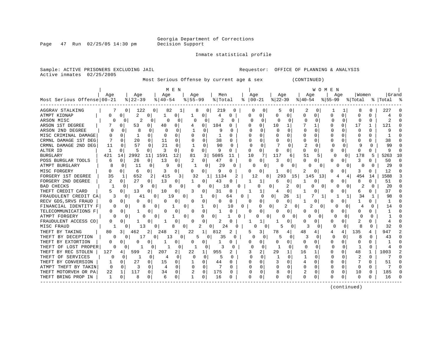Page 47 Run 02/25/05 14:30 pm

Inmate statistical profile

Sample: ACTIVE PRISONERS EXCLUDING JAIL **Requestor:** OFFICE OF PLANNING & ANALYSIS Active inmates 02/25/2005

Most Serious Offense by current age & sex (CONTINUED)

|                            |          |             |                |              | M E N    |              |               |          |                |          |               |              |               |              | WOMEN        |             |          |          |              |           |    |
|----------------------------|----------|-------------|----------------|--------------|----------|--------------|---------------|----------|----------------|----------|---------------|--------------|---------------|--------------|--------------|-------------|----------|----------|--------------|-----------|----|
|                            | Age      |             | Age            | Age          |          | Age          |               | Men      |                | Age      |               | Age          |               | Age          |              | Age         |          | Women    |              | Grand     |    |
| Most Serious Offense 00-21 |          |             | $ 22-39$       | $ 40-54 $    |          | $8 55-99$    |               | % Total  | ႜ              |          | $ 00-21$      | $ 22-39$     |               | $8 40-54$    |              | $8155 - 99$ |          | % Total  |              | %   Total |    |
| AGGRAV STALKING            |          | 0           | 122            | 82<br>0      | 1        | 8            | 0             | 219      | 0              | 0        | 0             | 5            | 0             | 2            | 0            |             | 1        |          | 0            | 227       |    |
| ATMPT KIDNAP               | U        | $\Omega$    | 2<br>0         | 1            | 0        | -1           | 0             | 4        | 0              |          | 0             |              | 0             | U            | $\Omega$     | U           | 0        | $\cap$   | $\Omega$     | 4         | n  |
| ARSON MISC                 |          | 0           | $\overline{2}$ | 0            | $\Omega$ | <sup>0</sup> | $\Omega$      | 2        | $\Omega$       | O        | $\Omega$      | n            | $\Omega$      | $\Omega$     | 0            |             | $\Omega$ | O        | 0            | 2         | ∩  |
| ARSON 1ST DEGREE           |          | 0           | 53<br>O        | 40           | 0        |              | 0             | 104      | O              |          | U             | 10           | 1             |              |              | U           | U        | 17       |              | 121       | n  |
| ARSON 2ND DEGREE           |          | 0           | 8<br>0         |              |          |              | O             | q        |                |          | 0             |              | $\Omega$      | U            |              |             |          | O        | O            |           |    |
| MISC CRIMINAL DAMAGE       | U        | U           | 0              |              | O        |              | O             |          |                |          | U             |              | O             | U            | -C           | O           |          | C        |              |           |    |
| CRMNL DAMAGE 1ST DEG       |          | U           | 20<br>$\Omega$ | 11           | $\Omega$ |              | $\Omega$      | 38       |                |          | <sup>0</sup>  | <sup>0</sup> | O             | 0            | $\Omega$     | O           |          | ∩        | U            | 38        |    |
| CRMNL DAMAGE 2ND DEG       | 11       |             | 57<br>0        | 21           | $\Omega$ |              | $\Omega$      | 90       | 0              |          | $\Omega$      |              | U             | 2            | O            |             | O        | q        | ∩            | 99        |    |
| ALTER ID                   | -1       | O           | 5<br>0         | ∍            | $\Omega$ | O            | 0             | 9        | 0              | 0        | 0             | 0            | 0             | O            | 0            | U           | 0        | $\Omega$ | n            | 9         |    |
| <b>BURGLARY</b>            | 421      | 14          | 2992<br>11     | 1591         | 12       | 81           | 3             | 5085     | 11             | 10       | 7             | 11           | 6             | 51           | 5            | 0           | 0        | 178      | 5            | 5263      | 10 |
| POSS BURGLAR TOOLS         | 6        | 0           | 26<br>0        | 13           | 0        |              | 0             | 47       | 0              | $\Omega$ | 0             | 3            | 0             | <sup>0</sup> | 0            | O           | 0        | 3        |              | 50        |    |
| ATMPT BURGLARY             | 8        | 0           | 11<br>$\Omega$ | c            | 0        |              | 0             | 29       | 0              | 0        | O             |              | $\Omega$      | 0            | O            | 0           | 0        | U        | O            | 29        |    |
| MISC FORGERY               |          | $\mathbf 0$ | 0<br>6         | 3            | 0        | O            | 0             | 9        | $\Omega$       |          | 0             |              | 0             |              | $\Omega$     | 0           | 0        | 3        |              | 12        |    |
| FORGERY 1ST DEGREE         | 35       | 1           | 652            | 2<br>415     | 3.       | 32           | 1             | 1134     |                |          | 12<br>8.      | 293          | 15            | 145          | 13           | 4           | 4        | 454      | 14           | 1588      |    |
| FORGERY 2ND DEGREE         | 2        | 0           | 27<br>0        | 13           | 0        |              | 0             | 43       | O              |          | 1             | 6            | 0             |              | 0            | 0           | 0        | 8        | U            | 51        | n  |
| <b>BAD CHECKS</b>          |          | 0           | 9              | 8            |          | O            | 0             | 18       |                |          | O             | $\Omega$     | 2<br>0        | O            | $\Omega$     | Ω           | 0        |          | O            | 20        |    |
| THEFT CREDIT CARD          | 5        | Ω           | 13             | 10           | 0        | 3            | 0             | 31       | 0              |          | ı             |              | 0             |              | 0            | 0           |          | 6        |              | 37        |    |
| FRAUDULENT CREDIT CA       |          | $\Omega$    | 41             | <sup>0</sup> | 19<br>0  |              | 0             |          | 0<br>64        |          | $\Omega$      | 0            | 26<br>1       |              | 1            |             |          | 34       |              | 98        |    |
| RECV GDS, SRVS FRAUD       | O        | Ω           | $\cap$         | O            | 0        | ∩            | $\Omega$      | O        |                | $\Omega$ | 0             | <sup>0</sup> | 0             |              | 0            | O           |          |          |              |           |    |
| FINANCIAL IDENTITY F       |          | 0           | 8              | $\Omega$     |          | 0            |               | $\Omega$ | $\Omega$<br>10 |          | 0             | $\Omega$     | 2<br>$\Omega$ |              | O            | O           | n        |          |              | 14        |    |
| TELECOMMUNICATIONS F       | 0        | O           | 0<br>п.        | 0            | 0        | $\Omega$     | 0             | -1       | $\Omega$       | O        | 0             | $\Omega$     | 0             | 0            | 0            | O           | O        | $\Omega$ | U            |           |    |
| ATMPT FORGERY              |          | O           | 0              | 0            |          | 0            | 0<br>$\Omega$ |          | 0              |          | $\Omega$<br>0 | 0            | 0             | 0            | $\Omega$     | 0           | $\Omega$ | $\Omega$ | Ω            |           |    |
| FRAUDULENT ACCESS CO       | 0        | 0           | 0              | -1           | 0        | $\Omega$     | $\Omega$      | 2        |                |          | 1             |              | 0             | U            | 0            | O           | 0        | 2        |              |           |    |
| MISC FRAUD                 |          | O           | 13             | 0            | 8<br>0   | 2            | 0             | 24       | 0              |          | 0             | 5            |               | 3            |              | $\Omega$    | 0        | 8        | ∩            | 32        |    |
| THEFT BY TAKING            | 80       | 31          | 462            | 248          | 2        | 22           | 1             | 812      |                | 5        | 31            | 78           | 4             | 48           | 41           | 4           | 4        | 135      | 4            | 947       |    |
| THEFT BY DECEPTION         |          |             | 17             | 13<br>0      | 0        |              | $\Omega$      | 35       | <sup>0</sup>   | O        | $\Omega$      |              | $\Omega$      | 3            | <sup>0</sup> | $\Omega$    | $\Omega$ |          | <sup>0</sup> | 43        |    |
| THEFT BY EXTORTION         | 0        | O           | n<br>0         |              | 0        |              | 0             |          | O              |          | 0             | U            | 0             | 0            | 0            | O           | $\Omega$ | 0        | 0            |           | n  |
| THEFT OF LOST PROPER       |          | 0           | 1              |              | $\Omega$ |              | C             | 3        | 0              | $\cap$   | <sup>0</sup>  |              | 0             | -C           | $\Omega$     | O           | $\Omega$ | -1       | U            |           |    |
| THEFT BY REC STOLEN        | 127      |             | 599<br>2       | 207          | 2        | 22           |               | 955      | 2              |          | 2             | 29           | 1             | 16           |              | U           |          | 48       |              | 1003      |    |
| THEFT OF SERVICES          | U        | n           | 0<br>1         | 4            | 0        | <sup>n</sup> | 0             | 5        | O              | ∩        | $\Omega$      |              | O             | 1            | O            |             |          | 2        | O            |           |    |
| THEFT BY CONVERSION        |          |             | 27             | 15           | 0        |              | $\Omega$      | 44       |                | O        | U             | 3            | O             | 4            | -C           | U           |          |          |              | 51        |    |
| ATMPT THEFT BY TAKIN       | $\Omega$ | U           | З<br>0         |              | $\Omega$ | 0            | $\Omega$      |          | 0              | N        | $\Omega$      | $\Omega$     | 0             | 0            | n            | U           | $\Omega$ | $\Omega$ | 0            |           |    |
| THEFT MOTORVEH OR PA       | 22       |             | 117<br>0       | 34           | $\Omega$ | 2            | $\mathbf 0$   | 175      | <sup>o</sup>   |          | $\Omega$      | 8            | $\Omega$      | 2            | O            |             | $\Omega$ | 10       | 0            | 185       |    |
| THEFT BRING PROP IN        | 1        | 0           | 8<br>0         | 6            | 0        |              | 0             | 16       | O              | $\Omega$ | 0             |              | 0             | 0            | 0            |             | 0        | $\cap$   |              | 16        |    |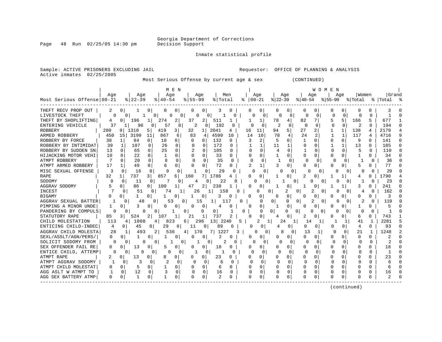Page 48 Run 02/25/05 14:30 pm

Inmate statistical profile

Sample: ACTIVE PRISONERS EXCLUDING JAIL **Requestor:** OFFICE OF PLANNING & ANALYSIS

Active inmates 02/25/2005

Most Serious Offense by current age & sex (CONTINUED)

|                            |              |                |              |          |              | M E N    |                |                |                 |          |    |           |          |                |              |          | W O M E N    |             |              |          |              |                |        |
|----------------------------|--------------|----------------|--------------|----------|--------------|----------|----------------|----------------|-----------------|----------|----|-----------|----------|----------------|--------------|----------|--------------|-------------|--------------|----------|--------------|----------------|--------|
|                            | Aqe          |                | Aqe          |          | Aqe          |          |                | Aqe            |                 | Men      |    | Age       |          |                | Age          |          | Aqe          |             | Aqe          | Women    |              | <b>Grand</b>   |        |
| Most Serious Offense 00-21 |              |                | $ 22-39$     |          | $8140 - 54$  |          | $8155 - 99$    |                | % Total         |          | ిక | $00 - 21$ |          | $ 22-39$       |              | $ 40-54$ |              | $8155 - 99$ |              | % Total  |              | %   Total      |        |
| THEFT RECV PROP OUT        | 2            | $\Omega$       |              | O        | 0            | 0        |                | 0              | 3               | 0        |    |           | 0        |                | 0            | 0        | O            |             | 0            |          |              |                |        |
| LIVESTOCK THEFT            |              | 0              |              | 0        | 0            | 0        | N              | 0              |                 |          |    | 0         | 0        | 0              | 0            | 0        | 0            | C           | $\mathbf 0$  | Ω        | $\Omega$     | 1              |        |
| THEFT BY SHOPLIFTING       | 4            | O              | 196          |          | 274          | 2        | 37             | $\overline{2}$ | 511             | 1        |    |           | 1        | 78             | 4            | 82       |              | 5           | 5            | 166      | 5            | 677            |        |
| ENTERING VEHICLE           | 37           |                | 96           | 0        | 57           | 0        | $\overline{2}$ | 0 <sup>1</sup> | 192             | $\Omega$ |    | $\cap$    | 0        | $\mathfrak{D}$ | 0            | $\Omega$ | $\Omega$     | $\cap$      | 0            | 2        | $\cap$       | 194            | $\cap$ |
| <b>ROBBERY</b>             | 280          | 9              | 1310         | 5        | 419          | 3        | 32             | 1              | 2041            | 4        | 16 |           | 11       | 94             | 5            | 27       | 2            |             |              | 138      | 4            | 2179           |        |
| ARMED ROBBERY              | 450          | 15             | 3199         | 11       | 867          | 6        | 83             | 4              | 4599            | 10       |    | 14        | 10       | 78             |              | 24       | 2            |             | -1           | 117      | 4            | 4716           | q      |
| ROBBERY BY FORCE           | 38           |                | 84           | 0        | 10           | 0        |                | 0              | 132             | 0        |    | 3         | 2        |                | <sup>0</sup> |          | n            | $\Omega$    | $\Omega$     | 9        | U            | 141            |        |
| ROBBERY BY INTIMIDAT       | 39           | 1              | 107          | 0        | 26           | $\Omega$ | <sup>0</sup>   | O              | 172             | 0        |    |           | 1        | 11             | 1            | U        |              |             | $\mathbf{1}$ | 13       | U            | 185            |        |
| ROBBERY BY SUDDEN SN       | 13           | $\Omega$       | 65           | $\Omega$ | 25           | $\Omega$ | 2              | $\Omega$       | 105             | 0        |    | $\Omega$  | $\Omega$ | 4              | $\Omega$     |          | O            | O           | 0            | 5        | <sup>0</sup> | 110            |        |
| HIJACKING MOTOR VEHI       | 10           | $\Omega$       | 22           | $\Omega$ |              | $\Omega$ | $\Omega$       | $\Omega$       | 33              | 0        |    | O.        | 0        |                | 0            | 0        | U            | O           | $\Omega$     |          | 0            | 34             |        |
| ATMPT ROBBERY              |              | 0              | 20           | $\Omega$ | 8            | $\Omega$ | $\Omega$       | 0              | 35              | $\Omega$ |    | $\Omega$  | $\Omega$ |                | $\Omega$     | 0        | $\Omega$     | $\Omega$    | $\Omega$     |          | $\Omega$     | 36             |        |
| ATMPT ARMED ROBBERY        | 17           | $\mathbf{1}$   | 49           | 0        | 6            | 0        | 0              | 0              | 72              | O        |    |           | 1        | 3              | 0            | 0        | U            |             | 0            | 5        | N            | 77             |        |
| MISC SEXUAL OFFENSE        | 3            | $\Omega$       | 16           | $\Omega$ | 9            | 0        |                | O              | 29              | U        |    | U         | 0        | $\Omega$       | 0            |          | O            |             |              | O        | O            | 29             |        |
| <b>RAPE</b>                | 32           | 1              | 737          | 3 I      | 857          | 6        | 160            | 7              | 1786            | 4        |    | 0         | 0        |                | 0            | 2        | 0            |             |              | 4        | N            | 1790           |        |
| SODOMY                     | O            | <sup>0</sup>   | 11           | 0        |              | $\Omega$ | 4              | O.             | 22              |          |    |           | $\Omega$ |                | 0            |          | Λ            |             |              |          | $\Omega$     | 23             |        |
| <b>AGGRAV SODOMY</b>       |              | $\Omega$       | 86           | 0        | 100          |          | 47             | 2              | 238             |          |    | O         | 0        |                | 0            |          | O            |             |              | 3        | Ω            | 241            | C      |
| <b>INCEST</b>              |              | U              | 51           | $\Omega$ | 74           | 1        | 26             |                | 158             |          |    |           | 0        |                | 0            |          | 2<br>O       |             |              | 4        | 0            | 162            |        |
| <b>BIGAMY</b>              |              | $\Omega$       | 1            | O        |              | 0        | 1              | 0              | 3               | 0        |    | n         | 0        | <sup>0</sup>   | 0            | Ω        | 0            | O           |              | U        |              | 3              |        |
| AGGRAV SEXUAL BATTER       |              | <sup>0</sup>   | 48           | O        | 53           | 0        |                | 15             | 1               |          | 0  |           | O        | 0              | 0<br>0       |          | 0            |             |              | 2        | $\Omega$     | 119            |        |
| PIMPING A MINOR UNDE       | 1            |                | 3            | 0        | <sup>0</sup> | 0        | O              | $\Omega$       | 4               |          |    | O         | 0        |                | $\Omega$     | 0        | U            | O           |              |          | 0            |                |        |
| PANDERING BY COMPULS       | O            | O              | 0            | 0        |              |          | 0              | 0              | 0               |          | 0  |           | 0        | $\Omega$       | 0<br>O.      |          | 0<br>0       |             | ∩<br>0       | O        | 0            |                |        |
| STATUTORY RAPE             | 85           | 3              | 524          | 2        | 107          | 1        | 21             | 1              | 737             |          |    |           | 0        | 4              | 0            | 2        | 0            | O           | $\Omega$     | 6        | 0            | 743            |        |
| CHILD MOLESTATION          | 113          | 4              | 1008         | 4        | 823          |          | 6              | 296            | 13 <sup>1</sup> | 2240     | 5  |           | 1<br>2   | 24             |              | 14       |              |             | -1           | 41       | 1            | 2281           |        |
| ENTICING CHILD-INDEC       | 4            | $\overline{0}$ | 45           | 0        | 29           | $\Omega$ | 11             | 0              | 89              | $\Omega$ |    | O         | 0        | 4              | 0            | O        | 0            | U           | 0            | 4        | 0            | 93             |        |
| AGGRAV CHILD MOLESTA       | 28           | $\mathbf{1}$   | 493          |          | 536          |          | 170<br>4       |                | 7 I<br>1227     | 3        |    | O         | 0        |                | 0            | 13       |              | 0           | $\Omega$     | 21       | $\mathbf{1}$ | 1248           |        |
| SEXL/ASSLT/AGN/PERS/       | $\Omega$     | 0              | $\mathbf{1}$ | 0        |              | 0        | 0              | 0              | $\overline{2}$  |          |    |           | 0        |                | $\Omega$     | O        | 0            | U           | 0            | $\Omega$ | $\Omega$     | $\overline{2}$ |        |
| SOLICIT SODOMY FROM        | <sup>0</sup> | $\Omega$       | <sup>0</sup> | $\Omega$ | -1           | 0        |                | 1<br>$\Omega$  | 2               | O        |    | O         | 0        | <sup>0</sup>   | $\Omega$     | O        | $\Omega$     | O           | $\Omega$     | O        | $\Omega$     | $\mathcal{D}$  | n      |
| SEX OFFENDER FAIL RE       | 0            | 0              | 13           | 0        | 5            | 0        | U              | 0              | 18              | O        |    |           | 0        |                | $\Omega$     | 0        | O            | $\Omega$    | 0            | U        | 0            | 18             | n      |
| ENTICE CHILD, ATTEMP       |              | 0              | O            |          | O            | 0        |                |                |                 |          |    |           | 0        |                | 0            | n        | 0            |             | O            |          |              |                | C      |
| ATMPT RAPE                 | 2            | $\Omega$       | 13           |          | 8            | 0        | O              | 0              | 23              | U        |    | O         | 0        | <sup>0</sup>   | $\Omega$     | U        | O            | $\Omega$    |              | C        | U            | 23             |        |
| ATMPT AGGRAV SODOMY        |              | O              | 3            | n        |              | 0        | $\Omega$       | $\Omega$       | 6               | $\Omega$ |    | U         | $\Omega$ | $\Omega$       | O            | $\Omega$ | <sup>0</sup> | $\Omega$    | O            | $\cap$   | U            | б              |        |
| ATMPT CHILD MOLESTAT       | 0            | 0              | 5            | 0        | -1           | 0        | U              | $\Omega$       | 6               | 0        |    | U         | 0        | $\Omega$       | $\Omega$     | O        | O            | $\Omega$    | $\Omega$     | U        | 0            | 6              |        |
| AGG ASLT W ATMPT TO        |              | 0              | 12           | $\Omega$ | 3            | $\Omega$ | $\Omega$       | $\Omega$       | 16              | $\Omega$ |    |           | $\Omega$ | O              | 0            | $\Omega$ | O            | O           | $\Omega$     | O        | 0            | 16             |        |
| AGG SEX BATTERY ATMP       | 0            | 0              |              | $\Omega$ |              | 0        | $\Omega$       | $\Omega$       | $\overline{2}$  | O        |    | U         | 0        |                | $\Omega$     | U        | 0            | $\Omega$    | $\Omega$     | C        | U            | 2              |        |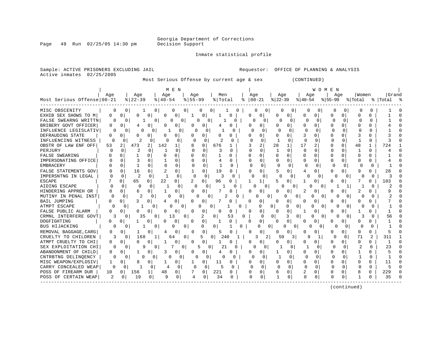Georgia Department of Corrections

Page 49 Run 02/25/05 14:30 pm

#### Inmate statistical profile

Active inmates 02/25/2005

Sample: ACTIVE PRISONERS EXCLUDING JAIL **Requestor:** OFFICE OF PLANNING & ANALYSIS

Most Serious Offense by current age & sex (CONTINUED)

| Most Serious Offense 00-21 | Age      |                | Age<br>$8   22 - 39$ |                | M E N<br>Age<br>$8   40 - 54$ |          | Age<br>$8 55-99$ |                | Men<br>% Total |               | ႜ | Age<br>$ 00-21$ |                      | Age<br>$ 22-39$ |                | Age<br>$ 40-54 $ | WOMEN                    | Age<br>$ 55-99$ |             | Women<br>% Total |              | Grand<br>%   Total |   |
|----------------------------|----------|----------------|----------------------|----------------|-------------------------------|----------|------------------|----------------|----------------|---------------|---|-----------------|----------------------|-----------------|----------------|------------------|--------------------------|-----------------|-------------|------------------|--------------|--------------------|---|
| MISC OBSCENITY             | 0        | 0              |                      | 0              | 0                             | 0        |                  | 0              | 0 I            |               | 0 | 0               | 0 <sup>1</sup>       | 0               | 0              | 0                | 0                        | <sup>0</sup>    | 0           | 0                |              |                    |   |
| EXHIB SEX SHOWS TO M       | $\Omega$ | $\Omega$       | $\Omega$             | $\Omega$       | 0                             | 0        |                  | 0              |                | $\Omega$      |   | 0               | $\Omega$             | 0               | $\Omega$       | $\Omega$         | 0                        | 0               | 0           | 0                | $\Omega$     |                    |   |
| FALSE SWEARNG WRITTN       | U        | $\Omega$       |                      | 0              | $\Omega$                      | 0        | 0                | 0              |                | 0             |   | <sup>n</sup>    | 0                    | 0               | 0              | $\Omega$         | 0                        | $\mathbf 0$     | $\mathbf 0$ | $\Omega$         | $\Omega$     |                    |   |
| BRIBERY GOVT OFFICER       | O        | $\Omega$       | 4                    | 0              | O                             | 0        | U                | $\Omega$       | 4              | $\Omega$      |   | <sup>0</sup>    | $\Omega$             | $\cap$          | 0              | O                | 0                        | O               | $\Omega$    | $\Omega$         | $\Omega$     |                    | C |
| INFLUENCE LEGISLATIV       | O        | $\Omega$       | U                    | $\Omega$       |                               | $\Omega$ | <sup>0</sup>     | $\Omega$       |                | 0             |   | $\Omega$        | $\Omega$             | ∩               | 0              | O                | 0                        | $\Omega$        | $\Omega$    | 0                | 0            |                    |   |
| DEFRAUDING STATE           | $\Omega$ | O              | $\Omega$             | $\Omega$       | U                             | 0        | $\Omega$         | 0              | $\Omega$       | $\Omega$      |   | 0               | 0                    |                 | 0              | 3                | 0                        | $\Omega$        | $\Omega$    | 3                | $\cap$       | 3                  |   |
| INFLUENCING WITNESS        | $\Omega$ | $\Omega$       | 2                    | $\Omega$       | $\Omega$                      | $\Omega$ | <sup>0</sup>     | 0              | 2              | $\Omega$      |   | $\cap$          | $\Omega$             | $\mathbf{1}$    | $\Omega$       | $\Omega$         | $\Omega$                 | $\Omega$        | $\Omega$    | 1                | $\Omega$     | 3                  |   |
| OBSTR OF LAW ENF OFF       | 53       | 2              | 473                  | $\overline{2}$ | 142                           | 1        | 8                | $\mathbf 0$    | 676            | 1             |   | 3               | ا 2                  | 28              |                | 17               | $\overline{2}$           | 0               | $\Omega$    | 48               | $\mathbf{1}$ | 724                |   |
| PERJURY                    | O        | 0              | 2                    | $\Omega$       | 1                             | $\Omega$ | 0                | $\mathbf 0$    | 3              | $\Omega$      |   | $\Omega$        | $\Omega$             | $\mathbf{1}$    | $\Omega$       | $\Omega$         | $\Omega$                 | $\Omega$        | $\mathbf 0$ | $\mathbf{1}$     | $\Omega$     | 4                  |   |
| <b>FALSE SWEARING</b>      | 0        | $\Omega$       | 1                    | $\Omega$       | 0                             | $\Omega$ | $\Omega$         | $\Omega$       | $\mathbf{1}$   | $\Omega$      |   | O               | 0                    | $\Omega$        | $\Omega$       | $\Omega$         | $\Omega$                 | U               | $\Omega$    | $\Omega$         | $\Omega$     | $\mathbf{1}$       |   |
| IMPERSONATING OFFICE       | $\cap$   | $\Omega$       | 3                    | O              | $\mathbf{1}$                  | $\Omega$ | $\Omega$         | $\Omega$       | 4              | $\Omega$      |   | $\Omega$        | 0                    | $\Omega$        | $\Omega$       | $\Omega$         | $\Omega$                 | U               | $\mathbf 0$ | $\Omega$         | $\Omega$     | 4                  | ſ |
| <b>EMBRACERY</b>           | $\Omega$ | $\Omega$       | 1                    | $\Omega$       | $\Omega$                      | $\Omega$ | 0                | $\Omega$       | $\mathbf{1}$   | 0             |   | $\Omega$        | $\Omega$             | $\Omega$        | $\Omega$       | $\Omega$         | $\Omega$                 | $\Omega$        | $\Omega$    | O                | $\Omega$     |                    |   |
| FALSE STATEMENTS GOV       | O        | $\Omega$       | 16                   | $\Omega$       | 2                             | 0        |                  | $\Omega$       | 19             | $\Omega$      |   | <sup>0</sup>    | $\Omega$             | 5               | $\Omega$       | 4                | $\Omega$                 | O               | $\Omega$    | 9                | $\Omega$     | 28                 |   |
| IMPERSNTNG IN LEGAL        | U        | $\mathbf 0$    | $\overline{2}$       | $\Omega$       | $\mathbf{1}$                  | $\Omega$ | $\Omega$         | $\mathbf 0$    | $\mathcal{R}$  | $\Omega$      |   | $\cap$          | 0                    | $\Omega$        | $\Omega$       | U                | $\Omega$                 | $\cap$          | 0           | $\cap$           | $\Omega$     | 3                  |   |
| <b>ESCAPE</b>              |          | $\Omega$       | 65                   | $\Omega$       | 22                            | $\Omega$ | 2                | $\Omega$       | 96             | 0             |   | 1               | 1 <sup>1</sup>       | 5               | $\Omega$       | 1                | $\Omega$                 | $\Omega$        | 0           |                  | 0            | 103                |   |
| AIDING ESCAPE              | $\Omega$ | $\Omega$       | $\Omega$             | $\Omega$       | -1                            | $\Omega$ | 0                | $\Omega$       |                | 0             |   | 0               | $\Omega$             | O               | 0              |                  | 0<br>0                   | 1               | 1           |                  | $\Omega$     | 2                  |   |
| HINDERING APPREH OR        | 0        | 0              | 6                    | $\mathbf{0}$   | $\mathbf{1}$                  | 0        | 0                | 0              |                | 0             |   | $\mathbf 0$     | 0                    | $\Omega$        | 0              | 2                | 0                        | 0               | 0           |                  | $\Omega$     | 9                  |   |
| MUTINY IN PENAL INST       | $\Omega$ | $\Omega$       | $\mathfrak{D}$       | $\Omega$       | $\Omega$                      | $\Omega$ | $\Omega$         | <sup>0</sup>   |                | $\mathcal{D}$ | 0 |                 | $\Omega$<br>$\Omega$ |                 | $\Omega$       | $\Omega$         | $\Omega$<br><sup>0</sup> | $\Omega$        | $\Omega$    | $\Omega$         | $\Omega$     | $\mathfrak{D}$     |   |
| <b>BAIL JUMPING</b>        | U        | 0              | 3                    | $\Omega$       | 4                             | 0        | 0                | 0              |                | 0             |   | 0               | 0                    | $\Omega$        | 0              | 0                | 0                        | U               | 0           | ∩                | 0            | 7                  | C |
| ATMPT ESCAPE               | $\cap$   | $\Omega$       | 1                    | $\Omega$       | $\Omega$                      | $\Omega$ | O                |                | $\mathbf 0$    |               | 0 |                 | 0                    | 0               | O              | $\Omega$         | $\mathbf 0$              | $\Omega$        | 0           | $\Omega$         | $\Omega$     |                    |   |
| FALSE PUBLIC ALARM         | $\Omega$ | $\Omega$       | $\Omega$             | 0              | $\Omega$                      | 0        | $\cap$           | $\Omega$       | $\cap$         | $\Omega$      |   | $\Omega$        | $\Omega$             | $\cap$          | $\Omega$       | $\mathbf{1}$     | 0                        | O               | 0           |                  | $\Omega$     | 1                  |   |
| CRMNL INTERFERE GOVT       | 3        | $\Omega$       | 35                   | $\Omega$       | 13                            | 0        |                  | 2              | 0              | 53            | 0 |                 | $\Omega$             | 0               | 3              | 0                | 0<br>O                   | 0               | 0           | 3                | $\Omega$     | 56                 |   |
| DOGFIGHTING                | O        | $\Omega$       |                      | $\Omega$       | $\Omega$                      | 0        | U                | 0              | 1              | $\mathbf 0$   |   | $\Omega$        | $\mathbf 0$          | $\Omega$        | 0              | $\Omega$         | 0                        | U               | $\Omega$    | $\Omega$         | <sup>0</sup> | 1                  | C |
| BUS HIJACKING              | 0        | $\mathbf{0}$   |                      | $\mathbf{0}$   | 0                             | $\Omega$ |                  | 0              | 0 <sup>1</sup> | $\mathbf{1}$  | 0 |                 | 0<br>0               |                 | 0<br>0         |                  | 0<br>0                   | 0               | 0           | 0                | 0            | $\mathbf{1}$       |   |
| REMOVAL BAGGAGE, CARG      | O        | $\overline{0}$ | 1                    | 0              | 4                             | 0        | ∩                | $\mathbf 0$    | 5              | $\mathbf 0$   |   | $\cap$          | $\Omega$             | $\Omega$        | 0              | O                | 0                        | O               | 0           | $\Omega$         | $\Omega$     | 5                  |   |
| CRUELTY TO CHILDREN        | ζ        | $\Omega$       | 168                  | 1              | 64                            | $\Omega$ |                  | 5              | $\Omega$       | 240           | 1 | ς               | 2                    | 59              | 3              | 9                | 1                        | $\Omega$        | $\Omega$    | 71               | 2            | 311                |   |
| ATMPT CRUELTY TO CHI       | $\Omega$ | $\Omega$       | $\Omega$             | 0              |                               | 0        | $\Omega$         | 0              |                | $\Omega$      |   | O               | $\Omega$             | $\Omega$        | $\Omega$       | 0                | 0                        | 0               | $\Omega$    | $\Omega$         | $\Omega$     | $\mathbf{1}$       | n |
| SEX EXPLOITATION CHI       | U        | $\Omega$       | q                    | 0              | 7                             | 0        | 5                | 0              | 21             | $\Omega$      |   | U               | 0                    |                 | 0              |                  | 0                        | $\Omega$        | $\Omega$    | 2                | $\Omega$     | 23                 |   |
| ABANDONMENT OF CHILD       | $\Omega$ | $\Omega$       | 1                    | 0              | 3                             | 0        | $\Omega$         | $\Omega$       | 4              | $\Omega$      |   | <sup>0</sup>    | 0                    | 1               | $\Omega$       | $\Omega$         | 0                        | O               | $\Omega$    | 1                | $\Omega$     | 5                  |   |
| CNTRBTNG DELINOENCY        | 0        | 0              | 0                    | 0              | 0                             | 0        | 0                | $\mathbf{0}$   | 0              | 0             |   | $\Omega$        | 0                    | -1              | $\Omega$       | $\Omega$         | $\Omega$                 | $\Omega$        | $\Omega$    | 1                | $\Omega$     | 1                  |   |
| MISC WEAPON/EXPLOSIV       |          | $\circ$        | 8                    | 0              | 1                             | 0        |                  | 0 <sup>1</sup> | 11             | 0             |   | 0               | 0                    | 0               | $\overline{0}$ | 0                | $\overline{0}$           | 0               | 0           | $\mathbf 0$      | $\Omega$     | 11                 |   |
| CARRY CONCEALED WEAP       | $\Omega$ | 0              | $\mathbf 1$          | $\Omega$       | 4                             | $\Omega$ | $\Omega$         | $\Omega$       | 5              | $\Omega$      |   | $\Omega$        | $\Omega$             | $\Omega$        | $\Omega$       | $\Omega$         | $\Omega$                 | $\Omega$        | $\Omega$    | 0                | $\Omega$     | 5                  |   |
| POSS OF FIREARM DUR        | 10       | 0              | 156                  | 1              | 48                            | 0        |                  | 0              | 221            | 0             |   | $\Omega$        | 0                    | 6               | 0              | 2                | 0                        | U               | 0           | 8                | $\Omega$     | 229                |   |
| POSS OF CERTAIN WEAP       | 2        | $\overline{0}$ | 19                   | 0              | 9                             | 0        | $\overline{4}$   | 0              | 34             | 0             |   | $\bigcap$       | 0                    | $\mathbf{1}$    | 0              | $\Omega$         | 0                        | $\Omega$        | $\mathbf 0$ |                  | <sup>0</sup> | 35                 |   |
|                            |          |                |                      |                |                               |          |                  |                |                |               |   |                 |                      |                 |                |                  |                          |                 | (continued) |                  |              |                    |   |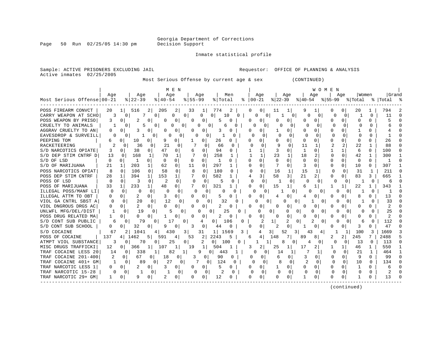Page 50 Run 02/25/05 14:30 pm

Inmate statistical profile

Active inmates 02/25/2005

Sample: ACTIVE PRISONERS EXCLUDING JAIL **Requestor:** OFFICE OF PLANNING & ANALYSIS

Most Serious Offense by current age & sex (CONTINUED)

|                            |              |                            |                       | M E N                    |                     | WOMEN                  |          |                      |                          |                |               |                                  |                     |              |                |  |
|----------------------------|--------------|----------------------------|-----------------------|--------------------------|---------------------|------------------------|----------|----------------------|--------------------------|----------------|---------------|----------------------------------|---------------------|--------------|----------------|--|
|                            | Aqe          | Age                        | Age                   |                          | Age                 | Men                    |          | Age                  | Age                      |                | Age           | Aqe                              |                     | Women        | Grand          |  |
| Most Serious Offense 00-21 |              | $8$   22-39                | $8140 - 54$           | $8155 - 99$              |                     | % Total                |          | $8   00 - 21$        | $ 22 - 39 $              | % 40-54        |               |                                  | $ 55-99 \t{ Total}$ |              | %   Total      |  |
| POSS FIREARM CONVCT        | 20           | 516<br>$1\vert$            | 205<br>$\overline{2}$ | 2 <br>33                 | 11                  | 774<br>2               |          | 0<br>0               | 11<br>1                  | 9              |               | 0                                | 20                  |              | 794            |  |
| CARRY WEAPON AT SCHO       | 3            | 7<br>$\Omega$              | 0                     | <sup>n</sup><br>$\Omega$ | U<br><sup>o</sup>   | 10                     | 0        | O<br>$\Omega$        | 1                        | 0<br>n         | 0             | ∩                                | $\Omega$            | $\Omega$     | 11             |  |
| POSS WEAPON BY PRISO       | 3            | ∩<br>2                     | 0                     | 0<br><sup>0</sup>        | O                   | 5                      |          | 0<br>n               | 0                        | n              | U             | 0<br>n                           |                     | 0            |                |  |
| CRUELTY TO ANIMALS         |              | 0                          | O<br>Λ                | <sup>o</sup>             | O                   |                        |          |                      | ∩                        | U<br>0         |               | $\Omega$                         | $\Omega$<br>U       | $\Omega$     |                |  |
| AGGRAV CRUELTY TO AN       | 0            | O                          | O                     | 0                        |                     | 3                      |          | U                    | 0                        | 0              | U             |                                  |                     |              |                |  |
| EAVESDROP & SURVEILL       | O            | 0                          | <sup>o</sup><br>O     | O                        |                     | N                      |          | <sup>0</sup>         | $\Omega$                 |                | O             | ∩                                |                     |              |                |  |
| PEEPING TOM                | 6            | 10<br><sup>0</sup>         | U                     | 0                        | 0                   | 26<br>$\Omega$         |          | 0                    | U                        | <sup>0</sup>   | ∩             | ∩<br><sup>n</sup>                | $\cap$              | ∩            | 26             |  |
| RACKETEERING               | 2            | 36                         | 21<br>0               | 0                        | $\Omega$            | 66<br>$\Omega$         |          | O<br><sup>0</sup>    | q<br>$\Omega$            | 11             | 1             | $\overline{a}$<br>$\overline{a}$ | 22                  | 1            | 88             |  |
| S/D NARCOTICS OPIATE       | 3            | 38<br>$\Omega$             | 47<br>0               | 0                        | $\Omega$            | 94<br>0                |          | 1                    | 3<br>$\Omega$            | 1              | <sup>0</sup>  |                                  | 6                   | 0            | 100            |  |
| S/D DEP STIM CNTRF D       | 13           | 168<br>$\Omega$            | 70<br>1               |                          | $\Omega$            | 258                    |          | $\mathbf{1}$         | 23<br>$\mathbf{1}$       | 18             |               | $\Omega$<br>$\Omega$             | 42                  | 1            | 300            |  |
| S/D OF LSD                 | $\Omega$     | $\Omega$                   | 0<br>$\Omega$         | $\Omega$<br>$\Omega$     | 0                   | 1<br>$\Omega$          |          | $\Omega$<br>$\Omega$ | $\Omega$<br>$\Omega$     | $\Omega$       | $\Omega$      | 0<br>$\Omega$                    | 0                   | 0            |                |  |
| S/D OF MARIJUANA           | 21           | 203<br>1                   | 62                    | 11<br>0                  | $\Omega$            | 297<br>1               |          | $\Omega$<br>0        | $\Omega$                 | 3              | <sup>0</sup>  | 0<br>$\Omega$                    | 10                  | 0            | 307            |  |
| POSS NARCOTICS OPIAT       | 8            | $\Omega$<br>106            | $\Omega$<br>58        | $\Omega$<br>8            | $\Omega$            | 180<br>0               |          | $\cap$<br>$\Omega$   | 16<br>$\mathbf{1}$       | 1.5            |               | $\Omega$                         | 31                  | 1            | 211            |  |
| POSS DEP STIM CNTRF        | 28           | 394<br>1                   | 153<br>$\mathbf{1}$   | 1                        | $\Omega$            | 582                    |          | 3                    | 58<br>3                  | 21             | 2.            | $\Omega$<br>0                    | 83                  | 3            | 665            |  |
| POSS OF LSD                | $\Omega$     | $\Omega$<br>3              | 0<br>2                | $\Omega$<br>$\cap$       | 0                   | $\Omega$               |          | $\Omega$<br>0        |                          | 0<br>U         |               | $\Omega$                         | 0                   | $\Omega$     | 6              |  |
| POSS OF MARIJUANA          | 33           | 233<br>1                   | 48                    | <sup>o</sup>             | 0                   | 321                    |          | 0<br>O               | 15<br>1                  | б              |               |                                  | 22                  |              | 343            |  |
| ILLEGAL POSS/MANF LI       | $\Omega$     | 0<br>O                     | 0                     | 0<br>N                   |                     | U                      |          | U                    |                          |                |               |                                  |                     | 0            |                |  |
| ILLEGAL ATTM TO OBT        | 0            | 0                          | 3<br>0                | 0<br><sup>0</sup>        | 0                   | 5<br>C                 |          | <sup>0</sup><br>0    | O<br>4                   | 4              |               | n                                | 8                   |              | 13             |  |
| VIOL GA CNTRL SBST A       | $\Omega$     | 20<br>$\Omega$             | 0<br>12               |                          | <sup>0</sup>        | 32                     | U        | U<br>0               |                          | $\Omega$       | $\Omega$      |                                  |                     | U            | 33             |  |
| VIOL DNGROUS DRGS AC       | 0            | $\overline{2}$<br>$\Omega$ | 0<br>O                | 0<br>$\Omega$            | $\Omega$            | 2                      |          | 0<br>O               | 0<br>O                   | 0              | O             | O<br>O                           | O                   |              | $\overline{a}$ |  |
| UNLWFL MFG/DEL/DIST        |              | 19<br>0                    | $\Omega$              | $\Omega$                 | 0<br>O              | 25                     |          | O                    | 0<br>O                   | 0              | $\Omega$<br>U | U                                | <sup>0</sup><br>O   | 0            | 25             |  |
| POSS DRUG RELATED MA       |              | O<br>0                     | 0                     | 0                        | $\Omega$            | 2<br>0                 |          | 0<br>0               | $\Omega$<br>$\Omega$     | 0              | 0             | 0<br>O                           | O                   | 0            | 2              |  |
| S/D CONT SUB PUBLIC        | 6            | 79<br>0                    | 17<br>0               | 0                        | 01<br>4             | 106                    | $\Omega$ |                      | 2                        | 0              | $\Omega$      | O                                | $\Omega$<br>б       | O            | 112            |  |
| S/D CONT SUB SCHOOL        | 0            | 32<br>$\Omega$             | 0<br>Q                | 3<br>0                   | 0                   | 44<br>O                |          | 0<br>∩               | $\Omega$                 |                | 0             | 0                                | 3                   | ∩            | 47             |  |
| S/D COCAINE                | 67           | 1041<br>2 I                | 430<br>4              | 3                        | 31                  | 1569<br>1 <sup>1</sup> | 3        | 4                    | 3 <sup>1</sup><br>52     | 3<br>43        | 4             |                                  | 100                 | 3            | 1669           |  |
| POSS OF COCAINE            | 137          | 1462<br>4                  | 5 I<br>591            | 53<br>4                  | 2                   | 2243<br>5              |          | 4<br>б               | 148<br>7                 | 89             | 8             |                                  | 245                 | 7            | 2488           |  |
| ATMPT VIOL SUBSTANCE       | 3            | 70<br>0                    | 25<br>U               | $\Omega$                 | 2<br>0 <sup>1</sup> | 100                    | 0        |                      | 8                        | 4<br>0         | 0             | O                                | 13<br>0             | $\Omega$     | 113            |  |
| MISC DRUGS TRAFFICKI       | 12           | $\Omega$<br>366            | 107                   | 19<br>1                  | 1                   | 504                    |          | 3<br>2               | 25<br>1                  | 17             | 2             |                                  | 46                  | $\mathbf{1}$ | 550            |  |
| TRAF COCAINE LESS 20       | 14           | 338<br>0 <sup>1</sup>      | 82                    | 1                        | q<br>0              | 443                    |          | 0                    | 14                       |                |               | <sup>0</sup>                     | 21<br>0             |              | 464            |  |
| TRAF COCAINE 201-400       |              | $\Omega$<br>67             | 18<br>01              | 0<br>3                   | 0                   | 90<br>0                |          | 0<br>0               | 6                        | 3              |               | $\Omega$<br>O                    | 9                   | $\cap$       | 99             |  |
| TRAF COCAINE 401+ GM       | $\mathbf{1}$ | $\Omega$<br>89             | 27<br>$\Omega$        | $\Omega$                 | 0                   | 124<br>$\Omega$        |          | $\cap$<br>$\Omega$   | $\mathsf{R}$<br>$\Omega$ | $\mathfrak{D}$ | $\Omega$      | $\Omega$<br>$\Omega$             | 10                  | $\cap$       | 134            |  |
| TRAF NARCOTIC LESS 1       | 0.           | $\Omega$                   | $\Omega$<br>3         | 0<br>0                   | $\Omega$            | 5<br>0                 |          | 0<br>O               | $\Omega$                 | 0              | $\Omega$      | $\Omega$<br>$\Omega$             | -1                  | 0            | 6              |  |
| TRAF NARCOTIC 15-28        | $\Omega$     | $\overline{0}$             | 0                     | $\Omega$<br>O            | 0                   | 2<br>$\Omega$          |          | $\Omega$<br>$\Omega$ | $\mathbf{0}$<br>$\Omega$ | $\Omega$       | $\Omega$      | $\Omega$<br>$\Omega$             | $\Omega$            | <sup>0</sup> | 2              |  |
| TRAF NARCOTIC 29+ GM       |              | $\Omega$<br>9              | 0                     | 0<br><sup>0</sup>        | $\Omega$            | 12                     |          | 0<br>O               | 0                        |                | 0             | $\Omega$<br>$\Omega$             |                     | O            | 13             |  |
|                            |              |                            |                       |                          |                     |                        |          |                      |                          |                |               |                                  |                     |              |                |  |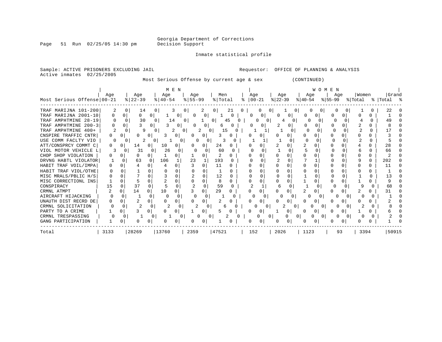Georgia Department of Corrections

Page 51 Run 02/25/05 14:30 pm Decision Support

#### Inmate statistical profile

Sample: ACTIVE PRISONERS EXCLUDING JAIL **Requestor:** OFFICE OF PLANNING & ANALYSIS Active inmates 02/25/2005

Most Serious Offense by current age & sex (CONTINUED)

|  |  |  |                                                                                                                                                                   | <b>WOMEN</b> |  |  |  |  |  |  |  |  |  |  |
|--|--|--|-------------------------------------------------------------------------------------------------------------------------------------------------------------------|--------------|--|--|--|--|--|--|--|--|--|--|
|  |  |  | $\frac{1}{2}$ age and $\frac{1}{2}$ age and $\frac{1}{2}$ age $\frac{1}{2}$ age $\frac{1}{2}$ age $\frac{1}{2}$ age $\frac{1}{2}$ $\frac{1}{2}$ and $\frac{1}{2}$ |              |  |  |  |  |  |  |  |  |  |  |

|       |                              | Aqe          |          | Age       |   | Age       |              | Age       |   | Men      |          |   | Aqe                   |   |    | Age        |              | Aqe       |                  | Aqe     |    | Women   | Grand     |  |
|-------|------------------------------|--------------|----------|-----------|---|-----------|--------------|-----------|---|----------|----------|---|-----------------------|---|----|------------|--------------|-----------|------------------|---------|----|---------|-----------|--|
|       | Most Serious Offense   00-21 |              |          | $ 22-39 $ |   | $ 40-54 $ |              | $8 55-99$ |   | % Total  |          |   | $\frac{1}{6}$   00-21 |   |    | $ 22-39 $  |              | $ 40-54 $ |                  | %∣55-99 |    | % Total | % Total % |  |
|       | TRAF MARIJNA 101-200         |              | $\Omega$ | 14        |   |           |              |           | 2 |          | 21       |   |                       |   | ÜΙ |            | $0 \cdot$    |           |                  |         |    |         | 22        |  |
| TRAF  | MARIJNA 2001-10              |              |          | 0         | 0 |           | 0            |           | 0 |          | $\Omega$ |   |                       | 0 |    | $\left($ ) | U            |           |                  |         | O  |         |           |  |
|       | TRAF AMPHTMINE 28-19         | O            |          | 30        |   | 14        | 0            |           |   | $\Omega$ | 45       | 0 |                       |   |    |            |              |           |                  |         |    |         | 49        |  |
|       | TRAF AMPHTMINE 200-3         |              |          |           | 0 |           | 0            |           | 0 | 6        |          |   |                       |   |    |            |              |           |                  |         |    |         |           |  |
|       | TRAF AMPHTMINE 400+          |              |          | Q         |   |           |              |           | 0 |          | 15       |   |                       |   |    |            |              |           |                  |         |    |         |           |  |
|       | CNSPIRE TRAFFIC CNTR         | $\mathbf{0}$ |          |           | 0 |           | $\Omega$     |           | 0 |          |          |   |                       |   |    |            |              |           |                  |         |    |         |           |  |
|       | USE COMM FACLTY VIO          | 0            |          | 2         |   |           |              |           |   |          |          |   |                       |   |    |            |              |           |                  |         |    |         |           |  |
|       | ATT/CONSPRCY COMMT C         |              |          | 14        | 0 | 10        |              |           |   | 24       |          |   |                       |   |    |            |              |           |                  |         |    |         | 28        |  |
|       | VIOL MOTOR VEHICLE L         |              |          | 31        |   | 26        |              | n         |   | 60       |          |   |                       |   |    |            |              |           |                  |         |    |         | 66        |  |
|       | CHOP SHOP VIOLATION          |              |          |           |   |           |              |           |   |          |          |   |                       |   |    |            |              |           |                  |         |    |         |           |  |
|       | DRVNG HABTL VIOLATOR         |              |          | 63        |   | 106       |              | 23        |   | 193      |          |   |                       |   |    |            |              |           |                  |         |    |         | 202       |  |
|       | HABIT TRAF VOIL/IMPA         |              |          |           |   |           | <sup>0</sup> |           |   | 11       | 0        |   |                       |   |    |            |              |           |                  |         |    |         | 11        |  |
|       | HABIT TRAF VIOL/OTHE         |              |          |           |   |           |              |           |   |          |          |   |                       |   |    |            |              |           |                  |         |    |         |           |  |
|       | MISC MRALS/PBLIC H/S         |              |          |           |   |           |              |           |   | 12       |          |   |                       |   |    |            |              |           |                  |         |    |         |           |  |
|       | MISC CORRECTIONL INS         |              |          |           |   |           |              |           |   |          |          |   |                       |   |    |            |              |           |                  |         |    |         |           |  |
|       | CONSPIRACY                   | 15           |          | 37        |   |           |              |           |   | 59       |          |   |                       |   |    |            |              |           |                  |         |    |         | 68        |  |
|       | CRMNL ATMPT                  |              |          | 14        |   | 10        |              |           |   | 29       |          |   |                       |   |    |            |              |           |                  |         |    |         |           |  |
|       | AIRCRAFT HIJACKING           |              |          |           |   |           |              |           |   |          |          |   |                       |   |    |            | <sup>o</sup> |           |                  |         |    |         |           |  |
|       | UNAUTH DIST RECRD DE         |              |          |           |   |           |              |           |   |          |          |   |                       | O |    |            | 0            |           |                  |         |    |         |           |  |
|       | CRMNL SOLICITATION           |              |          |           |   |           |              |           |   |          | 6        |   |                       | O |    |            | 0            |           | $\left( \right)$ |         |    |         |           |  |
|       | PARTY TO A CRIME             |              |          |           | 0 |           | 0            |           |   |          |          |   |                       | 0 |    |            | 0            |           |                  |         |    |         |           |  |
|       | CRMNL TRESPASSING            |              | 0        |           |   |           | 0            | O         | 0 |          |          |   |                       |   |    |            | 0            |           | $\Omega$         |         |    |         |           |  |
|       | GANG PARTICIPATION           |              |          |           |   |           |              | 0         |   |          |          |   |                       | 0 |    |            |              |           |                  |         |    |         |           |  |
| Total |                              | 3133         |          | 28269     |   | 13760     |              | 2359      |   | 47521    |          |   | 152                   |   |    | 2026       |              | 1123      |                  |         | 93 | 3394    | 50915     |  |